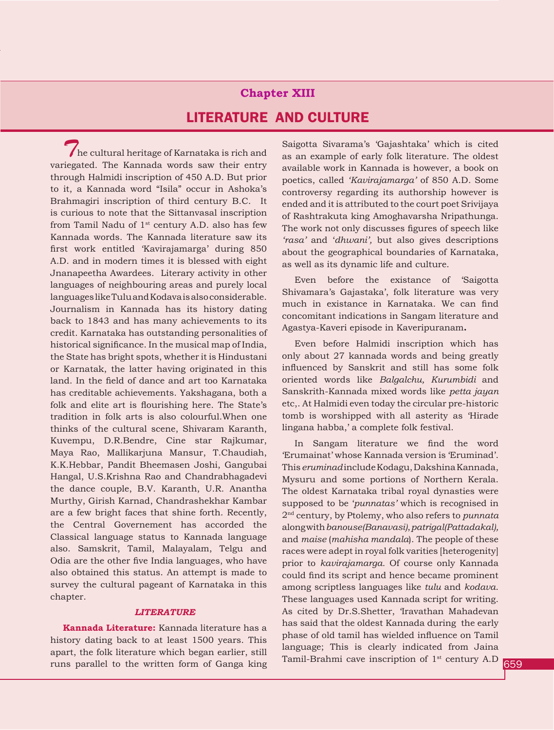## **Chapter XIII**  LITERATURE and CULTURE

*T*he cultural heritage of Karnataka is rich and variegated. The Kannada words saw their entry through Halmidi inscription of 450 A.D. But prior to it, a Kannada word "Isila" occur in Ashoka's Brahmagiri inscription of third century B.C. It is curious to note that the Sittanvasal inscription from Tamil Nadu of  $1<sup>st</sup>$  century A.D. also has few Kannada words. The Kannada literature saw its first work entitled 'Kavirajamarga' during 850 A.D. and in modern times it is blessed with eight Jnanapeetha Awardees. Literary activity in other languages of neighbouring areas and purely local languages like Tulu and Kodava is also considerable. Journalism in Kannada has its history dating back to 1843 and has many achievements to its credit. Karnataka has outstanding personalities of historical significance. In the musical map of India, the State has bright spots, whether it is Hindustani or Karnatak, the latter having originated in this land. In the field of dance and art too Karnataka has creditable achievements. Yakshagana, both a folk and elite art is flourishing here. The State's tradition in folk arts is also colourful.When one thinks of the cultural scene, Shivaram Karanth, Kuvempu, D.R.Bendre, Cine star Rajkumar, Maya Rao, Mallikarjuna Mansur, T.Chaudiah, K.K.Hebbar, Pandit Bheemasen Joshi, Gangubai Hangal, U.S.Krishna Rao and Chandrabhagadevi the dance couple, B.V. Karanth, U.R. Anantha Murthy, Girish Karnad, Chandrashekhar Kambar are a few bright faces that shine forth. Recently, the Central Governement has accorded the Classical language status to Kannada language also. Samskrit, Tamil, Malayalam, Telgu and Odia are the other five India languages, who have also obtained this status. An attempt is made to survey the cultural pageant of Karnataka in this chapter.

#### *LITERATURE*

**Kannada Literature:** Kannada literature has a history dating back to at least 1500 years. This apart, the folk literature which began earlier, still runs parallel to the written form of Ganga king Saigotta Sivarama's 'Gajashtaka' which is cited as an example of early folk literature. The oldest available work in Kannada is however, a book on poetics, called *'Kavirajamarga'* of 850 A.D. Some controversy regarding its authorship however is ended and it is attributed to the court poet Srivijaya of Rashtrakuta king Amoghavarsha Nripathunga. The work not only discusses figures of speech like *'rasa'* and '*dhwani',* but also gives descriptions about the geographical boundaries of Karnataka, as well as its dynamic life and culture.

Even before the existance of 'Saigotta Shivamara's Gajastaka', folk literature was very much in existance in Karnataka. We can find concomitant indications in Sangam literature and Agastya-Kaveri episode in Kaveripuranam**.**

Even before Halmidi inscription which has only about 27 kannada words and being greatly influenced by Sanskrit and still has some folk oriented words like *Balgalchu, Kurumbidi* and Sanskrith-Kannada mixed words like *petta jayan* etc,. At Halmidi even today the circular pre-historic tomb is worshipped with all asterity as 'Hirade lingana habba,' a complete folk festival.

In Sangam literature we find the word 'Erumainat' whose Kannada version is 'Eruminad'. This *eruminad* include Kodagu, Dakshina Kannada, Mysuru and some portions of Northern Kerala. The oldest Karnataka tribal royal dynasties were supposed to be '*punnatas'* which is recognised in 2nd century, by Ptolemy, who also refers to *punnata* along with *banouse(Banavasi)*, *patrigal(Pattadakal),*  and *maise* (*mahisha mandala*). The people of these races were adept in royal folk varities [heterogenity] prior to *kavirajamarga.* Of course only Kannada could find its script and hence became prominent among scriptless languages like *tulu* and *kodava*. These languages used Kannada script for writing. As cited by Dr.S.Shetter, 'Iravathan Mahadevan has said that the oldest Kannada during the early phase of old tamil has wielded influence on Tamil language; This is clearly indicated from Jaina Tamil-Brahmi cave inscription of 1<sup>st</sup> century A.D

l, <u>Li</u>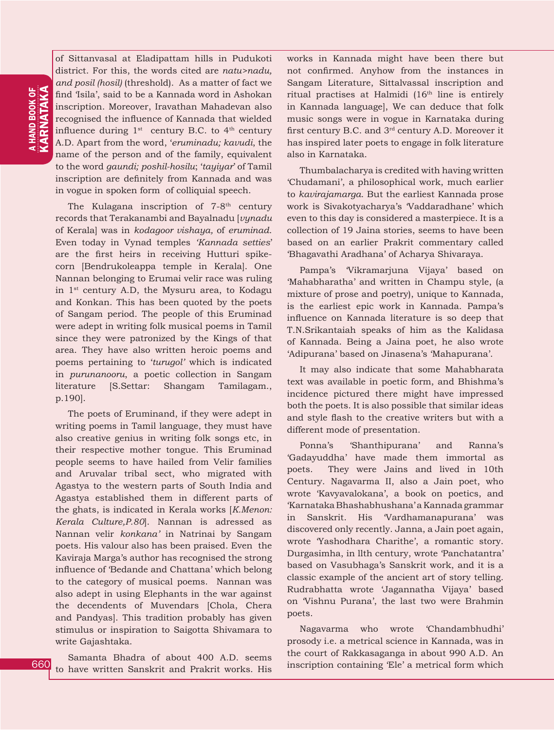660

of Sittanvasal at Eladipattam hills in Pudukoti district. For this, the words cited are *natu>nadu, and posil (hosil)* (threshold). As a matter of fact we find 'Isila', said to be a Kannada word in Ashokan inscription. Moreover, Iravathan Mahadevan also recognised the influence of Kannada that wielded influence during  $1^{st}$  century B.C. to  $4^{th}$  century A.D. Apart from the word, '*eruminadu; kavudi*, the name of the person and of the family, equivalent to the word *gaundi; poshil-hosilu*; '*tayiyar*' of Tamil inscription are definitely from Kannada and was in vogue in spoken form of colliquial speech.

The Kulagana inscription of  $7-8<sup>th</sup>$  century records that Terakanambi and Bayalnadu [*vynadu* of Kerala] was in *kodagoor vishaya,* of *eruminad*. Even today in Vynad temples *'Kannada setties*' are the first heirs in receiving Hutturi spikecorn [Bendrukoleappa temple in Kerala]. One Nannan belonging to Erumai velir race was ruling in  $1<sup>st</sup>$  century A.D, the Mysuru area, to Kodagu and Konkan. This has been quoted by the poets of Sangam period. The people of this Eruminad were adept in writing folk musical poems in Tamil since they were patronized by the Kings of that area. They have also written heroic poems and poems pertaining to '*turugol'* which is indicated in *purunanooru*, a poetic collection in Sangam literature [S.Settar: Shangam Tamilagam., p.190].

The poets of Eruminand, if they were adept in writing poems in Tamil language, they must have also creative genius in writing folk songs etc, in their respective mother tongue. This Eruminad people seems to have hailed from Velir families and Aruvalar tribal sect, who migrated with Agastya to the western parts of South India and Agastya established them in different parts of the ghats, is indicated in Kerala works [*K.Menon: Kerala Culture,P.80*]. Nannan is adressed as Nannan velir *konkana'* in Natrinai by Sangam poets. His valour also has been praised. Even the Kaviraja Marga's author has recognised the strong influence of 'Bedande and Chattana' which belong to the category of musical poems. Nannan was also adept in using Elephants in the war against the decendents of Muvendars [Chola, Chera and Pandyas]. This tradition probably has given stimulus or inspiration to Saigotta Shivamara to write Gajashtaka.

Samanta Bhadra of about 400 A.D. seems to have written Sanskrit and Prakrit works. His

works in Kannada might have been there but not confirmed. Anyhow from the instances in Sangam Literature, Sittalvassal inscription and ritual practises at Halmidi (16<sup>th</sup> line is entirely in Kannada language], We can deduce that folk music songs were in vogue in Karnataka during first century B.C. and 3rd century A.D. Moreover it has inspired later poets to engage in folk literature also in Karnataka.

Thumbalacharya is credited with having written 'Chudamani', a philosophical work, much earlier to *kavirajamarga*. But the earliest Kannada prose work is Sivakotyacharya's 'Vaddaradhane' which even to this day is considered a masterpiece. It is a collection of 19 Jaina stories, seems to have been based on an earlier Prakrit commentary called 'Bhagavathi Aradhana' of Acharya Shivaraya.

Pampa's 'Vikramarjuna Vijaya' based on 'Mahabharatha' and written in Champu style, (a mixture of prose and poetry), unique to Kannada, is the earliest epic work in Kannada. Pampa's influence on Kannada literature is so deep that T.N.Srikantaiah speaks of him as the Kalidasa of Kannada. Being a Jaina poet, he also wrote 'Adipurana' based on Jinasena's 'Mahapurana'.

It may also indicate that some Mahabharata text was available in poetic form, and Bhishma's incidence pictured there might have impressed both the poets. It is also possible that similar ideas and style flash to the creative writers but with a different mode of presentation.

Ponna's 'Shanthipurana' and Ranna's 'Gadayuddha' have made them immortal as poets. They were Jains and lived in 10th Century. Nagavarma II, also a Jain poet, who wrote 'Kavyavalokana', a book on poetics, and 'Karnataka Bhashabhushana' a Kannada grammar in Sanskrit. His 'Vardhamanapurana' was discovered only recently. Janna, a Jain poet again, wrote 'Yashodhara Charithe', a romantic story. Durgasimha, in llth century, wrote 'Panchatantra' based on Vasubhaga's Sanskrit work, and it is a classic example of the ancient art of story telling. Rudrabhatta wrote 'Jagannatha Vijaya' based on 'Vishnu Purana', the last two were Brahmin poets.

Nagavarma who wrote 'Chandambhudhi' prosody i.e. a metrical science in Kannada, was in the court of Rakkasaganga in about 990 A.D. An inscription containing 'Ele' a metrical form which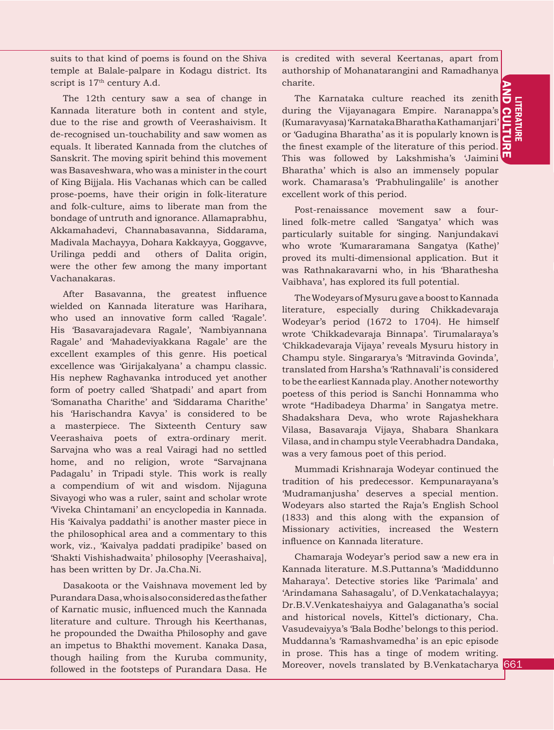suits to that kind of poems is found on the Shiva temple at Balale-palpare in Kodagu district. Its script is  $17<sup>th</sup>$  century A.d.

The 12th century saw a sea of change in Kannada literature both in content and style, due to the rise and growth of Veerashaivism. It de-recognised un-touchability and saw women as equals. It liberated Kannada from the clutches of Sanskrit. The moving spirit behind this movement was Basaveshwara, who was a minister in the court of King Bijjala. His Vachanas which can be called prose-poems, have their origin in folk-literature and folk-culture, aims to liberate man from the bondage of untruth and ignorance. Allamaprabhu, Akkamahadevi, Channabasavanna, Siddarama, Madivala Machayya, Dohara Kakkayya, Goggavve, Urilinga peddi and others of Dalita origin, were the other few among the many important Vachanakaras.

After Basavanna, the greatest influence wielded on Kannada literature was Harihara, who used an innovative form called 'Ragale'. His 'Basavarajadevara Ragale', 'Nambiyannana Ragale' and 'Mahadeviyakkana Ragale' are the excellent examples of this genre. His poetical excellence was 'Girijakalyana' a champu classic. His nephew Raghavanka introduced yet another form of poetry called 'Shatpadi' and apart from 'Somanatha Charithe' and 'Siddarama Charithe' his 'Harischandra Kavya' is considered to be a masterpiece. The Sixteenth Century saw Veerashaiva poets of extra-ordinary merit. Sarvajna who was a real Vairagi had no settled home, and no religion, wrote "Sarvajnana Padagalu' in Tripadi style. This work is really a compendium of wit and wisdom. Nijaguna Sivayogi who was a ruler, saint and scholar wrote 'Viveka Chintamani' an encyclopedia in Kannada. His 'Kaivalya paddathi' is another master piece in the philosophical area and a commentary to this work, viz., 'Kaivalya paddati pradipike' based on 'Shakti Vishishadwaita' philosophy [Veerashaiva], has been written by Dr. Ja.Cha.Ni.

Dasakoota or the Vaishnava movement led by Purandara Dasa, who is also considered as the father of Karnatic music, influenced much the Kannada literature and culture. Through his Keerthanas, he propounded the Dwaitha Philosophy and gave an impetus to Bhakthi movement. Kanaka Dasa, though hailing from the Kuruba community, followed in the footsteps of Purandara Dasa. He is credited with several Keertanas, apart from authorship of Mohanatarangini and Ramadhanya charite.

the finest example of the literature of this period. The Karnataka culture reached its zenith during the Vijayanagara Empire. Naranappa's (Kumaravyasa) 'Karnataka Bharatha Kathamanjari' or 'Gadugina Bharatha' as it is popularly known is This was followed by Lakshmisha's 'Jaimini Bharatha' which is also an immensely popular work. Chamarasa's 'Prabhulingalile' is another excellent work of this period.

Post-renaissance movement saw a fourlined folk-metre called 'Sangatya' which was particularly suitable for singing. Nanjundakavi who wrote 'Kumararamana Sangatya (Kathe)' proved its multi-dimensional application. But it was Rathnakaravarni who, in his 'Bharathesha Vaibhava', has explored its full potential.

The Wodeyars of Mysuru gave a boost to Kannada literature, especially during Chikkadevaraja Wodeyar's period (1672 to 1704). He himself wrote 'Chikkadevaraja Binnapa'. Tirumalaraya's 'Chikkadevaraja Vijaya' reveals Mysuru history in Champu style. Singararya's 'Mitravinda Govinda', translated from Harsha's 'Rathnavali' is considered to be the earliest Kannada play. Another noteworthy poetess of this period is Sanchi Honnamma who wrote "Hadibadeya Dharma' in Sangatya metre. Shadakshara Deva, who wrote Rajashekhara Vilasa, Basavaraja Vijaya, Shabara Shankara Vilasa, and in champu style Veerabhadra Dandaka, was a very famous poet of this period.

Mummadi Krishnaraja Wodeyar continued the tradition of his predecessor. Kempunarayana's 'Mudramanjusha' deserves a special mention. Wodeyars also started the Raja's English School (1833) and this along with the expansion of Missionary activities, increased the Western influence on Kannada literature.

Chamaraja Wodeyar's period saw a new era in Kannada literature. M.S.Puttanna's 'Madiddunno Maharaya'. Detective stories like 'Parimala' and 'Arindamana Sahasagalu', of D.Venkatachalayya; Dr.B.V.Venkateshaiyya and Galaganatha's social and historical novels, Kittel's dictionary, Cha. Vasudevaiyya's 'Bala Bodhe' belongs to this period. Muddanna's 'Ramashvamedha' is an epic episode in prose. This has a tinge of modem writing. Moreover, novels translated by B.Venkatacharya 661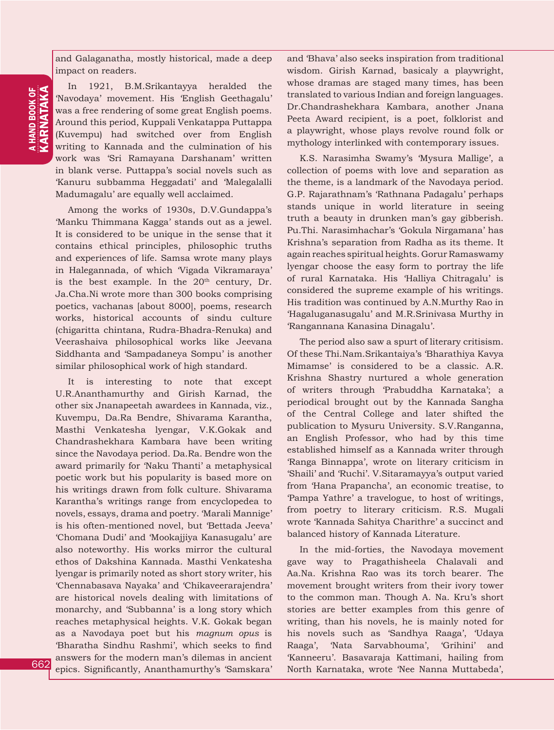**A HAND BOOK OF<br>KA RNATAKA** KARNATAKA a HAND BOOK OF

and Galaganatha, mostly historical, made a deep impact on readers.

In 1921, B.M.Srikantayya heralded the 'Navodaya' movement. His 'English Geethagalu' was a free rendering of some great English poems. Around this period, Kuppali Venkatappa Puttappa (Kuvempu) had switched over from English writing to Kannada and the culmination of his work was 'Sri Ramayana Darshanam' written in blank verse. Puttappa's social novels such as 'Kanuru subbamma Heggadati' and 'Malegalalli Madumagalu' are equally well acclaimed.

Among the works of 1930s, D.V.Gundappa's 'Manku Thimmana Kagga' stands out as a jewel. It is considered to be unique in the sense that it contains ethical principles, philosophic truths and experiences of life. Samsa wrote many plays in Halegannada, of which 'Vigada Vikramaraya' is the best example. In the  $20<sup>th</sup>$  century, Dr. Ja.Cha.Ni wrote more than 300 books comprising poetics, vachanas [about 8000], poems, research works, historical accounts of sindu culture (chigaritta chintana, Rudra-Bhadra-Renuka) and Veerashaiva philosophical works like Jeevana Siddhanta and 'Sampadaneya Sompu' is another similar philosophical work of high standard.

It is interesting to note that except U.R.Ananthamurthy and Girish Karnad, the other six Jnanapeetah awardees in Kannada, viz., Kuvempu, Da.Ra Bendre, Shivarama Karantha, Masthi Venkatesha lyengar, V.K.Gokak and Chandrashekhara Kambara have been writing since the Navodaya period. Da.Ra. Bendre won the award primarily for 'Naku Thanti' a metaphysical poetic work but his popularity is based more on his writings drawn from folk culture. Shivarama Karantha's writings range from encyclopedea to novels, essays, drama and poetry. 'Marali Mannige' is his often-mentioned novel, but 'Bettada Jeeva' 'Chomana Dudi' and 'Mookajjiya Kanasugalu' are also noteworthy. His works mirror the cultural ethos of Dakshina Kannada. Masthi Venkatesha lyengar is primarily noted as short story writer, his 'Chennabasava Nayaka' and 'Chikaveerarajendra' are historical novels dealing with limitations of monarchy, and 'Subbanna' is a long story which reaches metaphysical heights. V.K. Gokak began as a Navodaya poet but his *magnum opus* is 'Bharatha Sindhu Rashmi', which seeks to find answers for the modern man's dilemas in ancient epics. Significantly, Ananthamurthy's 'Samskara' and 'Bhava' also seeks inspiration from traditional wisdom. Girish Karnad, basicaly a playwright, whose dramas are staged many times, has been translated to various Indian and foreign languages. Dr.Chandrashekhara Kambara, another Jnana Peeta Award recipient, is a poet, folklorist and a playwright, whose plays revolve round folk or mythology interlinked with contemporary issues.

K.S. Narasimha Swamy's 'Mysura Mallige', a collection of poems with love and separation as the theme, is a landmark of the Navodaya period. G.P. Rajarathnam's 'Rathnana Padagalu' perhaps stands unique in world literature in seeing truth a beauty in drunken man's gay gibberish. Pu.Thi. Narasimhachar's 'Gokula Nirgamana' has Krishna's separation from Radha as its theme. It again reaches spiritual heights. Gorur Ramaswamy lyengar choose the easy form to portray the life of rural Karnataka. His 'Halliya Chitragalu' is considered the supreme example of his writings. His tradition was continued by A.N.Murthy Rao in 'Hagaluganasugalu' and M.R.Srinivasa Murthy in 'Rangannana Kanasina Dinagalu'.

The period also saw a spurt of literary critisism. Of these Thi.Nam.Srikantaiya's 'Bharathiya Kavya Mimamse' is considered to be a classic. A.R. Krishna Shastry nurtured a whole generation of writers through 'Prabuddha Karnataka'; a periodical brought out by the Kannada Sangha of the Central College and later shifted the publication to Mysuru University. S.V.Ranganna, an English Professor, who had by this time established himself as a Kannada writer through 'Ranga Binnappa', wrote on literary criticism in 'Shaili' and 'Ruchi'. V.Sitaramayya's output varied from 'Hana Prapancha', an economic treatise, to 'Pampa Yathre' a travelogue, to host of writings, from poetry to literary criticism. R.S. Mugali wrote 'Kannada Sahitya Charithre' a succinct and balanced history of Kannada Literature.

In the mid-forties, the Navodaya movement gave way to Pragathisheela Chalavali and Aa.Na. Krishna Rao was its torch bearer. The movement brought writers from their ivory tower to the common man. Though A. Na. Kru's short stories are better examples from this genre of writing, than his novels, he is mainly noted for his novels such as 'Sandhya Raaga', 'Udaya Raaga', 'Nata Sarvabhouma', 'Grihini' and 'Kanneeru'. Basavaraja Kattimani, hailing from North Karnataka, wrote 'Nee Nanna Muttabeda',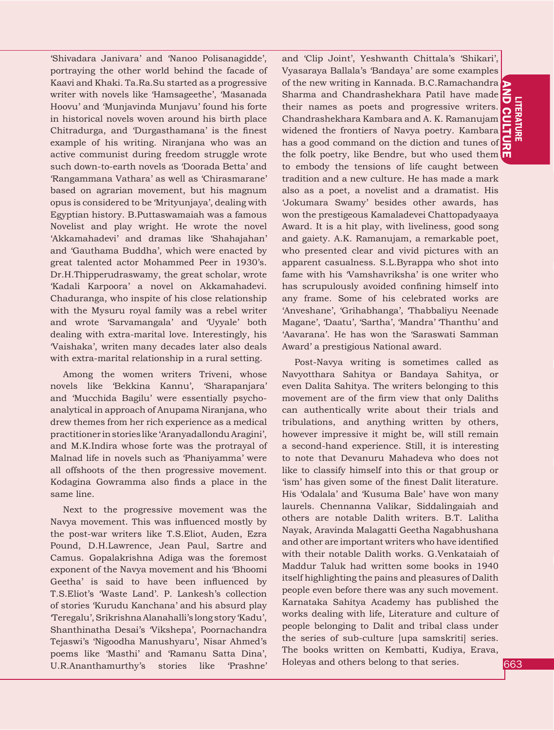**THERMINE<br>DOCIDENT MARKING**<br>663 **LITERATURE** AND C  $\Xi$ 

'Shivadara Janivara' and 'Nanoo Polisanagidde', portraying the other world behind the facade of Kaavi and Khaki. Ta.Ra.Su started as a progressive writer with novels like 'Hamsageethe', 'Masanada Hoovu' and 'Munjavinda Munjavu' found his forte in historical novels woven around his birth place Chitradurga, and 'Durgasthamana' is the finest example of his writing. Niranjana who was an active communist during freedom struggle wrote such down-to-earth novels as 'Doorada Betta' and 'Rangammana Vathara' as well as 'Chirasmarane' based on agrarian movement, but his magnum opus is considered to be 'Mrityunjaya', dealing with Egyptian history. B.Puttaswamaiah was a famous Novelist and play wright. He wrote the novel 'Akkamahadevi' and dramas like 'Shahajahan' and 'Gauthama Buddha', which were enacted by great talented actor Mohammed Peer in 1930's. Dr.H.Thipperudraswamy, the great scholar, wrote 'Kadali Karpoora' a novel on Akkamahadevi. Chaduranga, who inspite of his close relationship with the Mysuru royal family was a rebel writer and wrote 'Sarvamangala' and 'Uyyale' both dealing with extra-marital love. Interestingly, his 'Vaishaka', writen many decades later also deals with extra-marital relationship in a rural setting.

Among the women writers Triveni, whose novels like 'Bekkina Kannu', 'Sharapanjara' and 'Mucchida Bagilu' were essentially psychoanalytical in approach of Anupama Niranjana, who drew themes from her rich experience as a medical practitioner in stories like 'Aranyadallondu Aragini', and M.K.Indira whose forte was the protrayal of Malnad life in novels such as 'Phaniyamma' were all offshoots of the then progressive movement. Kodagina Gowramma also finds a place in the same line.

Next to the progressive movement was the Navya movement. This was influenced mostly by the post-war writers like T.S.Eliot, Auden, Ezra Pound, D.H.Lawrence, Jean Paul, Sartre and Camus. Gopalakrishna Adiga was the foremost exponent of the Navya movement and his 'Bhoomi Geetha' is said to have been influenced by T.S.Eliot's 'Waste Land'. P. Lankesh's collection of stories 'Kurudu Kanchana' and his absurd play 'Teregalu', Srikrishna Alanahalli's long story 'Kadu', Shanthinatha Desai's 'Vikshepa', Poornachandra Tejaswi's 'Nigoodha Manushyaru', Nisar Ahmed's poems like 'Masthi' and 'Ramanu Satta Dina', U.R.Ananthamurthy's stories like 'Prashne'

has a good command on the diction and tunes of  $\frac{1}{\sqrt{2}}$ <br>the folk poetry, like Bendre, but who used them and 'Clip Joint', Yeshwanth Chittala's 'Shikari', Vyasaraya Ballala's 'Bandaya' are some examples of the new writing in Kannada. B.C.Ramachandra Sharma and Chandrashekhara Patil have made their names as poets and progressive writers. Chandrashekhara Kambara and A. K. Ramanujam widened the frontiers of Navya poetry. Kambara has a good command on the diction and tunes of to embody the tensions of life caught between tradition and a new culture. He has made a mark also as a poet, a novelist and a dramatist. His 'Jokumara Swamy' besides other awards, has won the prestigeous Kamaladevei Chattopadyaaya Award. It is a hit play, with liveliness, good song and gaiety. A.K. Ramanujam, a remarkable poet, who presented clear and vivid pictures with an apparent casualness. S.L.Byrappa who shot into fame with his 'Vamshavriksha' is one writer who has scrupulously avoided confining himself into any frame. Some of his celebrated works are 'Anveshane', 'Grihabhanga', 'Thabbaliyu Neenade Magane', 'Daatu', 'Sartha', 'Mandra' 'Thanthu' and 'Aavarana'. He has won the 'Saraswati Samman Award' a prestigious National award.

Post-Navya writing is sometimes called as Navyotthara Sahitya or Bandaya Sahitya, or even Dalita Sahitya. The writers belonging to this movement are of the firm view that only Daliths can authentically write about their trials and tribulations, and anything written by others, however impressive it might be, will still remain a second-hand experience. Still, it is interesting to note that Devanuru Mahadeva who does not like to classify himself into this or that group or 'ism' has given some of the finest Dalit literature. His 'Odalala' and 'Kusuma Bale' have won many laurels. Chennanna Valikar, Siddalingaiah and others are notable Dalith writers. B.T. Lalitha Nayak, Aravinda Malagatti Geetha Nagabhushana and other are important writers who have identified with their notable Dalith works. G.Venkataiah of Maddur Taluk had written some books in 1940 itself highlighting the pains and pleasures of Dalith people even before there was any such movement. Karnataka Sahitya Academy has published the works dealing with life, Literature and culture of people belonging to Dalit and tribal class under the series of sub-culture [upa samskriti] series. The books written on Kembatti, Kudiya, Erava, Holeyas and others belong to that series.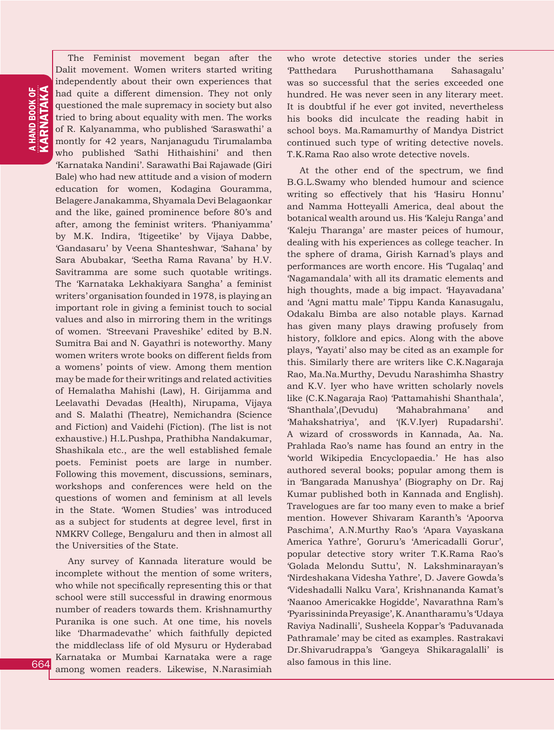The Feminist movement began after the Dalit movement. Women writers started writing independently about their own experiences that had quite a different dimension. They not only questioned the male supremacy in society but also tried to bring about equality with men. The works of R. Kalyanamma, who published 'Saraswathi' a montly for 42 years, Nanjanagudu Tirumalamba who published 'Sathi Hithaishini' and then 'Karnataka Nandini'. Sarawathi Bai Rajawade (Giri Bale) who had new attitude and a vision of modern education for women, Kodagina Gouramma, Belagere Janakamma, Shyamala Devi Belagaonkar and the like, gained prominence before 80's and after, among the feminist writers. 'Phaniyamma' by M.K. Indira, 'Itigeetike' by Vijaya Dabbe, 'Gandasaru' by Veena Shanteshwar, 'Sahana' by Sara Abubakar, 'Seetha Rama Ravana' by H.V. Savitramma are some such quotable writings. The 'Karnataka Lekhakiyara Sangha' a feminist writers' organisation founded in 1978, is playing an important role in giving a feminist touch to social values and also in mirroring them in the writings of women. 'Streevani Praveshike' edited by B.N. Sumitra Bai and N. Gayathri is noteworthy. Many women writers wrote books on different fields from a womens' points of view. Among them mention may be made for their writings and related activities of Hemalatha Mahishi (Law), H. Girijamma and Leelavathi Devadas (Health), Nirupama, Vijaya and S. Malathi (Theatre), Nemichandra (Science and Fiction) and Vaidehi (Fiction). (The list is not exhaustive.) H.L.Pushpa, Prathibha Nandakumar, Shashikala etc., are the well established female poets. Feminist poets are large in number. Following this movement, discussions, seminars, workshops and conferences were held on the questions of women and feminism at all levels in the State. 'Women Studies' was introduced as a subject for students at degree level, first in NMKRV College, Bengaluru and then in almost all the Universities of the State.

Any survey of Kannada literature would be incomplete without the mention of some writers, who while not specifically representing this or that school were still successful in drawing enormous number of readers towards them. Krishnamurthy Puranika is one such. At one time, his novels like 'Dharmadevathe' which faithfully depicted the middleclass life of old Mysuru or Hyderabad Karnataka or Mumbai Karnataka were a rage among women readers. Likewise, N.Narasimiah

who wrote detective stories under the series 'Patthedara Purushotthamana Sahasagalu' was so successful that the series exceeded one hundred. He was never seen in any literary meet. It is doubtful if he ever got invited, nevertheless his books did inculcate the reading habit in school boys. Ma.Ramamurthy of Mandya District continued such type of writing detective novels. T.K.Rama Rao also wrote detective novels.

At the other end of the spectrum, we find B.G.L.Swamy who blended humour and science writing so effectively that his 'Hasiru Honnu' and Namma Hotteyalli America, deal about the botanical wealth around us. His 'Kaleju Ranga' and 'Kaleju Tharanga' are master peices of humour, dealing with his experiences as college teacher. In the sphere of drama, Girish Karnad's plays and performances are worth encore. His 'Tugalaq' and 'Nagamandala' with all its dramatic elements and high thoughts, made a big impact. 'Hayavadana' and 'Agni mattu male' Tippu Kanda Kanasugalu, Odakalu Bimba are also notable plays. Karnad has given many plays drawing profusely from history, folklore and epics. Along with the above plays, 'Yayati' also may be cited as an example for this. Similarly there are writers like C.K.Nagaraja Rao, Ma.Na.Murthy, Devudu Narashimha Shastry and K.V. Iyer who have written scholarly novels like (C.K.Nagaraja Rao) 'Pattamahishi Shanthala', 'Shanthala',(Devudu) 'Mahabrahmana' and 'Mahakshatriya', and '(K.V.Iyer) Rupadarshi'. A wizard of crosswords in Kannada, Aa. Na. Prahlada Rao's name has found an entry in the 'world Wikipedia Encyclopaedia.' He has also authored several books; popular among them is in 'Bangarada Manushya' (Biography on Dr. Raj Kumar published both in Kannada and English). Travelogues are far too many even to make a brief mention. However Shivaram Karanth's 'Apoorva Paschima', A.N.Murthy Rao's 'Apara Vayaskana America Yathre', Goruru's 'Americadalli Gorur', popular detective story writer T.K.Rama Rao's 'Golada Melondu Suttu', N. Lakshminarayan's 'Nirdeshakana Videsha Yathre', D. Javere Gowda's 'Videshadalli Nalku Vara', Krishnananda Kamat's 'Naanoo Americakke Hogidde', Navarathna Ram's 'Pyarissininda Preyasige', K. Anantharamu's 'Udaya Raviya Nadinalli', Susheela Koppar's 'Paduvanada Pathramale' may be cited as examples. Rastrakavi Dr.Shivarudrappa's 'Gangeya Shikaragalalli' is also famous in this line.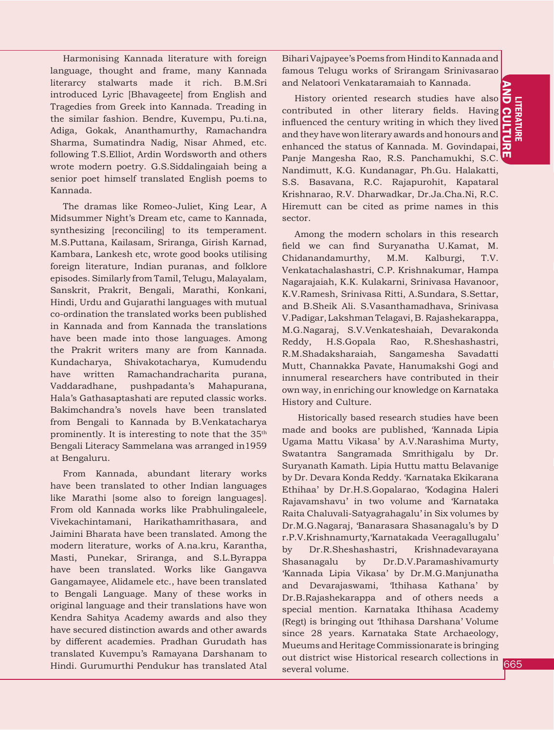Harmonising Kannada literature with foreign language, thought and frame, many Kannada literarcy stalwarts made it rich. B.M.Sri introduced Lyric [Bhavageete] from English and Tragedies from Greek into Kannada. Treading in the similar fashion. Bendre, Kuvempu, Pu.ti.na, Adiga, Gokak, Ananthamurthy, Ramachandra Sharma, Sumatindra Nadig, Nisar Ahmed, etc. following T.S.Elliot, Ardin Wordsworth and others wrote modern poetry. G.S.Siddalingaiah being a senior poet himself translated English poems to Kannada.

The dramas like Romeo-Juliet, King Lear, A Midsummer Night's Dream etc, came to Kannada, synthesizing [reconciling] to its temperament. M.S.Puttana, Kailasam, Sriranga, Girish Karnad, Kambara, Lankesh etc, wrote good books utilising foreign literature, Indian puranas, and folklore episodes. Similarly from Tamil, Telugu, Malayalam, Sanskrit, Prakrit, Bengali, Marathi, Konkani, Hindi, Urdu and Gujarathi languages with mutual co-ordination the translated works been published in Kannada and from Kannada the translations have been made into those languages. Among the Prakrit writers many are from Kannada. Kundacharya, Shivakotacharya, Kumudendu have written Ramachandracharita purana, Vaddaradhane, pushpadanta's Mahapurana, Hala's Gathasaptashati are reputed classic works. Bakimchandra's novels have been translated from Bengali to Kannada by B.Venkatacharya prominently. It is interesting to note that the 35<sup>th</sup> Bengali Literacy Sammelana was arranged in1959 at Bengaluru.

From Kannada, abundant literary works have been translated to other Indian languages like Marathi [some also to foreign languages]. From old Kannada works like Prabhulingaleele, Vivekachintamani, Harikathamrithasara, and Jaimini Bharata have been translated. Among the modern literature, works of A.na.kru, Karantha, Masti, Punekar, Sriranga, and S.L.Byrappa have been translated. Works like Gangavva Gangamayee, Alidamele etc., have been translated to Bengali Language. Many of these works in original language and their translations have won Kendra Sahitya Academy awards and also they have secured distinction awards and other awards by different academies. Pradhan Gurudath has translated Kuvempu's Ramayana Darshanam to Hindi. Gurumurthi Pendukur has translated Atal

Bihari Vajpayee's Poems from Hindi to Kannada and famous Telugu works of Srirangam Srinivasarao and Nelatoori Venkataramaiah to Kannada.

enhanced the status of Kannada. M. Govindapai, History oriented research studies have also contributed in other literary fields. Having influenced the century writing in which they lived $\vert$ and they have won literary awards and honours and Panje Mangesha Rao, R.S. Panchamukhi, S.C. Nandimutt, K.G. Kundanagar, Ph.Gu. Halakatti, S.S. Basavana, R.C. Rajapurohit, Kapataral Krishnarao, R.V. Dharwadkar, Dr.Ja.Cha.Ni, R.C. Hiremutt can be cited as prime names in this sector.

Among the modern scholars in this research field we can find Suryanatha U.Kamat, M. Chidanandamurthy, M.M. Kalburgi, T.V. Venkatachalashastri, C.P. Krishnakumar, Hampa Nagarajaiah, K.K. Kulakarni, Srinivasa Havanoor, K.V.Ramesh, Srinivasa Ritti, A.Sundara, S.Settar, and B.Sheik Ali. S.Vasanthamadhava, Srinivasa V.Padigar, Lakshman Telagavi, B. Rajashekarappa, M.G.Nagaraj, S.V.Venkateshaiah, Devarakonda Reddy, H.S.Gopala Rao, R.Sheshashastri, R.M.Shadaksharaiah, Sangamesha Savadatti Mutt, Channakka Pavate, Hanumakshi Gogi and innumeral researchers have contributed in their own way, in enriching our knowledge on Karnataka History and Culture.

 Historically based research studies have been made and books are published, 'Kannada Lipia Ugama Mattu Vikasa' by A.V.Narashima Murty, Swatantra Sangramada Smrithigalu by Dr. Suryanath Kamath. Lipia Huttu mattu Belavanige by Dr. Devara Konda Reddy. 'Karnataka Ekikarana Ethihaa' by Dr.H.S.Gopalarao, 'Kodagina Haleri Rajavamshavu' in two volume and 'Karnataka Raita Chaluvali-Satyagrahagalu' in Six volumes by Dr.M.G.Nagaraj, 'Banarasara Shasanagalu's by D r.P.V.Krishnamurty,'Karnatakada Veeragallugalu' by Dr.R.Sheshashastri, Krishnadevarayana Shasanagalu by Dr.D.V.Paramashivamurty 'Kannada Lipia Vikasa' by Dr.M.G.Manjunatha and Devarajaswami, 'Ithihasa Kathana' by Dr.B.Rajashekarappa and of others needs a special mention. Karnataka Ithihasa Academy (Regt) is bringing out 'Ithihasa Darshana' Volume since 28 years. Karnataka State Archaeology, Mueums and Heritage Commissionarate is bringing out district wise Historical research collections in several volume.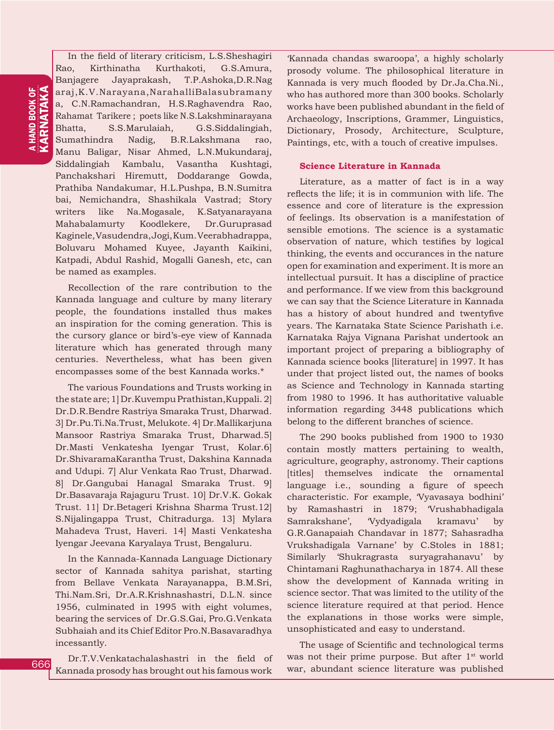666

In the field of literary criticism, L.S.Sheshagiri Rao, Kirthinatha Kurthakoti, G.S.Amura, Banjagere Jayaprakash, T.P.Ashoka,D.R.Nag araj,K.V.Narayana,NarahalliBalasubramany a, C.N.Ramachandran, H.S.Raghavendra Rao, Rahamat Tarikere ; poets like N.S.Lakshminarayana Bhatta, S.S.Marulaiah, G.S.Siddalingiah, Sumathindra Nadig, B.R.Lakshmana rao, Manu Baligar, Nisar Ahmed, L.N.Mukundaraj, Siddalingiah Kambalu, Vasantha Kushtagi, Panchakshari Hiremutt, Doddarange Gowda, Prathiba Nandakumar, H.L.Pushpa, B.N.Sumitra bai, Nemichandra, Shashikala Vastrad; Story writers like Na.Mogasale, K.Satyanarayana Mahabalamurty Koodlekere, Dr.Guruprasad Kaginele, Vasudendra, Jogi, Kum. Veerabhadrappa, Boluvaru Mohamed Kuyee, Jayanth Kaikini, Katpadi, Abdul Rashid, Mogalli Ganesh, etc, can be named as examples.

Recollection of the rare contribution to the Kannada language and culture by many literary people, the foundations installed thus makes an inspiration for the coming generation. This is the cursory glance or bird's-eye view of Kannada literature which has generated through many centuries. Nevertheless, what has been given encompasses some of the best Kannada works.\*

The various Foundations and Trusts working in the state are; 1] Dr.Kuvempu Prathistan,Kuppali. 2] Dr.D.R.Bendre Rastriya Smaraka Trust, Dharwad. 3] Dr.Pu.Ti.Na.Trust, Melukote. 4] Dr.Mallikarjuna Mansoor Rastriya Smaraka Trust, Dharwad.5] Dr.Masti Venkatesha Iyengar Trust, Kolar.6] Dr.ShivaramaKarantha Trust, Dakshina Kannada and Udupi. 7] Alur Venkata Rao Trust, Dharwad. 8] Dr.Gangubai Hanagal Smaraka Trust. 9] Dr.Basavaraja Rajaguru Trust. 10] Dr.V.K. Gokak Trust. 11] Dr.Betageri Krishna Sharma Trust.12] S.Nijalingappa Trust, Chitradurga. 13] Mylara Mahadeva Trust, Haveri. 14] Masti Venkatesha Iyengar Jeevana Karyalaya Trust, Bengaluru.

In the Kannada-Kannada Language Dictionary sector of Kannada sahitya parishat, starting from Bellave Venkata Narayanappa, B.M.Sri, Thi.Nam.Sri, Dr.A.R.Krishnashastri, D.L.N. since 1956, culminated in 1995 with eight volumes, bearing the services of Dr.G.S.Gai, Pro.G.Venkata Subhaiah and its Chief Editor Pro.N.Basavaradhya incessantly.

Dr.T.V.Venkatachalashastri in the field of Kannada prosody has brought out his famous work

'Kannada chandas swaroopa', a highly scholarly prosody volume. The philosophical literature in Kannada is very much flooded by Dr.Ja.Cha.Ni., who has authored more than 300 books. Scholarly works have been published abundant in the field of Archaeology, Inscriptions, Grammer, Linguistics, Dictionary, Prosody, Architecture, Sculpture, Paintings, etc, with a touch of creative impulses.

#### **Science Literature in Kannada**

Literature, as a matter of fact is in a way reflects the life; it is in communion with life. The essence and core of literature is the expression of feelings. Its observation is a manifestation of sensible emotions. The science is a systamatic observation of nature, which testifies by logical thinking, the events and occurances in the nature open for examination and experiment. It is more an intellectual pursuit. It has a discipline of practice and performance. If we view from this background we can say that the Science Literature in Kannada has a history of about hundred and twentyfive years. The Karnataka State Science Parishath i.e. Karnataka Rajya Vignana Parishat undertook an important project of preparing a bibliography of Kannada science books [literature] in 1997. It has under that project listed out, the names of books as Science and Technology in Kannada starting from 1980 to 1996. It has authoritative valuable information regarding 3448 publications which belong to the different branches of science.

The 290 books published from 1900 to 1930 contain mostly matters pertaining to wealth, agriculture, geography, astronomy. Their captions [titles] themselves indicate the ornamental language i.e., sounding a figure of speech characteristic. For example, 'Vyavasaya bodhini' by Ramashastri in 1879; 'Vrushabhadigala Samrakshane', 'Vydyadigala kramavu' by G.R.Ganapaiah Chandavar in 1877; Sahasradha Vrukshadigala Varnane' by C.Stoles in 1881; Similarly 'Shukragrasta suryagrahanavu' by Chintamani Raghunathacharya in 1874. All these show the development of Kannada writing in science sector. That was limited to the utility of the science literature required at that period. Hence the explanations in those works were simple, unsophisticated and easy to understand.

The usage of Scientific and technological terms was not their prime purpose. But after 1<sup>st</sup> world war, abundant science literature was published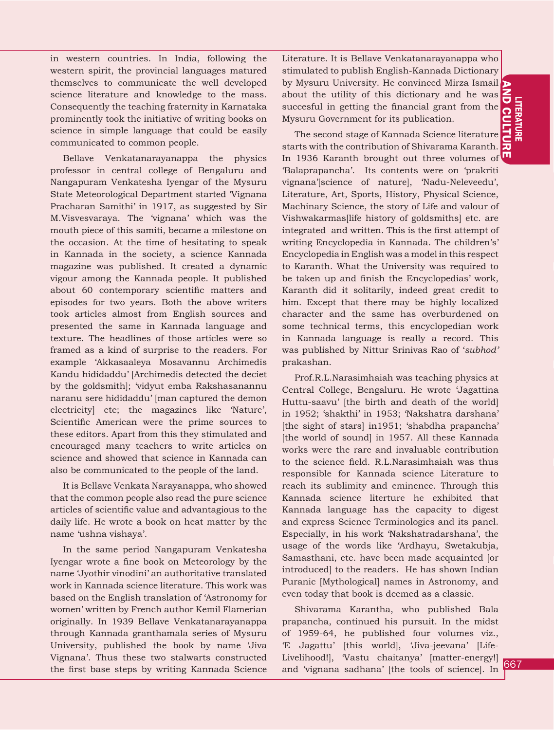in western countries. In India, following the western spirit, the provincial languages matured themselves to communicate the well developed science literature and knowledge to the mass. Consequently the teaching fraternity in Karnataka prominently took the initiative of writing books on science in simple language that could be easily communicated to common people.

Bellave Venkatanarayanappa the physics professor in central college of Bengaluru and Nangapuram Venkatesha Iyengar of the Mysuru State Meteorological Department started 'Vignana Pracharan Samithi' in 1917, as suggested by Sir M.Visvesvaraya. The 'vignana' which was the mouth piece of this samiti, became a milestone on the occasion. At the time of hesitating to speak in Kannada in the society, a science Kannada magazine was published. It created a dynamic vigour among the Kannada people. It published about 60 contemporary scientific matters and episodes for two years. Both the above writers took articles almost from English sources and presented the same in Kannada language and texture. The headlines of those articles were so framed as a kind of surprise to the readers. For example 'Akkasaaleya Mosavannu Archimedis Kandu hididaddu' [Archimedis detected the deciet by the goldsmith]; 'vidyut emba Rakshasanannu naranu sere hididaddu' [man captured the demon electricity] etc; the magazines like 'Nature', Scientific American were the prime sources to these editors. Apart from this they stimulated and encouraged many teachers to write articles on science and showed that science in Kannada can also be communicated to the people of the land.

It is Bellave Venkata Narayanappa, who showed that the common people also read the pure science articles of scientific value and advantagious to the daily life. He wrote a book on heat matter by the name 'ushna vishaya'.

In the same period Nangapuram Venkatesha Iyengar wrote a fine book on Meteorology by the name 'Jyothir vinodini' an authoritative translated work in Kannada science literature. This work was based on the English translation of 'Astronomy for women' written by French author Kemil Flamerian originally. In 1939 Bellave Venkatanarayanappa through Kannada granthamala series of Mysuru University, published the book by name 'Jiva Vignana'. Thus these two stalwarts constructed the first base steps by writing Kannada Science

Literature. It is Bellave Venkatanarayanappa who stimulated to publish English-Kannada Dictionary by Mysuru University. He convinced Mirza Ismail about the utility of this dictionary and he was succesful in getting the financial grant from the Mysuru Government for its publication.

The second stage of Kannada Science literature starts with the contribution of Shivarama Karanth. In 1936 Karanth brought out three volumes of 'Balaprapancha'. Its contents were on 'prakriti vignana'[science of nature], 'Nadu-Neleveedu', Literature, Art, Sports, History, Physical Science, Machinary Science, the story of Life and valour of Vishwakarmas[life history of goldsmiths] etc. are integrated and written. This is the first attempt of writing Encyclopedia in Kannada. The children's' Encyclopedia in English was a model in this respect to Karanth. What the University was required to be taken up and finish the Encyclopedias' work, Karanth did it solitarily, indeed great credit to him. Except that there may be highly localized character and the same has overburdened on some technical terms, this encyclopedian work in Kannada language is really a record. This was published by Nittur Srinivas Rao of '*subhod'* prakashan.

Prof.R.L.Narasimhaiah was teaching physics at Central College, Bengaluru. He wrote 'Jagattina Huttu-saavu' [the birth and death of the world] in 1952; 'shakthi' in 1953; 'Nakshatra darshana' [the sight of stars] in1951; 'shabdha prapancha' [the world of sound] in 1957. All these Kannada works were the rare and invaluable contribution to the science field. R.L.Narasimhaiah was thus responsible for Kannada science Literature to reach its sublimity and eminence. Through this Kannada science literture he exhibited that Kannada language has the capacity to digest and express Science Terminologies and its panel. Especially, in his work 'Nakshatradarshana', the usage of the words like 'Ardhayu, Swetakubja, Samasthani, etc. have been made acquainted [or introduced] to the readers. He has shown Indian Puranic [Mythological] names in Astronomy, and even today that book is deemed as a classic.

Shivarama Karantha, who published Bala prapancha, continued his pursuit. In the midst of 1959-64, he published four volumes viz., 'E Jagattu' [this world], 'Jiva-jeevana' [Life-Livelihood!], 'Vastu chaitanya' [matter-energy!] and 'vignana sadhana' [the tools of science]. In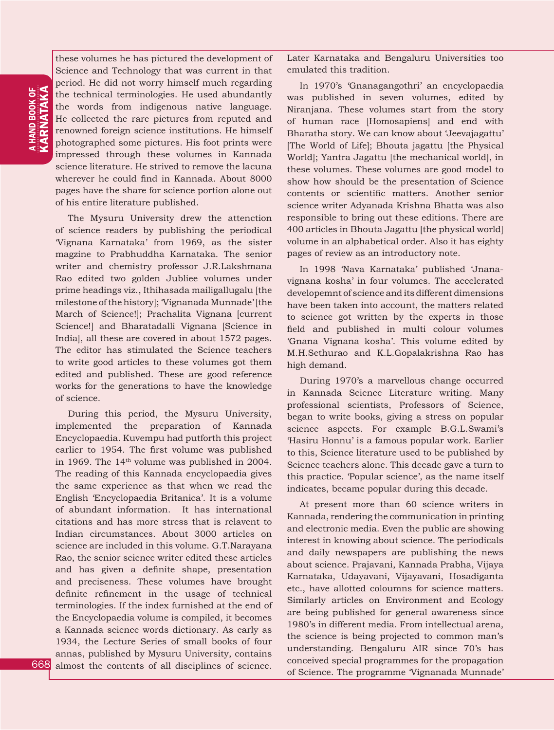these volumes he has pictured the development of Science and Technology that was current in that period. He did not worry himself much regarding the technical terminologies. He used abundantly the words from indigenous native language. He collected the rare pictures from reputed and renowned foreign science institutions. He himself photographed some pictures. His foot prints were impressed through these volumes in Kannada science literature. He strived to remove the lacuna wherever he could find in Kannada. About 8000 pages have the share for science portion alone out of his entire literature published.

The Mysuru University drew the attenction of science readers by publishing the periodical 'Vignana Karnataka' from 1969, as the sister magzine to Prabhuddha Karnataka. The senior writer and chemistry professor J.R.Lakshmana Rao edited two golden Jubliee volumes under prime headings viz., Ithihasada mailigallugalu [the milestone of the history]; 'Vignanada Munnade' [the March of Science!]; Prachalita Vignana [current Science!] and Bharatadalli Vignana [Science in India], all these are covered in about 1572 pages. The editor has stimulated the Science teachers to write good articles to these volumes got them edited and published. These are good reference works for the generations to have the knowledge of science.

During this period, the Mysuru University, implemented the preparation of Kannada Encyclopaedia. Kuvempu had putforth this project earlier to 1954. The first volume was published in 1969. The  $14<sup>th</sup>$  volume was published in 2004. The reading of this Kannada encyclopaedia gives the same experience as that when we read the English 'Encyclopaedia Britanica'. It is a volume of abundant information. It has international citations and has more stress that is relavent to Indian circumstances. About 3000 articles on science are included in this volume. G.T.Narayana Rao, the senior science writer edited these articles and has given a definite shape, presentation and preciseness. These volumes have brought definite refinement in the usage of technical terminologies. If the index furnished at the end of the Encyclopaedia volume is compiled, it becomes a Kannada science words dictionary. As early as 1934, the Lecture Series of small books of four annas, published by Mysuru University, contains almost the contents of all disciplines of science.

Later Karnataka and Bengaluru Universities too emulated this tradition.

In 1970's 'Gnanagangothri' an encyclopaedia was published in seven volumes, edited by Niranjana. These volumes start from the story of human race [Homosapiens] and end with Bharatha story. We can know about 'Jeevajagattu' [The World of Life]; Bhouta jagattu [the Physical World]; Yantra Jagattu [the mechanical world], in these volumes. These volumes are good model to show how should be the presentation of Science contents or scientific matters. Another senior science writer Adyanada Krishna Bhatta was also responsible to bring out these editions. There are 400 articles in Bhouta Jagattu [the physical world] volume in an alphabetical order. Also it has eighty pages of review as an introductory note.

In 1998 'Nava Karnataka' published 'Jnanavignana kosha' in four volumes. The accelerated developemnt of science and its different dimensions have been taken into account, the matters related to science got written by the experts in those field and published in multi colour volumes 'Gnana Vignana kosha'. This volume edited by M.H.Sethurao and K.L.Gopalakrishna Rao has high demand.

During 1970's a marvellous change occurred in Kannada Science Literature writing. Many professional scientists, Professors of Science, began to write books, giving a stress on popular science aspects. For example B.G.L.Swami's 'Hasiru Honnu' is a famous popular work. Earlier to this, Science literature used to be published by Science teachers alone. This decade gave a turn to this practice. 'Popular science', as the name itself indicates, became popular during this decade.

At present more than 60 science writers in Kannada, rendering the communication in printing and electronic media. Even the public are showing interest in knowing about science. The periodicals and daily newspapers are publishing the news about science. Prajavani, Kannada Prabha, Vijaya Karnataka, Udayavani, Vijayavani, Hosadiganta etc., have allotted coloumns for science matters. Similarly articles on Environment and Ecology are being published for general awareness since 1980's in different media. From intellectual arena, the science is being projected to common man's understanding. Bengaluru AIR since 70's has conceived special programmes for the propagation of Science. The programme 'Vignanada Munnade'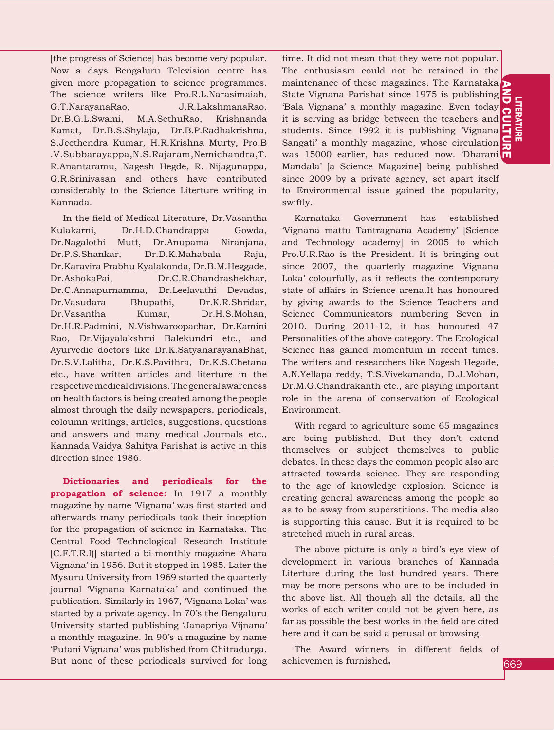**LITERATURE 1999**<br>DOCULTURE 1999<br>609 **LITERATURE** AND C  $\Xi$ 

[the progress of Science] has become very popular. Now a days Bengaluru Television centre has given more propagation to science programmes. The science writers like Pro.R.L.Narasimaiah, G.T.NarayanaRao, J.R.LakshmanaRao, Dr.B.G.L.Swami, M.A.SethuRao, Krishnanda Kamat, Dr.B.S.Shylaja, Dr.B.P.Radhakrishna, S.Jeethendra Kumar, H.R.Krishna Murty, Pro.B .V.Subbarayappa,N.S.Rajaram,Nemichandra,T. R.Anantaramu, Nagesh Hegde, R. Nijagunappa, G.R.Srinivasan and others have contributed considerably to the Science Literture writing in Kannada.

In the field of Medical Literature, Dr.Vasantha Kulakarni, Dr.H.D.Chandrappa Gowda, Dr.Nagalothi Mutt, Dr.Anupama Niranjana, Dr.P.S.Shankar, Dr.D.K.Mahabala Raju, Dr.Karavira Prabhu Kyalakonda, Dr.B.M.Heggade, Dr.AshokaPai, Dr.C.R.Chandrashekhar, Dr.C.Annapurnamma, Dr.Leelavathi Devadas, Dr.Vasudara Bhupathi, Dr.K.R.Shridar, Dr.Vasantha Kumar, Dr.H.S.Mohan, Dr.H.R.Padmini, N.Vishwaroopachar, Dr.Kamini Rao, Dr.Vijayalakshmi Balekundri etc., and Ayurvedic doctors like Dr.K.SatyanarayanaBhat, Dr.S.V.Lalitha, Dr.K.S.Pavithra, Dr.K.S.Chetana etc., have written articles and literture in the respective medical divisions. The general awareness on health factors is being created among the people almost through the daily newspapers, periodicals, coloumn writings, articles, suggestions, questions and answers and many medical Journals etc., Kannada Vaidya Sahitya Parishat is active in this direction since 1986.

**Dictionaries and periodicals for the propagation of science:** In 1917 a monthly magazine by name 'Vignana' was first started and afterwards many periodicals took their inception for the propagation of science in Karnataka. The Central Food Technological Research Institute [C.F.T.R.I)] started a bi-monthly magazine 'Ahara Vignana' in 1956. But it stopped in 1985. Later the Mysuru University from 1969 started the quarterly journal 'Vignana Karnataka' and continued the publication. Similarly in 1967, Vignana Loka' was started by a private agency. In 70's the Bengaluru University started publishing 'Janapriya Vijnana' a monthly magazine. In 90's a magazine by name 'Putani Vignana' was published from Chitradurga. But none of these periodicals survived for long

Sangati' a monthly magazine, whose circulation<br>was 15000 earlier, has reduced now. 'Dharani time. It did not mean that they were not popular. The enthusiasm could not be retained in the maintenance of these magazines. The Karnataka State Vignana Parishat since 1975 is publishing 'Bala Vignana' a monthly magazine. Even today it is serving as bridge between the teachers and students. Since 1992 it is publishing 'Vignana Sangati' a monthly magazine, whose circulation Mandala' [a Science Magazine] being published since 2009 by a private agency, set apart itself to Environmental issue gained the popularity, swiftly.

Karnataka Government has established 'Vignana mattu Tantragnana Academy' [Science and Technology academy] in 2005 to which Pro.U.R.Rao is the President. It is bringing out since 2007, the quarterly magazine 'Vignana Loka' colourfully, as it reflects the contemporary state of affairs in Science arena.It has honoured by giving awards to the Science Teachers and Science Communicators numbering Seven in 2010. During 2011-12, it has honoured 47 Personalities of the above category. The Ecological Science has gained momentum in recent times. The writers and researchers like Nagesh Hegade, A.N.Yellapa reddy, T.S.Vivekananda, D.J.Mohan, Dr.M.G.Chandrakanth etc., are playing important role in the arena of conservation of Ecological Environment.

With regard to agriculture some 65 magazines are being published. But they don't extend themselves or subject themselves to public debates. In these days the common people also are attracted towards science. They are responding to the age of knowledge explosion. Science is creating general awareness among the people so as to be away from superstitions. The media also is supporting this cause. But it is required to be stretched much in rural areas.

The above picture is only a bird's eye view of development in various branches of Kannada Literture during the last hundred years. There may be more persons who are to be included in the above list. All though all the details, all the works of each writer could not be given here, as far as possible the best works in the field are cited here and it can be said a perusal or browsing.

The Award winners in different fields of achievemen is furnished**.**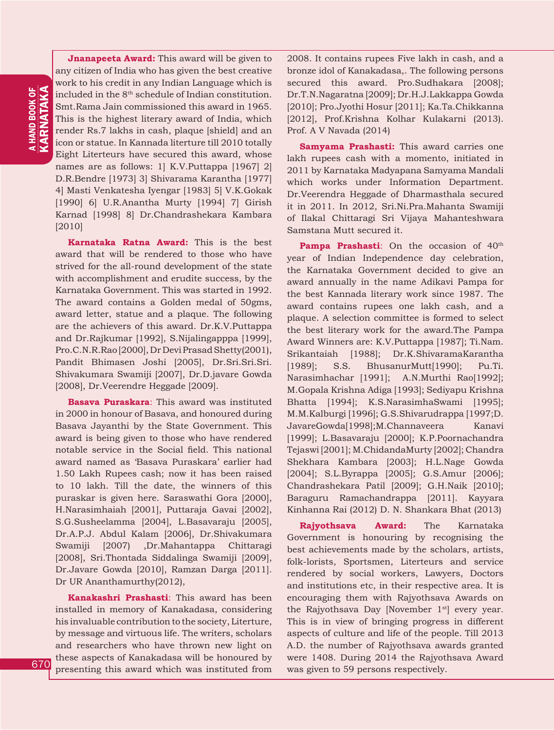**Jnanapeeta Award:** This award will be given to any citizen of India who has given the best creative work to his credit in any Indian Language which is included in the 8th schedule of Indian constitution. Smt.Rama Jain commissioned this award in 1965. This is the highest literary award of India, which render Rs.7 lakhs in cash, plaque [shield] and an icon or statue. In Kannada literture till 2010 totally Eight Literteurs have secured this award, whose names are as follows: 1] K.V.Puttappa [1967] 2] D.R.Bendre [1973] 3] Shivarama Karantha [1977] 4] Masti Venkatesha Iyengar [1983] 5] V.K.Gokak [1990] 6] U.R.Anantha Murty [1994] 7] Girish Karnad [1998] 8] Dr.Chandrashekara Kambara [2010]

**Karnataka Ratna Award:** This is the best award that will be rendered to those who have strived for the all-round development of the state with accomplishment and erudite success, by the Karnataka Government. This was started in 1992. The award contains a Golden medal of 50gms, award letter, statue and a plaque. The following are the achievers of this award. Dr.K.V.Puttappa and Dr.Rajkumar [1992], S.Nijalingapppa [1999], Pro.C.N.R.Rao [2000], Dr Devi Prasad Shetty(2001), Pandit Bhimasen Joshi [2005], Dr.Sri.Sri.Sri. Shivakumara Swamiji [2007], Dr.D.javare Gowda [2008], Dr.Veerendre Heggade [2009].

**Basava Puraskara**: This award was instituted in 2000 in honour of Basava, and honoured during Basava Jayanthi by the State Government. This award is being given to those who have rendered notable service in the Social field. This national award named as 'Basava Puraskara' earlier had 1.50 Lakh Rupees cash; now it has been raised to 10 lakh. Till the date, the winners of this puraskar is given here. Saraswathi Gora [2000], H.Narasimhaiah [2001], Puttaraja Gavai [2002], S.G.Susheelamma [2004], L.Basavaraju [2005], Dr.A.P.J. Abdul Kalam [2006], Dr.Shivakumara Swamiji [2007) ,Dr.Mahantappa Chittaragi [2008], Sri.Thontada Siddalinga Swamiji [2009], Dr.Javare Gowda [2010], Ramzan Darga [2011]. Dr UR Ananthamurthy(2012),

**Kanakashri Prashasti**: This award has been installed in memory of Kanakadasa, considering his invaluable contribution to the society, Literture, by message and virtuous life. The writers, scholars and researchers who have thrown new light on these aspects of Kanakadasa will be honoured by presenting this award which was instituted from

2008. It contains rupees Five lakh in cash, and a bronze idol of Kanakadasa,. The following persons secured this award. Pro.Sudhakara [2008]; Dr.T.N.Nagaratna [2009]; Dr.H.J.Lakkappa Gowda [2010]; Pro.Jyothi Hosur [2011]; Ka.Ta.Chikkanna [2012], Prof.Krishna Kolhar Kulakarni (2013). Prof. A V Navada (2014)

**Samyama Prashasti:** This award carries one lakh rupees cash with a momento, initiated in 2011 by Karnataka Madyapana Samyama Mandali which works under Information Department. Dr.Veerendra Heggade of Dharmasthala secured it in 2011. In 2012, Sri.Ni.Pra.Mahanta Swamiji of Ilakal Chittaragi Sri Vijaya Mahanteshwara Samstana Mutt secured it.

Pampa Prashasti: On the occasion of 40<sup>th</sup> year of Indian Independence day celebration, the Karnataka Government decided to give an award annually in the name Adikavi Pampa for the best Kannada literary work since 1987. The award contains rupees one lakh cash, and a plaque. A selection committee is formed to select the best literary work for the award.The Pampa Award Winners are: K.V.Puttappa [1987]; Ti.Nam. Srikantaiah [1988]; Dr.K.ShivaramaKarantha [1989]; S.S. BhusanurMutt[1990]; Pu.Ti. Narasimhachar [1991]; A.N.Murthi Rao[1992]; M.Gopala Krishna Adiga [1993]; Sediyapu Krishna Bhatta [1994]; K.S.NarasimhaSwami [1995]; M.M.Kalburgi [1996]; G.S.Shivarudrappa [1997;D. JavareGowda[1998];M.Channaveera Kanavi [1999]; L.Basavaraju [2000]; K.P.Poornachandra Tejaswi [2001]; M.ChidandaMurty [2002]; Chandra Shekhara Kambara [2003]; H.L.Nage Gowda [2004]; S.L.Byrappa [2005]; G.S.Amur [2006]; Chandrashekara Patil [2009]; G.H.Naik [2010]; Baraguru Ramachandrappa [2011]. Kayyara Kinhanna Rai (2012) D. N. Shankara Bhat (2013)

**Rajyothsava Award:** The Karnataka Government is honouring by recognising the best achievements made by the scholars, artists, folk-lorists, Sportsmen, Literteurs and service rendered by social workers, Lawyers, Doctors and institutions etc, in their respective area. It is encouraging them with Rajyothsava Awards on the Rajyothsava Day [November 1<sup>st]</sup> every year. This is in view of bringing progress in different aspects of culture and life of the people. Till 2013 A.D. the number of Rajyothsava awards granted were 1408. During 2014 the Rajyothsava Award was given to 59 persons respectively.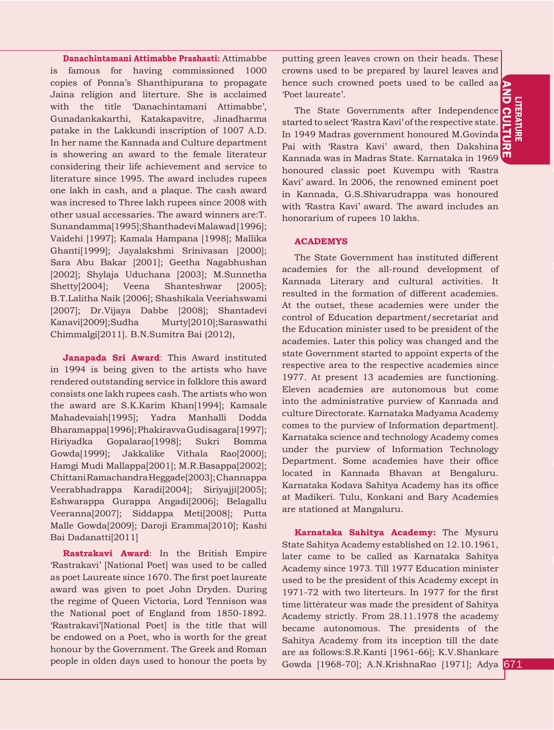#### **Danachintamani Attimabbe Prashasti:** Attimabbe

is famous for having commissioned 1000 copies of Ponna's Shanthipurana to propagate Jaina religion and literture. She is acclaimed with the title 'Danachintamani Attimabbe', Gunadankakarthi, Katakapavitre, Jinadharma patake in the Lakkundi inscription of 1007 A.D. In her name the Kannada and Culture department is showering an award to the female literateur considering their life achievement and service to literature since 1995. The award includes rupees one lakh in cash, and a plaque. The cash award was incresed to Three lakh rupees since 2008 with other usual accessaries. The award winners are:T. Sunandamma[1995];Shanthadevi Malawad [1996]; Vaidehi [1997]; Kamala Hampana [1998]; Mallika Ghanti[1999]; Jayalakshmi Srinivasan [2000]; Sara Abu Bakar [2001]; Geetha Nagabhushan [2002]; Shylaja Uduchana [2003]; M.Sunnetha Shetty[2004]; Veena Shanteshwar [2005]; B.T.Lalitha Naik [2006]; Shashikala Veeriahswami [2007]; Dr.Vijaya Dabbe [2008]; Shantadevi Kanavi[2009];Sudha Murty[2010];Saraswathi Chimmalgi[2011]. B.N.Sumitra Bai (2012),

**Janapada Sri Award**: This Award instituted in 1994 is being given to the artists who have rendered outstanding service in folklore this award consists one lakh rupees cash. The artists who won the award are S.K.Karim Khan[1994]; Kamsale Mahadevaiah[1995]; Yadra Manhalli Dodda Bharamappa[1996]; Phakiravva Gudisagara[1997]; Hiriyadka Gopalarao[1998]; Sukri Bomma Gowda[1999]; Jakkalike Vithala Rao[2000]; Hamgi Mudi Mallappa[2001]; M.R.Basappa[2002]; Chittani Ramachandra Heggade[2003]; Channappa Veerabhadrappa Karadi[2004]; Siriyajji[2005]; Eshwarappa Gurappa Angadi[2006]; Belagallu Veeranna[2007]; Siddappa Meti[2008]; Putta Malle Gowda[2009]; Daroji Eramma[2010]; Kashi Bai Dadanatti[2011]

**Rastrakavi Award**: In the British Empire 'Rastrakavi' [National Poet] was used to be called as poet Laureate since 1670. The first poet laureate award was given to poet John Dryden. During the regime of Queen Victoria, Lord Tennison was the National poet of England from 1850-1892. 'Rastrakavi'[National Poet] is the title that will be endowed on a Poet, who is worth for the great honour by the Government. The Greek and Roman people in olden days used to honour the poets by putting green leaves crown on their heads. These crowns used to be prepared by laurel leaves and hence such crowned poets used to be called as 'Poet laureate'.

m 1213 maards government honodred medvinda<br>Pai with 'Rastra Kavi' award, then Dakshina The State Governments after Independence started to select 'Rastra Kavi' of the respective state. In 1949 Madras government honoured M.Govinda Kannada was in Madras State. Karnataka in 1969 honoured classic poet Kuvempu with 'Rastra Kavi' award. In 2006, the renowned eminent poet in Kannada, G.S.Shivarudrappa was honoured with 'Rastra Kavi' award. The award includes an honorarium of rupees 10 lakhs.

#### **ACADEMYS**

The State Government has instituted different academies for the all-round development of Kannada Literary and cultural activities. It resulted in the formation of different academies. At the outset, these academies were under the control of Education department/secretariat and the Education minister used to be president of the academies. Later this policy was changed and the state Government started to appoint experts of the respective area to the respective academies since 1977. At present 13 academies are functioning. Eleven academies are autonomous but come into the administrative purview of Kannada and culture Directorate. Karnataka Madyama Academy comes to the purview of Information department]. Karnataka science and technology Academy comes under the purview of Information Technology Department. Some academies have their office located in Kannada Bhavan at Bengaluru. Karnataka Kodava Sahitya Academy has its office at Madikeri. Tulu, Konkani and Bary Academies are stationed at Mangaluru.

**Karnataka Sahitya Academy:** The Mysuru State Sahitya Academy established on 12.10.1961, later came to be called as Karnataka Sahitya Academy since 1973. Till 1977 Education minister used to be the president of this Academy except in 1971-72 with two literteurs. In 1977 for the first time littérateur was made the president of Sahitya Academy strictly. From 28.11.1978 the academy became autonomous. The presidents of the Sahitya Academy from its inception till the date are as follows:S.R.Kanti [1961-66]; K.V.Shankare Gowda [1968-70]; A.N.KrishnaRao [1971]; Adya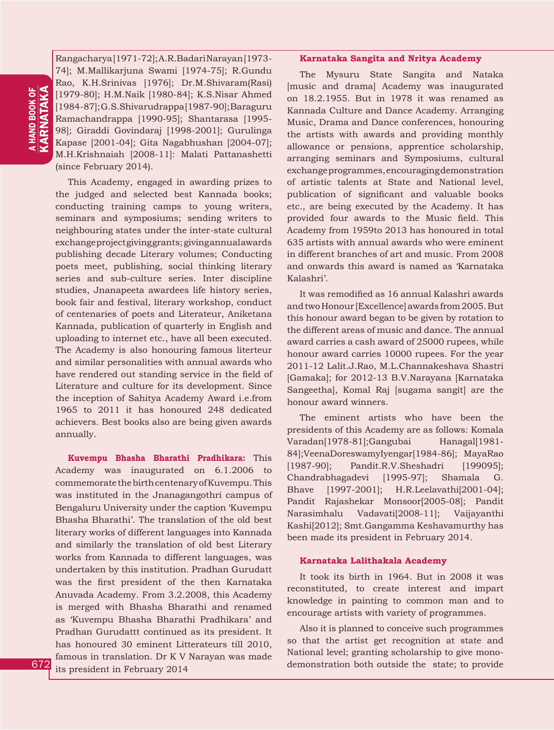**HAND BOOK OF**<br>**CARNATAKA** KARNATAKA a HAND BOOK OF

Rangacharya [1971-72]; A.R.Badari Narayan [1973- 74]; M.Mallikarjuna Swami [1974-75]; R.Gundu Rao, K.H.Srinivas [1976]; Dr.M.Shivaram(Rasi) [1979-80]; H.M.Naik [1980-84]; K.S.Nisar Ahmed [1984-87]; G.S.Shivarudrappa [1987-90]; Baraguru Ramachandrappa [1990-95]; Shantarasa [1995- 98]; Giraddi Govindaraj [1998-2001]; Gurulinga Kapase [2001-04]; Gita Nagabhushan [2004-07]; M.H.Krishnaiah [2008-11]: Malati Pattanashetti (since February 2014).

This Academy, engaged in awarding prizes to the judged and selected best Kannada books; conducting training camps to young writers, seminars and symposiums; sending writers to neighbouring states under the inter-state cultural exchange project giving grants; giving annual awards publishing decade Literary volumes; Conducting poets meet, publishing, social thinking literary series and sub-culture series. Inter discipline studies, Jnanapeeta awardees life history series, book fair and festival, literary workshop, conduct of centenaries of poets and Literateur, Aniketana Kannada, publication of quarterly in English and uploading to internet etc., have all been executed. The Academy is also honouring famous literteur and similar personalities with annual awards who have rendered out standing service in the field of Literature and culture for its development. Since the inception of Sahitya Academy Award i.e.from 1965 to 2011 it has honoured 248 dedicated achievers. Best books also are being given awards annually.

**Kuvempu Bhasha Bharathi Pradhikara:** This Academy was inaugurated on 6.1.2006 to commemorate the birth centenary of Kuvempu. This was instituted in the Jnanagangothri campus of Bengaluru University under the caption 'Kuvempu Bhasha Bharathi'. The translation of the old best literary works of different languages into Kannada and similarly the translation of old best Literary works from Kannada to different languages, was undertaken by this institution. Pradhan Gurudatt was the first president of the then Karnataka Anuvada Academy. From 3.2.2008, this Academy is merged with Bhasha Bharathi and renamed as 'Kuvempu Bhasha Bharathi Pradhikara' and Pradhan Gurudattt continued as its president. It has honoured 30 eminent Litterateurs till 2010, famous in translation. Dr K V Narayan was made its president in February 2014

#### **Karnataka Sangita and Nritya Academy**

The Mysuru State Sangita and Nataka [music and drama] Academy was inaugurated on 18.2.1955. But in 1978 it was renamed as Kannada Culture and Dance Academy. Arranging Music, Drama and Dance conferences, honouring the artists with awards and providing monthly allowance or pensions, apprentice scholarship, arranging seminars and Symposiums, cultural exchange programmes, encouraging demonstration of artistic talents at State and National level, publication of significant and valuable books etc., are being executed by the Academy. It has provided four awards to the Music field. This Academy from 1959to 2013 has honoured in total 635 artists with annual awards who were eminent in different branches of art and music. From 2008 and onwards this award is named as 'Karnataka Kalashri'.

It was remodified as 16 annual Kalashri awards and two Honour [Excellence] awards from 2005. But this honour award began to be given by rotation to the different areas of music and dance. The annual award carries a cash award of 25000 rupees, while honour award carries 10000 rupees. For the year 2011-12 Lalit.J.Rao, M.L.Channakeshava Shastri [Gamaka]; for 2012-13 B.V.Narayana [Karnataka Sangeetha], Komal Raj [sugama sangit] are the honour award winners.

The eminent artists who have been the presidents of this Academy are as follows: Komala Varadan[1978-81];Gangubai Hanagal[1981- 84];VeenaDoreswamyIyengar[1984-86]; MayaRao [1987-90]; Pandit.R.V.Sheshadri [199095]; Chandrabhagadevi [1995-97]; Shamala G. Bhave [1997-2001]; H.R.Leelavathi[2001-04]; Pandit Rajashekar Monsoor[2005-08]; Pandit Narasimhalu Vadavati[2008-11]; Vaijayanthi Kashi[2012]; Smt.Gangamma Keshavamurthy has been made its president in February 2014.

#### **Karnataka Lalithakala Academy**

It took its birth in 1964. But in 2008 it was reconstituted, to create interest and impart knowledge in painting to common man and to encourage artists with variety of programmes.

Also it is planned to conceive such programmes so that the artist get recognition at state and National level; granting scholarship to give monodemonstration both outside the state; to provide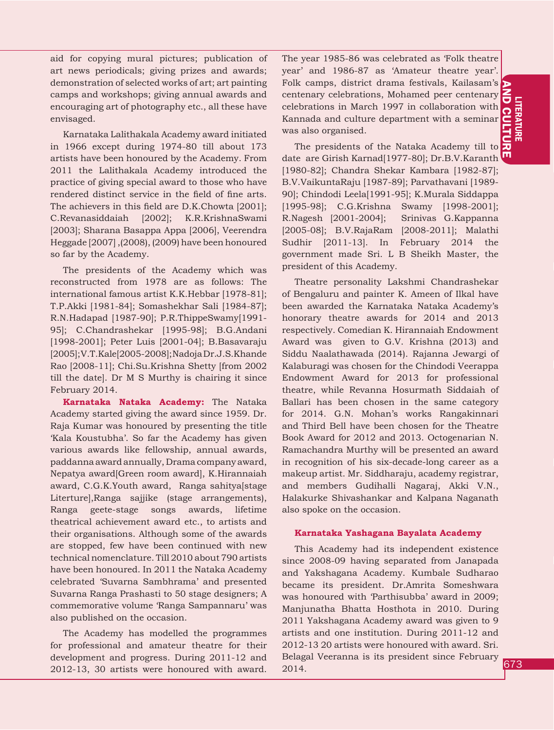aid for copying mural pictures; publication of art news periodicals; giving prizes and awards; demonstration of selected works of art; art painting camps and workshops; giving annual awards and encouraging art of photography etc., all these have envisaged.

Karnataka Lalithakala Academy award initiated in 1966 except during 1974-80 till about 173 artists have been honoured by the Academy. From 2011 the Lalithakala Academy introduced the practice of giving special award to those who have rendered distinct service in the field of fine arts. The achievers in this field are D.K.Chowta [2001]; C.Revanasiddaiah [2002]; K.R.KrishnaSwami [2003]; Sharana Basappa Appa [2006], Veerendra Heggade [2007] ,(2008), (2009) have been honoured so far by the Academy.

The presidents of the Academy which was reconstructed from 1978 are as follows: The international famous artist K.K.Hebbar [1978-81]; T.P.Akki [1981-84]; Somashekhar Sali [1984-87]; R.N.Hadapad [1987-90]; P.R.ThippeSwamy[1991- 95]; C.Chandrashekar [1995-98]; B.G.Andani [1998-2001]; Peter Luis [2001-04]; B.Basavaraju [2005]; V.T.Kale[2005-2008]; Nadoja Dr.J.S.Khande Rao [2008-11]; Chi.Su.Krishna Shetty [from 2002 till the date]. Dr M S Murthy is chairing it since February 2014.

**Karnataka Nataka Academy:** The Nataka Academy started giving the award since 1959. Dr. Raja Kumar was honoured by presenting the title 'Kala Koustubha'. So far the Academy has given various awards like fellowship, annual awards, paddanna award annually, Drama company award, Nepatya award[Green room award], K.Hirannaiah award, C.G.K.Youth award, Ranga sahitya[stage Literture],Ranga sajjike (stage arrangements), Ranga geete-stage songs awards, lifetime theatrical achievement award etc., to artists and their organisations. Although some of the awards are stopped, few have been continued with new technical nomenclature. Till 2010 about 790 artists have been honoured. In 2011 the Nataka Academy celebrated 'Suvarna Sambhrama' and presented Suvarna Ranga Prashasti to 50 stage designers; A commemorative volume 'Ranga Sampannaru' was also published on the occasion.

The Academy has modelled the programmes for professional and amateur theatre for their development and progress. During 2011-12 and 2012-13, 30 artists were honoured with award.

The year 1985-86 was celebrated as 'Folk theatre year' and 1986-87 as 'Amateur theatre year'. Folk camps, district drama festivals, Kailasam's centenary celebrations, Mohamed peer centenary celebrations in March 1997 in collaboration with Kannada and culture department with a seminar was also organised.

The presidents of the Nataka Academy till to date are Girish Karnad[1977-80]; Dr.B.V.Karanth [1980-82]; Chandra Shekar Kambara [1982-87]; B.V.VaikuntaRaju [1987-89]; Parvathavani [1989- 90]; Chindodi Leela[1991-95]; K.Murala Siddappa [1995-98]; C.G.Krishna Swamy [1998-2001]; R.Nagesh [2001-2004]; Srinivas G.Kappanna [2005-08]; B.V.RajaRam [2008-2011]; Malathi Sudhir [2011-13]. In February 2014 the government made Sri. L B Sheikh Master, the president of this Academy.

Theatre personality Lakshmi Chandrashekar of Bengaluru and painter K. Ameen of Ilkal have been awarded the Karnataka Nataka Academy's honorary theatre awards for 2014 and 2013 respectively. Comedian K. Hirannaiah Endowment Award was given to G.V. Krishna (2013) and Siddu Naalathawada (2014). Rajanna Jewargi of Kalaburagi was chosen for the Chindodi Veerappa Endowment Award for 2013 for professional theatre, while Revanna Hosurmath Siddaiah of Ballari has been chosen in the same category for 2014. G.N. Mohan's works Rangakinnari and Third Bell have been chosen for the Theatre Book Award for 2012 and 2013. Octogenarian N. Ramachandra Murthy will be presented an award in recognition of his six-decade-long career as a makeup artist. Mr. Siddharaju, academy registrar, and members Gudihalli Nagaraj, Akki V.N., Halakurke Shivashankar and Kalpana Naganath also spoke on the occasion.

#### **Karnataka Yashagana Bayalata Academy**

This Academy had its independent existence since 2008-09 having separated from Janapada and Yakshagana Academy. Kumbale Sudharao became its president. Dr.Amrita Someshwara was honoured with 'Parthisubba' award in 2009; Manjunatha Bhatta Hosthota in 2010. During 2011 Yakshagana Academy award was given to 9 artists and one institution. During 2011-12 and 2012-13 20 artists were honoured with award. Sri. Belagal Veeranna is its president since February 2014.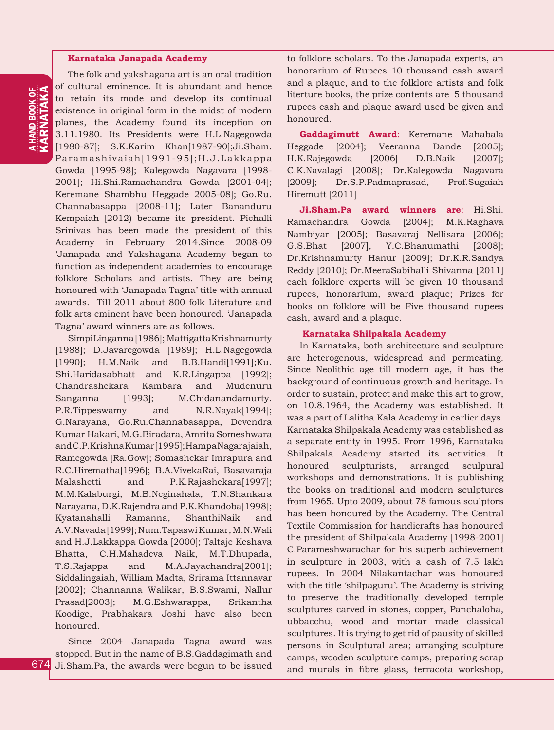#### **Karnataka Janapada Academy**

The folk and yakshagana art is an oral tradition of cultural eminence. It is abundant and hence to retain its mode and develop its continual existence in original form in the midst of modern planes, the Academy found its inception on 3.11.1980. Its Presidents were H.L.Nagegowda [1980-87]; S.K.Karim Khan[1987-90];Ji.Sham. Paramashivaiah[1991-95];H.J.Lakkappa Gowda [1995-98]; Kalegowda Nagavara [1998- 2001]; Hi.Shi.Ramachandra Gowda [2001-04]; Keremane Shambhu Heggade 2005-08]; Go.Ru. Channabasappa [2008-11]; Later Bananduru Kempaiah [2012) became its president. Pichalli Srinivas has been made the president of this Academy in February 2014.Since 2008-09 'Janapada and Yakshagana Academy began to function as independent academies to encourage folklore Scholars and artists. They are being honoured with 'Janapada Tagna' title with annual awards. Till 2011 about 800 folk Literature and folk arts eminent have been honoured. 'Janapada Tagna' award winners are as follows.

Simpi Linganna [1986]; Mattigatta Krishnamurty [1988]; D.Javaregowda [1989]; H.L.Nagegowda [1990]; H.M.Naik and B.B.Handi[1991];Ku. Shi.Haridasabhatt and K.R.Lingappa [1992]; Chandrashekara Kambara and Mudenuru Sanganna [1993]; M.Chidanandamurty, P.R.Tippeswamy and N.R.Nayak[1994]; G.Narayana, Go.Ru.Channabasappa, Devendra Kumar Hakari, M.G.Biradara, Amrita Someshwara and C.P.Krishna Kumar [1995]; Hampa Nagarajaiah, Ramegowda [Ra.Gow]; Somashekar Imrapura and R.C.Hirematha[1996]; B.A.VivekaRai, Basavaraja Malashetti and P.K.Rajashekara[1997]; M.M.Kalaburgi, M.B.Neginahala, T.N.Shankara Narayana, D.K.Rajendra and P.K.Khandoba[1998]; Kyatanahalli Ramanna, ShanthiNaik and A.V.Navada [1999]; Num.Tapaswi Kumar, M.N.Wali and H.J.Lakkappa Gowda [2000]; Taltaje Keshava Bhatta, C.H.Mahadeva Naik, M.T.Dhupada, T.S.Rajappa and M.A.Jayachandra[2001]; Siddalingaiah, William Madta, Srirama Ittannavar [2002]; Channanna Walikar, B.S.Swami, Nallur Prasad[2003]; M.G.Eshwarappa, Srikantha Koodige, Prabhakara Joshi have also been honoured.

Since 2004 Janapada Tagna award was stopped. But in the name of B.S.Gaddagimath and Ji.Sham.Pa, the awards were begun to be issued

to folklore scholars. To the Janapada experts, an honorarium of Rupees 10 thousand cash award and a plaque, and to the folklore artists and folk literture books, the prize contents are 5 thousand rupees cash and plaque award used be given and honoured.

**Gaddagimutt Award**: Keremane Mahabala Heggade [2004]; Veeranna Dande [2005]; H.K.Rajegowda [2006] D.B.Naik [2007]; C.K.Navalagi [2008]; Dr.Kalegowda Nagavara [2009]; Dr.S.P.Padmaprasad, Prof.Sugaiah Hiremutt [2011]

**Ji.Sham.Pa award winners are**: Hi.Shi. Ramachandra Gowda [2004]; M.K.Raghava Nambiyar [2005]; Basavaraj Nellisara [2006]; G.S.Bhat [2007], Y.C.Bhanumathi [2008]; Dr.Krishnamurty Hanur [2009]; Dr.K.R.Sandya Reddy [2010]; Dr.MeeraSabihalli Shivanna [2011] each folklore experts will be given 10 thousand rupees, honorarium, award plaque; Prizes for books on folklore will be Five thousand rupees cash, award and a plaque.

#### **Karnataka Shilpakala Academy**

In Karnataka, both architecture and sculpture are heterogenous, widespread and permeating. Since Neolithic age till modern age, it has the background of continuous growth and heritage. In order to sustain, protect and make this art to grow, on 10.8.1964, the Academy was established. It was a part of Lalitha Kala Academy in earlier days. Karnataka Shilpakala Academy was established as a separate entity in 1995. From 1996, Karnataka Shilpakala Academy started its activities. It honoured sculpturists, arranged sculpural workshops and demonstrations. It is publishing the books on traditional and modern sculptures from 1965. Upto 2009, about 78 famous sculptors has been honoured by the Academy. The Central Textile Commission for handicrafts has honoured the president of Shilpakala Academy [1998-2001] C.Parameshwarachar for his superb achievement in sculpture in 2003, with a cash of 7.5 lakh rupees. In 2004 Nilakantachar was honoured with the title 'shilpaguru'. The Academy is striving to preserve the traditionally developed temple sculptures carved in stones, copper, Panchaloha, ubbacchu, wood and mortar made classical sculptures. It is trying to get rid of pausity of skilled persons in Sculptural area; arranging sculpture camps, wooden sculpture camps, preparing scrap and murals in fibre glass, terracota workshop,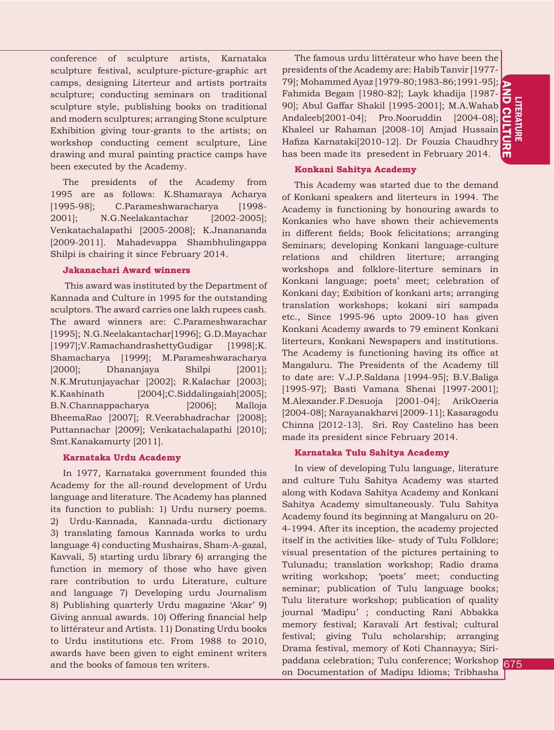**COLLIDER FOR SERVICE SERVICE SERVICE SERVICE SERVICE SERVICE SERVICE SERVICE SERVICE SERVICE SERVICE SERVICE S LITERATURE**  $\bf \tilde{p}$  $\Xi$ CR<br>ER<br>ET

conference of sculpture artists, Karnataka sculpture festival, sculpture-picture-graphic art camps, designing Literteur and artists portraits sculpture; conducting seminars on traditional sculpture style, publishing books on traditional and modern sculptures; arranging Stone sculpture Exhibition giving tour-grants to the artists; on workshop conducting cement sculpture, Line drawing and mural painting practice camps have been executed by the Academy.

The presidents of the Academy from 1995 are as follows: K.Shamaraya Acharya [1995-98]; C.Parameshwaracharya [1998-2001]; N.G.Neelakantachar [2002-2005]; Venkatachalapathi [2005-2008]; K.Jnanananda [2009-2011]. Mahadevappa Shambhulingappa Shilpi is chairing it since February 2014.

#### **Jakanachari Award winners**

 This award was instituted by the Department of Kannada and Culture in 1995 for the outstanding sculptors. The award carries one lakh rupees cash. The award winners are: C.Parameshwarachar [1995]; N.G.Neelakantachar[1996]; G.D.Mayachar [1997];V.RamachandrashettyGudigar [1998];K. Shamacharya [1999]; M.Parameshwaracharya [2000]; Dhananjaya Shilpi [2001]; N.K.Mrutunjayachar [2002]; R.Kalachar [2003]; K.Kashinath [2004];C.Siddalingaiah[2005]; B.N.Channappacharya [2006]; Malloja BheemaRao [2007]; R.Veerabhadrachar [2008]; Puttannachar [2009]; Venkatachalapathi [2010]; Smt.Kanakamurty [2011].

#### **Karnataka Urdu Academy**

In 1977, Karnataka government founded this Academy for the all-round development of Urdu language and literature. The Academy has planned its function to publish: 1) Urdu nursery poems. 2) Urdu-Kannada, Kannada-urdu dictionary 3) translating famous Kannada works to urdu language 4) conducting Mushairas, Sham-A-gazal, Kavvali, 5) starting urdu library 6) arranging the function in memory of those who have given rare contribution to urdu Literature, culture and language 7) Developing urdu Journalism 8) Publishing quarterly Urdu magazine 'Akar' 9) Giving annual awards. 10) Offering financial help to littérateur and Artists. 11) Donating Urdu books to Urdu institutions etc. From 1988 to 2010, awards have been given to eight eminent writers and the books of famous ten writers.

The famous urdu littérateur who have been the presidents of the Academy are: Habib Tanvir [1977- 79]; Mohammed Ayaz [1979-80;1983-86;1991-95]; Fahmida Begam [1980-82]; Layk khadija [1987- 90]; Abul Gaffar Shakil [1995-2001]; M.A.Wahab Andaleeb[2001-04]; Pro.Nooruddin [2004-08]; Khaleel ur Rahaman [2008-10] Amjad Hussain Hafiza Karnataki[2010-12]. Dr Fouzia Chaudhry has been made its presedent in February 2014.

#### **Konkani Sahitya Academy**

This Academy was started due to the demand of Konkani speakers and literteurs in 1994. The Academy is functioning by honouring awards to Konkanies who have shown their achievements in different fields; Book felicitations; arranging Seminars; developing Konkani language-culture relations and children literture; arranging workshops and folklore-literture seminars in Konkani language; poets' meet; celebration of Konkani day; Exibition of konkani arts; arranging translation workshops; kokani siri sampada etc., Since 1995-96 upto 2009-10 has given Konkani Academy awards to 79 eminent Konkani literteurs, Konkani Newspapers and institutions. The Academy is functioning having its office at Mangaluru. The Presidents of the Academy till to date are: V.J.P.Saldana [1994-95]; B.V.Baliga [1995-97]; Basti Vamana Shenai [1997-2001]; M.Alexander.F.Desuoja [2001-04]; ArikOzeria [2004-08]; Narayanakharvi [2009-11]; Kasaragodu Chinna [2012-13]. Sri. Roy Castelino has been made its president since February 2014.

#### **Karnataka Tulu Sahitya Academy**

In view of developing Tulu language, literature and culture Tulu Sahitya Academy was started along with Kodava Sahitya Academy and Konkani Sahitya Academy simultaneously. Tulu Sahitya Academy found its beginning at Mangaluru on 20- 4-1994. After its inception, the academy projected itself in the activities like- study of Tulu Folklore; visual presentation of the pictures pertaining to Tulunadu; translation workshop; Radio drama writing workshop; 'poets' meet; conducting seminar; publication of Tulu language books; Tulu literature workshop; publication of quality journal 'Madipu' ; conducting Rani Abbakka memory festival; Karavali Art festival; cultural festival; giving Tulu scholarship; arranging Drama festival, memory of Koti Channayya; Siripaddana celebration; Tulu conference; Workshop on Documentation of Madipu Idioms; Tribhasha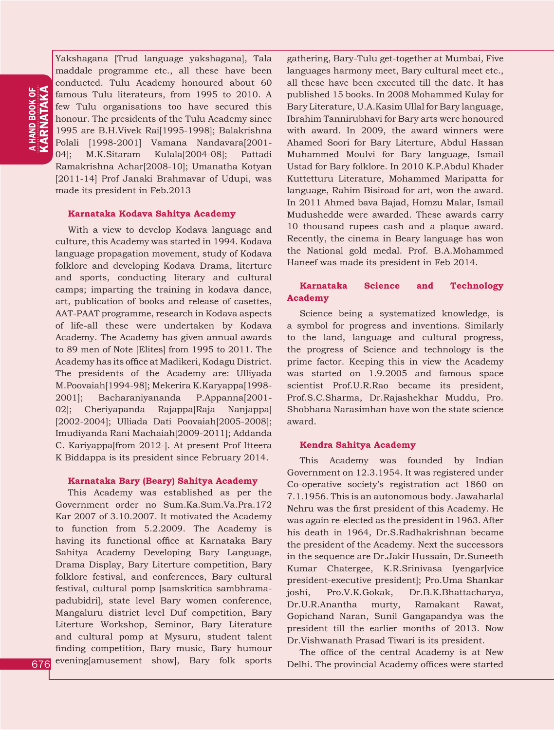**A HAND BOOK OF**<br>KARNATAKA KARNATAKA a HAND BOOK OF

Yakshagana [Trud language yakshagana], Tala maddale programme etc., all these have been conducted. Tulu Academy honoured about 60 famous Tulu literateurs, from 1995 to 2010. A few Tulu organisations too have secured this honour. The presidents of the Tulu Academy since 1995 are B.H.Vivek Rai[1995-1998]; Balakrishna Polali [1998-2001] Vamana Nandavara[2001- 04]; M.K.Sitaram Kulala[2004-08]; Pattadi Ramakrishna Achar[2008-10]; Umanatha Kotyan [2011-14] Prof Janaki Brahmavar of Udupi, was made its president in Feb.2013

#### **Karnataka Kodava Sahitya Academy**

With a view to develop Kodava language and culture, this Academy was started in 1994. Kodava language propagation movement, study of Kodava folklore and developing Kodava Drama, literture and sports, conducting literary and cultural camps; imparting the training in kodava dance, art, publication of books and release of casettes, AAT-PAAT programme, research in Kodava aspects of life-all these were undertaken by Kodava Academy. The Academy has given annual awards to 89 men of Note [Elites] from 1995 to 2011. The Academy has its office at Madikeri, Kodagu District. The presidents of the Academy are: Ulliyada M.Poovaiah[1994-98]; Mekerira K.Karyappa[1998- 2001]; Bacharaniyananda P.Appanna[2001- 02]; Cheriyapanda Rajappa[Raja Nanjappa] [2002-2004]; Ulliada Dati Poovaiah[2005-2008]; Imudiyanda Rani Machaiah[2009-2011]; Addanda C. Kariyappa[from 2012-]. At present Prof Itteera K Biddappa is its president since February 2014.

#### **Karnataka Bary (Beary) Sahitya Academy**

This Academy was established as per the Government order no Sum.Ka.Sum.Va.Pra.172 Kar 2007 of 3.10.2007. It motivated the Academy to function from 5.2.2009. The Academy is having its functional office at Karnataka Bary Sahitya Academy Developing Bary Language, Drama Display, Bary Literture competition, Bary folklore festival, and conferences, Bary cultural festival, cultural pomp [samskritica sambhramapadubidri], state level Bary women conference, Mangaluru district level Duf competition, Bary Literture Workshop, Seminor, Bary Literature and cultural pomp at Mysuru, student talent finding competition, Bary music, Bary humour evening[amusement show], Bary folk sports

gathering, Bary-Tulu get-together at Mumbai, Five languages harmony meet, Bary cultural meet etc., all these have been executed till the date. It has published 15 books. In 2008 Mohammed Kulay for Bary Literature, U.A.Kasim Ullal for Bary language, Ibrahim Tannirubhavi for Bary arts were honoured with award. In 2009, the award winners were Ahamed Soori for Bary Literture, Abdul Hassan Muhammed Moulvi for Bary language, Ismail Ustad for Bary folklore. In 2010 K.P.Abdul Khader Kuttetturu Literature, Mohammed Maripatta for language, Rahim Bisiroad for art, won the award. In 2011 Ahmed bava Bajad, Homzu Malar, Ismail Mudushedde were awarded. These awards carry 10 thousand rupees cash and a plaque award. Recently, the cinema in Beary language has won the National gold medal. Prof. B.A.Mohammed Haneef was made its president in Feb 2014.

#### **Karnataka Science and Technology Academy**

Science being a systematized knowledge, is a symbol for progress and inventions. Similarly to the land, language and cultural progress, the progress of Science and technology is the prime factor. Keeping this in view the Academy was started on 1.9.2005 and famous space scientist Prof.U.R.Rao became its president, Prof.S.C.Sharma, Dr.Rajashekhar Muddu, Pro. Shobhana Narasimhan have won the state science award.

#### **Kendra Sahitya Academy**

This Academy was founded by Indian Government on 12.3.1954. It was registered under Co-operative society's registration act 1860 on 7.1.1956. This is an autonomous body. Jawaharlal Nehru was the first president of this Academy. He was again re-elected as the president in 1963. After his death in 1964, Dr.S.Radhakrishnan became the president of the Academy. Next the successors in the sequence are Dr.Jakir Hussain, Dr.Suneeth Kumar Chatergee, K.R.Srinivasa Iyengar[vice president-executive president]; Pro.Uma Shankar joshi, Pro.V.K.Gokak, Dr.B.K.Bhattacharya, Dr.U.R.Anantha murty, Ramakant Rawat, Gopichand Naran, Sunil Gangapandya was the president till the earlier months of 2013. Now Dr.Vishwanath Prasad Tiwari is its president.

The office of the central Academy is at New Delhi. The provincial Academy offices were started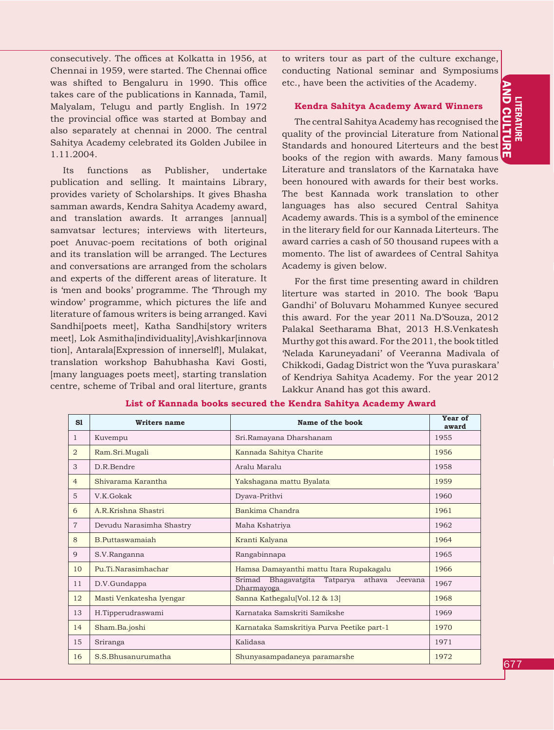consecutively. The offices at Kolkatta in 1956, at Chennai in 1959, were started. The Chennai office was shifted to Bengaluru in 1990. This office takes care of the publications in Kannada, Tamil, Malyalam, Telugu and partly English. In 1972 the provincial office was started at Bombay and also separately at chennai in 2000. The central Sahitya Academy celebrated its Golden Jubilee in 1.11.2004.

Its functions as Publisher, undertake publication and selling. It maintains Library, provides variety of Scholarships. It gives Bhasha samman awards, Kendra Sahitya Academy award, and translation awards. It arranges [annual] samvatsar lectures; interviews with literteurs, poet Anuvac-poem recitations of both original and its translation will be arranged. The Lectures and conversations are arranged from the scholars and experts of the different areas of literature. It is 'men and books' programme. The 'Through my window' programme, which pictures the life and literature of famous writers is being arranged. Kavi Sandhi[poets meet], Katha Sandhi[story writers meet], Lok Asmitha[individuality],Avishkar[innova tion], Antarala[Expression of innerself!], Mulakat, translation workshop Bahubhasha Kavi Gosti, [many languages poets meet], starting translation centre, scheme of Tribal and oral literture, grants to writers tour as part of the culture exchange, conducting National seminar and Symposiums etc., have been the activities of the Academy.

#### **Kendra Sahitya Academy Award Winners**

Standards and honoured Literteurs and the best  $\sum_{n=1}^{\infty}$  books of the region with awards. Many famous The central Sahitya Academy has recognised the quality of the provincial Literature from National Standards and honoured Literteurs and the best Literature and translators of the Karnataka have been honoured with awards for their best works. The best Kannada work translation to other languages has also secured Central Sahitya Academy awards. This is a symbol of the eminence in the literary field for our Kannada Literteurs. The award carries a cash of 50 thousand rupees with a momento. The list of awardees of Central Sahitya Academy is given below.

For the first time presenting award in children literture was started in 2010. The book 'Bapu Gandhi' of Boluvaru Mohammed Kunyee secured this award. For the year 2011 Na.D'Souza, 2012 Palakal Seetharama Bhat, 2013 H.S.Venkatesh Murthy got this award. For the 2011, the book titled 'Nelada Karuneyadani' of Veeranna Madivala of Chikkodi, Gadag District won the 'Yuva puraskara' of Kendriya Sahitya Academy. For the year 2012 Lakkur Anand has got this award.

| S1             | Writers name             | Name of the book                                             | Year of<br>award |
|----------------|--------------------------|--------------------------------------------------------------|------------------|
| $\mathbf{1}$   | Kuvempu                  | Sri.Ramayana Dharshanam                                      | 1955             |
| 2              | Ram.Sri.Mugali           | Kannada Sahitya Charite                                      | 1956             |
| 3              | D.R.Bendre               | Aralu Maralu                                                 | 1958             |
| $\overline{4}$ | Shiyarama Karantha       | Yakshagana mattu Byalata                                     | 1959             |
| 5              | V.K.Gokak                | Dyava-Prithvi                                                | 1960             |
| 6              | A.R.Krishna Shastri      | Bankima Chandra                                              | 1961             |
| $\overline{7}$ | Devudu Narasimha Shastry | Maha Kshatriya                                               | 1962             |
| 8              | B.Puttaswamajah          | Kranti Kalyana                                               | 1964             |
| 9              | S.V.Ranganna             | Rangabinnapa                                                 | 1965             |
| 10             | Pu.Ti.Narasimhachar      | Hamsa Damayanthi mattu Itara Rupakagalu                      | 1966             |
| 11             | D.V.Gundappa             | Srimad Bhagavatgita Tatparya athava<br>Jeevana<br>Dharmayoga | 1967             |
| 12             | Masti Venkatesha Iyengar | Sanna Kathegalu[Vol.12 & 13]                                 | 1968             |
| 13             | H.Tipperudraswami        | Karnataka Samskriti Samikshe                                 | 1969             |
| 14             | Sham.Ba.joshi            | Karnataka Samskritiya Purva Peetike part-1                   | 1970             |
| 15             | Sriranga                 | Kalidasa                                                     | 1971             |
| 16             | S.S.Bhusanurumatha       | Shunyasampadaneya paramarshe                                 | 1972             |

#### **List of Kannada books secured the Kendra Sahitya Academy Award**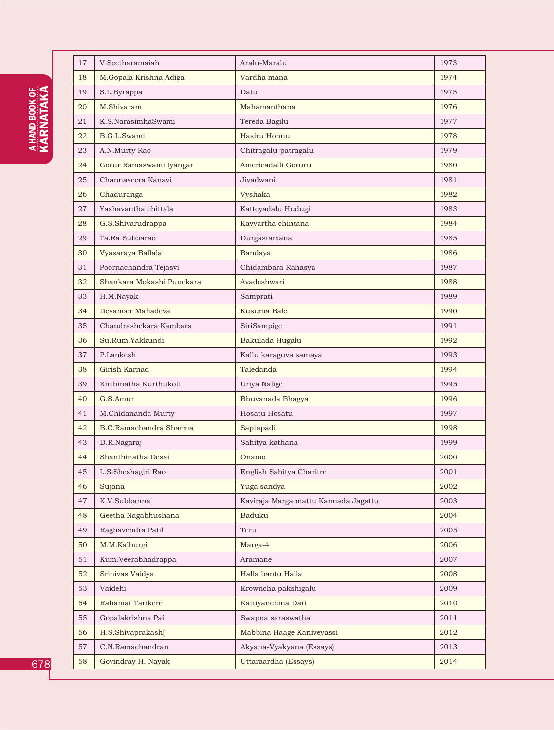| 17 | V.Seetharamaiah               | Aralu-Maralu                         | 1973 |
|----|-------------------------------|--------------------------------------|------|
| 18 | M.Gopala Krishna Adiga        | Vardha mana                          | 1974 |
| 19 | S.L.Byrappa                   | Datu                                 | 1975 |
| 20 | M.Shivaram                    | Mahamanthana                         | 1976 |
| 21 | K.S.NarasimhaSwami            | Tereda Bagilu                        | 1977 |
| 22 | B.G.L.Swami                   | Hasiru Honnu                         | 1978 |
| 23 | A.N.Murty Rao                 | Chitragalu-patragalu                 | 1979 |
| 24 | Gorur Ramaswami Iyangar       | Americadalli Goruru                  | 1980 |
| 25 | Channaveera Kanavi            | Jivadwani                            | 1981 |
| 26 | Chaduranga                    | Vyshaka                              | 1982 |
| 27 | Yashavantha chittala          | Katteyadalu Hudugi                   | 1983 |
| 28 | G.S.Shivarudrappa             | Kavyartha chintana                   | 1984 |
| 29 | Ta.Ra.Subbarao                | Durgastamana                         | 1985 |
| 30 | Vyasaraya Ballala             | Bandaya                              | 1986 |
| 31 | Poornachandra Tejasvi         | Chidambara Rahasya                   | 1987 |
| 32 | Shankara Mokashi Punekara     | Avadeshwari                          | 1988 |
| 33 | H.M.Nayak                     | Samprati                             | 1989 |
| 34 | Devanoor Mahadeva             | Kusuma Bale                          | 1990 |
| 35 | Chandrashekara Kambara        | SiriSampige                          | 1991 |
| 36 | Su.Rum.Yakkundi               | Bakulada Hugalu                      | 1992 |
| 37 | P.Lankesh                     | Kallu karaguva samaya                | 1993 |
| 38 | Girish Karnad                 | Taledanda                            | 1994 |
| 39 | Kirthinatha Kurthukoti        | Uriya Nalige                         | 1995 |
| 40 | G.S.Amur                      | Bhuvanada Bhagya                     | 1996 |
| 41 | M.Chidananda Murty            | Hosatu Hosatu                        | 1997 |
| 42 | <b>B.C.Ramachandra Sharma</b> | Saptapadi                            | 1998 |
| 43 | D.R.Nagaraj                   | Sahitya kathana                      | 1999 |
| 44 | Shanthinatha Desai            | Onamo                                | 2000 |
| 45 | L.S.Sheshagiri Rao            | English Sahitya Charitre             | 2001 |
| 46 | Sujana                        | Yuga sandya                          | 2002 |
| 47 | K.V.Subbanna                  | Kaviraja Marga mattu Kannada Jagattu | 2003 |
| 48 | Geetha Nagabhushana           | Baduku                               | 2004 |
| 49 | Raghavendra Patil             | Teru                                 | 2005 |
| 50 | M.M.Kalburgi                  | Marga-4                              | 2006 |
| 51 | Kum.Veerabhadrappa            | Aramane                              | 2007 |
| 52 | Srinivas Vaidya               | Halla bantu Halla                    | 2008 |
| 53 | Vaidehi                       | Krowncha pakshigalu                  | 2009 |
| 54 | Rahamat Tarikere              | Kattiyanchina Dari                   | 2010 |
| 55 | Gopalakrishna Pai             | Swapna saraswatha                    | 2011 |
| 56 | H.S.Shivaprakash[             | Mabbina Haage Kaniveyassi            | 2012 |
| 57 | C.N.Ramachandran              | Akyana-Vyakyana (Essays)             | 2013 |
| 58 | Govindray H. Nayak            | Uttaraardha (Essays)                 | 2014 |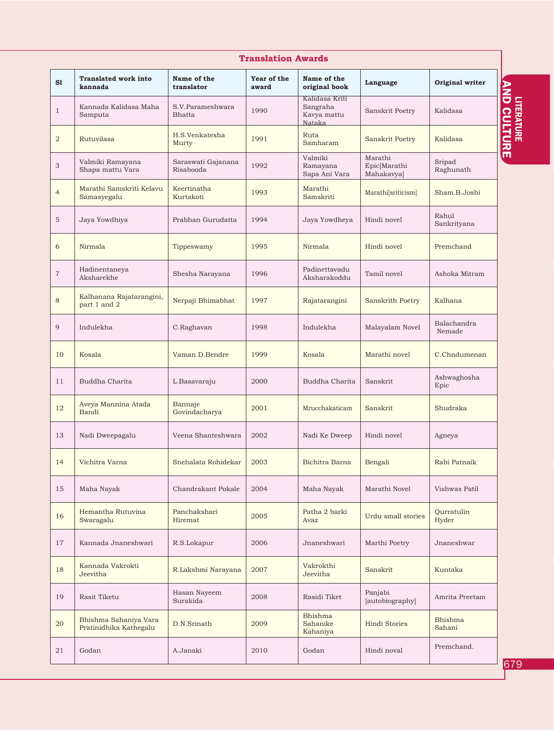|                           |                                                 |                                   | Translation Awards   |                                                     |                                       |                       |
|---------------------------|-------------------------------------------------|-----------------------------------|----------------------|-----------------------------------------------------|---------------------------------------|-----------------------|
| S1                        | <b>Translated work into</b><br>kannada          | Name of the<br>translator         | Year of the<br>award | Name of the<br>original book                        | Language                              | Original writer       |
| $\mathbf{1}$              | Kannada Kalidasa Maha<br>Samputa                | S.V.Parameshwara<br><b>Bhatta</b> | 1990                 | Kalidasa Kriti<br>Sangraha<br>Kavya mattu<br>Nataka | Sanskrit Poetry                       | Kalidasa              |
| $\sqrt{2}$                | Rutuvilasa                                      | H.S.Venkatesha<br>Murty           | 1991                 | Ruta<br>Samharam                                    | Sanskrit Poetry                       | Kalidasa              |
| $\ensuremath{\mathsf{3}}$ | Valmiki Ramayana<br>Shapa mattu Vara            | Saraswati Gajanana<br>Risabooda   | 1992                 | Valmiki<br>Ramayana<br>Sapa Ani Vara                | Marathi<br>Epic[Marathi<br>Mahakavya] | Sripad<br>Raghunath   |
| $\overline{4}$            | Marathi Samskriti Kelavu<br>Samasyegalu         | Keertinatha<br>Kurtakoti          | 1993                 | Marathi<br>Samskriti                                | Marathi[sriticism]                    | Sham.B.Joshi          |
| $\mathbf 5$               | Jaya Yowdhiya                                   | Prabhan Gurudatta                 | 1994                 | Jaya Yowdheya                                       | Hindi novel                           | Rahul<br>Sankrityana  |
| $\sqrt{6}$                | Nirmala                                         | Tippeswamy                        | 1995                 | Nirmala                                             | Hindi novel                           | Premchand             |
| $\overline{7}$            | Hadinentaneya<br>Aksharekhe                     | Shesha Narayana                   | 1996                 | Padinettavadu<br>Aksharakoddu                       | Tamil novel                           | Ashoka Mitram         |
| 8                         | Kalhanana Rajatarangini,<br>part 1 and 2        | Nerpaji Bhimabhat                 | 1997                 | Rajatarangini                                       | <b>Sanskrith Poetry</b>               | Kalhana               |
| 9                         | Indulekha                                       | C.Raghavan                        | 1998                 | Indulekha                                           | Malayalam Novel                       | Balachandra<br>Nemade |
| 10                        | Kosala                                          | Vaman D.Bendre                    | 1999                 | Kosala                                              | Marathi novel                         | C.Chndumenan          |
| 11                        | Buddha Charita                                  | L.Basavaraju                      | 2000                 | Buddha Charita                                      | Sanskrit                              | Ashwaghosha<br>Epic   |
| 12                        | Aveya Mannina Atada<br>Bandi                    | Bannaje<br>Govindacharya          | 2001                 | Mrucchakaticam                                      | Sanskrit                              | Shudraka              |
| 13                        | Nadi Dweepagalu                                 | Veena Shanteshwara                | 2002                 | Nadi Ke Dweep                                       | Hindi novel                           | Agneya                |
| 14                        | Vichitra Varna                                  | Snehalata Rohidekar               | 2003                 | <b>Bichitra Barna</b>                               | Bengali                               | Rabi Patnaik          |
| 15                        | Maha Nayak                                      | Chandrakant Pokale                | 2004                 | Maha Nayak                                          | Marathi Novel                         | Vishwas Patil         |
| 16                        | Hemantha Rutuvina<br>Swaragalu                  | Panchakshari<br>Hiremat           | 2005                 | Patha 2 barki<br>Avaz                               | Urdu small stories                    | Qurratulin<br>Hyder   |
| 17                        | Kannada Jnaneshwari                             | R.S.Lokapur                       | 2006                 | Jnaneshwari                                         | Marthi Poetry                         | Jnaneshwar            |
| 18                        | Kannada Vakrokti<br>Jeevitha                    | R.Lakshmi Narayana                | 2007                 | Vakrokthi<br>Jeevitha                               | Sanskrit                              | Kuntaka               |
| 19                        | Rasit Tiketu                                    | Hasan Nayeem<br>Surakida          | 2008                 | Rasidi Tiket                                        | Panjabi<br>[autobiography]            | Amrita Preetam        |
| 20                        | Bhishma Sahaniya Vara<br>Pratinidhika Kathegalu | D.N.Srinath                       | 2009                 | Bhishma<br>Sahanike<br>Kahaniya                     | Hindi Stories                         | Bhishma<br>Sahani     |
| 21                        | Godan                                           | A.Janaki                          | 2010                 | Godan                                               | Hindi noval                           | Premchand.            |

도<br>교 AND C  $\Xi$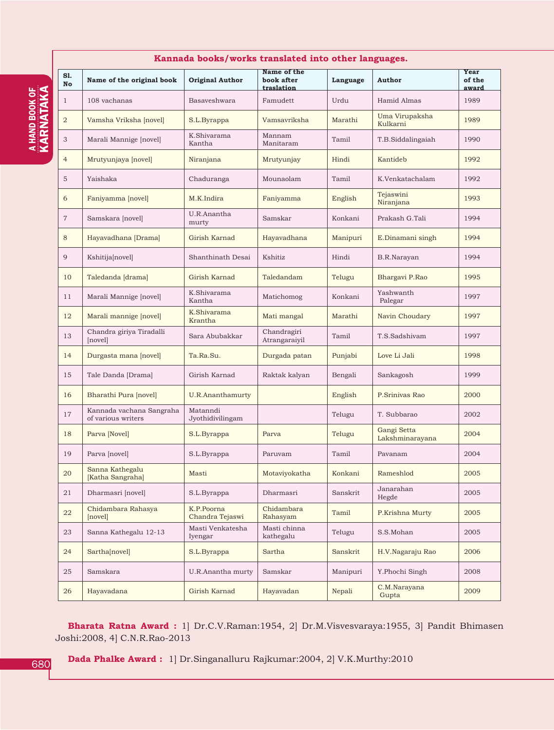|                  | Kannada books/works translated into other languages. |                               |                                         |          |                                |                         |
|------------------|------------------------------------------------------|-------------------------------|-----------------------------------------|----------|--------------------------------|-------------------------|
| S1.<br><b>No</b> | Name of the original book                            | <b>Original Author</b>        | Name of the<br>book after<br>traslation | Language | <b>Author</b>                  | Year<br>of the<br>award |
| $\mathbf{1}$     | 108 vachanas                                         | Basayeshwara                  | Famudett                                | Urdu     | Hamid Almas                    | 1989                    |
| $\overline{a}$   | Vamsha Vriksha [novel]                               | S.L.Byrappa                   | Vamsavriksha                            | Marathi  | Uma Virupaksha<br>Kulkarni     | 1989                    |
| 3                | Marali Mannige [novel]                               | K.Shivarama<br>Kantha         | Mannam<br>Manitaram                     | Tamil    | T.B.Siddalingaiah              | 1990                    |
| $\overline{4}$   | Mrutyunjaya [novel]                                  | Niranjana                     | Mrutyunjay                              | Hindi    | Kantideb                       | 1992                    |
| 5                | Yaishaka                                             | Chaduranga                    | Mounaolam                               | Tamil    | K.Venkatachalam                | 1992                    |
| 6                | Faniyamma [novel]                                    | M.K.Indira                    | Faniyamma                               | English  | Tejaswini<br>Niranjana         | 1993                    |
| $\overline{7}$   | Samskara [novel]                                     | U.R.Anantha<br>murty          | Samskar                                 | Konkani  | Prakash G.Tali                 | 1994                    |
| 8                | Hayavadhana [Drama]                                  | Girish Karnad                 | Hayavadhana                             | Manipuri | E.Dinamani singh               | 1994                    |
| 9                | Kshitija[novel]                                      | Shanthinath Desai             | Kshitiz                                 | Hindi    | <b>B.R.Narayan</b>             | 1994                    |
| 10               | Taledanda [drama]                                    | Girish Karnad                 | Taledandam                              | Telugu   | Bhargavi P.Rao                 | 1995                    |
| 11               | Marali Mannige [novel]                               | K.Shivarama<br>Kantha         | Matichomog                              | Konkani  | Yashwanth<br>Palegar           | 1997                    |
| 12               | Marali mannige [novel]                               | K.Shivarama<br>Krantha        | Mati mangal                             | Marathi  | Navin Choudary                 | 1997                    |
| 13               | Chandra giriya Tiradalli<br>[novel]                  | Sara Abubakkar                | Chandragiri<br>Atrangaraiyil            | Tamil    | T.S.Sadshivam                  | 1997                    |
| 14               | Durgasta mana [novel]                                | Ta.Ra.Su.                     | Durgada patan                           | Punjabi  | Love Li Jali                   | 1998                    |
| 15               | Tale Danda [Drama]                                   | Girish Karnad                 | Raktak kalyan                           | Bengali  | Sankagosh                      | 1999                    |
| 16               | Bharathi Pura [novel]                                | U.R.Ananthamurty              |                                         | English  | P.Sriniyas Rao                 | 2000                    |
| $17\,$           | Kannada vachana Sangraha<br>of various writers       | Matanndi<br>Jyothidivilingam  |                                         | Telugu   | T. Subbarao                    | 2002                    |
| 18               | Parva [Novel]                                        | S.L.Byrappa                   | Parva                                   | Telugu   | Gangi Setta<br>Lakshminarayana | 2004                    |
| 19               | Parva [novel]                                        | S.L.Byrappa                   | Paruvam                                 | Tamil    | Pavanam                        | 2004                    |
| 20               | Sanna Kathegalu<br>[Katha Sangraha]                  | Masti                         | Motaviyokatha                           | Konkani  | Rameshlod                      | 2005                    |
| 21               | Dharmasri [novel]                                    | S.L.Byrappa                   | Dharmasri                               | Sanskrit | Janarahan<br>Hegde             | 2005                    |
| 22               | Chidambara Rahasya<br>[novel]                        | K.P.Poorna<br>Chandra Tejaswi | Chidambara<br>Rahasyam                  | Tamil    | P.Krishna Murty                | 2005                    |
| 23               | Sanna Kathegalu 12-13                                | Masti Venkatesha<br>Iyengar   | Masti chinna<br>kathegalu               | Telugu   | S.S.Mohan                      | 2005                    |
| 24               | Sartha[novel]                                        | S.L.Byrappa                   | Sartha                                  | Sanskrit | H.V.Nagaraju Rao               | 2006                    |
| 25               | Samskara                                             | U.R.Anantha murty             | Samskar                                 | Manipuri | Y.Phochi Singh                 | 2008                    |
| 26               | Hayavadana                                           | Girish Karnad                 | Hayavadan                               | Nepali   | C.M.Narayana<br>Gupta          | 2009                    |

#### **Bharata Ratna Award :** 1] Dr.C.V.Raman:1954, 2] Dr.M.Visvesvaraya:1955, 3] Pandit Bhimasen Joshi:2008, 4] C.N.R.Rao-2013

**Dada Phalke Award :** 1] Dr.Singanalluru Rajkumar:2004, 2] V.K.Murthy:2010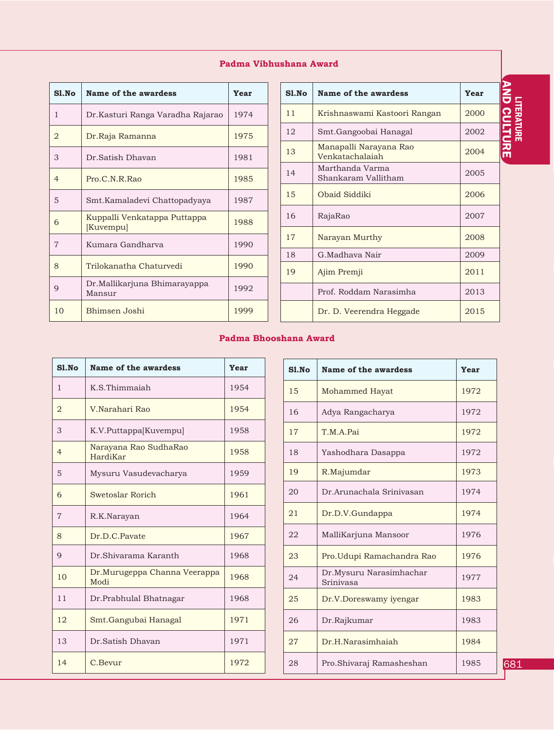| $SI$ . No      | Name of the awardess                      | Year |
|----------------|-------------------------------------------|------|
| 1              | Dr.Kasturi Ranga Varadha Rajarao          | 1974 |
| $\overline{2}$ | Dr.Raja Ramanna                           | 1975 |
| 3              | Dr.Satish Dhavan                          | 1981 |
| $\overline{4}$ | Pro.C.N.R.Rao                             | 1985 |
| 5              | Smt.Kamaladevi Chattopadyaya              | 1987 |
| 6              | Kuppalli Venkatappa Puttappa<br>[Kuvempu] | 1988 |
| $\overline{7}$ | Kumara Gandharya                          | 1990 |
| 8              | Trilokanatha Chaturvedi                   | 1990 |
| 9              | Dr.Mallikarjuna Bhimarayappa<br>Mansur    | 1992 |
| 10             | Bhimsen Joshi                             | 1999 |

#### **Padma Vibhushana Award**

| $SI$ . No | Name of the awardess                      | Year |
|-----------|-------------------------------------------|------|
| 11        | Krishnaswami Kastoori Rangan              | 2000 |
| 12        | Smt.Gangoobai Hanagal                     | 2002 |
| 13        | Manapalli Narayana Rao<br>Venkatachalaiah | 2004 |
| 14        | Marthanda Varma<br>Shankaram Vallitham    | 2005 |
| 1.5       | Obaid Siddiki                             | 2006 |
| 16        | RajaRao                                   | 2007 |
| 17        | Narayan Murthy                            | 2008 |
| 18        | G.Madhava Nair                            | 2009 |
| 19        | Ajim Premji                               | 2011 |
|           | Prof. Roddam Narasimha                    | 2013 |
|           | Dr. D. Veerendra Heggade                  | 2015 |

### **Padma Bhooshana Award**

| Sl.No          | Name of the awardess                 | Year |
|----------------|--------------------------------------|------|
| $\mathbf{1}$   | K.S.Thimmaiah                        | 1954 |
| $\overline{2}$ | V Narahari Rao                       | 1954 |
| 3              | K.V.Puttappa[Kuvempu]                | 1958 |
| $\overline{4}$ | Narayana Rao SudhaRao<br>HardiKar    | 1958 |
| 5              | Mysuru Vasudevacharya                | 1959 |
| 6              | Swetoslar Rorich                     | 1961 |
| $\overline{7}$ | R.K.Narayan                          | 1964 |
| 8              | Dr.D.C.Pavate                        | 1967 |
| 9              | Dr.Shivarama Karanth                 | 1968 |
| 10             | Dr.Murugeppa Channa Veerappa<br>Modi | 1968 |
| 11             | Dr.Prabhulal Bhatnagar               | 1968 |
| 12             | Smt.Gangubai Hanagal                 | 1971 |
| 13             | Dr.Satish Dhavan                     | 1971 |
| 14             | C.Bevur                              | 1972 |

| $SI$ . No | Name of the awardess                 | Year |
|-----------|--------------------------------------|------|
| 15        | <b>Mohammed Hayat</b>                | 1972 |
| 16        | Adya Rangacharya                     | 1972 |
| 17        | T.M.A.Pai                            | 1972 |
| 18        | Yashodhara Dasappa                   | 1972 |
| 19        | R.Majumdar                           | 1973 |
| 20        | Dr. Arunachala Sriniyasan            | 1974 |
| 21        | Dr.D.V.Gundappa                      | 1974 |
| 22        | MalliKarjuna Mansoor                 | 1976 |
| 23        | Pro. Udupi Ramachandra Rao           | 1976 |
| 24        | Dr.Mysuru Narasimhachar<br>Srinivasa | 1977 |
| 25        | Dr.V.Doreswamy iyengar               | 1983 |
| 26        | Dr.Rajkumar                          | 1983 |
| 27        | Dr.H.Narasimhaiah                    | 1984 |
| 28        | Pro.Shivaraj Ramasheshan             | 1985 |

도<br>교

AND C

 $\Xi$ 

CR<br>ER<br>ET

**THERMINE<br>DOCILLINE**<br>681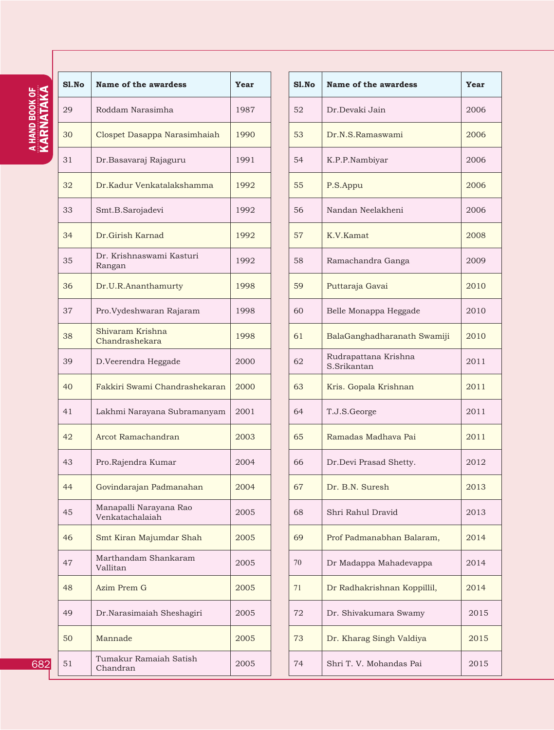# A HAND BOOK OF<br>**KARNATAKA** KARNATAKA a HAND BOOK OF

| Sl.No | <b>Name of the awardess</b>               | Year |
|-------|-------------------------------------------|------|
| 29    | Roddam Narasimha                          | 1987 |
| 30    | Clospet Dasappa Narasimhaiah              | 1990 |
| 31    | Dr.Basavaraj Rajaguru                     | 1991 |
| 32    | Dr. Kadur Venkatalakshamma                | 1992 |
| 33    | Smt.B.Sarojadevi                          | 1992 |
| 34    | Dr.Girish Karnad                          | 1992 |
| 35    | Dr. Krishnaswami Kasturi<br>Rangan        | 1992 |
| 36    | Dr.U.R.Ananthamurty                       | 1998 |
| 37    | Pro. Vydeshwaran Rajaram                  | 1998 |
| 38    | Shivaram Krishna<br>Chandrashekara        | 1998 |
| 39    | D.Veerendra Heggade                       | 2000 |
| 40    | Fakkiri Swami Chandrashekaran             | 2000 |
| 41    | Lakhmi Narayana Subramanyam               | 2001 |
| 42    | Arcot Ramachandran                        | 2003 |
| 43    | Pro.Rajendra Kumar                        | 2004 |
| 44    | Govindarajan Padmanahan                   | 2004 |
| 45    | Manapalli Narayana Rao<br>Venkatachalaiah | 2005 |
| 46    | Smt Kiran Majumdar Shah                   | 2005 |
| 47    | Marthandam Shankaram<br>Vallitan          | 2005 |
| 48    | Azim Prem G                               | 2005 |
| 49    | Dr.Narasimaiah Sheshagiri                 | 2005 |
| 50    | Mannade                                   | 2005 |
| 51    | Tumakur Ramaiah Satish<br>Chandran        | 2005 |

| S1.No | Name of the awardess                | Year |
|-------|-------------------------------------|------|
| 52    | Dr.Devaki Jain                      | 2006 |
| 53    | Dr.N.S.Ramaswami                    | 2006 |
| 54    | K.P.P.Nambiyar                      | 2006 |
| 55    | P.S.Appu                            | 2006 |
| 56    | Nandan Neelakheni                   | 2006 |
| 57    | K.V.Kamat                           | 2008 |
| 58    | Ramachandra Ganga                   | 2009 |
| 59    | Puttaraja Gavai                     | 2010 |
| 60    | Belle Monappa Heggade               | 2010 |
| 61    | BalaGanghadharanath Swamiji         | 2010 |
| 62    | Rudrapattana Krishna<br>S.Srikantan | 2011 |
| 63    | Kris. Gopala Krishnan               | 2011 |
| 64    | T.J.S.George                        | 2011 |
| 65    | Ramadas Madhava Pai                 | 2011 |
| 66    | Dr.Devi Prasad Shetty.              | 2012 |
| 67    | Dr. B.N. Suresh                     | 2013 |
| 68    | Shri Rahul Dravid                   | 2013 |
| 69    | Prof Padmanabhan Balaram,           | 2014 |
| 70    | Dr Madappa Mahadevappa              | 2014 |
| 71    | Dr Radhakrishnan Koppillil,         | 2014 |
| 72    | Dr. Shivakumara Swamy               | 2015 |
| 73    | Dr. Kharag Singh Valdiya            | 2015 |
| 74    | Shri T. V. Mohandas Pai             | 2015 |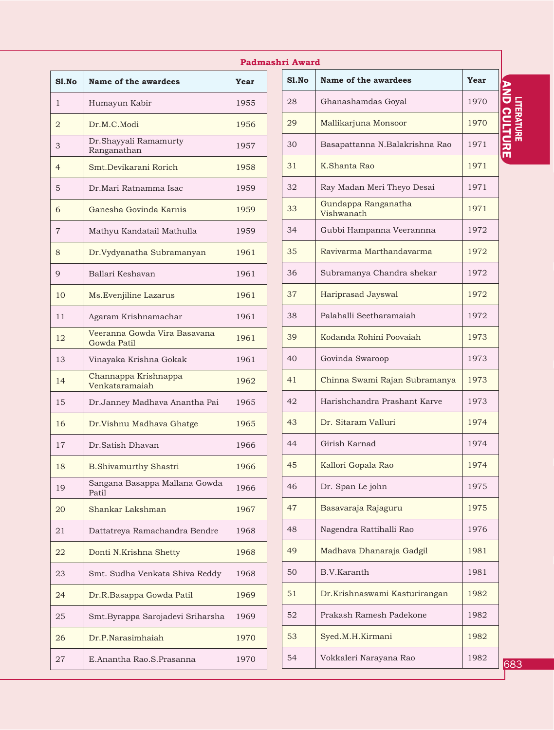| $SI$ . No      | Name of the awardees                        | Year |
|----------------|---------------------------------------------|------|
| 1              | Humayun Kabir                               | 1955 |
| $\overline{2}$ | Dr.M.C.Modi                                 | 1956 |
| 3              | Dr.Shayyali Ramamurty<br>Ranganathan        | 1957 |
| $\overline{4}$ | Smt.Devikarani Rorich                       | 1958 |
| 5              | Dr.Mari Ratnamma Isac                       | 1959 |
| 6              | Ganesha Govinda Karnis                      | 1959 |
| 7              | Mathyu Kandatail Mathulla                   | 1959 |
| 8              | Dr. Vydyanatha Subramanyan                  | 1961 |
| 9              | Ballari Keshayan                            | 1961 |
| 10             | Ms. Evenjiline Lazarus                      | 1961 |
| 11             | Agaram Krishnamachar                        | 1961 |
| 12             | Veeranna Gowda Vira Basavana<br>Gowda Patil | 1961 |
| 13             | Vinayaka Krishna Gokak                      | 1961 |
| 14             | Channappa Krishnappa<br>Venkataramaiah      | 1962 |
| 15             | Dr.Janney Madhava Anantha Pai               | 1965 |
| 16             | Dr. Vishnu Madhava Ghatge                   | 1965 |
| 17             | Dr.Satish Dhavan                            | 1966 |
| 18             | <b>B.Shivamurthy Shastri</b>                | 1966 |
| 19             | Sangana Basappa Mallana Gowda<br>Patil      | 1966 |
| 20             | Shankar Lakshman                            | 1967 |
| 21             | Dattatreya Ramachandra Bendre               | 1968 |
| 22             | Donti N.Krishna Shetty                      | 1968 |
| 23             | Smt. Sudha Venkata Shiva Reddy              | 1968 |
| 24             | Dr.R.Basappa Gowda Patil                    | 1969 |
| 25             | Smt. Byrappa Sarojadevi Sriharsha           | 1969 |
| 26             | Dr.P.Narasimhaiah                           | 1970 |
| 27             | E.Anantha Rao.S.Prasanna                    | 1970 |

# **Sl.No Name of the awardees Year** 28 Ghanashamdas Goyal 1970 29 | Mallikarjuna Monsoor | 1970 30 Basapattanna N.Balakrishna Rao 1971 31 K.Shanta Rao 1971 32 Ray Madan Meri Theyo Desai 1971 <sup>33</sup> Gundappa Ranganatha Vishwanath <sup>1971</sup> 34 Gubbi Hampanna Veerannna 1972 35 Ravivarma Marthandavarma 1972 36 Subramanya Chandra shekar 1972 37 Hariprasad Jayswal 1972 38 Palahalli Seetharamaiah 1972 39 Kodanda Rohini Poovaiah 1973 40 Govinda Swaroop 1973 41 Chinna Swami Rajan Subramanya 1973 42 Harishchandra Prashant Karve 1973 43 Dr. Sitaram Valluri 1974 44 Girish Karnad 1974 45 | Kallori Gopala Rao | 1974 46 Dr. Span Le john 1975 47 Basavaraja Rajaguru 1975 48 | Nagendra Rattihalli Rao | 1976 49 | Madhava Dhanaraja Gadgil | 1981 50 B.V.Karanth 1981 51 Dr.Krishnaswami Kasturirangan 1982 52 | Prakash Ramesh Padekone | 1982 53 | Syed.M.H.Kirmani | 1982 54 Vokkaleri Narayana Rao 1982

**Padmashri Award**

# **THERMINE<br>DOCILLINE**<br>683 도<br>교 AND C  $\Xi$ CR<br>ER<br>ET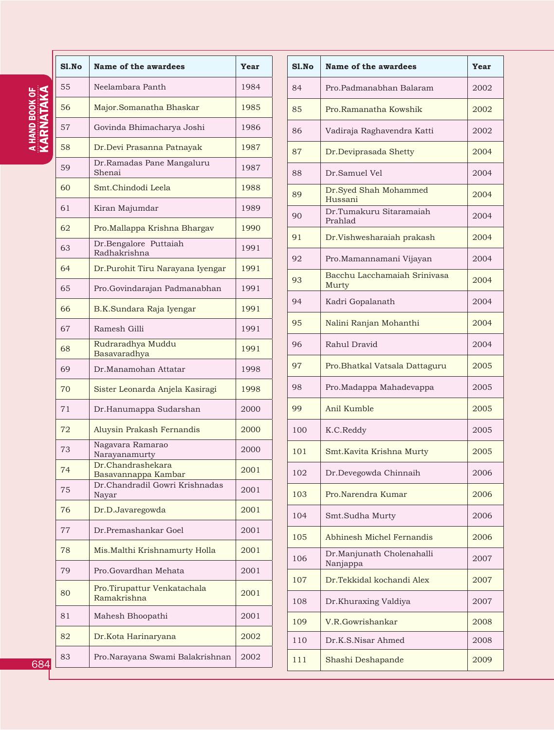| *********************************** |
|-------------------------------------|
|                                     |
|                                     |
|                                     |

| $SI$ . No | Name of the awardees                       | Year |
|-----------|--------------------------------------------|------|
| 55        | Neelambara Panth                           | 1984 |
| 56        | Major.Somanatha Bhaskar                    | 1985 |
| 57        | Govinda Bhimacharya Joshi                  | 1986 |
| 58        | Dr.Devi Prasanna Patnayak                  | 1987 |
| 59        | Dr.Ramadas Pane Mangaluru<br>Shenai        | 1987 |
| 60        | Smt.Chindodi Leela                         | 1988 |
| 61        | Kiran Majumdar                             | 1989 |
| 62        | Pro. Mallappa Krishna Bhargav              | 1990 |
| 63        | Dr.Bengalore Puttaiah<br>Radhakrishna      | 1991 |
| 64        | Dr.Purohit Tiru Narayana Iyengar           | 1991 |
| 65        | Pro.Govindarajan Padmanabhan               | 1991 |
| 66        | B.K.Sundara Raja Iyengar                   | 1991 |
| 67        | Ramesh Gilli                               | 1991 |
| 68        | Rudraradhya Muddu<br>Basavaradhya          | 1991 |
| 69        | Dr.Manamohan Attatar                       | 1998 |
| 70        | Sister Leonarda Anjela Kasiragi            | 1998 |
| 71        | Dr.Hanumappa Sudarshan                     | 2000 |
| 72        | Aluysin Prakash Fernandis                  | 2000 |
| 73        | Nagavara Ramarao<br>Narayanamurty          | 2000 |
| 74        | Dr.Chandrashekara<br>Basavannappa Kambar   | 2001 |
| 75        | Dr.Chandradil Gowri Krishnadas<br>Nayar    | 2001 |
| 76        | Dr.D.Javaregowda                           | 2001 |
| 77        | Dr.Premashankar Goel                       | 2001 |
| 78        | Mis. Malthi Krishnamurty Holla             | 2001 |
| 79        | Pro.Govardhan Mehata                       | 2001 |
| 80        | Pro.Tirupattur Venkatachala<br>Ramakrishna | 2001 |
| 81        | Mahesh Bhoopathi                           | 2001 |
| 82        | Dr.Kota Harinaryana                        | 2002 |
| 83        | Pro.Narayana Swami Balakrishnan            | 2002 |

| Sl.No | Name of the awardees                  | Year |
|-------|---------------------------------------|------|
| 84    | Pro.Padmanabhan Balaram               | 2002 |
| 85    | Pro.Ramanatha Kowshik                 | 2002 |
| 86    | Vadiraja Raghavendra Katti            | 2002 |
| 87    | Dr.Deviprasada Shetty                 | 2004 |
| 88    | Dr.Samuel Vel                         | 2004 |
| 89    | Dr.Syed Shah Mohammed<br>Hussani      | 2004 |
| 90    | Dr.Tumakuru Sitaramaiah<br>Prahlad    | 2004 |
| 91    | Dr.Vishwesharaiah prakash             | 2004 |
| 92    | Pro.Mamannamani Vijayan               | 2004 |
| 93    | Bacchu Lacchamaiah Srinivasa<br>Murty | 2004 |
| 94    | Kadri Gopalanath                      | 2004 |
| 95    | Nalini Ranjan Mohanthi                | 2004 |
| 96    | Rahul Dravid                          | 2004 |
| 97    | Pro. Bhatkal Vatsala Dattaguru        | 2005 |
| 98    | Pro. Madappa Mahadevappa              | 2005 |
| 99    | Anil Kumble                           | 2005 |
| 100   | K.C.Reddy                             | 2005 |
| 101   | Smt.Kavita Krishna Murty              | 2005 |
| 102   | Dr.Devegowda Chinnaih                 | 2006 |
| 103   | Pro.Narendra Kumar                    | 2006 |
| 104   | Smt.Sudha Murty                       | 2006 |
| 105   | Abhinesh Michel Fernandis             | 2006 |
| 106   | Dr.Manjunath Cholenahalli<br>Nanjappa | 2007 |
| 107   | Dr.Tekkidal kochandi Alex             | 2007 |
| 108   | Dr.Khuraxing Valdiya                  | 2007 |
| 109   | V.R.Gowrishankar                      | 2008 |
| 110   | Dr.K.S.Nisar Ahmed                    | 2008 |
| 111   | Shashi Deshapande                     | 2009 |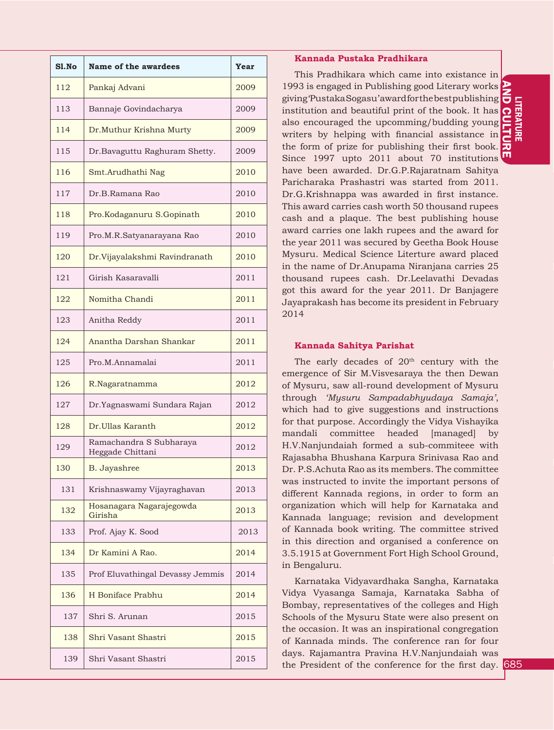| S1.No | Name of the awardees                        | Year |
|-------|---------------------------------------------|------|
| 112   | Pankaj Advani                               | 2009 |
| 113   | Bannaje Govindacharya                       | 2009 |
| 114   | Dr.Muthur Krishna Murty                     | 2009 |
| 115   | Dr.Bavaguttu Raghuram Shetty.               | 2009 |
| 116   | Smt.Arudhathi Nag                           | 2010 |
| 117   | Dr.B.Ramana Rao                             | 2010 |
| 118   | Pro.Kodaganuru S.Gopinath                   | 2010 |
| 119   | Pro.M.R.Satyanarayana Rao                   | 2010 |
| 120   | Dr.Vijayalakshmi Ravindranath               | 2010 |
| 121   | Girish Kasaravalli                          | 2011 |
| 122   | Nomitha Chandi                              | 2011 |
| 123   | Anitha Reddy                                | 2011 |
| 124   | Anantha Darshan Shankar                     | 2011 |
| 125   | Pro.M.Annamalai                             | 2011 |
| 126   | R.Nagaratnamma                              | 2012 |
| 127   | Dr.Yagnaswami Sundara Rajan                 | 2012 |
| 128   | Dr.Ullas Karanth                            | 2012 |
| 129   | Ramachandra S Subharaya<br>Heggade Chittani | 2012 |
| 130   | <b>B.</b> Jayashree                         | 2013 |
| 131   | Krishnaswamy Vijayraghavan                  | 2013 |
| 132   | Hosanagara Nagarajegowda<br>Girisha         | 2013 |
| 133   | Prof. Ajay K. Sood                          | 2013 |
| 134   | Dr Kamini A Rao.                            | 2014 |
| 135   | Prof Eluvathingal Devassy Jemmis            | 2014 |
| 136   | H Boniface Prabhu                           | 2014 |
| 137   | Shri S. Arunan                              | 2015 |
| 138   | Shri Vasant Shastri                         | 2015 |
| 139   | Shri Vasant Shastri                         | 2015 |

#### **Kannada Pustaka Pradhikara**

the form of prize for publishing their first book.<br>Since 1997 upto 2011 about 70 institutions This Pradhikara which came into existance in 1993 is engaged in Publishing good Literary works giving 'Pustaka Sogasu' award for the best publishing institution and beautiful print of the book. It has also encouraged the upcomming/budding young writers by helping with financial assistance in the form of prize for publishing their first book. have been awarded. Dr.G.P.Rajaratnam Sahitya Paricharaka Prashastri was started from 2011. Dr.G.Krishnappa was awarded in first instance. This award carries cash worth 50 thousand rupees cash and a plaque. The best publishing house award carries one lakh rupees and the award for the year 2011 was secured by Geetha Book House Mysuru. Medical Science Literture award placed in the name of Dr.Anupama Niranjana carries 25 thousand rupees cash. Dr.Leelavathi Devadas got this award for the year 2011. Dr Banjagere Jayaprakash has become its president in February 2014

#### **Kannada Sahitya Parishat**

The early decades of  $20<sup>th</sup>$  century with the emergence of Sir M.Visvesaraya the then Dewan of Mysuru, saw all-round development of Mysuru through *'Mysuru Sampadabhyudaya Samaja'*, which had to give suggestions and instructions for that purpose. Accordingly the Vidya Vishayika mandali committee headed [managed] by H.V.Nanjundaiah formed a sub-commiteee with Rajasabha Bhushana Karpura Srinivasa Rao and Dr. P.S.Achuta Rao as its members. The committee was instructed to invite the important persons of different Kannada regions, in order to form an organization which will help for Karnataka and Kannada language; revision and development of Kannada book writing. The committee strived in this direction and organised a conference on 3.5.1915 at Government Fort High School Ground, in Bengaluru.

Karnataka Vidyavardhaka Sangha, Karnataka Vidya Vyasanga Samaja, Karnataka Sabha of Bombay, representatives of the colleges and High Schools of the Mysuru State were also present on the occasion. It was an inspirational congregation of Kannada minds. The conference ran for four days. Rajamantra Pravina H.V.Nanjundaiah was the President of the conference for the first day. 685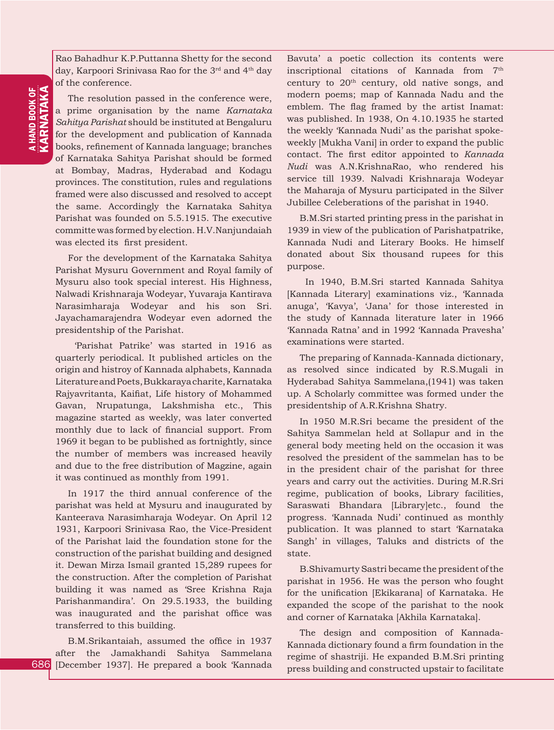Rao Bahadhur K.P.Puttanna Shetty for the second day, Karpoori Srinivasa Rao for the 3rd and 4th day of the conference.

The resolution passed in the conference were, a prime organisation by the name *Karnataka Sahitya Parishat* should be instituted at Bengaluru for the development and publication of Kannada books, refinement of Kannada language; branches of Karnataka Sahitya Parishat should be formed at Bombay, Madras, Hyderabad and Kodagu provinces. The constitution, rules and regulations framed were also discussed and resolved to accept the same. Accordingly the Karnataka Sahitya Parishat was founded on 5.5.1915. The executive committe was formed by election. H.V.Nanjundaiah was elected its first president.

For the development of the Karnataka Sahitya Parishat Mysuru Government and Royal family of Mysuru also took special interest. His Highness, Nalwadi Krishnaraja Wodeyar, Yuvaraja Kantirava Narasimharaja Wodeyar and his son Sri. Jayachamarajendra Wodeyar even adorned the presidentship of the Parishat.

 'Parishat Patrike' was started in 1916 as quarterly periodical. It published articles on the origin and histroy of Kannada alphabets, Kannada Literature and Poets, Bukkaraya charite, Karnataka Rajyavritanta, Kaifiat, Life history of Mohammed Gavan, Nrupatunga, Lakshmisha etc., This magazine started as weekly, was later converted monthly due to lack of financial support. From 1969 it began to be published as fortnightly, since the number of members was increased heavily and due to the free distribution of Magzine, again it was continued as monthly from 1991.

In 1917 the third annual conference of the parishat was held at Mysuru and inaugurated by Kanteerava Narasimharaja Wodeyar. On April 12 1931, Karpoori Srinivasa Rao, the Vice-President of the Parishat laid the foundation stone for the construction of the parishat building and designed it. Dewan Mirza Ismail granted 15,289 rupees for the construction. After the completion of Parishat building it was named as 'Sree Krishna Raja Parishanmandira'. On 29.5.1933, the building was inaugurated and the parishat office was transferred to this building.

B.M.Srikantaiah, assumed the office in 1937 after the Jamakhandi Sahitya Sammelana [December 1937]. He prepared a book 'Kannada Bavuta' a poetic collection its contents were inscriptional citations of Kannada from 7th century to 20th century, old native songs, and modern poems; map of Kannada Nadu and the emblem. The flag framed by the artist Inamat: was published. In 1938, On 4.10.1935 he started the weekly 'Kannada Nudi' as the parishat spokeweekly [Mukha Vani] in order to expand the public contact. The first editor appointed to *Kannada Nudi* was A.N.KrishnaRao, who rendered his service till 1939. Nalvadi Krishnaraja Wodeyar the Maharaja of Mysuru participated in the Silver Jubillee Celeberations of the parishat in 1940.

B.M.Sri started printing press in the parishat in 1939 in view of the publication of Parishatpatrike, Kannada Nudi and Literary Books. He himself donated about Six thousand rupees for this purpose.

 In 1940, B.M.Sri started Kannada Sahitya [Kannada Literary] examinations viz., 'Kannada anuga', 'Kavya', 'Jana' for those interested in the study of Kannada literature later in 1966 'Kannada Ratna' and in 1992 'Kannada Pravesha' examinations were started.

The preparing of Kannada-Kannada dictionary, as resolved since indicated by R.S.Mugali in Hyderabad Sahitya Sammelana,(1941) was taken up. A Scholarly committee was formed under the presidentship of A.R.Krishna Shatry.

In 1950 M.R.Sri became the president of the Sahitya Sammelan held at Sollapur and in the general body meeting held on the occasion it was resolved the president of the sammelan has to be in the president chair of the parishat for three years and carry out the activities. During M.R.Sri regime, publication of books, Library facilities, Saraswati Bhandara [Library]etc., found the progress. 'Kannada Nudi' continued as monthly publication. It was planned to start 'Karnataka Sangh' in villages, Taluks and districts of the state.

B.Shivamurty Sastri became the president of the parishat in 1956. He was the person who fought for the unification [Ekikarana] of Karnataka. He expanded the scope of the parishat to the nook and corner of Karnataka [Akhila Karnataka].

The design and composition of Kannada-Kannada dictionary found a firm foundation in the regime of shastriji. He expanded B.M.Sri printing press building and constructed upstair to facilitate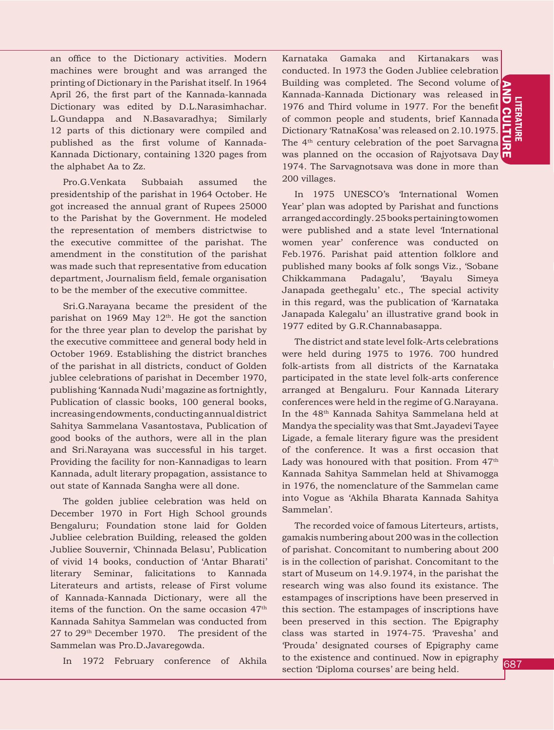**THERMINE<br>O COLLIDE**<br>687 LITERATURE AND C  $\Xi$ CR<br>ER<br>ET

an office to the Dictionary activities. Modern machines were brought and was arranged the printing of Dictionary in the Parishat itself. In 1964 April 26, the first part of the Kannada-kannada Dictionary was edited by D.L.Narasimhachar. L.Gundappa and N.Basavaradhya; Similarly 12 parts of this dictionary were compiled and published as the first volume of Kannada-Kannada Dictionary, containing 1320 pages from the alphabet Aa to Zz.

Pro.G.Venkata Subbaiah assumed the presidentship of the parishat in 1964 October. He got increased the annual grant of Rupees 25000 to the Parishat by the Government. He modeled the representation of members districtwise to the executive committee of the parishat. The amendment in the constitution of the parishat was made such that representative from education department, Journalism field, female organisation to be the member of the executive committee.

Sri.G.Narayana became the president of the parishat on 1969 May  $12<sup>th</sup>$ . He got the sanction for the three year plan to develop the parishat by the executive committeee and general body held in October 1969. Establishing the district branches of the parishat in all districts, conduct of Golden jublee celebrations of parishat in December 1970, publishing 'Kannada Nudi' magazine as fortnightly, Publication of classic books, 100 general books, increasing endowments, conducting annual district Sahitya Sammelana Vasantostava, Publication of good books of the authors, were all in the plan and Sri.Narayana was successful in his target. Providing the facility for non-Kannadigas to learn Kannada, adult literary propagation, assistance to out state of Kannada Sangha were all done.

The golden jubliee celebration was held on December 1970 in Fort High School grounds Bengaluru; Foundation stone laid for Golden Jubliee celebration Building, released the golden Jubliee Souvernir, 'Chinnada Belasu', Publication of vivid 14 books, conduction of 'Antar Bharati' literary Seminar, falicitations to Kannada Literateurs and artists, release of First volume of Kannada-Kannada Dictionary, were all the items of the function. On the same occasion 47<sup>th</sup> Kannada Sahitya Sammelan was conducted from 27 to 29th December 1970. The president of the Sammelan was Pro.D.Javaregowda.

In 1972 February conference of Akhila

Karnataka Gamaka and Kirtanakars was conducted. In 1973 the Goden Jubliee celebration Building was completed. The Second volume of Kannada-Kannada Dictionary was released in 1976 and Third volume in 1977. For the benefit of common people and students, brief Kannada Dictionary 'RatnaKosa' was released on 2.10.1975. The 4<sup>th</sup> century celebration of the poet Sarvagna was planned on the occasion of Rajyotsava Day 1974. The Sarvagnotsava was done in more than 200 villages.

In 1975 UNESCO's 'International Women Year' plan was adopted by Parishat and functions arranged accordingly. 25 books pertaining to women were published and a state level 'International women year' conference was conducted on Feb.1976. Parishat paid attention folklore and published many books af folk songs Viz., 'Sobane Chikkammana Padagalu', 'Bayalu Simeya Janapada geethegalu' etc., The special activity in this regard, was the publication of 'Karnataka Janapada Kalegalu' an illustrative grand book in 1977 edited by G.R.Channabasappa.

The district and state level folk-Arts celebrations were held during 1975 to 1976. 700 hundred folk-artists from all districts of the Karnataka participated in the state level folk-arts conference arranged at Bengaluru. Four Kannada Literary conferences were held in the regime of G.Narayana. In the 48th Kannada Sahitya Sammelana held at Mandya the speciality was that Smt.Jayadevi Tayee Ligade, a female literary figure was the president of the conference. It was a first occasion that Lady was honoured with that position. From 47<sup>th</sup> Kannada Sahitya Sammelan held at Shivamogga in 1976, the nomenclature of the Sammelan came into Vogue as 'Akhila Bharata Kannada Sahitya Sammelan'.

The recorded voice of famous Literteurs, artists, gamakis numbering about 200 was in the collection of parishat. Concomitant to numbering about 200 is in the collection of parishat. Concomitant to the start of Museum on 14.9.1974, in the parishat the research wing was also found its existance. The estampages of inscriptions have been preserved in this section. The estampages of inscriptions have been preserved in this section. The Epigraphy class was started in 1974-75. 'Pravesha' and 'Prouda' designated courses of Epigraphy came to the existence and continued. Now in epigraphy section 'Diploma courses' are being held.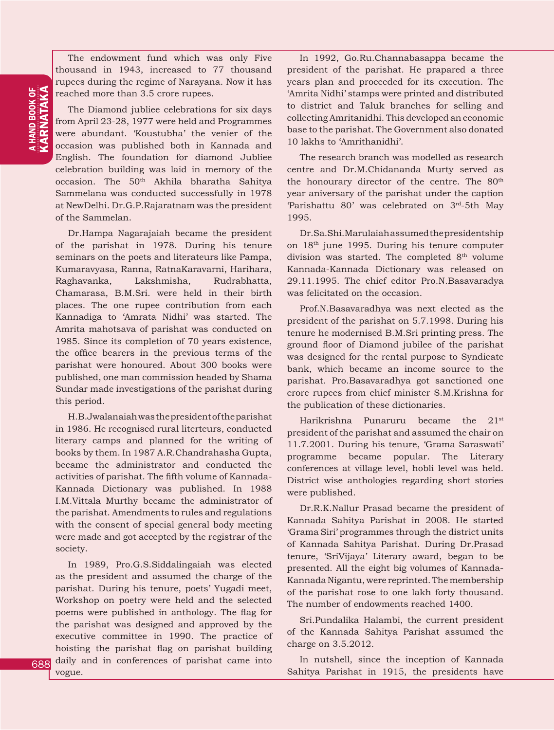The endowment fund which was only Five thousand in 1943, increased to 77 thousand rupees during the regime of Narayana. Now it has reached more than 3.5 crore rupees.

The Diamond jubliee celebrations for six days from April 23-28, 1977 were held and Programmes were abundant. 'Koustubha' the venier of the occasion was published both in Kannada and English. The foundation for diamond Jubliee celebration building was laid in memory of the occasion. The 50<sup>th</sup> Akhila bharatha Sahitya Sammelana was conducted successfully in 1978 at NewDelhi. Dr.G.P.Rajaratnam was the president of the Sammelan.

Dr.Hampa Nagarajaiah became the president of the parishat in 1978. During his tenure seminars on the poets and literateurs like Pampa, Kumaravyasa, Ranna, RatnaKaravarni, Harihara, Raghavanka, Lakshmisha, Rudrabhatta, Chamarasa, B.M.Sri. were held in their birth places. The one rupee contribution from each Kannadiga to 'Amrata Nidhi' was started. The Amrita mahotsava of parishat was conducted on 1985. Since its completion of 70 years existence, the office bearers in the previous terms of the parishat were honoured. About 300 books were published, one man commission headed by Shama Sundar made investigations of the parishat during this period.

H.B.Jwalanaiah was the president of the parishat in 1986. He recognised rural literteurs, conducted literary camps and planned for the writing of books by them. In 1987 A.R.Chandrahasha Gupta, became the administrator and conducted the activities of parishat. The fifth volume of Kannada-Kannada Dictionary was published. In 1988 I.M.Vittala Murthy became the administrator of the parishat. Amendments to rules and regulations with the consent of special general body meeting were made and got accepted by the registrar of the society.

In 1989, Pro.G.S.Siddalingaiah was elected as the president and assumed the charge of the parishat. During his tenure, poets' Yugadi meet, Workshop on poetry were held and the selected poems were published in anthology. The flag for the parishat was designed and approved by the executive committee in 1990. The practice of hoisting the parishat flag on parishat building daily and in conferences of parishat came into vogue.

In 1992, Go.Ru.Channabasappa became the president of the parishat. He prapared a three years plan and proceeded for its execution. The 'Amrita Nidhi' stamps were printed and distributed to district and Taluk branches for selling and collecting Amritanidhi. This developed an economic base to the parishat. The Government also donated 10 lakhs to 'Amrithanidhi'.

The research branch was modelled as research centre and Dr.M.Chidananda Murty served as the honourary director of the centre. The 80<sup>th</sup> year aniversary of the parishat under the caption 'Parishattu 80' was celebrated on 3rd-5th May 1995.

Dr.Sa.Shi.Marulaiah assumed the presidentship on 18th june 1995. During his tenure computer division was started. The completed 8<sup>th</sup> volume Kannada-Kannada Dictionary was released on 29.11.1995. The chief editor Pro.N.Basavaradya was felicitated on the occasion.

Prof.N.Basavaradhya was next elected as the president of the parishat on 5.7.1998. During his tenure he modernised B.M.Sri printing press. The ground floor of Diamond jubilee of the parishat was designed for the rental purpose to Syndicate bank, which became an income source to the parishat. Pro.Basavaradhya got sanctioned one crore rupees from chief minister S.M.Krishna for the publication of these dictionaries.

Harikrishna Punaruru became the 21<sup>st</sup> president of the parishat and assumed the chair on 11.7.2001. During his tenure, 'Grama Saraswati' programme became popular. The Literary conferences at village level, hobli level was held. District wise anthologies regarding short stories were published.

Dr.R.K.Nallur Prasad became the president of Kannada Sahitya Parishat in 2008. He started 'Grama Siri' programmes through the district units of Kannada Sahitya Parishat. During Dr.Prasad tenure, 'SriVijaya' Literary award, began to be presented. All the eight big volumes of Kannada-Kannada Nigantu, were reprinted. The membership of the parishat rose to one lakh forty thousand. The number of endowments reached 1400.

Sri.Pundalika Halambi, the current president of the Kannada Sahitya Parishat assumed the charge on 3.5.2012.

In nutshell, since the inception of Kannada Sahitya Parishat in 1915, the presidents have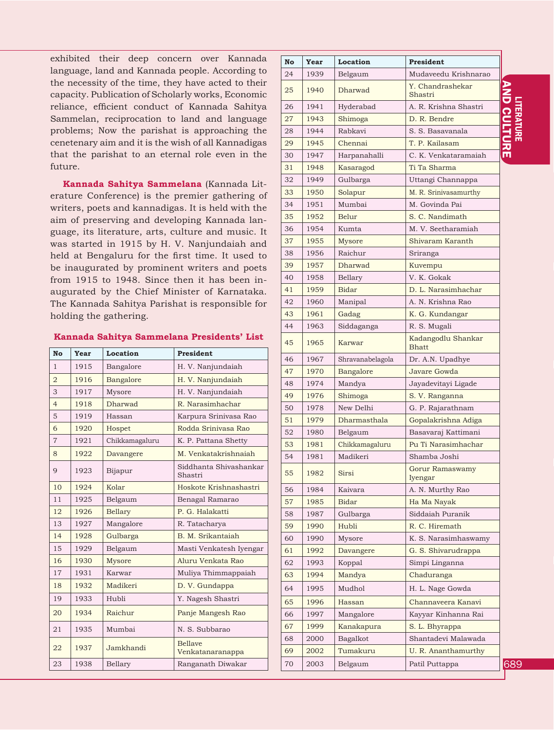exhibited their deep concern over Kannada language, land and Kannada people. According to the necessity of the time, they have acted to their capacity. Publication of Scholarly works, Economic reliance, efficient conduct of Kannada Sahitya Sammelan, reciprocation to land and language problems; Now the parishat is approaching the cenetenary aim and it is the wish of all Kannadigas that the parishat to an eternal role even in the future.

**Kannada Sahitya Sammelana** (Kannada Literature Conference) is the premier gathering of writers, poets and kannadigas. It is held with the aim of preserving and developing Kannada language, its literature, arts, culture and music. It was started in 1915 by H. V. Nanjundaiah and held at Bengaluru for the first time. It used to be inaugurated by prominent writers and poets from 1915 to 1948. Since then it has been inaugurated by the Chief Minister of Karnataka. The Kannada Sahitya Parishat is responsible for holding the gathering.

| Kannada Sahitya Sammelana Presidents' List |  |  |  |
|--------------------------------------------|--|--|--|
|--------------------------------------------|--|--|--|

| <b>No</b>      | Year | Location       | <b>President</b>                   |
|----------------|------|----------------|------------------------------------|
| 1              | 1915 | Bangalore      | H. V. Nanjundaiah                  |
| $\overline{2}$ | 1916 | Bangalore      | H. V. Nanjundaiah                  |
| 3              | 1917 | Mysore         | H. V. Nanjundaiah                  |
| $\overline{4}$ | 1918 | <b>Dharwad</b> | R. Narasimhachar                   |
| 5              | 1919 | Hassan         | Karpura Srinivasa Rao              |
| 6              | 1920 | Hospet         | Rodda Sriniyasa Rao                |
| $\overline{7}$ | 1921 | Chikkamagaluru | K. P. Pattana Shetty               |
| 8              | 1922 | Davangere      | M. Venkatakrishnajah               |
| 9              | 1923 | Bijapur        | Siddhanta Shivashankar<br>Shastri  |
| 10             | 1924 | Kolar          | Hoskote Krishnashastri             |
| 11             | 1925 | Belgaum        | Benagal Ramarao                    |
| 12             | 1926 | <b>Bellary</b> | P. G. Halakatti                    |
| 13             | 1927 | Mangalore      | R. Tatacharya                      |
| 14             | 1928 | Gulbarga       | B. M. Srikantajah                  |
| 15             | 1929 | Belgaum        | Masti Venkatesh Iyengar            |
| 16             | 1930 | Mysore         | Aluru Venkata Rao                  |
| 17             | 1931 | Karwar         | Muliya Thimmappaiah                |
| 18             | 1932 | Madikeri       | D. V. Gundappa                     |
| 19             | 1933 | Hubli          | Y. Nagesh Shastri                  |
| 20             | 1934 | Raichur        | Panje Mangesh Rao                  |
| 21             | 1935 | Mumbai         | N. S. Subbarao                     |
| 22             | 1937 | Jamkhandi      | <b>Bellave</b><br>Venkatanaranappa |
| 23             | 1938 | Bellary        | Ranganath Diwakar                  |

| No | Year | Location         | <b>President</b>                   |
|----|------|------------------|------------------------------------|
| 24 | 1939 | Belgaum          | Mudaveedu Krishnarao               |
| 25 | 1940 | Dharwad          | Y. Chandrashekar<br>Shastri        |
| 26 | 1941 | Hyderabad        | A. R. Krishna Shastri              |
| 27 | 1943 | Shimoga          | D. R. Bendre                       |
| 28 | 1944 | Rabkavi          | S. S. Basavanala                   |
| 29 | 1945 | Chennai          | T. P. Kailasam                     |
| 30 | 1947 | Harpanahalli     | C. K. Venkataramaiah               |
| 31 | 1948 | Kasaragod        | Ti Ta Sharma                       |
| 32 | 1949 | Gulbarga         | Uttangi Channappa                  |
| 33 | 1950 | Solapur          | M. R. Srinivasamurthy              |
| 34 | 1951 | Mumbai           | M. Govinda Pai                     |
| 35 | 1952 | Belur            | S. C. Nandimath                    |
| 36 | 1954 | Kumta            | M. V. Seetharamiah                 |
| 37 | 1955 | <b>Mysore</b>    | Shivaram Karanth                   |
| 38 | 1956 | Raichur          | Sriranga                           |
| 39 | 1957 | Dharwad          | Kuvempu                            |
| 40 | 1958 | Bellary          | V. K. Gokak                        |
| 41 | 1959 | <b>Bidar</b>     | D. L. Narasimhachar                |
| 42 | 1960 | Manipal          | A. N. Krishna Rao                  |
| 43 | 1961 | Gadag            | K. G. Kundangar                    |
| 44 | 1963 | Siddaganga       | R. S. Mugali                       |
| 45 | 1965 | Karwar           | Kadangodlu Shankar<br><b>Bhatt</b> |
| 46 | 1967 | Shravanabelagola | Dr. A.N. Upadhye                   |
| 47 | 1970 | Bangalore        | Javare Gowda                       |
| 48 | 1974 | Mandya           | Jayadevitayi Ligade                |
| 49 | 1976 | Shimoga          | S. V. Ranganna                     |
| 50 | 1978 | New Delhi        | G. P. Rajarathnam                  |
| 51 | 1979 | Dharmasthala     | Gopalakrishna Adiga                |
| 52 | 1980 | Belgaum          | Basavaraj Kattimani                |
| 53 | 1981 | Chikkamagaluru   | Pu Ti Narasimhachar                |
| 54 | 1981 | Madikeri         | Shamba Joshi                       |
| 55 | 1982 | Sirsi            | Gorur Ramaswamy<br>Iyengar         |
| 56 | 1984 | Kaivara          | A. N. Murthy Rao                   |
| 57 | 1985 | Bidar            | Ha Ma Nayak                        |
| 58 | 1987 | Gulbarga         | Siddaiah Puranik                   |
| 59 | 1990 | Hubli            | R. C. Hiremath                     |
| 60 | 1990 | Mysore           | K. S. Narasimhaswamy               |
| 61 | 1992 | Davangere        | G. S. Shivarudrappa                |
| 62 | 1993 | Koppal           | Simpi Linganna                     |
| 63 | 1994 | Mandya           | Chaduranga                         |
| 64 | 1995 | Mudhol           | H. L. Nage Gowda                   |
| 65 | 1996 | Hassan           | Channaveera Kanavi                 |
|    |      |                  |                                    |
| 66 | 1997 | Mangalore        | Kayyar Kinhanna Rai                |
| 67 | 1999 | Kanakapura       | S. L. Bhyrappa                     |
| 68 | 2000 | Bagalkot         | Shantadevi Malawada                |
| 69 | 2002 | Tumakuru         | U. R. Ananthamurthy                |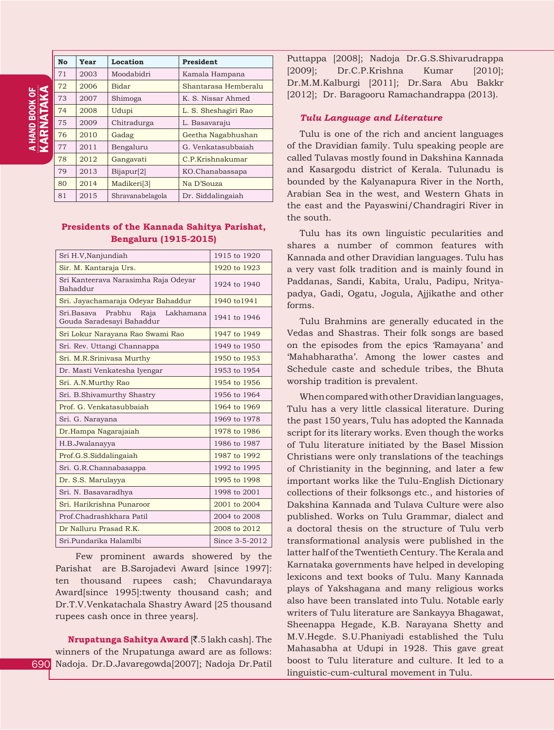**A HAND BOOK OF**<br>KARNATAKA KARNATAKA a HAND BOOK OF

| <b>No</b> | Year | Location                | President            |
|-----------|------|-------------------------|----------------------|
| 71        | 2003 | Moodabidri              | Kamala Hampana       |
| 72        | 2006 | <b>Bidar</b>            | Shantarasa Hemberalu |
| 73        | 2007 | Shimoga                 | K. S. Nissar Ahmed   |
| 74        | 2008 | Udupi                   | L. S. Sheshagiri Rao |
| 75        | 2009 | Chitradurga             | L. Basavaraju        |
| 76        | 2010 | Gadag                   | Geetha Nagabhushan   |
| 77        | 2011 | Bengaluru               | G. Venkatasubbaiah   |
| 78        | 2012 | Gangavati               | C.P. Krishnakumar    |
| 79        | 2013 | Bijapur[2]              | KO.Chanabassapa      |
| 80        | 2014 | Madikeri <sup>[3]</sup> | Na D'Souza           |
| 81        | 2015 | Shravanabelagola        | Dr. Siddalingaiah    |

#### **Presidents of the Kannada Sahitya Parishat, Bengaluru (1915-2015)**

| Sri H.V, Nanjundiah                                                 | 1915 to 1920   |
|---------------------------------------------------------------------|----------------|
| Sir. M. Kantaraja Urs.                                              | 1920 to 1923   |
| Sri Kanteerava Narasimha Raja Odeyar<br>Bahaddur                    | 1924 to 1940   |
| Sri. Jayachamaraja Odeyar Bahaddur                                  | 1940 to 1941   |
| Prabhu<br>Raja Lakhamana<br>Sri.Basava<br>Gouda Saradesayi Bahaddur | 1941 to 1946   |
| Sri Lokur Narayana Rao Swami Rao                                    | 1947 to 1949   |
| Sri. Rev. Uttangi Channappa                                         | 1949 to 1950   |
| Sri. M.R.Srinivasa Murthy                                           | 1950 to 1953   |
| Dr. Masti Venkatesha Iyengar                                        | 1953 to 1954   |
| Sri. A.N.Murthy Rao                                                 | 1954 to 1956   |
| Sri. B.Shivamurthy Shastry                                          | 1956 to 1964   |
| Prof. G. Venkatasubbajah                                            | 1964 to 1969   |
| Sri. G. Narayana                                                    | 1969 to 1978   |
| Dr.Hampa Nagarajaiah                                                | 1978 to 1986   |
| H.B.Jwalanayya                                                      | 1986 to 1987   |
| Prof.G.S.Siddalingaiah                                              | 1987 to 1992   |
| Sri. G.R.Channabasappa                                              | 1992 to 1995   |
| Dr. S.S. Marulayya                                                  | 1995 to 1998   |
| Sri. N. Basavaradhya                                                | 1998 to 2001   |
| Sri, Harikrishna Punaroor                                           | 2001 to 2004   |
| Prof.Chadrashkhara Patil                                            | 2004 to 2008   |
| Dr Nalluru Prasad R.K.                                              | 2008 to 2012   |
| Sri.Pundarika Halamlbi                                              | Since 3-5-2012 |

 Few prominent awards showered by the Parishat are B.Sarojadevi Award [since 1997]: ten thousand rupees cash; Chavundaraya Award[since 1995]:twenty thousand cash; and Dr.T.V.Venkatachala Shastry Award [25 thousand rupees cash once in three years].

690 Nadoja. Dr.D.Javaregowda[2007]; Nadoja Dr.Patil **Nrupatunga Sahitya Award** [`.5 lakh cash]. The winners of the Nrupatunga award are as follows:

Puttappa [2008]; Nadoja Dr.G.S.Shivarudrappa [2009]; Dr.C.P.Krishna Kumar [2010]; Dr.M.M.Kalburgi [2011]; Dr.Sara Abu Bakkr [2012]; Dr. Baragooru Ramachandrappa (2013).

#### *Tulu Language and Literature*

Tulu is one of the rich and ancient languages of the Dravidian family. Tulu speaking people are called Tulavas mostly found in Dakshina Kannada and Kasargodu district of Kerala. Tulunadu is bounded by the Kalyanapura River in the North, Arabian Sea in the west, and Western Ghats in the east and the Payaswini/Chandragiri River in the south.

Tulu has its own linguistic pecularities and shares a number of common features with Kannada and other Dravidian languages. Tulu has a very vast folk tradition and is mainly found in Paddanas, Sandi, Kabita, Uralu, Padipu, Nrityapadya, Gadi, Ogatu, Jogula, Ajjikathe and other forms.

Tulu Brahmins are generally educated in the Vedas and Shastras. Their folk songs are based on the episodes from the epics 'Ramayana' and 'Mahabharatha'. Among the lower castes and Schedule caste and schedule tribes, the Bhuta worship tradition is prevalent.

When compared with other Dravidian languages, Tulu has a very little classical literature. During the past 150 years, Tulu has adopted the Kannada script for its literary works. Even though the works of Tulu literature initiated by the Basel Mission Christians were only translations of the teachings of Christianity in the beginning, and later a few important works like the Tulu-English Dictionary collections of their folksongs etc., and histories of Dakshina Kannada and Tulava Culture were also published. Works on Tulu Grammar, dialect and a doctoral thesis on the structure of Tulu verb transformational analysis were published in the latter half of the Twentieth Century. The Kerala and Karnataka governments have helped in developing lexicons and text books of Tulu. Many Kannada plays of Yakshagana and many religious works also have been translated into Tulu. Notable early writers of Tulu literature are Sankayya Bhagawat, Sheenappa Hegade, K.B. Narayana Shetty and M.V.Hegde. S.U.Phaniyadi established the Tulu Mahasabha at Udupi in 1928. This gave great boost to Tulu literature and culture. It led to a linguistic-cum-cultural movement in Tulu.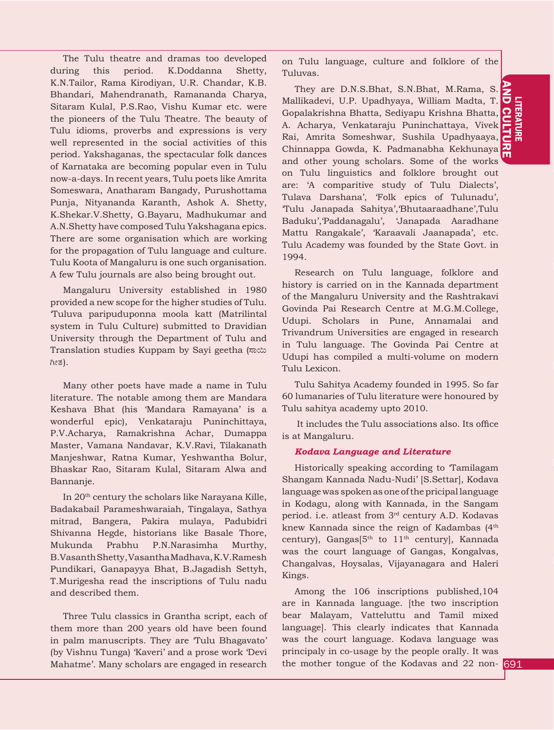**THERNING COLLIDBE**<br>O COLLIDBE<br>691 도<br>교 AND C  $\Xi$ CR<br>ER<br>ET

The Tulu theatre and dramas too developed during this period. K.Doddanna Shetty, K.N.Tailor, Rama Kirodiyan, U.R. Chandar, K.B. Bhandari, Mahendranath, Ramananda Charya, Sitaram Kulal, P.S.Rao, Vishu Kumar etc. were the pioneers of the Tulu Theatre. The beauty of Tulu idioms, proverbs and expressions is very well represented in the social activities of this period. Yakshaganas, the spectacular folk dances of Karnataka are becoming popular even in Tulu now-a-days. In recent years, Tulu poets like Amrita Someswara, Anatharam Bangady, Purushottama Punja, Nityananda Karanth, Ashok A. Shetty, K.Shekar.V.Shetty, G.Bayaru, Madhukumar and A.N.Shetty have composed Tulu Yakshagana epics. There are some organisation which are working for the propagation of Tulu language and culture. Tulu Koota of Mangaluru is one such organisation. A few Tulu journals are also being brought out.

Mangaluru University established in 1980 provided a new scope for the higher studies of Tulu. 'Tuluva paripuduponna moola katt (Matrilintal system in Tulu Culture) submitted to Dravidian University through the Department of Tulu and Translation studies Kuppam by Sayi geetha (max ಗೀತ).

Many other poets have made a name in Tulu literature. The notable among them are Mandara Keshava Bhat (his 'Mandara Ramayana' is a wonderful epic), Venkataraju Puninchittaya, P.V.Acharya, Ramakrishna Achar, Dumappa Master, Vamana Nandavar, K.V.Ravi, Tilakanath Manjeshwar, Ratna Kumar, Yeshwantha Bolur, Bhaskar Rao, Sitaram Kulal, Sitaram Alwa and Bannanje.

In 20th century the scholars like Narayana Kille, Badakabail Parameshwaraiah, Tingalaya, Sathya mitrad, Bangera, Pakira mulaya, Padubidri Shivanna Hegde, historians like Basale Thore, Mukunda Prabhu P.N.Narasimha Murthy, B.Vasanth Shetty, Vasantha Madhava, K.V.Ramesh Pundikari, Ganapayya Bhat, B.Jagadish Settyh, T.Murigesha read the inscriptions of Tulu nadu and described them.

Three Tulu classics in Grantha script, each of them more than 200 years old have been found in palm manuscripts. They are 'Tulu Bhagavato' (by Vishnu Tunga) 'Kaveri' and a prose work 'Devi Mahatme'. Many scholars are engaged in research

on Tulu language, culture and folklore of the Tuluvas.

They are D.N.S.Bhat, S.N.Bhat, M.Rama, S. Mallikadevi, U.P. Upadhyaya, William Madta, T. Gopalakrishna Bhatta, Sediyapu Krishna Bhatta, A. Acharya, Venkataraju Puninchattaya, Vivek Rai, Amrita Someshwar, Sushila Upadhyaaya, Chinnappa Gowda, K. Padmanabha Kekhunaya Chinnappa Gowda, K. Padmanabha Kekhunaya<br>and other young scholars. Some of the works on Tulu linguistics and folklore brought out are: 'A comparitive study of Tulu Dialects', Tulava Darshana', 'Folk epics of Tulunadu', 'Tulu Janapada Sahitya','Bhutaaraadhane',Tulu Baduku','Paddanagalu', 'Janapada Aaradhane Mattu Rangakale', 'Karaavali Jaanapada', etc. Tulu Academy was founded by the State Govt. in 1994.

Research on Tulu language, folklore and history is carried on in the Kannada department of the Mangaluru University and the Rashtrakavi Govinda Pai Research Centre at M.G.M.College, Udupi. Scholars in Pune, Annamalai and Trivandrum Universities are engaged in research in Tulu language. The Govinda Pai Centre at Udupi has compiled a multi-volume on modern Tulu Lexicon.

Tulu Sahitya Academy founded in 1995. So far 60 lumanaries of Tulu literature were honoured by Tulu sahitya academy upto 2010.

 It includes the Tulu associations also. Its office is at Mangaluru.

#### *Kodava Language and Literature*

Historically speaking according to 'Tamilagam Shangam Kannada Nadu-Nudi' [S.Settar], Kodava language was spoken as one of the pricipal language in Kodagu, along with Kannada, in the Sangam period. i.e. atleast from 3rd century A.D. Kodavas knew Kannada since the reign of Kadambas (4<sup>th</sup>) century), Gangas $[5<sup>th</sup>$  to  $11<sup>th</sup>$  century], Kannada was the court language of Gangas, Kongalvas, Changalvas, Hoysalas, Vijayanagara and Haleri Kings.

Among the 106 inscriptions published,104 are in Kannada language. [the two inscription bear Malayam, Vatteluttu and Tamil mixed language]. This clearly indicates that Kannada was the court language. Kodava language was principaly in co-usage by the people orally. It was the mother tongue of the Kodavas and 22 non-691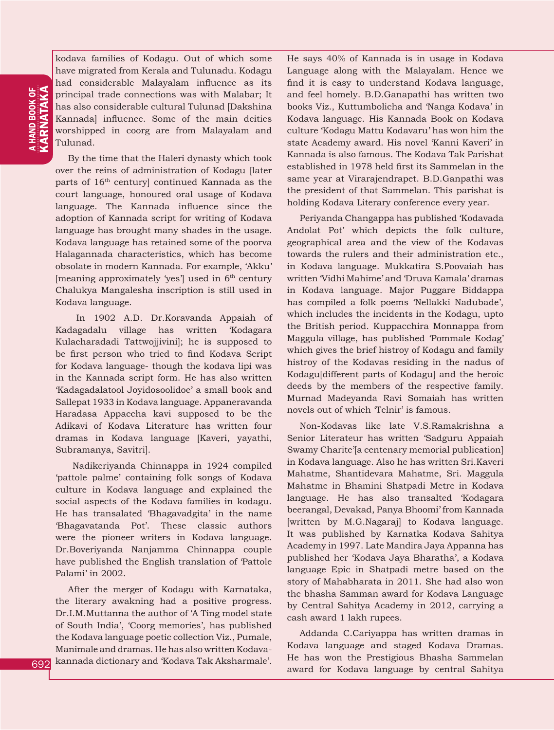kodava families of Kodagu. Out of which some have migrated from Kerala and Tulunadu. Kodagu had considerable Malayalam influence as its principal trade connections was with Malabar; It has also considerable cultural Tulunad [Dakshina Kannada] influence. Some of the main deities worshipped in coorg are from Malayalam and Tulunad.

By the time that the Haleri dynasty which took over the reins of administration of Kodagu [later parts of 16th century] continued Kannada as the court language, honoured oral usage of Kodava language. The Kannada influence since the adoption of Kannada script for writing of Kodava language has brought many shades in the usage. Kodava language has retained some of the poorva Halagannada characteristics, which has become obsolate in modern Kannada. For example, 'Akku' [meaning approximately 'yes'] used in 6<sup>th</sup> century Chalukya Mangalesha inscription is still used in Kodava language.

 In 1902 A.D. Dr.Koravanda Appaiah of Kadagadalu village has written 'Kodagara Kulacharadadi Tattwojjivini]; he is supposed to be first person who tried to find Kodava Script for Kodava language- though the kodava lipi was in the Kannada script form. He has also written 'Kadagadalatool Joyidosoolidoe' a small book and Sallepat 1933 in Kodava language. Appaneravanda Haradasa Appaccha kavi supposed to be the Adikavi of Kodava Literature has written four dramas in Kodava language [Kaveri, yayathi, Subramanya, Savitri].

 Nadikeriyanda Chinnappa in 1924 compiled 'pattole palme' containing folk songs of Kodava culture in Kodava language and explained the social aspects of the Kodava families in kodagu. He has transalated 'Bhagavadgita' in the name 'Bhagavatanda Pot'. These classic authors were the pioneer writers in Kodava language. Dr.Boveriyanda Nanjamma Chinnappa couple have published the English translation of 'Pattole Palami' in 2002.

After the merger of Kodagu with Karnataka, the literary awakning had a positive progress. Dr.I.M.Muttanna the author of 'A Ting model state of South India', 'Coorg memories', has published the Kodava language poetic collection Viz., Pumale, Manimale and dramas. He has also written Kodavakannada dictionary and 'Kodava Tak Aksharmale'. He says 40% of Kannada is in usage in Kodava Language along with the Malayalam. Hence we find it is easy to understand Kodava language, and feel homely. B.D.Ganapathi has written two books Viz., Kuttumbolicha and 'Nanga Kodava' in Kodava language. His Kannada Book on Kodava culture 'Kodagu Mattu Kodavaru' has won him the state Academy award. His novel 'Kanni Kaveri' in Kannada is also famous. The Kodava Tak Parishat established in 1978 held first its Sammelan in the same year at Virarajendrapet. B.D.Ganpathi was the president of that Sammelan. This parishat is holding Kodava Literary conference every year.

Periyanda Changappa has published 'Kodavada Andolat Pot' which depicts the folk culture, geographical area and the view of the Kodavas towards the rulers and their administration etc., in Kodava language. Mukkatira S.Poovaiah has written 'Vidhi Mahime' and 'Druva Kamala' dramas in Kodava language. Major Puggare Biddappa has compiled a folk poems 'Nellakki Nadubade', which includes the incidents in the Kodagu, upto the British period. Kuppacchira Monnappa from Maggula village, has published 'Pommale Kodag' which gives the brief histroy of Kodagu and family histroy of the Kodavas residing in the nadus of Kodagu[different parts of Kodagu] and the heroic deeds by the members of the respective family. Murnad Madeyanda Ravi Somaiah has written novels out of which 'Telnir' is famous.

Non-Kodavas like late V.S.Ramakrishna a Senior Literateur has written 'Sadguru Appaiah Swamy Charite'[a centenary memorial publication] in Kodava language. Also he has written Sri.Kaveri Mahatme, Shantidevara Mahatme, Sri. Maggula Mahatme in Bhamini Shatpadi Metre in Kodava language. He has also transalted 'Kodagara beerangal, Devakad, Panya Bhoomi' from Kannada [written by M.G.Nagaraj] to Kodava language. It was published by Karnatka Kodava Sahitya Academy in 1997. Late Mandira Jaya Appanna has published her 'Kodava Jaya Bharatha', a Kodava language Epic in Shatpadi metre based on the story of Mahabharata in 2011. She had also won the bhasha Samman award for Kodava Language by Central Sahitya Academy in 2012, carrying a cash award 1 lakh rupees.

Addanda C.Cariyappa has written dramas in Kodava language and staged Kodava Dramas. He has won the Prestigious Bhasha Sammelan award for Kodava language by central Sahitya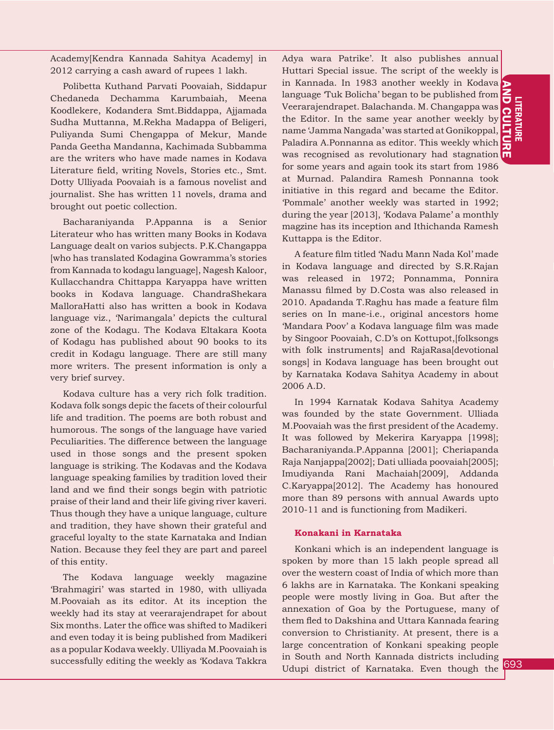**LITERATURE 1993**<br>DOCULTURE 1994<br>693 **LITERATURE** AND C  $\Xi$ 

Academy[Kendra Kannada Sahitya Academy] in 2012 carrying a cash award of rupees 1 lakh.

Polibetta Kuthand Parvati Poovaiah, Siddapur Chedaneda Dechamma Karumbaiah, Meena Koodlekere, Kodandera Smt.Biddappa, Ajjamada Sudha Muttanna, M.Rekha Madappa of Beligeri, Puliyanda Sumi Chengappa of Mekur, Mande Panda Geetha Mandanna, Kachimada Subbamma are the writers who have made names in Kodava Literature field, writing Novels, Stories etc., Smt. Dotty Ulliyada Poovaiah is a famous novelist and journalist. She has written 11 novels, drama and brought out poetic collection.

Bacharaniyanda P.Appanna is a Senior Literateur who has written many Books in Kodava Language dealt on varios subjects. P.K.Changappa [who has translated Kodagina Gowramma's stories from Kannada to kodagu language], Nagesh Kaloor, Kullacchandra Chittappa Karyappa have written books in Kodava language. ChandraShekara MalloraHatti also has written a book in Kodava language viz., 'Narimangala' depicts the cultural zone of the Kodagu. The Kodava Eltakara Koota of Kodagu has published about 90 books to its credit in Kodagu language. There are still many more writers. The present information is only a very brief survey.

Kodava culture has a very rich folk tradition. Kodava folk songs depic the facets of their colourful life and tradition. The poems are both robust and humorous. The songs of the language have varied Peculiarities. The difference between the language used in those songs and the present spoken language is striking. The Kodavas and the Kodava language speaking families by tradition loved their land and we find their songs begin with patriotic praise of their land and their life giving river kaveri. Thus though they have a unique language, culture and tradition, they have shown their grateful and graceful loyalty to the state Karnataka and Indian Nation. Because they feel they are part and pareel of this entity.

The Kodava language weekly magazine 'Brahmagiri' was started in 1980, with ulliyada M.Poovaiah as its editor. At its inception the weekly had its stay at veerarajendrapet for about Six months. Later the office was shifted to Madikeri and even today it is being published from Madikeri as a popular Kodava weekly. Ulliyada M.Poovaiah is successfully editing the weekly as 'Kodava Takkra

Paladira A.Ponnanna as editor. This weekly which  $\begin{bmatrix} 1 & 0 \\ 0 & 1 \end{bmatrix}$  was recognised as revolutionary had stagnation Adya wara Patrike'. It also publishes annual Huttari Special issue. The script of the weekly is in Kannada. In 1983 another weekly in Kodava language 'Tuk Bolicha' began to be published from Veerarajendrapet. Balachanda. M. Changappa was the Editor. In the same year another weekly by name 'Jamma Nangada' was started at Gonikoppal, Paladira A.Ponnanna as editor. This weekly which for some years and again took its start from 1986 at Murnad. Palandira Ramesh Ponnanna took initiative in this regard and became the Editor. 'Pommale' another weekly was started in 1992; during the year [2013], 'Kodava Palame' a monthly magzine has its inception and Ithichanda Ramesh Kuttappa is the Editor.

A feature film titled 'Nadu Mann Nada Kol' made in Kodava language and directed by S.R.Rajan was released in 1972; Ponnamma, Ponnira Manassu filmed by D.Costa was also released in 2010. Apadanda T.Raghu has made a feature film series on In mane-i.e., original ancestors home 'Mandara Poov' a Kodava language film was made by Singoor Poovaiah, C.D's on Kottupot,[folksongs with folk instruments] and RajaRasa[devotional songs] in Kodava language has been brought out by Karnataka Kodava Sahitya Academy in about 2006 A.D.

In 1994 Karnatak Kodava Sahitya Academy was founded by the state Government. Ulliada M.Poovaiah was the first president of the Academy. It was followed by Mekerira Karyappa [1998]; Bacharaniyanda.P.Appanna [2001]; Cheriapanda Raja Nanjappa[2002]; Dati ulliada poovaiah[2005]; Imudiyanda Rani Machaiah[2009], Addanda C.Karyappa[2012]. The Academy has honoured more than 89 persons with annual Awards upto 2010-11 and is functioning from Madikeri.

#### **Konakani in Karnataka**

Konkani which is an independent language is spoken by more than 15 lakh people spread all over the western coast of India of which more than 6 lakhs are in Karnataka. The Konkani speaking people were mostly living in Goa. But after the annexation of Goa by the Portuguese, many of them fled to Dakshina and Uttara Kannada fearing conversion to Christianity. At present, there is a large concentration of Konkani speaking people in South and North Kannada districts including Udupi district of Karnataka. Even though the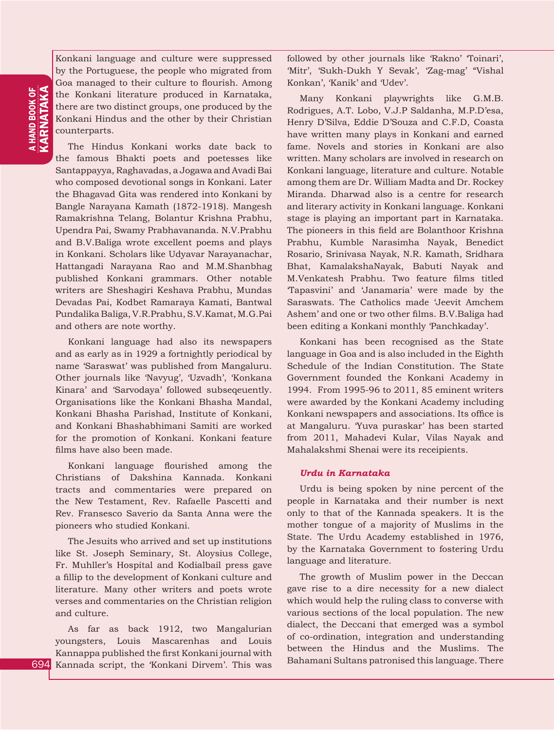Konkani language and culture were suppressed by the Portuguese, the people who migrated from Goa managed to their culture to flourish. Among the Konkani literature produced in Karnataka, there are two distinct groups, one produced by the Konkani Hindus and the other by their Christian counterparts.

The Hindus Konkani works date back to the famous Bhakti poets and poetesses like Santappayya, Raghavadas, a Jogawa and Avadi Bai who composed devotional songs in Konkani. Later the Bhagavad Gita was rendered into Konkani by Bangle Narayana Kamath (1872-1918). Mangesh Ramakrishna Telang, Bolantur Krishna Prabhu, Upendra Pai, Swamy Prabhavananda. N.V.Prabhu and B.V.Baliga wrote excellent poems and plays in Konkani. Scholars like Udyavar Narayanachar, Hattangadi Narayana Rao and M.M.Shanbhag published Konkani grammars. Other notable writers are Sheshagiri Keshava Prabhu, Mundas Devadas Pai, Kodbet Ramaraya Kamati, Bantwal Pundalika Baliga, V.R.Prabhu, S.V.Kamat, M.G.Pai and others are note worthy.

Konkani language had also its newspapers and as early as in 1929 a fortnightly periodical by name 'Saraswat' was published from Mangaluru. Other journals like 'Navyug', 'Uzvadh', 'Konkana Kinara' and 'Sarvodaya' followed subseqeuently. Organisations like the Konkani Bhasha Mandal, Konkani Bhasha Parishad, Institute of Konkani, and Konkani Bhashabhimani Samiti are worked for the promotion of Konkani. Konkani feature films have also been made.

Konkani language flourished among the Christians of Dakshina Kannada. Konkani tracts and commentaries were prepared on the New Testament, Rev. Rafaelle Pascetti and Rev. Fransesco Saverio da Santa Anna were the pioneers who studied Konkani.

The Jesuits who arrived and set up institutions like St. Joseph Seminary, St. Aloysius College, Fr. Muhller's Hospital and Kodialbail press gave a fillip to the development of Konkani culture and literature. Many other writers and poets wrote verses and commentaries on the Christian religion and culture.

694 Kannada script, the 'Konkani Dirvem'. This was As far as back 1912, two Mangalurian youngsters, Louis Mascarenhas and Louis Kannappa published the first Konkani journal with

followed by other journals like 'Rakno' Toinari', 'Mitr', 'Sukh-Dukh Y Sevak', 'Zag-mag' "Vishal Konkan', 'Kanik' and 'Udev'.

Many Konkani playwrights like G.M.B. Rodrigues, A.T. Lobo, V.J.P Saldanha, M.P.D'esa, Henry D'Silva, Eddie D'Souza and C.F.D, Coasta have written many plays in Konkani and earned fame. Novels and stories in Konkani are also written. Many scholars are involved in research on Konkani language, literature and culture. Notable among them are Dr. William Madta and Dr. Rockey Miranda. Dharwad also is a centre for research and literary activity in Konkani language. Konkani stage is playing an important part in Karnataka. The pioneers in this field are Bolanthoor Krishna Prabhu, Kumble Narasimha Nayak, Benedict Rosario, Srinivasa Nayak, N.R. Kamath, Sridhara Bhat, KamalakshaNayak, Babuti Nayak and M.Venkatesh Prabhu. Two feature films titled 'Tapasvini' and 'Janamaria' were made by the Saraswats. The Catholics made 'Jeevit Amchem Ashem' and one or two other films. B.V.Baliga had been editing a Konkani monthly 'Panchkaday'.

Konkani has been recognised as the State language in Goa and is also included in the Eighth Schedule of the Indian Constitution. The State Government founded the Konkani Academy in 1994. From 1995-96 to 2011, 85 eminent writers were awarded by the Konkani Academy including Konkani newspapers and associations. Its office is at Mangaluru. 'Yuva puraskar' has been started from 2011, Mahadevi Kular, Vilas Nayak and Mahalakshmi Shenai were its receipients.

#### *Urdu in Karnataka*

Urdu is being spoken by nine percent of the people in Karnataka and their number is next only to that of the Kannada speakers. It is the mother tongue of a majority of Muslims in the State. The Urdu Academy established in 1976, by the Karnataka Government to fostering Urdu language and literature.

The growth of Muslim power in the Deccan gave rise to a dire necessity for a new dialect which would help the ruling class to converse with various sections of the local population. The new dialect, the Deccani that emerged was a symbol of co-ordination, integration and understanding between the Hindus and the Muslims. The Bahamani Sultans patronised this language. There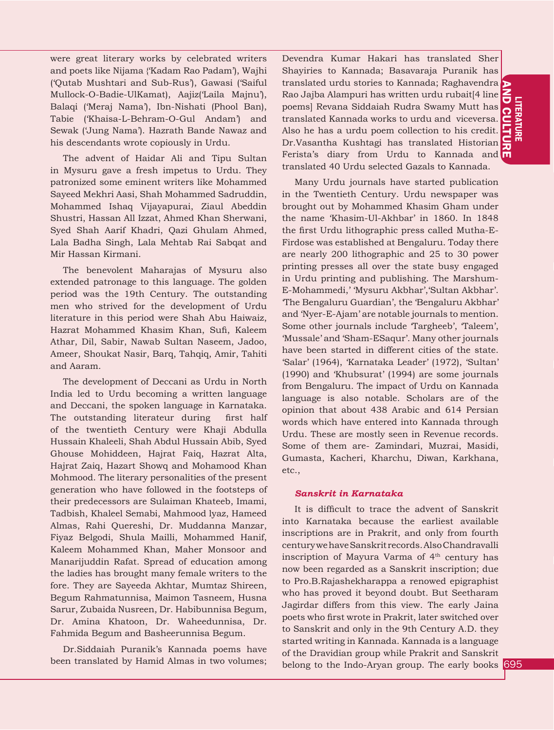were great literary works by celebrated writers and poets like Nijama {'Kadam Rao Padam'), Wajhi ('Qutab Mushtari and Sub-Rus'), Gawasi ('Saiful Mullock-O-Badie-UlKamat), Aajiz('Laila Majnu'), Balaqi ('Meraj Nama'), Ibn-Nishati (Phool Ban), Tabie ('Khaisa-L-Behram-O-Gul Andam') and Sewak ('Jung Nama'). Hazrath Bande Nawaz and his descendants wrote copiously in Urdu.

The advent of Haidar Ali and Tipu Sultan in Mysuru gave a fresh impetus to Urdu. They patronized some eminent writers like Mohammed Sayeed Mekhri Aasi, Shah Mohammed Sadruddin, Mohammed Ishaq Vijayapurai, Ziaul Abeddin Shustri, Hassan All Izzat, Ahmed Khan Sherwani, Syed Shah Aarif Khadri, Qazi Ghulam Ahmed, Lala Badha Singh, Lala Mehtab Rai Sabqat and Mir Hassan Kirmani.

The benevolent Maharajas of Mysuru also extended patronage to this language. The golden period was the 19th Century. The outstanding men who strived for the development of Urdu literature in this period were Shah Abu Haiwaiz, Hazrat Mohammed Khasim Khan, Sufi, Kaleem Athar, Dil, Sabir, Nawab Sultan Naseem, Jadoo, Ameer, Shoukat Nasir, Barq, Tahqiq, Amir, Tahiti and Aaram.

The development of Deccani as Urdu in North India led to Urdu becoming a written language and Deccani, the spoken language in Karnataka. The outstanding literateur during first half of the twentieth Century were Khaji Abdulla Hussain Khaleeli, Shah Abdul Hussain Abib, Syed Ghouse Mohiddeen, Hajrat Faiq, Hazrat Alta, Hajrat Zaiq, Hazart Showq and Mohamood Khan Mohmood. The literary personalities of the present generation who have followed in the footsteps of their predecessors are Sulaiman Khateeb, Imami, Tadbish, Khaleel Semabi, Mahmood lyaz, Hameed Almas, Rahi Quereshi, Dr. Muddanna Manzar, Fiyaz Belgodi, Shula Mailli, Mohammed Hanif, Kaleem Mohammed Khan, Maher Monsoor and Manarijuddin Rafat. Spread of education among the ladies has brought many female writers to the fore. They are Sayeeda Akhtar, Mumtaz Shireen, Begum Rahmatunnisa, Maimon Tasneem, Husna Sarur, Zubaida Nusreen, Dr. Habibunnisa Begum, Dr. Amina Khatoon, Dr. Waheedunnisa, Dr. Fahmida Begum and Basheerunnisa Begum.

Dr.Siddaiah Puranik's Kannada poems have been translated by Hamid Almas in two volumes;

Dr.Vasantha Kushtagi has translated Historian<br>Ferista's diary from Urdu to Kannada and Devendra Kumar Hakari has translated Sher Shayiries to Kannada; Basavaraja Puranik has translated urdu stories to Kannada; Raghavendra Rao Jajba Alampuri has written urdu rubait[4 line poems] Revana Siddaiah Rudra Swamy Mutt has translated Kannada works to urdu and viceversa. Also he has a urdu poem collection to his credit. Dr.Vasantha Kushtagi has translated Historian translated 40 Urdu selected Gazals to Kannada.

Many Urdu journals have started publication in the Twentieth Century. Urdu newspaper was brought out by Mohammed Khasim Gham under the name 'Khasim-Ul-Akhbar' in 1860. In 1848 the first Urdu lithographic press called Mutha-E-Firdose was established at Bengaluru. Today there are nearly 200 lithographic and 25 to 30 power printing presses all over the state busy engaged in Urdu printing and publishing. The Marshum-E-Mohammedi,' 'Mysuru Akbhar','Sultan Akbhar'. 'The Bengaluru Guardian', the 'Bengaluru Akbhar' and 'Nyer-E-Ajam' are notable journals to mention. Some other journals include 'Targheeb', 'Taleem', 'Mussale' and 'Sham-ESaqur'. Many other journals have been started in different cities of the state. 'Salar' (1964), 'Karnataka Leader' (1972), 'Sultan' (1990) and 'Khubsurat' (1994) are some journals from Bengaluru. The impact of Urdu on Kannada language is also notable. Scholars are of the opinion that about 438 Arabic and 614 Persian words which have entered into Kannada through Urdu. These are mostly seen in Revenue records. Some of them are- Zamindari, Muzrai, Masidi, Gumasta, Kacheri, Kharchu, Diwan, Karkhana, etc.,

#### *Sanskrit in Karnataka*

It is difficult to trace the advent of Sanskrit into Karnataka because the earliest available inscriptions are in Prakrit, and only from fourth century we have Sanskrit records. Also Chandravalli inscription of Mayura Varma of 4<sup>th</sup> century has now been regarded as a Sanskrit inscription; due to Pro.B.Rajashekharappa a renowed epigraphist who has proved it beyond doubt. But Seetharam Jagirdar differs from this view. The early Jaina poets who first wrote in Prakrit, later switched over to Sanskrit and only in the 9th Century A.D. they started writing in Kannada. Kannada is a language of the Dravidian group while Prakrit and Sanskrit belong to the Indo-Aryan group. The early books 695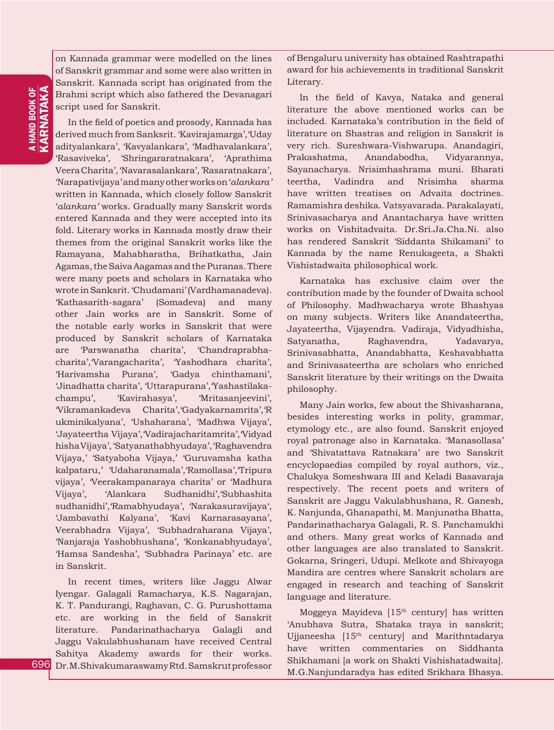on Kannada grammar were modelled on the lines of Sanskrit grammar and some were also written in Sanskrit. Kannada script has originated from the Brahmi script which also fathered the Devanagari script used for Sanskrit.

In the field of poetics and prosody, Kannada has derived much from Sanksrit. 'Kavirajamarga','Uday adityalankara', 'Kavyalankara', 'Madhavalankara', 'Rasaviveka', 'Shringararatnakara', 'Aprathima Veera Charita', 'Navarasalankara', 'Rasaratnakara', 'Narapativijaya' and many other works on '*alankara'* written in Kannada, which closely follow Sanskrit '*alankara'* works. Gradually many Sanskrit words entered Kannada and they were accepted into its fold. Literary works in Kannada mostly draw their themes from the original Sanskrit works like the Ramayana, Mahabharatha, Brihatkatha, Jain Agamas, the Saiva Aagamas and the Puranas. There were many poets and scholars in Karnataka who wrote in Sanksrit. 'Chudamani' (Vardhamanadeva). 'Kathasarith-sagara' (Somadeva) and many other Jain works are in Sanskrit. Some of the notable early works in Sanskrit that were produced by Sanskrit scholars of Karnataka are 'Parswanatha charita', 'Chandraprabhacharita','Varangacharita', 'Yashodhara charita', 'Harivamsha Purana', 'Gadya chinthamani', 'Jinadhatta charita', 'Uttarapurana','Yashastilakachampu', 'Kavirahasya', 'Mritasanjeevini', 'Vikramankadeva Charita','Gadyakarnamrita','R ukminikalyana', 'Ushaharana', 'Madhwa Vijaya', 'Jayateertha Vijaya','Vadirajacharitamrita','Vidyad hisha Vijaya', 'Satyanathabhyudaya', 'Raghavendra Vijaya,' 'Satyaboha Vijaya,' 'Guruvamsha katha kalpataru,' 'Udaharanamala','Ramollasa','Tripura vijaya', 'Veerakampanaraya charita' or 'Madhura Vijaya', 'Alankara Sudhanidhi','Subhashita sudhanidhi','Ramabhyudaya', 'Narakasuravijaya', 'Jambavathi Kalyana', 'Kavi Karnarasayana', Veerabhadra Vijaya', 'Subhadraharana Vijaya', 'Nanjaraja Yashobhushana', 'Konkanabhyudaya', 'Hamsa Sandesha', 'Subhadra Parinaya' etc. are in Sanskrit.

696 Dr.M.Shivakumaraswamy Rtd. Samskrut professor In recent times, writers like Jaggu Alwar Iyengar. Galagali Ramacharya, K.S. Nagarajan, K. T. Pandurangi, Raghavan, C. G. Purushottama etc. are working in the field of Sanskrit literature. Pandarinathacharya Galagli and Jaggu Vakulabhushanam have received Central Sahitya Akademy awards for their works.

of Bengaluru university has obtained Rashtrapathi award for his achievements in traditional Sanskrit Literary.

In the field of Kavya, Nataka and general literature the above mentioned works can be included. Karnataka's contribution in the field of literature on Shastras and religion in Sanskrit is very rich. Sureshwara-Vishwarupa. Anandagiri, Prakashatma, Anandabodha, Vidyarannya, Sayanacharya. Nrisimhashrama muni. Bharati teertha, Vadindra and Nrisimha sharma have written treatises on Advaita doctrines. Ramamishra deshika. Vatsyavarada. Parakalayati, Srinivasacharya and Anantacharya have written works on Vishitadvaita. Dr.Sri.Ja.Cha.Ni. also has rendered Sanskrit 'Siddanta Shikamani' to Kannada by the name Renukageeta, a Shakti Vishistadwaita philosophical work.

Karnataka has exclusive claim over the contribution made by the founder of Dwaita school of Philosophy. Madhwacharya wrote Bhashyas on many subjects. Writers like Anandateertha, Jayateertha, Vijayendra. Vadiraja, Vidyadhisha, Satyanatha, Raghavendra, Yadavarya, Srinivasabhatta, Anandabhatta, Keshavabhatta and Srinivasateertha are scholars who enriched Sanskrit literature by their writings on the Dwaita philosophy.

Many Jain works, few about the Shivasharana, besides interesting works in polity, grammar, etymology etc., are also found. Sanskrit enjoyed royal patronage also in Karnataka. 'Manasollasa' and 'Shivatattava Ratnakara' are two Sanskrit encyclopaedias compiled by royal authors, viz., Chalukya Someshwara III and Keladi Basavaraja respectively. The recent poets and writers of Sanskrit are Jaggu Vakulabhushana, R. Ganesh, K. Nanjunda, Ghanapathi, M. Manjunatha Bhatta, Pandarinathacharya Galagali, R. S. Panchamukhi and others. Many great works of Kannada and other languages are also translated to Sanskrit. Gokarna, Sringeri, Udupi. Melkote and Shivayoga Mandira are centres where Sanskrit scholars are engaged in research and teaching of Sanskrit language and literature.

Moggeya Mayideva  $[15<sup>th</sup>$  century] has written 'Anubhava Sutra, Shataka traya in sanskrit; Ujjaneesha <a>[15th century] and Marithntadarya have written commentaries on Siddhanta Shikhamani [a work on Shakti Vishishatadwaita]. M.G.Nanjundaradya has edited Srikhara Bhasya.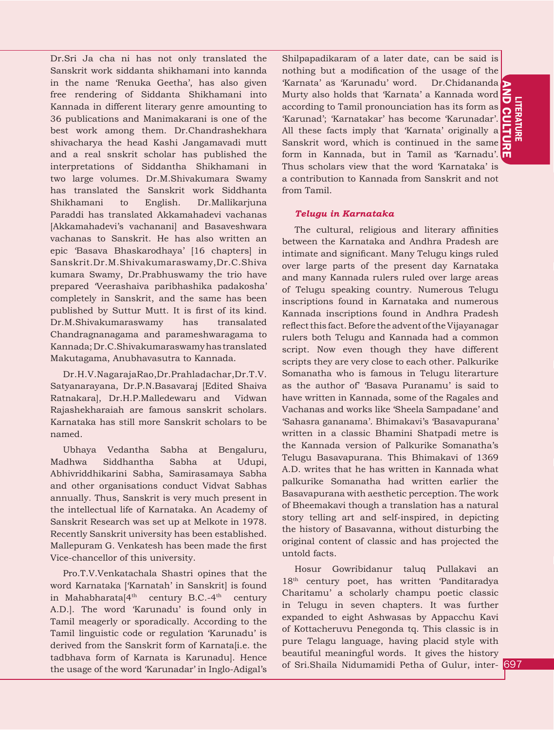Dr.Sri Ja cha ni has not only translated the Sanskrit work siddanta shikhamani into kannda in the name 'Renuka Geetha', has also given free rendering of Siddanta Shikhamani into Kannada in different literary genre amounting to 36 publications and Manimakarani is one of the best work among them. Dr.Chandrashekhara shivacharya the head Kashi Jangamavadi mutt and a real snskrit scholar has published the interpretations of Siddantha Shikhamani in two large volumes. Dr.M.Shivakumara Swamy has translated the Sanskrit work Siddhanta Shikhamani to English. Dr.Mallikarjuna Paraddi has translated Akkamahadevi vachanas [Akkamahadevi's vachanani] and Basaveshwara vachanas to Sanskrit. He has also written an epic 'Basava Bhaskarodhaya' [16 chapters] in Sanskrit.Dr.M.Shivakumaraswamy,Dr.C.Shiva kumara Swamy, Dr.Prabhuswamy the trio have prepared 'Veerashaiva paribhashika padakosha' completely in Sanskrit, and the same has been published by Suttur Mutt. It is first of its kind. Dr.M.Shivakumaraswamy has transalated Chandragnanagama and parameshwaragama to Kannada; Dr.C.Shivakumaraswamy has translated Makutagama, Anubhavasutra to Kannada.

Dr.H.V.NagarajaRao,Dr.Prahladachar,Dr.T.V. Satyanarayana, Dr.P.N.Basavaraj [Edited Shaiva Ratnakara], Dr.H.P.Malledewaru and Vidwan Rajashekharaiah are famous sanskrit scholars. Karnataka has still more Sanskrit scholars to be named.

Ubhaya Vedantha Sabha at Bengaluru, Madhwa Siddhantha Sabha at Udupi, Abhivriddhikarini Sabha, Samirasamaya Sabha and other organisations conduct Vidvat Sabhas annually. Thus, Sanskrit is very much present in the intellectual life of Karnataka. An Academy of Sanskrit Research was set up at Melkote in 1978. Recently Sanskrit university has been established. Mallepuram G. Venkatesh has been made the first Vice-chancellor of this university.

Pro.T.V.Venkatachala Shastri opines that the word Karnataka ['Karnatah' in Sanskrit] is found in Mahabharata $[4<sup>th</sup>$  century B.C.-4<sup>th</sup> century A.D.]. The word 'Karunadu' is found only in Tamil meagerly or sporadically. According to the Tamil linguistic code or regulation 'Karunadu' is derived from the Sanskrit form of Karnata[i.e. the tadbhava form of Karnata is Karunadu]. Hence the usage of the word 'Karunadar' in Inglo-Adigal's

Sanskrit word, which is continued in the same  $\begin{bmatrix} 1 & 0 \\ 0 & 1 \end{bmatrix}$  form in Kannada, but in Tamil as 'Karnadu'. Shilpapadikaram of a later date, can be said is nothing but a modification of the usage of the 'Karnata' as 'Karunadu' word. Dr.Chidananda Murty also holds that 'Karnata' a Kannada word according to Tamil pronounciation has its form as 'Karunad'; 'Karnatakar' has become 'Karunadar'. All these facts imply that 'Karnata' originally a Sanskrit word, which is continued in the same Thus scholars view that the word 'Karnataka' is a contribution to Kannada from Sanskrit and not from Tamil.

### *Telugu in Karnataka*

The cultural, religious and literary affinities between the Karnataka and Andhra Pradesh are intimate and significant. Many Telugu kings ruled over large parts of the present day Karnataka and many Kannada rulers ruled over large areas of Telugu speaking country. Numerous Telugu inscriptions found in Karnataka and numerous Kannada inscriptions found in Andhra Pradesh reflect this fact. Before the advent of the Vijayanagar rulers both Telugu and Kannada had a common script. Now even though they have different scripts they are very close to each other. Palkurike Somanatha who is famous in Telugu literarture as the author of' 'Basava Puranamu' is said to have written in Kannada, some of the Ragales and Vachanas and works like 'Sheela Sampadane' and 'Sahasra gananama'. Bhimakavi's 'Basavapurana' written in a classic Bhamini Shatpadi metre is the Kannada version of Palkurike Somanatha's Telugu Basavapurana. This Bhimakavi of 1369 A.D. writes that he has written in Kannada what palkurike Somanatha had written earlier the Basavapurana with aesthetic perception. The work of Bheemakavi though a translation has a natural story telling art and self-inspired, in depicting the history of Basavanna, without disturbing the original content of classic and has projected the untold facts.

Hosur Gowribidanur taluq Pullakavi an 18<sup>th</sup> century poet, has written 'Panditaradya Charitamu' a scholarly champu poetic classic in Telugu in seven chapters. It was further expanded to eight Ashwasas by Appacchu Kavi of Kottacheruvu Penegonda tq. This classic is in pure Telagu language, having placid style with beautiful meaningful words. It gives the history of Sri.Shaila Nidumamidi Petha of Gulur, inter-

**THERMINE<br>O COLLIDBE**<br>697 LITERATURE AND C  $\Xi$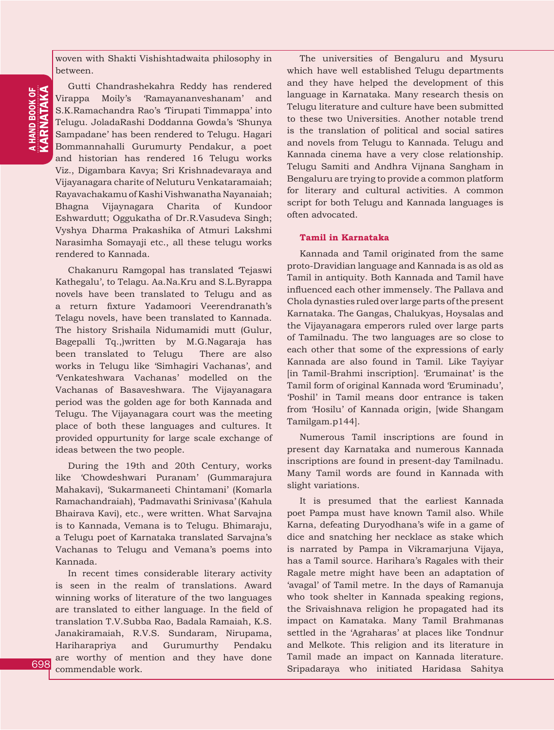**A HAND BOOK OF**<br>**KARNATAKA** KARNATAKA a HAND BOOK OF

woven with Shakti Vishishtadwaita philosophy in between.

Gutti Chandrashekahra Reddy has rendered Virappa Moily's 'Ramayananveshanam' and S.K.Ramachandra Rao's 'Tirupati Timmappa' into Telugu. JoladaRashi Doddanna Gowda's 'Shunya Sampadane' has been rendered to Telugu. Hagari Bommannahalli Gurumurty Pendakur, a poet and historian has rendered 16 Telugu works Viz., Digambara Kavya; Sri Krishnadevaraya and Vijayanagara charite of Neluturu Venkataramaiah; Rayavachakamu of Kashi Vishwanatha Nayanaiah; Bhagna Vijaynagara Charita of Kundoor Eshwardutt; Oggukatha of Dr.R.Vasudeva Singh; Vyshya Dharma Prakashika of Atmuri Lakshmi Narasimha Somayaji etc., all these telugu works rendered to Kannada.

Chakanuru Ramgopal has translated 'Tejaswi Kathegalu', to Telagu. Aa.Na.Kru and S.L.Byrappa novels have been translated to Telugu and as a return fixture Yadamoori Veerendranath's Telagu novels, have been translated to Kannada. The history Srishaila Nidumamidi mutt (Gulur, Bagepalli Tq.,)written by M.G.Nagaraja has been translated to Telugu There are also works in Telugu like 'Simhagiri Vachanas', and 'Venkateshwara Vachanas' modelled on the Vachanas of Basaveshwara. The Vijayanagara period was the golden age for both Kannada and Telugu. The Vijayanagara court was the meeting place of both these languages and cultures. It provided oppurtunity for large scale exchange of ideas between the two people.

During the 19th and 20th Century, works like 'Chowdeshwari Puranam' (Gummarajura Mahakavi), 'Sukarmaneeti Chintamani' (Komarla Ramachandraiah), 'Padmavathi Srinivasa' (Kahula Bhairava Kavi), etc., were written. What Sarvajna is to Kannada, Vemana is to Telugu. Bhimaraju, a Telugu poet of Karnataka translated Sarvajna's Vachanas to Telugu and Vemana's poems into Kannada.

In recent times considerable literary activity is seen in the realm of translations. Award winning works of literature of the two languages are translated to either language. In the field of translation T.V.Subba Rao, Badala Ramaiah, K.S. Janakiramaiah, R.V.S. Sundaram, Nirupama, Hariharapriya and Gurumurthy Pendaku are worthy of mention and they have done commendable work.

The universities of Bengaluru and Mysuru which have well established Telugu departments and they have helped the development of this language in Karnataka. Many research thesis on Telugu literature and culture have been submitted to these two Universities. Another notable trend is the translation of political and social satires and novels from Telugu to Kannada. Telugu and Kannada cinema have a very close relationship. Telugu Samiti and Andhra Vijnana Sangham in Bengaluru are trying to provide a common platform for literary and cultural activities. A common script for both Telugu and Kannada languages is often advocated.

### **Tamil in Karnataka**

Kannada and Tamil originated from the same proto-Dravidian language and Kannada is as old as Tamil in antiquity. Both Kannada and Tamil have influenced each other immensely. The Pallava and Chola dynasties ruled over large parts of the present Karnataka. The Gangas, Chalukyas, Hoysalas and the Vijayanagara emperors ruled over large parts of Tamilnadu. The two languages are so close to each other that some of the expressions of early Kannada are also found in Tamil. Like Tayiyar [in Tamil-Brahmi inscription]. 'Erumainat' is the Tamil form of original Kannada word 'Eruminadu', 'Poshil' in Tamil means door entrance is taken from 'Hosilu' of Kannada origin, [wide Shangam Tamilgam.p144].

Numerous Tamil inscriptions are found in present day Karnataka and numerous Kannada inscriptions are found in present-day Tamilnadu. Many Tamil words are found in Kannada with slight variations.

It is presumed that the earliest Kannada poet Pampa must have known Tamil also. While Karna, defeating Duryodhana's wife in a game of dice and snatching her necklace as stake which is narrated by Pampa in Vikramarjuna Vijaya*,*  has a Tamil source. Harihara's Ragales with their Ragale metre might have been an adaptation of 'avagal' of Tamil metre. In the days of Ramanuja who took shelter in Kannada speaking regions, the Srivaishnava religion he propagated had its impact on Kamataka. Many Tamil Brahmanas settled in the 'Agraharas' at places like Tondnur and Melkote. This religion and its literature in Tamil made an impact on Kannada literature. Sripadaraya who initiated Haridasa Sahitya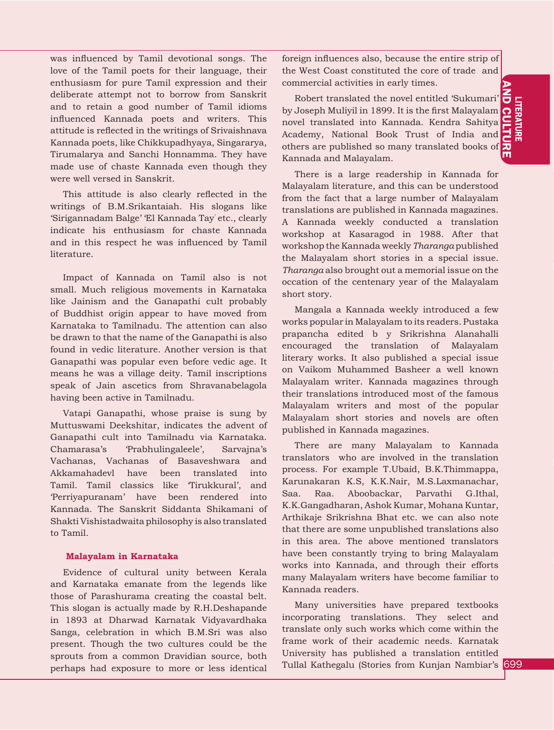was influenced by Tamil devotional songs. The love of the Tamil poets for their language, their enthusiasm for pure Tamil expression and their deliberate attempt not to borrow from Sanskrit and to retain a good number of Tamil idioms influenced Kannada poets and writers. This attitude is reflected in the writings of Srivaishnava Kannada poets, like Chikkupadhyaya, Singararya, Tirumalarya and Sanchi Honnamma. They have made use of chaste Kannada even though they were well versed in Sanskrit.

This attitude is also clearly reflected in the writings of B.M.Srikantaiah. His slogans like 'Sirigannadam Balge' 'El Kannada Tay' etc., clearly indicate his enthusiasm for chaste Kannada and in this respect he was influenced by Tamil literature.

Impact of Kannada on Tamil also is not small. Much religious movements in Karnataka like Jainism and the Ganapathi cult probably of Buddhist origin appear to have moved from Karnataka to Tamilnadu. The attention can also be drawn to that the name of the Ganapathi is also found in vedic literature. Another version is that Ganapathi was popular even before vedic age. It means he was a village deity. Tamil inscriptions speak of Jain ascetics from Shravanabelagola having been active in Tamilnadu.

Vatapi Ganapathi, whose praise is sung by Muttuswami Deekshitar, indicates the advent of Ganapathi cult into Tamilnadu via Karnataka. Chamarasa's 'Prabhulingaleele', Sarvajna's Vachanas, Vachanas of Basaveshwara and Akkamahadevl have been translated into Tamil. Tamil classics like 'Tirukkural', and 'Perriyapuranam' have been rendered into Kannada. The Sanskrit Siddanta Shikamani of Shakti Vishistadwaita philosophy is also translated to Tamil.

### **Malayalam in Karnataka**

Evidence of cultural unity between Kerala and Karnataka emanate from the legends like those of Parashurama creating the coastal belt. This slogan is actually made by R.H.Deshapande in 1893 at Dharwad Karnatak Vidyavardhaka Sanga, celebration in which B.M.Sri was also present. Though the two cultures could be the sprouts from a common Dravidian source, both perhaps had exposure to more or less identical

foreign influences also, because the entire strip of the West Coast constituted the core of trade and commercial activities in early times.

Academy, National Book Trust of India and<br>others are published so many translated books of  $\frac{1}{10}$ Robert translated the novel entitled 'Sukumari' by Joseph Muliyil in 1899. It is the first Malayalam novel translated into Kannada. Kendra Sahitya others are published so many translated books of Kannada and Malayalam.

There is a large readership in Kannada for Malayalam literature, and this can be understood from the fact that a large number of Malayalam translations are published in Kannada magazines. A Kannada weekly conducted a translation workshop at Kasaragod in 1988. After that workshop the Kannada weekly *Tharanga* published the Malayalam short stories in a special issue. *Tharanga* also brought out a memorial issue on the occation of the centenary year of the Malayalam short story.

Mangala a Kannada weekly introduced a few works popular in Malayalam to its readers. Pustaka prapancha edited b y Srikrishna Alanahalli encouraged the translation of Malayalam literary works. It also published a special issue on Vaikom Muhammed Basheer a well known Malayalam writer. Kannada magazines through their translations introduced most of the famous Malayalam writers and most of the popular Malayalam short stories and novels are often published in Kannada magazines.

There are many Malayalam to Kannada translators who are involved in the translation process. For example T.Ubaid, B.K.Thimmappa, Karunakaran K.S, K.K.Nair, M.S.Laxmanachar, Saa. Raa. Aboobackar, Parvathi G.Ithal, K.K.Gangadharan, Ashok Kumar, Mohana Kuntar, Arthikaje Srikrishna Bhat etc. we can also note that there are some unpublished translations also in this area. The above mentioned translators have been constantly trying to bring Malayalam works into Kannada, and through their efforts many Malayalam writers have become familiar to Kannada readers.

Many universities have prepared textbooks incorporating translations. They select and translate only such works which come within the frame work of their academic needs. Karnatak University has published a translation entitled Tullal Kathegalu (Stories from Kunjan Nambiar's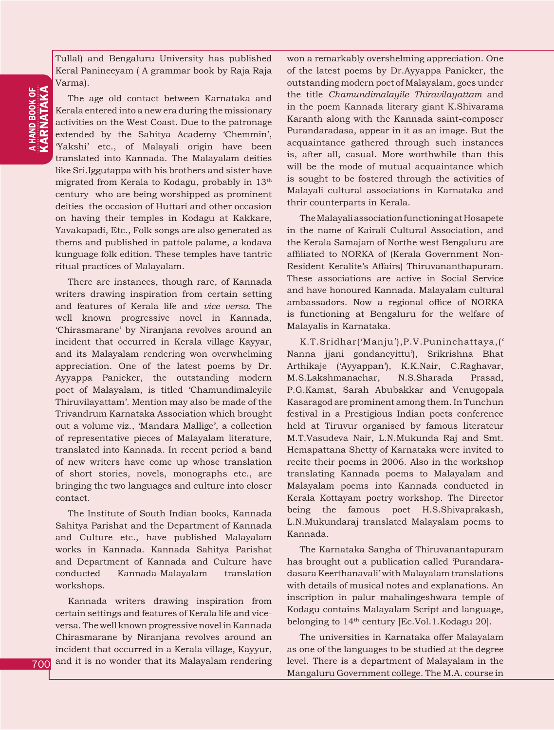Tullal) and Bengaluru University has published Keral Panineeyam ( A grammar book by Raja Raja Varma).

The age old contact between Karnataka and Kerala entered into a new era during the missionary activities on the West Coast. Due to the patronage extended by the Sahitya Academy 'Chemmin', 'Yakshi' etc., of Malayali origin have been translated into Kannada. The Malayalam deities like Sri.Iggutappa with his brothers and sister have migrated from Kerala to Kodagu, probably in 13th century who are being worshipped as prominent deities the occasion of Huttari and other occasion on having their temples in Kodagu at Kakkare, Yavakapadi, Etc., Folk songs are also generated as thems and published in pattole palame, a kodava kunguage folk edition. These temples have tantric ritual practices of Malayalam.

There are instances, though rare, of Kannada writers drawing inspiration from certain setting and features of Kerala life and *vice versa.* The well known progressive novel in Kannada, 'Chirasmarane' by Niranjana revolves around an incident that occurred in Kerala village Kayyar, and its Malayalam rendering won overwhelming appreciation. One of the latest poems by Dr. Ayyappa Panieker, the outstanding modern poet of Malayalam, is titled 'Chamundimaleyile Thiruvilayattam'. Mention may also be made of the Trivandrum Karnataka Association which brought out a volume viz., 'Mandara Mallige', a collection of representative pieces of Malayalam literature, translated into Kannada. In recent period a band of new writers have come up whose translation of short stories, novels, monographs etc., are bringing the two languages and culture into closer contact.

The Institute of South Indian books, Kannada Sahitya Parishat and the Department of Kannada and Culture etc., have published Malayalam works in Kannada. Kannada Sahitya Parishat and Department of Kannada and Culture have conducted Kannada-Malayalam translation workshops.

Kannada writers drawing inspiration from certain settings and features of Kerala life and viceversa. The well known progressive novel in Kannada Chirasmarane by Niranjana revolves around an incident that occurred in a Kerala village, Kayyur, and it is no wonder that its Malayalam rendering won a remarkably overshelming appreciation. One of the latest poems by Dr.Ayyappa Panicker, the outstanding modern poet of Malayalam, goes under the title *Chamundimalayile Thiravilayattam* and in the poem Kannada literary giant K.Shivarama Karanth along with the Kannada saint-composer Purandaradasa, appear in it as an image. But the acquaintance gathered through such instances is, after all, casual. More worthwhile than this will be the mode of mutual acquaintance which is sought to be fostered through the activities of Malayali cultural associations in Karnataka and thrir counterparts in Kerala.

The Malayali association functioning at Hosapete in the name of Kairali Cultural Association, and the Kerala Samajam of Northe west Bengaluru are affiliated to NORKA of (Kerala Government Non-Resident Keralite's Affairs) Thiruvananthapuram. These associations are active in Social Service and have honoured Kannada. Malayalam cultural ambassadors. Now a regional office of NORKA is functioning at Bengaluru for the welfare of Malayalis in Karnataka.

K.T.Sridhar('Manju'),P.V.Puninchattaya,(' Nanna jjani gondaneyittu'), Srikrishna Bhat Arthikaje ('Ayyappan'), K.K.Nair, C.Raghavar, M.S.Lakshmanachar, N.S.Sharada Prasad, P.G.Kamat, Sarah Abubakkar and Venugopala Kasaragod are prominent among them. In Tunchun festival in a Prestigious Indian poets conference held at Tiruvur organised by famous literateur M.T.Vasudeva Nair, L.N.Mukunda Raj and Smt. Hemapattana Shetty of Karnataka were invited to recite their poems in 2006. Also in the workshop translating Kannada poems to Malayalam and Malayalam poems into Kannada conducted in Kerala Kottayam poetry workshop. The Director being the famous poet H.S.Shivaprakash, L.N.Mukundaraj translated Malayalam poems to Kannada.

The Karnataka Sangha of Thiruvanantapuram has brought out a publication called 'Purandaradasara Keerthanavali' with Malayalam translations with details of musical notes and explanations. An inscription in palur mahalingeshwara temple of Kodagu contains Malayalam Script and language, belonging to 14<sup>th</sup> century [Ec.Vol.1.Kodagu 20].

The universities in Karnataka offer Malayalam as one of the languages to be studied at the degree level. There is a department of Malayalam in the Mangaluru Government college. The M.A. course in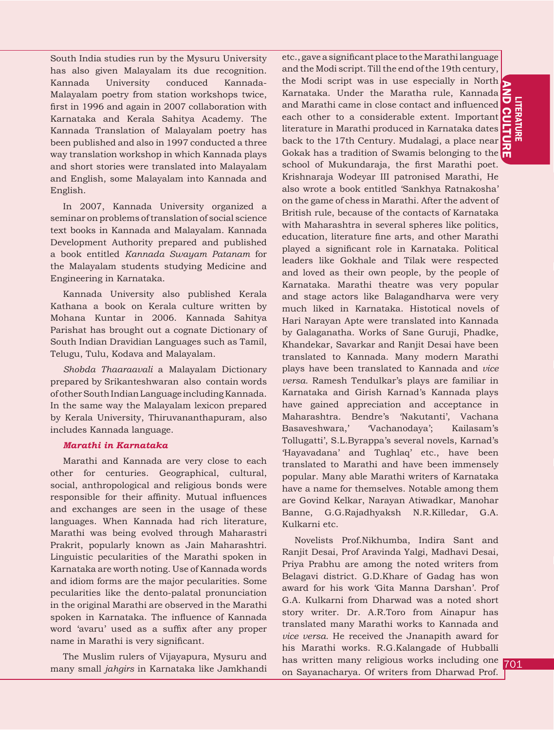**POOLITERING**<br>COLLIDER<br>701 **LITERATURE** AND C

South India studies run by the Mysuru University has also given Malayalam its due recognition. Kannada University conduced Kannada-Malayalam poetry from station workshops twice, first in 1996 and again in 2007 collaboration with Karnataka and Kerala Sahitya Academy. The Kannada Translation of Malayalam poetry has been published and also in 1997 conducted a three way translation workshop in which Kannada plays and short stories were translated into Malayalam and English, some Malayalam into Kannada and English.

In 2007, Kannada University organized a seminar on problems of translation of social science text books in Kannada and Malayalam. Kannada Development Authority prepared and published a book entitled *Kannada Swayam Patanam* for the Malayalam students studying Medicine and Engineering in Karnataka.

Kannada University also published Kerala Kathana a book on Kerala culture written by Mohana Kuntar in 2006. Kannada Sahitya Parishat has brought out a cognate Dictionary of South Indian Dravidian Languages such as Tamil, Telugu, Tulu, Kodava and Malayalam.

*Shobda Thaaraavali* a Malayalam Dictionary prepared by Srikanteshwaran also contain words of other South Indian Language including Kannada. In the same way the Malayalam lexicon prepared by Kerala University, Thiruvananthapuram, also includes Kannada language.

## *Marathi in Karnataka*

Marathi and Kannada are very close to each other for centuries. Geographical, cultural, social, anthropological and religious bonds were responsible for their affinity. Mutual influences and exchanges are seen in the usage of these languages. When Kannada had rich literature, Marathi was being evolved through Maharastri Prakrit, popularly known as Jain Maharashtri. Linguistic pecularities of the Marathi spoken in Karnataka are worth noting. Use of Kannada words and idiom forms are the major pecularities. Some pecularities like the dento-palatal pronunciation in the original Marathi are observed in the Marathi spoken in Karnataka. The influence of Kannada word 'avaru' used as a suffix after any proper name in Marathi is very significant.

The Muslim rulers of Vijayapura, Mysuru and many small *jahgirs* in Karnataka like Jamkhandi

each other to a considerable extent. Important<br>literature in Marathi produced in Karnataka dates <mark>-</mark> back to the 17th Century. Mudalagi, a place near  $\frac{C}{\sqrt{L}}$  Gokak has a tradition of Swamis belonging to the  $\frac{C}{\sqrt{L}}$ etc., gave a significant place to the Marathi language and the Modi script. Till the end of the 19th century, the Modi script was in use especially in North Karnataka. Under the Maratha rule, Kannada and Marathi came in close contact and influenced each other to a considerable extent. Important back to the 17th Century. Mudalagi, a place near school of Mukundaraja, the first Marathi poet. Krishnaraja Wodeyar III patronised Marathi, He also wrote a book entitled 'Sankhya Ratnakosha' on the game of chess in Marathi. After the advent of British rule, because of the contacts of Karnataka with Maharashtra in several spheres like politics, education, literature fine arts, and other Marathi played a significant role in Karnataka. Political leaders like Gokhale and Tilak were respected and loved as their own people, by the people of Karnataka. Marathi theatre was very popular and stage actors like Balagandharva were very much liked in Karnataka. Histotical novels of Hari Narayan Apte were translated into Kannada by Galaganatha. Works of Sane Guruji, Phadke, Khandekar, Savarkar and Ranjit Desai have been translated to Kannada. Many modern Marathi plays have been translated to Kannada and *vice versa.* Ramesh Tendulkar's plays are familiar in Karnataka and Girish Karnad's Kannada plays have gained appreciation and acceptance in Maharashtra. Bendre's 'Nakutanti', Vachana Basaveshwara,' 'Vachanodaya'; Kailasam's Tollugatti', S.L.Byrappa's several novels, Karnad's 'Hayavadana' and Tughlaq' etc., have been translated to Marathi and have been immensely popular. Many able Marathi writers of Karnataka have a name for themselves. Notable among them are Govind Kelkar, Narayan Atiwadkar, Manohar Banne, G.G.Rajadhyaksh N.R.Killedar, G.A. Kulkarni etc.

Novelists Prof.Nikhumba, Indira Sant and Ranjit Desai, Prof Aravinda Yalgi, Madhavi Desai, Priya Prabhu are among the noted writers from Belagavi district. G.D.Khare of Gadag has won award for his work 'Gita Manna Darshan'. Prof G.A. Kulkarni from Dharwad was a noted short story writer. Dr. A.R.Toro from Ainapur has translated many Marathi works to Kannada and *vice versa.* He received the Jnanapith award for his Marathi works. R.G.Kalangade of Hubballi has written many religious works including one 701 on Sayanacharya. Of writers from Dharwad Prof.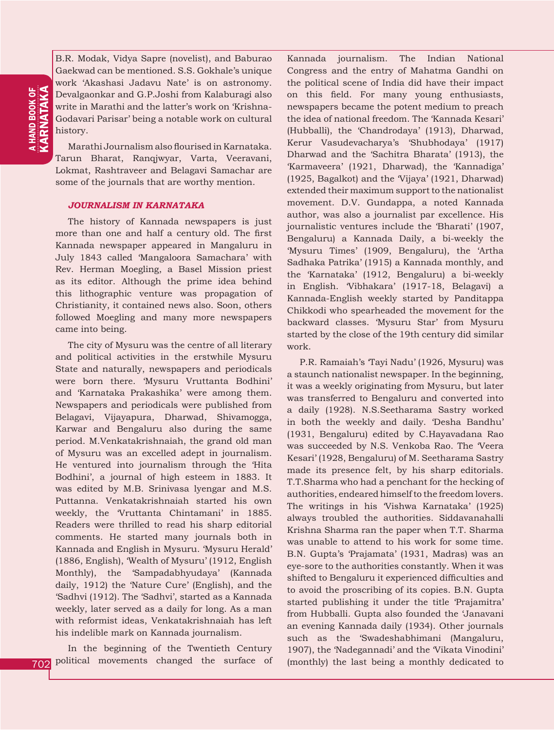B.R. Modak, Vidya Sapre (novelist), and Baburao Gaekwad can be mentioned. S.S. Gokhale's unique work 'Akashasi Jadavu Nate' is on astronomy. Devalgaonkar and G.P.Joshi from Kalaburagi also write in Marathi and the latter's work on 'Krishna-Godavari Parisar' being a notable work on cultural history.

Marathi Journalism also flourised in Karnataka. Tarun Bharat, Ranqjwyar, Varta, Veeravani, Lokmat, Rashtraveer and Belagavi Samachar are some of the journals that are worthy mention.

#### *JOURNALISM IN KARNATAKA*

The history of Kannada newspapers is just more than one and half a century old. The first Kannada newspaper appeared in Mangaluru in July 1843 called 'Mangaloora Samachara' with Rev. Herman Moegling, a Basel Mission priest as its editor. Although the prime idea behind this lithographic venture was propagation of Christianity, it contained news also. Soon, others followed Moegling and many more newspapers came into being.

The city of Mysuru was the centre of all literary and political activities in the erstwhile Mysuru State and naturally, newspapers and periodicals were born there. 'Mysuru Vruttanta Bodhini' and 'Karnataka Prakashika' were among them. Newspapers and periodicals were published from Belagavi, Vijayapura, Dharwad, Shivamogga, Karwar and Bengaluru also during the same period. M.Venkatakrishnaiah, the grand old man of Mysuru was an excelled adept in journalism. He ventured into journalism through the 'Hita Bodhini', a journal of high esteem in 1883. It was edited by M.B. Srinivasa lyengar and M.S. Puttanna. Venkatakrishnaiah started his own weekly, the 'Vruttanta Chintamani' in 1885. Readers were thrilled to read his sharp editorial comments. He started many journals both in Kannada and English in Mysuru. 'Mysuru Herald' (1886, English), 'Wealth of Mysuru' (1912, English Monthly), the 'Sampadabhyudaya' (Kannada daily, 1912) the 'Nature Cure' (English), and the 'Sadhvi (1912). The 'Sadhvi', started as a Kannada weekly, later served as a daily for long. As a man with reformist ideas, Venkatakrishnaiah has left his indelible mark on Kannada journalism.

In the beginning of the Twentieth Century political movements changed the surface of Kannada journalism. The Indian National Congress and the entry of Mahatma Gandhi on the political scene of India did have their impact on this field. For many young enthusiasts, newspapers became the potent medium to preach the idea of national freedom. The 'Kannada Kesari' (Hubballi), the 'Chandrodaya' (1913), Dharwad, Kerur Vasudevacharya's 'Shubhodaya' (1917) Dharwad and the 'Sachitra Bharata' (1913), the 'Karmaveera' (1921, Dharwad), the 'Kannadiga' (1925, Bagalkot) and the 'Vijaya' (1921, Dharwad) extended their maximum support to the nationalist movement. D.V. Gundappa, a noted Kannada author, was also a journalist par excellence. His journalistic ventures include the 'Bharati' (1907, Bengaluru) a Kannada Daily, a bi-weekly the 'Mysuru Times' (1909, Bengaluru), the 'Artha Sadhaka Patrika' (1915) a Kannada monthly, and the 'Karnataka' (1912, Bengaluru) a bi-weekly in English. 'Vibhakara' (1917-18, Belagavi) a Kannada-English weekly started by Panditappa Chikkodi who spearheaded the movement for the backward classes. 'Mysuru Star' from Mysuru started by the close of the 19th century did similar work.

P.R. Ramaiah's 'Tayi Nadu' (1926, Mysuru) was a staunch nationalist newspaper. In the beginning, it was a weekly originating from Mysuru, but later was transferred to Bengaluru and converted into a daily (1928). N.S.Seetharama Sastry worked in both the weekly and daily. 'Desha Bandhu' (1931, Bengaluru) edited by C.Hayavadana Rao was succeeded by N.S. Venkoba Rao. The 'Veera Kesari' (1928, Bengaluru) of M. Seetharama Sastry made its presence felt, by his sharp editorials. T.T.Sharma who had a penchant for the hecking of authorities, endeared himself to the freedom lovers. The writings in his 'Vishwa Karnataka' (1925) always troubled the authorities. Siddavanahalli Krishna Sharma ran the paper when T.T. Sharma was unable to attend to his work for some time. B.N. Gupta's 'Prajamata' (1931, Madras) was an eye-sore to the authorities constantly. When it was shifted to Bengaluru it experienced difficulties and to avoid the proscribing of its copies. B.N. Gupta started publishing it under the title 'Prajamitra' from Hubballi. Gupta also founded the 'Janavani an evening Kannada daily (1934). Other journals such as the 'Swadeshabhimani (Mangaluru, 1907), the 'Nadegannadi' and the 'Vikata Vinodini' (monthly) the last being a monthly dedicated to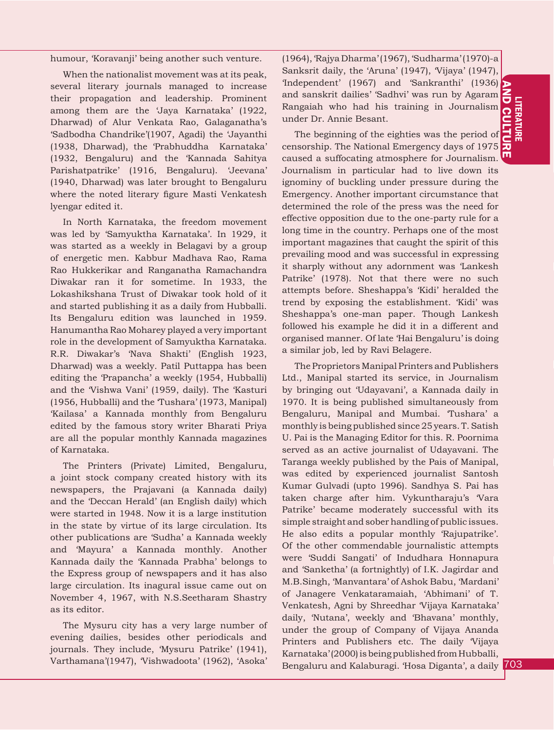humour, 'Koravanji' being another such venture.

When the nationalist movement was at its peak, several literary journals managed to increase their propagation and leadership. Prominent among them are the 'Jaya Karnataka' (1922, Dharwad) of Alur Venkata Rao, Galaganatha's 'Sadbodha Chandrike'(1907, Agadi) the 'Jayanthi (1938, Dharwad), the 'Prabhuddha Karnataka' (1932, Bengaluru) and the 'Kannada Sahitya Parishatpatrike' (1916, Bengaluru). 'Jeevana' (1940, Dharwad) was later brought to Bengaluru where the noted literary figure Masti Venkatesh lyengar edited it.

In North Karnataka, the freedom movement was led by 'Samyuktha Karnataka'. In 1929, it was started as a weekly in Belagavi by a group of energetic men. Kabbur Madhava Rao, Rama Rao Hukkerikar and Ranganatha Ramachandra Diwakar ran it for sometime. In 1933, the Lokashikshana Trust of Diwakar took hold of it and started publishing it as a daily from Hubballi. Its Bengaluru edition was launched in 1959. Hanumantha Rao Moharey played a very important role in the development of Samyuktha Karnataka. R.R. Diwakar's 'Nava Shakti' (English 1923, Dharwad) was a weekly. Patil Puttappa has been editing the 'Prapancha' a weekly (1954, Hubballi) and the 'Vishwa Vani' (1959, daily). The 'Kasturi (1956, Hubballi) and the 'Tushara' (1973, Manipal) 'Kailasa' a Kannada monthly from Bengaluru edited by the famous story writer Bharati Priya are all the popular monthly Kannada magazines of Karnataka.

The Printers (Private) Limited, Bengaluru, a joint stock company created history with its newspapers, the Prajavani (a Kannada daily) and the 'Deccan Herald' (an English daily) which were started in 1948. Now it is a large institution in the state by virtue of its large circulation. Its other publications are 'Sudha' a Kannada weekly and 'Mayura' a Kannada monthly. Another Kannada daily the 'Kannada Prabha' belongs to the Express group of newspapers and it has also large circulation. Its inagural issue came out on November 4, 1967, with N.S.Seetharam Shastry as its editor.

The Mysuru city has a very large number of evening dailies, besides other periodicals and journals. They include, 'Mysuru Patrike' (1941), Varthamana'(1947), 'Vishwadoota' (1962), 'Asoka'

(1964), 'Rajya Dharma' (1967), 'Sudharma' (1970)-a Sanksrit daily, the 'Aruna' (1947), 'Vijaya' (1947), 'Independent' (1967) and 'Sankranthi' (1936) and sanskrit dailies' 'Sadhvi' was run by Agaram Rangaiah who had his training in Journalism under Dr. Annie Besant.

The beginning of the eighties was the period of censorship. The National Emergency days of 1975 caused a suffocating atmosphere for Journalism. Journalism in particular had to live down its ignominy of buckling under pressure during the Emergency. Another important circumstance that determined the role of the press was the need for effective opposition due to the one-party rule for a long time in the country. Perhaps one of the most important magazines that caught the spirit of this prevailing mood and was successful in expressing it sharply without any adornment was 'Lankesh Patrike' (1978). Not that there were no such attempts before. Sheshappa's 'Kidi' heralded the trend by exposing the establishment. 'Kidi' was Sheshappa's one-man paper. Though Lankesh followed his example he did it in a different and organised manner. Of late 'Hai Bengaluru' is doing a similar job, led by Ravi Belagere.

The Proprietors Manipal Printers and Publishers Ltd., Manipal started its service, in Journalism by bringing out 'Udayavani', a Kannada daily in 1970. It is being published simultaneously from Bengaluru, Manipal and Mumbai. 'Tushara' a monthly is being published since 25 years. T. Satish U. Pai is the Managing Editor for this. R. Poornima served as an active journalist of Udayavani. The Taranga weekly published by the Pais of Manipal, was edited by experienced journalist Santosh Kumar Gulvadi (upto 1996). Sandhya S. Pai has taken charge after him. Vykuntharaju's 'Vara Patrike' became moderately successful with its simple straight and sober handling of public issues. He also edits a popular monthly 'Rajupatrike'. Of the other commendable journalistic attempts were 'Suddi Sangati' of Indudhara Honnapura and 'Sanketha' (a fortnightly) of I.K. Jagirdar and M.B.Singh, 'Manvantara' of Ashok Babu, 'Mardani' of Janagere Venkataramaiah, 'Abhimani' of T. Venkatesh, Agni by Shreedhar 'Vijaya Karnataka' daily, 'Nutana', weekly and 'Bhavana' monthly, under the group of Company of Vijaya Ananda Printers and Publishers etc. The daily 'Vijaya Karnataka' (2000) is being published from Hubballi, Bengaluru and Kalaburagi. 'Hosa Diganta', a daily 703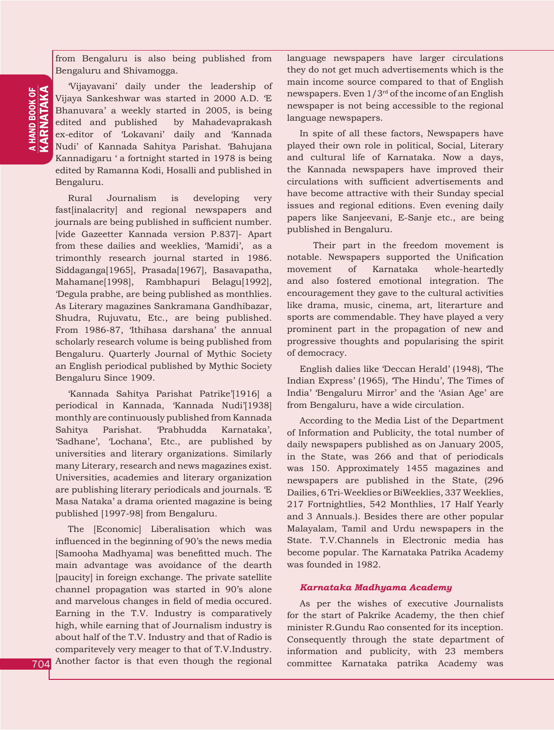from Bengaluru is also being published from Bengaluru and Shivamogga.

'Vijayavani' daily under the leadership of Vijaya Sankeshwar was started in 2000 A.D. 'E Bhanuvara' a weekly started in 2005, is being edited and published by Mahadevaprakash ex-editor of 'Lokavani' daily and 'Kannada Nudi' of Kannada Sahitya Parishat. 'Bahujana Kannadigaru ' a fortnight started in 1978 is being edited by Ramanna Kodi, Hosalli and published in Bengaluru.

Rural Journalism is developing very fast[inalacrity] and regional newspapers and journals are being published in sufficient number. [vide Gazeetter Kannada version P.837]- Apart from these dailies and weeklies, 'Mamidi', as a trimonthly research journal started in 1986. Siddaganga[1965], Prasada[1967], Basavapatha, Mahamane[1998], Rambhapuri Belagu[1992], 'Degula prabhe, are being published as monthlies. As Literary magazines Sankramana Gandhibazar, Shudra, Rujuvatu, Etc., are being published. From 1986-87, 'Ithihasa darshana' the annual scholarly research volume is being published from Bengaluru. Quarterly Journal of Mythic Society an English periodical published by Mythic Society Bengaluru Since 1909.

'Kannada Sahitya Parishat Patrike'[1916] a periodical in Kannada, 'Kannada Nudi'[1938] monthly are continuously published from Kannada Sahitya Parishat. 'Prabhudda Karnataka', 'Sadhane', 'Lochana', Etc., are published by universities and literary organizations. Similarly many Literary, research and news magazines exist. Universities, academies and literary organization are publishing literary periodicals and journals. 'E Masa Nataka' a drama oriented magazine is being published [1997-98] from Bengaluru.

The [Economic] Liberalisation which was influenced in the beginning of 90's the news media [Samooha Madhyama] was benefitted much. The main advantage was avoidance of the dearth [paucity] in foreign exchange. The private satellite channel propagation was started in 90's alone and marvelous changes in field of media occured. Earning in the T.V. Industry is comparatively high, while earning that of Journalism industry is about half of the T.V. Industry and that of Radio is comparitevely very meager to that of T.V.Industry. Another factor is that even though the regional language newspapers have larger circulations they do not get much advertisements which is the main income source compared to that of English newspapers. Even 1/3rd of the income of an English newspaper is not being accessible to the regional language newspapers.

In spite of all these factors, Newspapers have played their own role in political, Social, Literary and cultural life of Karnataka. Now a days, the Kannada newspapers have improved their circulations with sufficient advertisements and have become attractive with their Sunday special issues and regional editions. Even evening daily papers like Sanjeevani, E-Sanje etc., are being published in Bengaluru.

 Their part in the freedom movement is notable. Newspapers supported the Unification movement of Karnataka whole-heartedly and also fostered emotional integration. The encouragement they gave to the cultural activities like drama, music, cinema, art, literarture and sports are commendable. They have played a very prominent part in the propagation of new and progressive thoughts and popularising the spirit of democracy.

English dalies like 'Deccan Herald' (1948), 'The Indian Express' (1965), 'The Hindu', The Times of India' 'Bengaluru Mirror' and the 'Asian Age' are from Bengaluru, have a wide circulation.

According to the Media List of the Department of Information and Publicity, the total number of daily newspapers published as on January 2005, in the State, was 266 and that of periodicals was 150. Approximately 1455 magazines and newspapers are published in the State, (296 Dailies, 6 Tri-Weeklies or BiWeeklies, 337 Weeklies, 217 Fortnightlies, 542 Monthlies, 17 Half Yearly and 3 Annuals.). Besides there are other popular Malayalam, Tamil and Urdu newspapers in the State. T.V.Channels in Electronic media has become popular. The Karnataka Patrika Academy was founded in 1982.

#### *Karnataka Madhyama Academy*

As per the wishes of executive Journalists for the start of Pakrike Academy, the then chief minister R.Gundu Rao consented for its inception. Consequently through the state department of information and publicity, with 23 members committee Karnataka patrika Academy was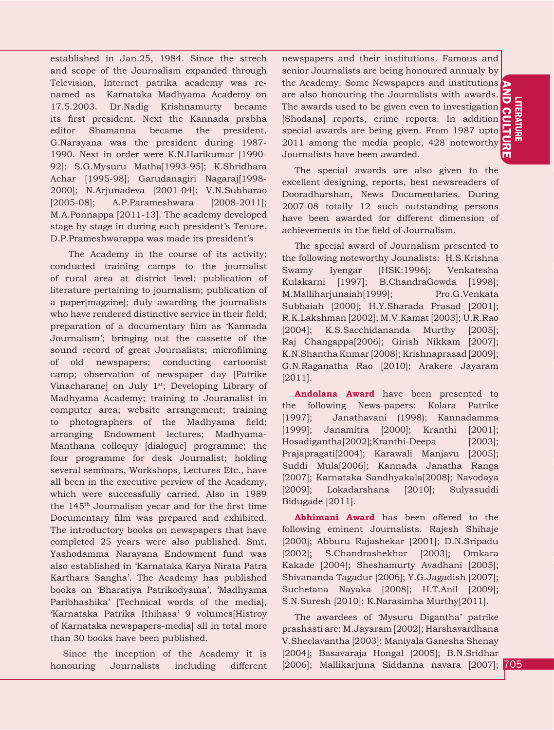established in Jan.25, 1984. Since the strech and scope of the Journalism expanded through Television, Internet patrika academy was renamed as Karnataka Madhyama Academy on 17.5.2003. Dr.Nadig Krishnamurty became its first president. Next the Kannada prabha editor Shamanna became the president. G.Narayana was the president during 1987- 1990. Next in order were K.N.Harikumar [1990- 92]; S.G.Mysuru Matha[1993-95]; K.Shridhara Achar [1995-98]; Garudanagiri Nagaraj[1998- 2000]; N.Arjunadeva [2001-04]; V.N.Subharao [2005-08]; A.P.Parameshwara [2008-2011]; M.A.Ponnappa [2011-13]. The academy developed stage by stage in during each president's Tenure. D.P.Prameshwarappa was made its president's

 The Academy in the course of its activity; conducted training camps to the journalist of rural area at district level; publication of literature pertaining to journalism; publication of a paper[magzine]; duly awarding the journalists who have rendered distinctive service in their field; preparation of a documentary film as 'Kannada Journalism'; bringing out the cassette of the sound record of great Journalists; microfilming of old newspapers; conducting cartoonist camp; observation of newspaper day [Patrike Vinacharane] on July 1<sup>st</sup>; Developing Library of Madhyama Academy; training to Jouranalist in computer area; website arrangement; training to photographers of the Madhyama field; arranging Endowment lectures; Madhyama-Manthana colloquy [dialogue] programme; the four programme for desk Journalist; holding several seminars, Workshops, Lectures Etc., have all been in the executive perview of the Academy, which were successfully carried. Also in 1989 the  $145<sup>th</sup>$  Journalism yecar and for the first time Documentary film was prepared and exhibited. The introductory books on newspapers that have completed 25 years were also published. Smt. Yashodamma Narayana Endowment fund was also established in 'Karnataka Karya Nirata Patra Karthara Sangha'. The Academy has published books on 'Bharatiya Patrikodyama', 'Madhyama Paribhashika' [Technical words of the media], 'Karnataka Patrika Ithihasa' 9 volumes[Histroy of Karnataka newspapers-media] all in total more than 30 books have been published.

Since the inception of the Academy it is honouring Journalists including different

newspapers and their institutions. Famous and senior Journalists are being honoured annualy by the Academy. Some Newspapers and institutions are also honouring the Journalists with awards. The awards used to be given even to investigation [Shodana] reports, crime reports. In addition special awards are being given. From 1987 upto 2011 among the media people, 428 noteworthy Journalists have been awarded.

The special awards are also given to the excellent designing, reports, best newsreaders of Dooradharshan, News Documentaries. During 2007-08 totally 12 such outstanding persons have been awarded for different dimension of achievements in the field of Journalism.

The special award of Journalism presented to the following noteworthy Jounalists: H.S.Krishna Swamy Iyengar [HSK:1996]; Venkatesha Kulakarni [1997]; B.ChandraGowda [1998]; M.Malliharjunaiah[1999]; Pro.G.Venkata Subbaiah [2000]; H.Y.Sharada Prasad [2001]; R.K.Lakshman [2002]; M.V.Kamat [2003]; U.R.Rao [2004]; K.S.Sacchidananda Murthy [2005]; Raj Changappa[2006]; Girish Nikkam [2007]; K.N.Shantha Kumar [2008]; Krishnaprasad [2009]; G.N.Raganatha Rao [2010]; Arakere Jayaram [2011].

**Andolana Award** have been presented to the following News-papers: Kolara Patrike [1997]; Janathavani (1998); Kannadamma [1999]; Janamitra [2000]; Kranthi [2001]; Hosadigantha[2002];Kranthi-Deepa [2003]; Prajapragati[2004]; Karawali Manjavu [2005]; Suddi Mula[2006]; Kannada Janatha Ranga [2007]; Karnataka Sandhyakala[2008]; Navodaya [2009]; Lokadarshana [2010]; Sulyasuddi Bidugade [2011].

**Abhimani Award** has been offered to the following eminent Journalists. Rajesh Shihaje [2000]; Abburu Rajashekar [2001]; D.N.Sripadu [2002]; S.Chandrashekhar [2003]; Omkara Kakade [2004]; Sheshamurty Avadhani [2005]; Shivananda Tagadur [2006]; Y.G.Jagadish [2007]; Suchetana Nayaka [2008]; H.T.Anil [2009]; S.N.Suresh [2010]; K.Narasimha Murthy[2011].

The awardees of 'Mysuru Digantha' patrike prashasti are: M.Jayaram [2002]; Harshavardhana V.Sheelavantha [2003]; Maniyala Ganesha Shenay [2004]; Basavaraja Hongal [2005]; B.N.Sridhar [2006]; Mallikarjuna Siddanna navara [2007]; 705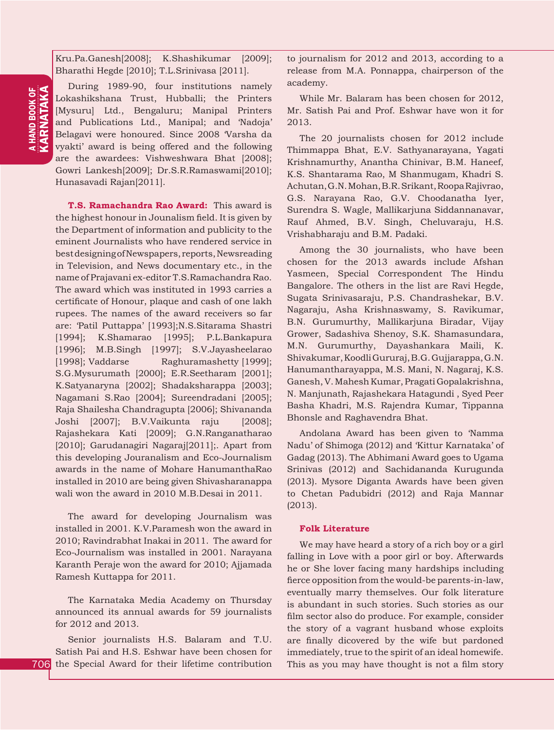Kru.Pa.Ganesh[2008]; K.Shashikumar [2009]; Bharathi Hegde [2010]; T.L.Srinivasa [2011].

During 1989-90, four institutions namely Lokashikshana Trust, Hubballi; the Printers [Mysuru] Ltd., Bengaluru; Manipal Printers and Publications Ltd., Manipal; and 'Nadoja' Belagavi were honoured. Since 2008 'Varsha da vyakti' award is being offered and the following are the awardees: Vishweshwara Bhat [2008]; Gowri Lankesh[2009]; Dr.S.R.Ramaswami[2010]; Hunasavadi Rajan[2011].

**T.S. Ramachandra Rao Award:** This award is the highest honour in Jounalism field. It is given by the Department of information and publicity to the eminent Journalists who have rendered service in best designing of Newspapers, reports, Newsreading in Television, and News documentary etc., in the name of Prajavani ex-editor T.S.Ramachandra Rao. The award which was instituted in 1993 carries a certificate of Honour, plaque and cash of one lakh rupees. The names of the award receivers so far are: 'Patil Puttappa' [1993];N.S.Sitarama Shastri [1994]; K.Shamarao [1995]; P.L.Bankapura [1996]; M.B.Singh [1997]; S.V.Jayasheelarao [1998]; Vaddarse Raghuramashetty [1999]; S.G.Mysurumath [2000]; E.R.Seetharam [2001]; K.Satyanaryna [2002]; Shadaksharappa [2003]; Nagamani S.Rao [2004]; Sureendradani [2005]; Raja Shailesha Chandragupta [2006]; Shivananda Joshi [2007]; B.V.Vaikunta raju [2008]; Rajashekara Kati [2009]; G.N.Ranganatharao [2010]; Garudanagiri Nagaraj[2011];. Apart from this developing Jouranalism and Eco-Journalism awards in the name of Mohare HanumanthaRao installed in 2010 are being given Shivasharanappa wali won the award in 2010 M.B.Desai in 2011.

The award for developing Journalism was installed in 2001. K.V.Paramesh won the award in 2010; Ravindrabhat Inakai in 2011. The award for Eco-Journalism was installed in 2001. Narayana Karanth Peraje won the award for 2010; Ajjamada Ramesh Kuttappa for 2011.

The Karnataka Media Academy on Thursday announced its annual awards for 59 journalists for 2012 and 2013.

706 the Special Award for their lifetime contribution Senior journalists H.S. Balaram and T.U. Satish Pai and H.S. Eshwar have been chosen for

to journalism for 2012 and 2013, according to a release from M.A. Ponnappa, chairperson of the academy.

While Mr. Balaram has been chosen for 2012, Mr. Satish Pai and Prof. Eshwar have won it for 2013.

The 20 journalists chosen for 2012 include Thimmappa Bhat, E.V. Sathyanarayana, Yagati Krishnamurthy, Anantha Chinivar, B.M. Haneef, K.S. Shantarama Rao, M Shanmugam, Khadri S. Achutan, G.N. Mohan, B.R. Srikant, Roopa Rajivrao, G.S. Narayana Rao, G.V. Choodanatha Iyer, Surendra S. Wagle, Mallikarjuna Siddannanavar, Rauf Ahmed, B.V. Singh, Cheluvaraju, H.S. Vrishabharaju and B.M. Padaki.

Among the 30 journalists, who have been chosen for the 2013 awards include Afshan Yasmeen, Special Correspondent The Hindu Bangalore. The others in the list are Ravi Hegde, Sugata Srinivasaraju, P.S. Chandrashekar, B.V. Nagaraju, Asha Krishnaswamy, S. Ravikumar, B.N. Gurumurthy, Mallikarjuna Biradar, Vijay Grower, Sadashiva Shenoy, S.K. Shamasundara, M.N. Gurumurthy, Dayashankara Maili, K. Shivakumar, Koodli Gururaj, B.G. Gujjarappa, G.N. Hanumantharayappa, M.S. Mani, N. Nagaraj, K.S. Ganesh, V. Mahesh Kumar, Pragati Gopalakrishna, N. Manjunath, Rajashekara Hatagundi , Syed Peer Basha Khadri, M.S. Rajendra Kumar, Tippanna Bhonsle and Raghavendra Bhat.

Andolana Award has been given to 'Namma Nadu' of Shimoga (2012) and 'Kittur Karnataka' of Gadag (2013). The Abhimani Award goes to Ugama Srinivas (2012) and Sachidananda Kurugunda (2013). Mysore Diganta Awards have been given to Chetan Padubidri (2012) and Raja Mannar (2013).

#### **Folk Literature**

We may have heard a story of a rich boy or a girl falling in Love with a poor girl or boy. Afterwards he or She lover facing many hardships including fierce opposition from the would-be parents-in-law, eventually marry themselves. Our folk literature is abundant in such stories. Such stories as our film sector also do produce. For example, consider the story of a vagrant husband whose exploits are finally dicovered by the wife but pardoned immediately, true to the spirit of an ideal homewife. This as you may have thought is not a film story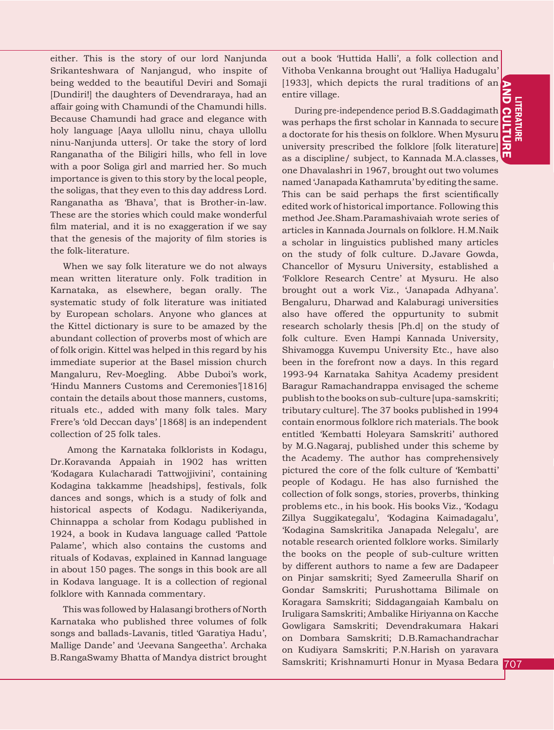either. This is the story of our lord Nanjunda Srikanteshwara of Nanjangud, who inspite of being wedded to the beautiful Deviri and Somaji [Dundiri!] the daughters of Devendraraya, had an affair going with Chamundi of the Chamundi hills. Because Chamundi had grace and elegance with holy language [Aaya ullollu ninu, chaya ullollu ninu-Nanjunda utters]. Or take the story of lord Ranganatha of the Biligiri hills, who fell in love with a poor Soliga girl and married her. So much importance is given to this story by the local people, the soligas, that they even to this day address Lord. Ranganatha as 'Bhava', that is Brother-in-law. These are the stories which could make wonderful film material, and it is no exaggeration if we say that the genesis of the majority of film stories is the folk-literature.

When we say folk literature we do not always mean written literature only. Folk tradition in Karnataka, as elsewhere, began orally. The systematic study of folk literature was initiated by European scholars. Anyone who glances at the Kittel dictionary is sure to be amazed by the abundant collection of proverbs most of which are of folk origin. Kittel was helped in this regard by his immediate superior at the Basel mission church Mangaluru, Rev-Moegling. Abbe Duboi's work, 'Hindu Manners Customs and Ceremonies'[1816] contain the details about those manners, customs, rituals etc., added with many folk tales. Mary Frere's 'old Deccan days' [1868] is an independent collection of 25 folk tales.

 Among the Karnataka folklorists in Kodagu, Dr.Koravanda Appaiah in 1902 has written 'Kodagara Kulacharadi Tattwojjivini', containing Kodagina takkamme [headships], festivals, folk dances and songs, which is a study of folk and historical aspects of Kodagu. Nadikeriyanda, Chinnappa a scholar from Kodagu published in 1924, a book in Kudava language called 'Pattole Palame', which also contains the customs and rituals of Kodavas, explained in Kannad language in about 150 pages. The songs in this book are all in Kodava language. It is a collection of regional folklore with Kannada commentary.

This was followed by Halasangi brothers of North Karnataka who published three volumes of folk songs and ballads-Lavanis, titled 'Garatiya Hadu', Mallige Dande' and 'Jeevana Sangeetha'. Archaka B.RangaSwamy Bhatta of Mandya district brought out a book 'Huttida Halli', a folk collection and Vithoba Venkanna brought out 'Halliya Hadugalu' [1933], which depicts the rural traditions of an entire village.

university prescribed the folklore  $[folk literature]$ During pre-independence period B.S.Gaddagimath was perhaps the first scholar in Kannada to secure a doctorate for his thesis on folklore. When Mysuru | as a discipline/ subject, to Kannada M.A.classes, one Dhavalashri in 1967, brought out two volumes named 'Janapada Kathamruta' by editing the same. This can be said perhaps the first scientifically edited work of historical importance. Following this method Jee.Sham.Paramashivaiah wrote series of articles in Kannada Journals on folklore. H.M.Naik a scholar in linguistics published many articles on the study of folk culture. D.Javare Gowda, Chancellor of Mysuru University, established a 'Folklore Research Centre' at Mysuru. He also brought out a work Viz., 'Janapada Adhyana'. Bengaluru, Dharwad and Kalaburagi universities also have offered the oppurtunity to submit research scholarly thesis [Ph.d] on the study of folk culture. Even Hampi Kannada University, Shivamogga Kuvempu University Etc., have also been in the forefront now a days. In this regard 1993-94 Karnataka Sahitya Academy president Baragur Ramachandrappa envisaged the scheme publish to the books on sub-culture [upa-samskriti; tributary culture]. The 37 books published in 1994 contain enormous folklore rich materials. The book entitled 'Kembatti Holeyara Samskriti' authored by M.G.Nagaraj, published under this scheme by the Academy. The author has comprehensively pictured the core of the folk culture of 'Kembatti' people of Kodagu. He has also furnished the collection of folk songs, stories, proverbs, thinking problems etc., in his book. His books Viz., 'Kodagu Zillya Suggikategalu', 'Kodagina Kaimadagalu', 'Kodagina Samskritika Janapada Nelegalu', are notable research oriented folklore works. Similarly the books on the people of sub-culture written by different authors to name a few are Dadapeer on Pinjar samskriti; Syed Zameerulla Sharif on Gondar Samskriti; Purushottama Bilimale on Koragara Samskriti; Siddagangaiah Kambalu on Iruligara Samskriti; Ambalike Hiriyanna on Kacche Gowligara Samskriti; Devendrakumara Hakari on Dombara Samskriti; D.B.Ramachandrachar on Kudiyara Samskriti; P.N.Harish on yaravara Samskriti; Krishnamurti Honur in Myasa Bedara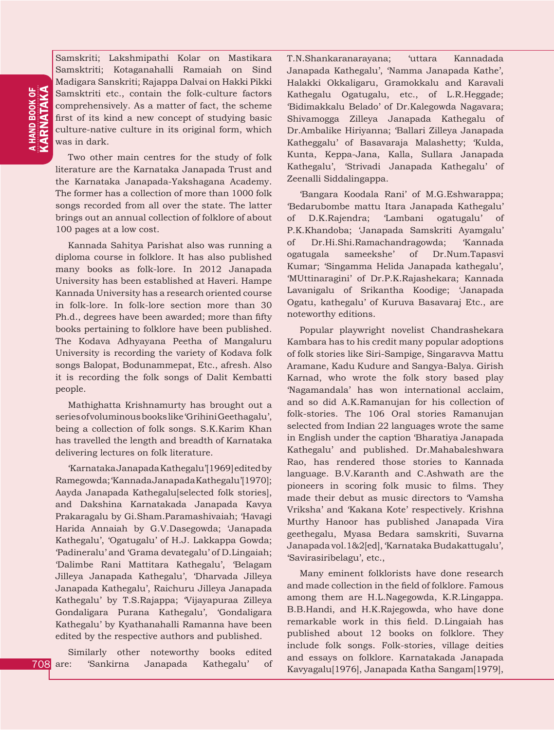Samskriti; Lakshmipathi Kolar on Mastikara Samsktriti; Kotaganahalli Ramaiah on Sind Madigara Sanskriti; Rajappa Dalvai on Hakki Pikki Samsktriti etc., contain the folk-culture factors comprehensively. As a matter of fact, the scheme first of its kind a new concept of studying basic culture-native culture in its original form, which was in dark.

Two other main centres for the study of folk literature are the Karnataka Janapada Trust and the Karnataka Janapada-Yakshagana Academy. The former has a collection of more than 1000 folk songs recorded from all over the state. The latter brings out an annual collection of folklore of about 100 pages at a low cost.

Kannada Sahitya Parishat also was running a diploma course in folklore. It has also published many books as folk-lore. In 2012 Janapada University has been established at Haveri. Hampe Kannada University has a research oriented course in folk-lore. In folk-lore section more than 30 Ph.d., degrees have been awarded; more than fifty books pertaining to folklore have been published. The Kodava Adhyayana Peetha of Mangaluru University is recording the variety of Kodava folk songs Balopat, Bodunammepat, Etc., afresh. Also it is recording the folk songs of Dalit Kembatti people.

Mathighatta Krishnamurty has brought out a series of voluminous books like 'Grihini Geethagalu', being a collection of folk songs. S.K.Karim Khan has travelled the length and breadth of Karnataka delivering lectures on folk literature.

'Karnataka Janapada Kathegalu'[1969] edited by Ramegowda; 'Kannada Janapada Kathegalu'[1970]; Aayda Janapada Kathegalu[selected folk stories], and Dakshina Karnatakada Janapada Kavya Prakaragalu by Gi.Sham.Paramashivaiah; 'Havagi Harida Annaiah by G.V.Dasegowda; 'Janapada Kathegalu', 'Ogatugalu' of H.J. Lakkappa Gowda; 'Padineralu' and 'Grama devategalu' of D.Lingaiah; 'Dalimbe Rani Mattitara Kathegalu', 'Belagam Jilleya Janapada Kathegalu', 'Dharvada Jilleya Janapada Kathegalu', Raichuru Jilleya Janapada Kathegalu' by T.S.Rajappa; 'Vijayapuraa Zilleya Gondaligara Purana Kathegalu', 'Gondaligara Kathegalu' by Kyathanahalli Ramanna have been edited by the respective authors and published.

Similarly other noteworthy books edited 'Sankirna Janapada Kathegalu' of T.N.Shankaranarayana; 'uttara Kannadada Janapada Kathegalu', 'Namma Janapada Kathe', Halakki Okkaligaru, Gramokkalu and Karavali Kathegalu Ogatugalu, etc., of L.R.Heggade; 'Bidimakkalu Belado' of Dr.Kalegowda Nagavara; Shivamogga Zilleya Janapada Kathegalu of Dr.Ambalike Hiriyanna; 'Ballari Zilleya Janapada Katheggalu' of Basavaraja Malashetty; 'Kulda, Kunta, Keppa-Jana, Kalla, Sullara Janapada Kathegalu', 'Strivadi Janapada Kathegalu' of Zeenalli Siddalingappa.

'Bangara Koodala Rani' of M.G.Eshwarappa; 'Bedarubombe mattu Itara Janapada Kathegalu' of D.K.Rajendra; 'Lambani ogatugalu' of P.K.Khandoba; 'Janapada Samskriti Ayamgalu' of Dr.Hi.Shi.Ramachandragowda; 'Kannada ogatugala sameekshe' of Dr.Num.Tapasvi Kumar; 'Singamma Helida Janapada kathegalu', 'MUttinaragini' of Dr.P.K.Rajashekara; Kannada Lavanigalu of Srikantha Koodige; 'Janapada Ogatu, kathegalu' of Kuruva Basavaraj Etc., are noteworthy editions.

Popular playwright novelist Chandrashekara Kambara has to his credit many popular adoptions of folk stories like Siri-Sampige, Singaravva Mattu Aramane, Kadu Kudure and Sangya-Balya. Girish Karnad, who wrote the folk story based play 'Nagamandala' has won international acclaim, and so did A.K.Ramanujan for his collection of folk-stories. The 106 Oral stories Ramanujan selected from Indian 22 languages wrote the same in English under the caption 'Bharatiya Janapada Kathegalu' and published. Dr.Mahabaleshwara Rao, has rendered those stories to Kannada language. B.V.Karanth and C.Ashwath are the pioneers in scoring folk music to films. They made their debut as music directors to 'Vamsha Vriksha' and 'Kakana Kote' respectively. Krishna Murthy Hanoor has published Janapada Vira geethegalu, Myasa Bedara samskriti, Suvarna Janapada vol.1&2[ed], 'Karnataka Budakattugalu', 'Savirasiribelagu', etc.,

Many eminent folklorists have done research and made collection in the field of folklore. Famous among them are H.L.Nagegowda, K.R.Lingappa. B.B.Handi, and H.K.Rajegowda, who have done remarkable work in this field. D.Lingaiah has published about 12 books on folklore. They include folk songs. Folk-stories, village deities and essays on folklore. Karnatakada Janapada Kavyagalu[1976], Janapada Katha Sangam[1979],

708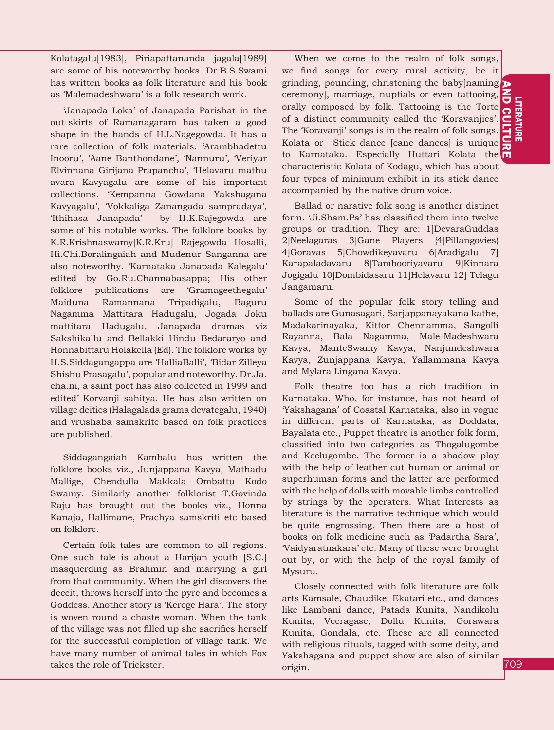Kolatagalu[1983], Piriapattananda jagala[1989] are some of his noteworthy books. Dr.B.S.Swami has written books as folk literature and his book as 'Malemadeshwara' is a folk research work.

'Janapada Loka' of Janapada Parishat in the out-skirts of Ramanagaram has taken a good shape in the hands of H.L.Nagegowda. It has a rare collection of folk materials. 'Arambhadettu Inooru', 'Aane Banthondane', 'Nannuru', 'Veriyar Elvinnana Girijana Prapancha', 'Helavaru mathu avara Kavyagalu are some of his important collections. 'Kempanna Gowdana Yakshagana Kavyagalu', 'Vokkaliga Zanangada sampradaya', 'Ithihasa Janapada' by H.K.Rajegowda are some of his notable works. The folklore books by K.R.Krishnaswamy[K.R.Kru] Rajegowda Hosalli, Hi.Chi.Boralingaiah and Mudenur Sanganna are also noteworthy. 'Karnataka Janapada Kalegalu' edited by Go.Ru.Channabasappa; His other folklore publications are 'Gramageethegalu' Maiduna Ramannana Tripadigalu, Baguru Nagamma Mattitara Hadugalu, Jogada Joku mattitara Hadugalu, Janapada dramas viz Sakshikallu and Bellakki Hindu Bedararyo and Honnabittaru Holakella (Ed). The folklore works by H.S.Siddagangappa are 'HalliaBalli', 'Bidar Zilleya Shishu Prasagalu', popular and noteworthy. Dr.Ja. cha.ni, a saint poet has also collected in 1999 and edited' Korvanji sahitya. He has also written on village deities (Halagalada grama devategalu, 1940) and vrushaba samskrite based on folk practices are published.

Siddagangaiah Kambalu has written the folklore books viz., Junjappana Kavya, Mathadu Mallige, Chendulla Makkala Ombattu Kodo Swamy. Similarly another folklorist T.Govinda Raju has brought out the books viz., Honna Kanaja, Hallimane, Prachya samskriti etc based on folklore.

Certain folk tales are common to all regions. One such tale is about a Harijan youth [S.C.] masquerding as Brahmin and marrying a girl from that community. When the girl discovers the deceit, throws herself into the pyre and becomes a Goddess. Another story is 'Kerege Hara'. The story is woven round a chaste woman. When the tank of the village was not filled up she sacrifies herself for the successful completion of village tank. We have many number of animal tales in which Fox takes the role of Trickster.

Kolata or Stick dance [cane dances] is unique<br>to Karnataka. Especially Huttari Kolata the When we come to the realm of folk songs, we find songs for every rural activity, be it grinding, pounding, christening the baby[naming] ceremony], marriage, nuptials or even tattooing, orally composed by folk. Tattooing is the Torte of a distinct community called the 'Koravanjies'. The 'Koravanji' songs is in the realm of folk songs. Kolata or Stick dance [cane dances] is unique characteristic Kolata of Kodagu, which has about four types of minimum exhibit in its stick dance accompanied by the native drum voice.

Ballad or narative folk song is another distinct form. 'Ji.Sham.Pa' has classified them into twelve groups or tradition. They are: 1]DevaraGuddas 2]Neelagaras 3]Gane Players {4]Pillangovies} 4]Goravas 5]Chowdikeyavaru 6]Aradigalu 7] Karapaladavaru 8]Tambooriyavaru 9]Kinnara Jogigalu 10]Dombidasaru 11]Helavaru 12] Telagu Jangamaru.

Some of the popular folk story telling and ballads are Gunasagari, Sarjappanayakana kathe, Madakarinayaka, Kittor Chennamma, Sangolli Rayanna, Bala Nagamma, Male-Madeshwara Kavya, ManteSwamy Kavya, Nanjundeshwara Kavya, Zunjappana Kavya, Yallammana Kavya and Mylara Lingana Kavya.

Folk theatre too has a rich tradition in Karnataka. Who, for instance, has not heard of 'Yakshagana' of Coastal Karnataka, also in vogue in different parts of Karnataka, as Doddata, Bayalata etc., Puppet theatre is another folk form, classified into two categories as Thogalugombe and Keelugombe. The former is a shadow play with the help of leather cut human or animal or superhuman forms and the latter are performed with the help of dolls with movable limbs controlled by strings by the operaters. What Interests as literature is the narrative technique which would be quite engrossing. Then there are a host of books on folk medicine such as 'Padartha Sara', 'Vaidyaratnakara' etc. Many of these were brought out by, or with the help of the royal family of Mysuru.

Closely connected with folk literature are folk arts Kamsale, Chaudike, Ekatari etc., and dances like Lambani dance, Patada Kunita, Nandikolu Kunita, Veeragase, Dollu Kunita, Gorawara Kunita, Gondala, etc. These are all connected with religious rituals, tagged with some deity, and Yakshagana and puppet show are also of similar origin.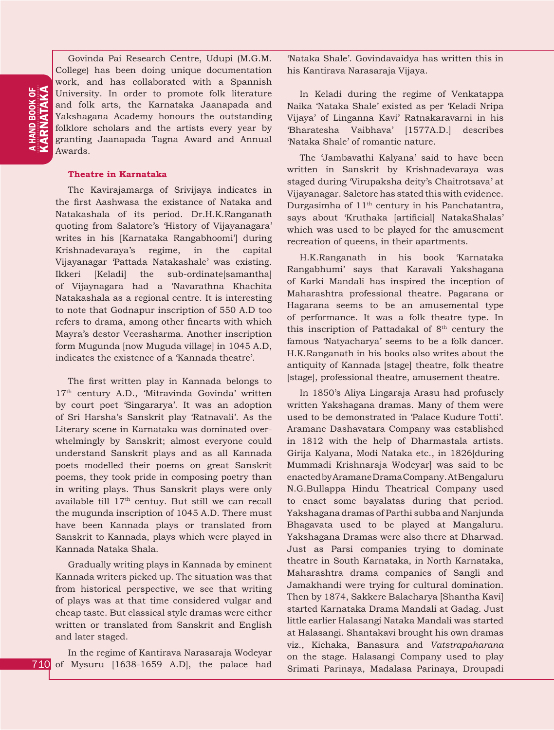Govinda Pai Research Centre, Udupi (M.G.M. College) has been doing unique documentation work, and has collaborated with a Spannish University. In order to promote folk literature and folk arts, the Karnataka Jaanapada and Yakshagana Academy honours the outstanding folklore scholars and the artists every year by granting Jaanapada Tagna Award and Annual Awards.

#### **Theatre in Karnataka**

The Kavirajamarga of Srivijaya indicates in the first Aashwasa the existance of Nataka and Natakashala of its period. Dr.H.K.Ranganath quoting from Salatore's 'History of Vijayanagara' writes in his [Karnataka Rangabhoomi'] during Krishnadevaraya's regime, in the capital Vijayanagar 'Pattada Natakashale' was existing. Ikkeri [Keladi] the sub-ordinate[samantha] of Vijaynagara had a 'Navarathna Khachita Natakashala as a regional centre. It is interesting to note that Godnapur inscription of 550 A.D too refers to drama, among other finearts with which Mayra's destor Veerasharma. Another inscription form Mugunda [now Muguda village] in 1045 A.D, indicates the existence of a 'Kannada theatre'.

The first written play in Kannada belongs to 17th century A.D., 'Mitravinda Govinda' written by court poet 'Singararya'. It was an adoption of Sri Harsha's Sanskrit play 'Ratnavali'. As the Literary scene in Karnataka was dominated overwhelmingly by Sanskrit; almost everyone could understand Sanskrit plays and as all Kannada poets modelled their poems on great Sanskrit poems, they took pride in composing poetry than in writing plays. Thus Sanskrit plays were only available till 17th centuy. But still we can recall the mugunda inscription of 1045 A.D. There must have been Kannada plays or translated from Sanskrit to Kannada, plays which were played in Kannada Nataka Shala.

Gradually writing plays in Kannada by eminent Kannada writers picked up. The situation was that from historical perspective, we see that writing of plays was at that time considered vulgar and cheap taste. But classical style dramas were either written or translated from Sanskrit and English and later staged.

710 of Mysuru [1638-1659 A.D], the palace had In the regime of Kantirava Narasaraja Wodeyar

'Nataka Shale'. Govindavaidya has written this in his Kantirava Narasaraja Vijaya.

In Keladi during the regime of Venkatappa Naika 'Nataka Shale' existed as per 'Keladi Nripa Vijaya' of Linganna Kavi' Ratnakaravarni in his 'Bharatesha Vaibhava' [1577A.D.] describes 'Nataka Shale' of romantic nature.

The 'Jambavathi Kalyana' said to have been written in Sanskrit by Krishnadevaraya was staged during 'Virupaksha deity's Chaitrotsava' at Vijayanagar. Saletore has stated this with evidence. Durgasimha of 11th century in his Panchatantra, says about 'Kruthaka [artificial] NatakaShalas' which was used to be played for the amusement recreation of queens, in their apartments.

H.K.Ranganath in his book 'Karnataka Rangabhumi' says that Karavali Yakshagana of Karki Mandali has inspired the inception of Maharashtra professional theatre. Pagarana or Hagarana seems to be an amusemental type of performance. It was a folk theatre type. In this inscription of Pattadakal of 8<sup>th</sup> century the famous 'Natyacharya' seems to be a folk dancer. H.K.Ranganath in his books also writes about the antiquity of Kannada [stage] theatre, folk theatre [stage], professional theatre, amusement theatre.

In 1850's Aliya Lingaraja Arasu had profusely written Yakshagana dramas. Many of them were used to be demonstrated in 'Palace Kudure Totti'. Aramane Dashavatara Company was established in 1812 with the help of Dharmastala artists. Girija Kalyana, Modi Nataka etc., in 1826[during Mummadi Krishnaraja Wodeyar] was said to be enacted by Aramane Drama Company. At Bengaluru N.G.Bullappa Hindu Theatrical Company used to enact some bayalatas during that period. Yakshagana dramas of Parthi subba and Nanjunda Bhagavata used to be played at Mangaluru. Yakshagana Dramas were also there at Dharwad. Just as Parsi companies trying to dominate theatre in South Karnataka, in North Karnataka, Maharashtra drama companies of Sangli and Jamakhandi were trying for cultural domination. Then by 1874, Sakkere Balacharya [Shantha Kavi] started Karnataka Drama Mandali at Gadag. Just little earlier Halasangi Nataka Mandali was started at Halasangi. Shantakavi brought his own dramas viz., Kichaka, Banasura and *Vatstrapaharana*  on the stage. Halasangi Company used to play Srimati Parinaya, Madalasa Parinaya, Droupadi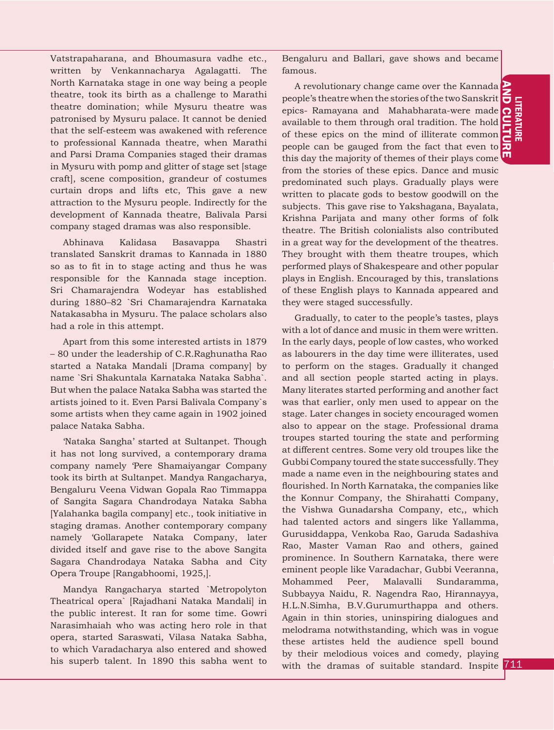**POOLINEER**<br>POOLINE<br>711 **LITERATURE** AND C  $\Xi$ 

Vatstrapaharana, and Bhoumasura vadhe etc., written by Venkannacharya Agalagatti. The North Karnataka stage in one way being a people theatre, took its birth as a challenge to Marathi theatre domination; while Mysuru theatre was patronised by Mysuru palace. It cannot be denied that the self-esteem was awakened with reference to professional Kannada theatre, when Marathi and Parsi Drama Companies staged their dramas in Mysuru with pomp and glitter of stage set [stage craft], scene composition, grandeur of costumes curtain drops and lifts etc, This gave a new attraction to the Mysuru people. Indirectly for the development of Kannada theatre, Balivala Parsi company staged dramas was also responsible.

Abhinava Kalidasa Basavappa Shastri translated Sanskrit dramas to Kannada in 1880 so as to fit in to stage acting and thus he was responsible for the Kannada stage inception. Sri Chamarajendra Wodeyar has established during 1880–82 `Sri Chamarajendra Karnataka Natakasabha in Mysuru. The palace scholars also had a role in this attempt.

Apart from this some interested artists in 1879 – 80 under the leadership of C.R.Raghunatha Rao started a Nataka Mandali [Drama company] by name `Sri Shakuntala Karnataka Nataka Sabha`. But when the palace Nataka Sabha was started the artists joined to it. Even Parsi Balivala Company`s some artists when they came again in 1902 joined palace Nataka Sabha.

'Nataka Sangha' started at Sultanpet. Though it has not long survived, a contemporary drama company namely 'Pere Shamaiyangar Company took its birth at Sultanpet. Mandya Rangacharya, Bengaluru Veena Vidwan Gopala Rao Timmappa of Sangita Sagara Chandrodaya Nataka Sabha [Yalahanka bagila company] etc., took initiative in staging dramas. Another contemporary company namely 'Gollarapete Nataka Company, later divided itself and gave rise to the above Sangita Sagara Chandrodaya Nataka Sabha and City Opera Troupe [Rangabhoomi, 1925,].

Mandya Rangacharya started `Metropolyton Theatrical opera` [Rajadhani Nataka Mandali] in the public interest. It ran for some time. Gowri Narasimhaiah who was acting hero role in that opera, started Saraswati, Vilasa Nataka Sabha, to which Varadacharya also entered and showed his superb talent. In 1890 this sabha went to

Bengaluru and Ballari, gave shows and became famous.

people can be gauged from the fact that even to  $\frac{1}{2}$ A revolutionary change came over the Kannada people's theatre when the stories of the two Sanskrit epics- Ramayana and Mahabharata-were made available to them through oral tradition. The hold of these epics on the mind of illiterate common this day the majority of themes of their plays come  $\overline{\mathbf{u}}$ from the stories of these epics. Dance and music predominated such plays. Gradually plays were written to placate gods to bestow goodwill on the subjects. This gave rise to Yakshagana, Bayalata, Krishna Parijata and many other forms of folk theatre. The British colonialists also contributed in a great way for the development of the theatres. They brought with them theatre troupes, which performed plays of Shakespeare and other popular plays in English. Encouraged by this, translations of these English plays to Kannada appeared and they were staged successfully.

Gradually, to cater to the people's tastes, plays with a lot of dance and music in them were written. In the early days, people of low castes, who worked as labourers in the day time were illiterates, used to perform on the stages. Gradually it changed and all section people started acting in plays. Many literates started performing and another fact was that earlier, only men used to appear on the stage. Later changes in society encouraged women also to appear on the stage. Professional drama troupes started touring the state and performing at different centres. Some very old troupes like the Gubbi Company toured the state successfully. They made a name even in the neighbouring states and flourished. In North Karnataka, the companies like the Konnur Company, the Shirahatti Company, the Vishwa Gunadarsha Company, etc,, which had talented actors and singers like Yallamma, Gurusiddappa, Venkoba Rao, Garuda Sadashiva Rao, Master Vaman Rao and others, gained prominence. In Southern Karnataka, there were eminent people like Varadachar, Gubbi Veeranna, Mohammed Peer, Malavalli Sundaramma, Subbayya Naidu, R. Nagendra Rao, Hirannayya, H.L.N.Simha, B.V.Gurumurthappa and others. Again in thin stories, uninspiring dialogues and melodrama notwithstanding, which was in vogue these artistes held the audience spell bound by their melodious voices and comedy, playing with the dramas of suitable standard. Inspite 711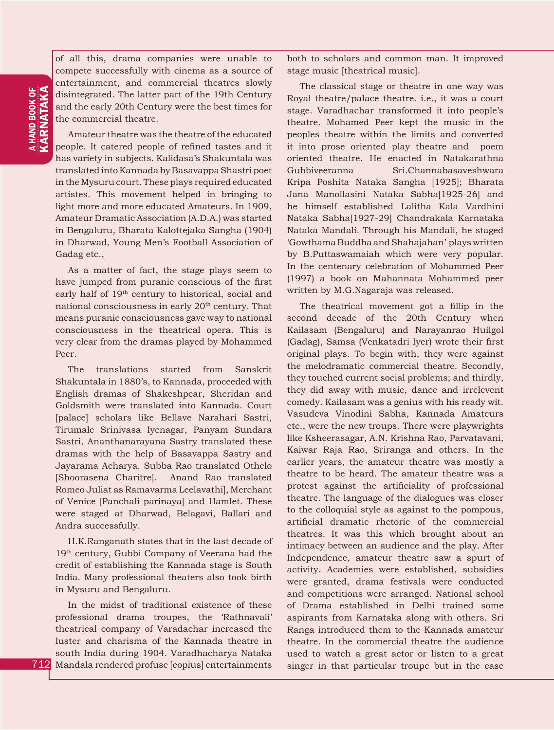of all this, drama companies were unable to compete successfully with cinema as a source of entertainment, and commercial theatres slowly disintegrated. The latter part of the 19th Century and the early 20th Century were the best times for the commercial theatre.

Amateur theatre was the theatre of the educated people. It catered people of refined tastes and it has variety in subjects. Kalidasa's Shakuntala was translated into Kannada by Basavappa Shastri poet in the Mysuru court. These plays required educated artistes. This movement helped in bringing to light more and more educated Amateurs. In 1909, Amateur Dramatic Association (A.D.A.) was started in Bengaluru, Bharata Kalottejaka Sangha (1904) in Dharwad, Young Men's Football Association of Gadag etc.,

As a matter of fact, the stage plays seem to have jumped from puranic conscious of the first early half of 19th century to historical, social and national consciousness in early 20th century. That means puranic consciousness gave way to national consciousness in the theatrical opera. This is very clear from the dramas played by Mohammed Peer.

The translations started from Sanskrit Shakuntala in 1880's, to Kannada, proceeded with English dramas of Shakeshpear, Sheridan and Goldsmith were translated into Kannada. Court [palace] scholars like Bellave Narahari Sastri, Tirumale Srinivasa Iyenagar, Panyam Sundara Sastri, Ananthanarayana Sastry translated these dramas with the help of Basavappa Sastry and Jayarama Acharya. Subba Rao translated Othelo [Shoorasena Charitre]. Anand Rao translated Romeo Juliat as Ramavarma Leelavathi], Merchant of Venice [Panchali parinaya] and Hamlet. These were staged at Dharwad, Belagavi, Ballari and Andra successfully.

H.K.Ranganath states that in the last decade of 19th century, Gubbi Company of Veerana had the credit of establishing the Kannada stage is South India. Many professional theaters also took birth in Mysuru and Bengaluru.

712 Mandala rendered profuse [copius] entertainments In the midst of traditional existence of these professional drama troupes, the 'Rathnavali' theatrical company of Varadachar increased the luster and charisma of the Kannada theatre in south India during 1904. Varadhacharya Nataka

both to scholars and common man. It improved stage music [theatrical music].

The classical stage or theatre in one way was Royal theatre/palace theatre. i.e., it was a court stage. Varadhachar transformed it into people's theatre. Mohamed Peer kept the music in the peoples theatre within the limits and converted it into prose oriented play theatre and poem oriented theatre. He enacted in Natakarathna Gubbiveeranna Sri.Channabasaveshwara Kripa Poshita Nataka Sangha [1925]; Bharata Jana Manollasini Nataka Sabha[1925-26] and he himself established Lalitha Kala Vardhini Nataka Sabha[1927-29] Chandrakala Karnataka Nataka Mandali. Through his Mandali, he staged 'Gowthama Buddha and Shahajahan' plays written by B.Puttaswamaiah which were very popular. In the centenary celebration of Mohammed Peer (1997) a book on Mahannata Mohammed peer written by M.G.Nagaraja was released.

The theatrical movement got a fillip in the second decade of the 20th Century when Kailasam (Bengaluru) and Narayanrao Huilgol (Gadag), Samsa (Venkatadri Iyer) wrote their first original plays. To begin with, they were against the melodramatic commercial theatre. Secondly, they touched current social problems; and thirdly, they did away with music, dance and irrelevent comedy. Kailasam was a genius with his ready wit. Vasudeva Vinodini Sabha, Kannada Amateurs etc., were the new troups. There were playwrights like Ksheerasagar, A.N. Krishna Rao, Parvatavani, Kaiwar Raja Rao, Sriranga and others. In the earlier years, the amateur theatre was mostly a theatre to be heard. The amateur theatre was a protest against the artificiality of professional theatre. The language of the dialogues was closer to the colloquial style as against to the pompous, artificial dramatic rhetoric of the commercial theatres. It was this which brought about an intimacy between an audience and the play. After Independence, amateur theatre saw a spurt of activity. Academies were established, subsidies were granted, drama festivals were conducted and competitions were arranged. National school of Drama established in Delhi trained some aspirants from Karnataka along with others. Sri Ranga introduced them to the Kannada amateur theatre. In the commercial theatre the audience used to watch a great actor or listen to a great singer in that particular troupe but in the case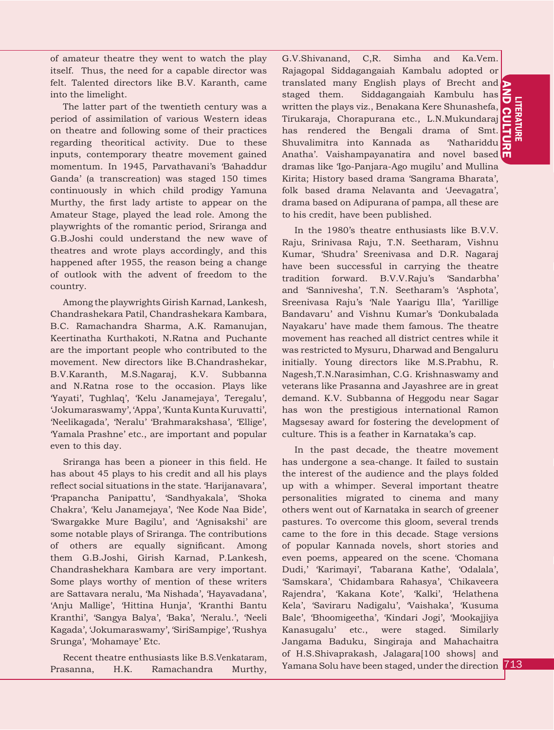**POOLINEER**<br>DOODLINE<br>713 LITERATURE AND C  $\Xi$ 

of amateur theatre they went to watch the play itself. Thus, the need for a capable director was felt. Talented directors like B.V. Karanth, came into the limelight.

The latter part of the twentieth century was a period of assimilation of various Western ideas on theatre and following some of their practices regarding theoritical activity. Due to these inputs, contemporary theatre movement gained momentum. In 1945, Parvathavani's 'Bahaddur Ganda' (a transcreation) was staged 150 times continuously in which child prodigy Yamuna Murthy, the first lady artiste to appear on the Amateur Stage, played the lead role. Among the playwrights of the romantic period, Sriranga and G.B.Joshi could understand the new wave of theatres and wrote plays accordingly, and this happened after 1955, the reason being a change of outlook with the advent of freedom to the country.

Among the playwrights Girish Karnad, Lankesh, Chandrashekara Patil, Chandrashekara Kambara, B.C. Ramachandra Sharma, A.K. Ramanujan, Keertinatha Kurthakoti, N.Ratna and Puchante are the important people who contributed to the movement. New directors like B.Chandrashekar, B.V.Karanth, M.S.Nagaraj, K.V. Subbanna and N.Ratna rose to the occasion. Plays like 'Yayati', Tughlaq', 'Kelu Janamejaya', Teregalu', 'Jokumaraswamy', 'Appa', 'Kunta Kunta Kuruvatti', 'Neelikagada', 'Neralu' 'Brahmarakshasa', 'Ellige', 'Yamala Prashne' etc., are important and popular even to this day.

Sriranga has been a pioneer in this field. He has about 45 plays to his credit and all his plays reflect social situations in the state. 'Harijanavara', 'Prapancha Panipattu', 'Sandhyakala', 'Shoka Chakra', 'Kelu Janamejaya', 'Nee Kode Naa Bide', 'Swargakke Mure Bagilu', and 'Agnisakshi' are some notable plays of Sriranga. The contributions of others are equally significant. Among them G.B.Joshi, Girish Karnad, P.Lankesh, Chandrashekhara Kambara are very important. Some plays worthy of mention of these writers are Sattavara neralu, 'Ma Nishada', 'Hayavadana', 'Anju Mallige', 'Hittina Hunja', 'Kranthi Bantu Kranthi', 'Sangya Balya', 'Baka', 'Neralu.', 'Neeli Kagada', 'Jokumaraswamy', 'SiriSampige', 'Rushya Srunga', 'Mohamaye' Etc.

Recent theatre enthusiasts like B.S.Venkataram, Prasanna, H.K. Ramachandra Murthy,

URE Anatha'. Vaishampayanatira and novel based G.V.Shivanand, C,R. Simha and Ka.Vem. Rajagopal Siddagangaiah Kambalu adopted or translated many English plays of Brecht and staged them. Siddagangaiah Kambulu has written the plays viz., Benakana Kere Shunashefa, Tirukaraja, Chorapurana etc., L.N.Mukundaraj has rendered the Bengali drama of Smt. Shuvalimitra into Kannada as 'Nathariddu dramas like 'Igo-Panjara-Ago mugilu' and Mullina Kirita; History based drama 'Sangrama Bharata', folk based drama Nelavanta and 'Jeevagatra', drama based on Adipurana of pampa, all these are to his credit, have been published.

In the 1980's theatre enthusiasts like B.V.V. Raju, Srinivasa Raju, T.N. Seetharam, Vishnu Kumar, 'Shudra' Sreenivasa and D.R. Nagaraj have been successful in carrying the theatre tradition forward. B.V.V.Raju's 'Sandarbha' and 'Sannivesha', T.N. Seetharam's 'Asphota', Sreenivasa Raju's 'Nale Yaarigu Illa', 'Yarillige Bandavaru' and Vishnu Kumar's 'Donkubalada Nayakaru' have made them famous. The theatre movement has reached all district centres while it was restricted to Mysuru, Dharwad and Bengaluru initially. Young directors like M.S.Prabhu, R. Nagesh,T.N.Narasimhan, C.G. Krishnaswamy and veterans like Prasanna and Jayashree are in great demand. K.V. Subbanna of Heggodu near Sagar has won the prestigious international Ramon Magsesay award for fostering the development of culture. This is a feather in Karnataka's cap.

In the past decade, the theatre movement has undergone a sea-change. It failed to sustain the interest of the audience and the plays folded up with a whimper. Several important theatre personalities migrated to cinema and many others went out of Karnataka in search of greener pastures. To overcome this gloom, several trends came to the fore in this decade. Stage versions of popular Kannada novels, short stories and even poems, appeared on the scene. 'Chomana Dudi,' 'Karimayi', 'Tabarana Kathe', 'Odalala', 'Samskara', 'Chidambara Rahasya', 'Chikaveera Rajendra', 'Kakana Kote', 'Kalki', 'Helathena Kela', 'Saviraru Nadigalu', 'Vaishaka', 'Kusuma Bale', 'Bhoomigeetha', 'Kindari Jogi', 'Mookajjiya Kanasugalu' etc., were staged. Similarly Jangama Baduku, Singiraja and Mahachaitra of H.S.Shivaprakash, Jalagara[100 shows] and Yamana Solu have been staged, under the direction 713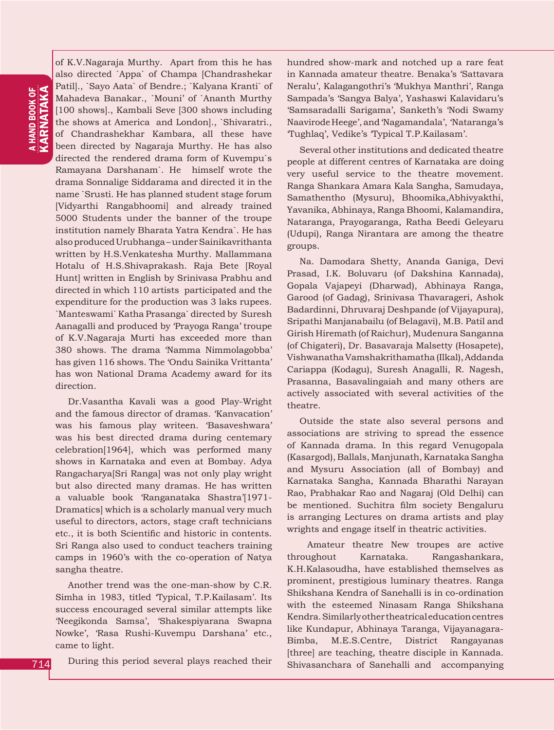# **A HAND BOOK OF**<br>**KARNATAKA** KARNATAKA a HAND BOOK OF

of K.V.Nagaraja Murthy. Apart from this he has also directed `Appa` of Champa [Chandrashekar Patil]., `Sayo Aata` of Bendre.; `Kalyana Kranti` of Mahadeva Banakar., `Mouni' of `Ananth Murthy [100 shows]., Kambali Seve [300 shows including the shows at America and London]., `Shivaratri., of Chandrashekhar Kambara, all these have been directed by Nagaraja Murthy. He has also directed the rendered drama form of Kuvempu`s Ramayana Darshanam`. He himself wrote the drama Sonnalige Siddarama and directed it in the name `Srusti. He has planned student stage forum [Vidyarthi Rangabhoomi] and already trained 5000 Students under the banner of the troupe institution namely Bharata Yatra Kendra`. He has also produced Urubhanga – under Sainikavrithanta written by H.S.Venkatesha Murthy. Mallammana Hotalu of H.S.Shivaprakash. Raja Bete [Royal Hunt] written in English by Srinivasa Prabhu and directed in which 110 artists participated and the expenditure for the production was 3 laks rupees. `Manteswami` Katha Prasanga` directed by Suresh Aanagalli and produced by 'Prayoga Ranga' troupe of K.V.Nagaraja Murti has exceeded more than 380 shows. The drama 'Namma Nimmolagobba' has given 116 shows. The 'Ondu Sainika Vrittanta' has won National Drama Academy award for its direction.

Dr.Vasantha Kavali was a good Play-Wright and the famous director of dramas. 'Kanvacation' was his famous play writeen. 'Basaveshwara' was his best directed drama during centemary celebration[1964], which was performed many shows in Karnataka and even at Bombay. Adya Rangacharya[Sri Ranga] was not only play wright but also directed many dramas. He has written a valuable book 'Ranganataka Shastra'[1971-Dramatics] which is a scholarly manual very much useful to directors, actors, stage craft technicians etc., it is both Scientific and historic in contents. Sri Ranga also used to conduct teachers training camps in 1960's with the co-operation of Natya sangha theatre.

Another trend was the one-man-show by C.R. Simha in 1983, titled 'Typical, T.P.Kailasam'. Its success encouraged several similar attempts like 'Neegikonda Samsa', 'Shakespiyarana Swapna Nowke', 'Rasa Rushi-Kuvempu Darshana' etc., came to light.

During this period several plays reached their

hundred show-mark and notched up a rare feat in Kannada amateur theatre. Benaka's 'Sattavara Neralu', Kalagangothri's 'Mukhya Manthri', Ranga Sampada's 'Sangya Balya', Yashaswi Kalavidaru's 'Samsaradalli Sarigama', Sanketh's 'Nodi Swamy Naavirode Heege', and 'Nagamandala', 'Nataranga's 'Tughlaq', Vedike's 'Typical T.P.Kailasam'.

Several other institutions and dedicated theatre people at different centres of Karnataka are doing very useful service to the theatre movement. Ranga Shankara Amara Kala Sangha, Samudaya, Samathentho (Mysuru), Bhoomika,Abhivyakthi, Yavanika, Abhinaya, Ranga Bhoomi, Kalamandira, Nataranga, Prayogaranga, Ratha Beedi Geleyaru (Udupi), Ranga Nirantara are among the theatre groups.

Na. Damodara Shetty, Ananda Ganiga, Devi Prasad, I.K. Boluvaru (of Dakshina Kannada), Gopala Vajapeyi (Dharwad), Abhinaya Ranga, Garood (of Gadag), Srinivasa Thavarageri, Ashok Badardinni, Dhruvaraj Deshpande (of Vijayapura), Sripathi Manjanabailu (of Belagavi), M.B. Patil and Girish Hiremath (of Raichur), Mudenura Sanganna (of Chigateri), Dr. Basavaraja Malsetty (Hosapete), Vishwanatha Vamshakrithamatha (Ilkal), Addanda Cariappa (Kodagu), Suresh Anagalli, R. Nagesh, Prasanna, Basavalingaiah and many others are actively associated with several activities of the theatre.

Outside the state also several persons and associations are striving to spread the essence of Kannada drama. In this regard Venugopala (Kasargod), Ballals, Manjunath, Karnataka Sangha and Mysuru Association (all of Bombay) and Karnataka Sangha, Kannada Bharathi Narayan Rao, Prabhakar Rao and Nagaraj (Old Delhi) can be mentioned. Suchitra film society Bengaluru is arranging Lectures on drama artists and play wrights and engage itself in theatric activities.

 Amateur theatre New troupes are active throughout Karnataka. Rangashankara, K.H.Kalasoudha, have established themselves as prominent, prestigious luminary theatres. Ranga Shikshana Kendra of Sanehalli is in co-ordination with the esteemed Ninasam Ranga Shikshana Kendra. Similarly other theatrical education centres like Kundapur, Abhinaya Taranga, Vijayanagara-Bimba, M.E.S.Centre, District Rangayanas [three] are teaching, theatre disciple in Kannada. Shivasanchara of Sanehalli and accompanying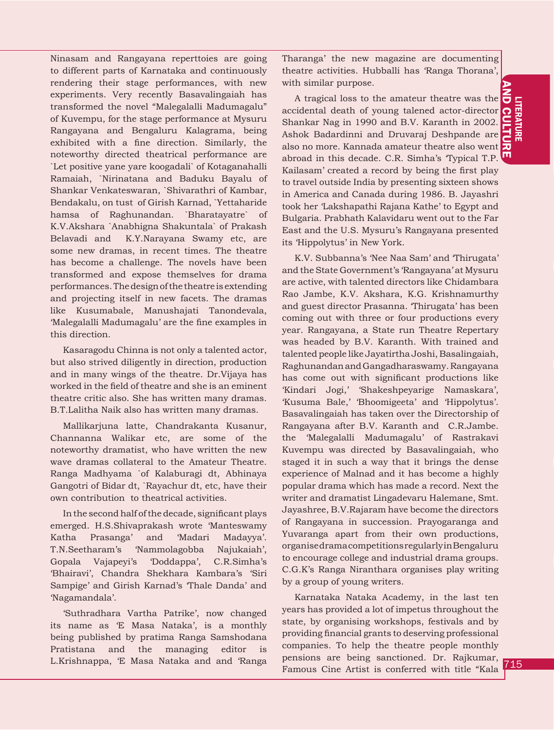THERMONE THE STATE STATE SERVICE SERVICE STATES And the service of the state of the state of the state of the state of the state of the state of the state of the state of the state of the state of the state of the state of **LITERATURE** AND C  $\Xi$ 

Ninasam and Rangayana reperttoies are going to different parts of Karnataka and continuously rendering their stage performances, with new experiments. Very recently Basavalingaiah has transformed the novel "Malegalalli Madumagalu" of Kuvempu, for the stage performance at Mysuru Rangayana and Bengaluru Kalagrama, being exhibited with a fine direction. Similarly, the noteworthy directed theatrical performance are `Let positive yane yare koogadali` of Kotaganahalli Ramaiah, `Nirinatana and Baduku Bayalu of Shankar Venkateswaran, `Shivarathri of Kambar, Bendakalu, on tust of Girish Karnad, `Yettaharide hamsa of Raghunandan. `Bharatayatre` of K.V.Akshara `Anabhigna Shakuntala` of Prakash Belavadi and K.Y.Narayana Swamy etc, are some new dramas, in recent times. The theatre has become a challenge. The novels have been transformed and expose themselves for drama performances. The design of the theatre is extending and projecting itself in new facets. The dramas like Kusumabale, Manushajati Tanondevala, 'Malegalalli Madumagalu' are the fine examples in this direction.

Kasaragodu Chinna is not only a talented actor, but also strived diligently in direction, production and in many wings of the theatre. Dr.Vijaya has worked in the field of theatre and she is an eminent theatre critic also. She has written many dramas. B.T.Lalitha Naik also has written many dramas.

Mallikarjuna latte, Chandrakanta Kusanur, Channanna Walikar etc, are some of the noteworthy dramatist, who have written the new wave dramas collateral to the Amateur Theatre. Ranga Madhyama `of Kalaburagi dt, Abhinaya Gangotri of Bidar dt, `Rayachur dt, etc, have their own contribution to theatrical activities.

In the second half of the decade, significant plays emerged. H.S.Shivaprakash wrote 'Manteswamy Katha Prasanga' and 'Madari Madayya'. T.N.Seetharam's 'Nammolagobba Najukaiah', Gopala Vajapeyi's 'Doddappa', C.R.Simha's 'Bhairavi', Chandra Shekhara Kambara's 'Siri Sampige' and Girish Karnad's 'Thale Danda' and 'Nagamandala'.

'Suthradhara Vartha Patrike', now changed its name as 'E Masa Nataka', is a monthly being published by pratima Ranga Samshodana Pratistana and the managing editor is L.Krishnappa, 'E Masa Nataka and and 'Ranga Tharanga' the new magazine are documenting theatre activities. Hubballi has 'Ranga Thorana', with similar purpose.

also no more. Kannada amateur theatre also went A tragical loss to the amateur theatre was the  $\Box$ accidental death of young talened actor-director Shankar Nag in 1990 and B.V. Karanth in 2002. Ashok Badardinni and Druvaraj Deshpande are abroad in this decade. C.R. Simha's 'Typical T.P. Kailasam' created a record by being the first play to travel outside India by presenting sixteen shows in America and Canada during 1986. B. Jayashri took her 'Lakshapathi Rajana Kathe' to Egypt and Bulgaria. Prabhath Kalavidaru went out to the Far East and the U.S. Mysuru's Rangayana presented its 'Hippolytus' in New York.

K.V. Subbanna's 'Nee Naa Sam' and 'Thirugata' and the State Government's 'Rangayana' at Mysuru are active, with talented directors like Chidambara Rao Jambe, K.V. Akshara, K.G. Krishnamurthy and guest director Prasanna. 'Thirugata' has been coming out with three or four productions every year. Rangayana, a State run Theatre Repertary was headed by B.V. Karanth. With trained and talented people like Jayatirtha Joshi, Basalingaiah, Raghunandan and Gangadharaswamy. Rangayana has come out with significant productions like 'Kindari Jogi,' 'Shakeshpeyarige Namaskara', 'Kusuma Bale,' 'Bhoomigeeta' and 'Hippolytus'. Basavalingaiah has taken over the Directorship of Rangayana after B.V. Karanth and C.R.Jambe. the 'Malegalalli Madumagalu' of Rastrakavi Kuvempu was directed by Basavalingaiah, who staged it in such a way that it brings the dense experience of Malnad and it has become a highly popular drama which has made a record. Next the writer and dramatist Lingadevaru Halemane, Smt. Jayashree, B.V.Rajaram have become the directors of Rangayana in succession. Prayogaranga and Yuvaranga apart from their own productions, organise drama competitions regularly in Bengaluru to encourage college and industrial drama groups. C.G.K's Ranga Niranthara organises play writing by a group of young writers.

Karnataka Nataka Academy, in the last ten years has provided a lot of impetus throughout the state, by organising workshops, festivals and by providing financial grants to deserving professional companies. To help the theatre people monthly pensions are being sanctioned. Dr. Rajkumar, Famous Cine Artist is conferred with title "Kala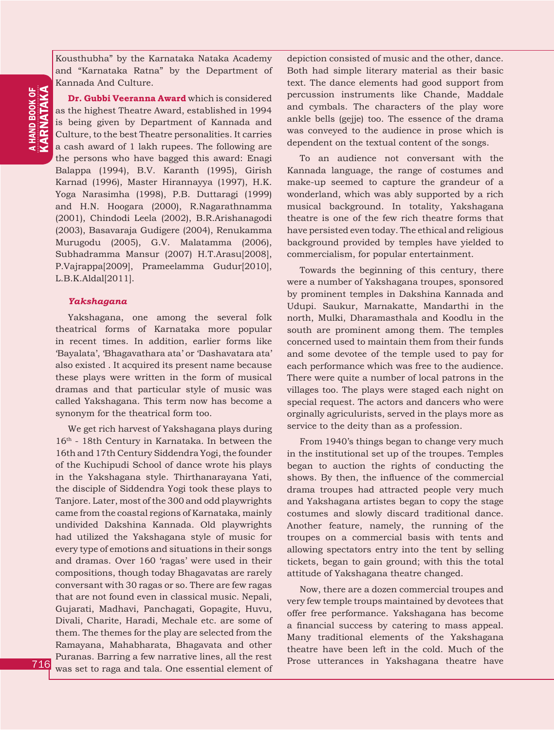Kousthubha" by the Karnataka Nataka Academy and "Karnataka Ratna" by the Department of Kannada And Culture.

**Dr. Gubbi Veeranna Award** which is considered as the highest Theatre Award, established in 1994 is being given by Department of Kannada and Culture, to the best Theatre personalities. It carries a cash award of 1 lakh rupees. The following are the persons who have bagged this award: Enagi Balappa (1994), B.V. Karanth (1995), Girish Karnad (1996), Master Hirannayya (1997), H.K. Yoga Narasimha (1998), P.B. Duttaragi (1999) and H.N. Hoogara (2000), R.Nagarathnamma (2001), Chindodi Leela (2002), B.R.Arishanagodi (2003), Basavaraja Gudigere (2004), Renukamma Murugodu (2005), G.V. Malatamma (2006), Subhadramma Mansur (2007) H.T.Arasu[2008], P.Vajrappa[2009], Prameelamma Gudur[2010], L.B.K.Aldal[2011].

# *Yakshagana*

Yakshagana, one among the several folk theatrical forms of Karnataka more popular in recent times. In addition, earlier forms like 'Bayalata', 'Bhagavathara ata' or 'Dashavatara ata' also existed . It acquired its present name because these plays were written in the form of musical dramas and that particular style of music was called Yakshagana. This term now has become a synonym for the theatrical form too.

We get rich harvest of Yakshagana plays during  $16<sup>th</sup>$  - 18th Century in Karnataka. In between the 16th and 17th Century Siddendra Yogi, the founder of the Kuchipudi School of dance wrote his plays in the Yakshagana style. Thirthanarayana Yati, the disciple of Siddendra Yogi took these plays to Tanjore. Later, most of the 300 and odd playwrights came from the coastal regions of Karnataka, mainly undivided Dakshina Kannada. Old playwrights had utilized the Yakshagana style of music for every type of emotions and situations in their songs and dramas. Over 160 'ragas' were used in their compositions, though today Bhagavatas are rarely conversant with 30 ragas or so. There are few ragas that are not found even in classical music. Nepali, Gujarati, Madhavi, Panchagati, Gopagite, Huvu, Divali, Charite, Haradi, Mechale etc. are some of them. The themes for the play are selected from the Ramayana, Mahabharata, Bhagavata and other Puranas. Barring a few narrative lines, all the rest was set to raga and tala. One essential element of depiction consisted of music and the other, dance. Both had simple literary material as their basic text. The dance elements had good support from percussion instruments like Chande, Maddale and cymbals. The characters of the play wore ankle bells (gejje) too. The essence of the drama was conveyed to the audience in prose which is dependent on the textual content of the songs.

To an audience not conversant with the Kannada language, the range of costumes and make-up seemed to capture the grandeur of a wonderland, which was ably supported by a rich musical background. In totality, Yakshagana theatre is one of the few rich theatre forms that have persisted even today. The ethical and religious background provided by temples have yielded to commercialism, for popular entertainment.

Towards the beginning of this century, there were a number of Yakshagana troupes, sponsored by prominent temples in Dakshina Kannada and Udupi. Saukur, Marnakatte, Mandarthi in the north, Mulki, Dharamasthala and Koodlu in the south are prominent among them. The temples concerned used to maintain them from their funds and some devotee of the temple used to pay for each performance which was free to the audience. There were quite a number of local patrons in the villages too. The plays were staged each night on special request. The actors and dancers who were orginally agriculurists, served in the plays more as service to the deity than as a profession.

From 1940's things began to change very much in the institutional set up of the troupes. Temples began to auction the rights of conducting the shows. By then, the influence of the commercial drama troupes had attracted people very much and Yakshagana artistes began to copy the stage costumes and slowly discard traditional dance. Another feature, namely, the running of the troupes on a commercial basis with tents and allowing spectators entry into the tent by selling tickets, began to gain ground; with this the total attitude of Yakshagana theatre changed.

Now, there are a dozen commercial troupes and very few temple troups maintained by devotees that offer free performance. Yakshagana has become a financial success by catering to mass appeal. Many traditional elements of the Yakshagana theatre have been left in the cold. Much of the Prose utterances in Yakshagana theatre have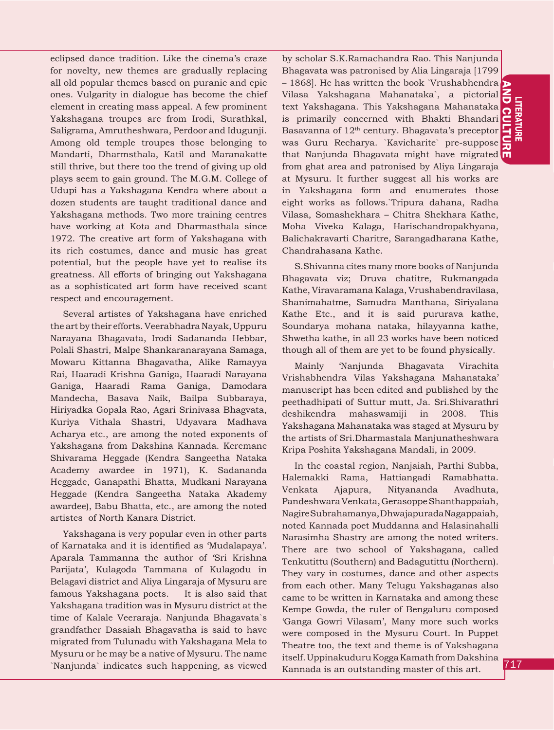**POOLITERING**<br>POOLITER<br>717 **LITERATURE** AND C  $\Xi$ 

eclipsed dance tradition. Like the cinema's craze for novelty, new themes are gradually replacing all old popular themes based on puranic and epic ones. Vulgarity in dialogue has become the chief element in creating mass appeal. A few prominent Yakshagana troupes are from Irodi, Surathkal, Saligrama, Amrutheshwara, Perdoor and Idugunji. Among old temple troupes those belonging to Mandarti, Dharmsthala, Katil and Maranakatte still thrive, but there too the trend of giving up old plays seem to gain ground. The M.G.M. College of Udupi has a Yakshagana Kendra where about a dozen students are taught traditional dance and Yakshagana methods. Two more training centres have working at Kota and Dharmasthala since 1972. The creative art form of Yakshagana with its rich costumes, dance and music has great potential, but the people have yet to realise its greatness. All efforts of bringing out Yakshagana as a sophisticated art form have received scant respect and encouragement.

Several artistes of Yakshagana have enriched the art by their efforts. Veerabhadra Nayak, Uppuru Narayana Bhagavata, Irodi Sadananda Hebbar, Polali Shastri, Malpe Shankaranarayana Samaga, Mowaru Kittanna Bhagavatha, Alike Ramayya Rai, Haaradi Krishna Ganiga, Haaradi Narayana Ganiga, Haaradi Rama Ganiga, Damodara Mandecha, Basava Naik, Bailpa Subbaraya, Hiriyadka Gopala Rao, Agari Srinivasa Bhagvata, Kuriya Vithala Shastri, Udyavara Madhava Acharya etc., are among the noted exponents of Yakshagana from Dakshina Kannada. Keremane Shivarama Heggade (Kendra Sangeetha Nataka Academy awardee in 1971), K. Sadananda Heggade, Ganapathi Bhatta, Mudkani Narayana Heggade (Kendra Sangeetha Nataka Akademy awardee), Babu Bhatta, etc., are among the noted artistes of North Kanara District.

Yakshagana is very popular even in other parts of Karnataka and it is identified as 'Mudalapaya'. Aparala Tammanna the author of 'Sri Krishna Parijata', Kulagoda Tammana of Kulagodu in Belagavi district and Aliya Lingaraja of Mysuru are famous Yakshagana poets. It is also said that Yakshagana tradition was in Mysuru district at the time of Kalale Veeraraja. Nanjunda Bhagavata`s grandfather Dasaiah Bhagavatha is said to have migrated from Tulunadu with Yakshagana Mela to Mysuru or he may be a native of Mysuru. The name `Nanjunda` indicates such happening, as viewed

was Guru Recharya. `Kavicharite` pre-suppose Qu<br>that Nanjunda Bhagavata might have migrated <mark>u</mark> by scholar S.K.Ramachandra Rao. This Nanjunda Bhagavata was patronised by Alia Lingaraja [1799 – 1868]. He has written the book `Vrushabhendra Vilasa Yakshagana Mahanataka`, a pictorial text Yakshagana. This Yakshagana Mahanataka is primarily concerned with Bhakti Bhandari Basavanna of 12th century. Bhagavata's preceptor was Guru Recharya. `Kavicharite` pre-suppose from ghat area and patronised by Aliya Lingaraja at Mysuru. It further suggest all his works are in Yakshagana form and enumerates those eight works as follows.`Tripura dahana, Radha Vilasa, Somashekhara – Chitra Shekhara Kathe, Moha Viveka Kalaga, Harischandropakhyana, Balichakravarti Charitre, Sarangadharana Kathe, Chandrahasana Kathe.

S.Shivanna cites many more books of Nanjunda Bhagavata viz; Druva chatitre, Rukmangada Kathe, Viravaramana Kalaga, Vrushabendravilasa, Shanimahatme, Samudra Manthana, Siriyalana Kathe Etc., and it is said pururava kathe, Soundarya mohana nataka, hilayyanna kathe, Shwetha kathe, in all 23 works have been noticed though all of them are yet to be found physically.

Mainly 'Nanjunda Bhagavata Virachita Vrishabhendra Vilas Yakshagana Mahanataka' manuscript has been edited and published by the peethadhipati of Suttur mutt, Ja. Sri.Shivarathri deshikendra mahaswamiji in 2008. This Yakshagana Mahanataka was staged at Mysuru by the artists of Sri.Dharmastala Manjunatheshwara Kripa Poshita Yakshagana Mandali, in 2009.

In the coastal region, Nanjaiah, Parthi Subba, Halemakki Rama, Hattiangadi Ramabhatta. Venkata Ajapura, Nityananda Avadhuta, Pandeshwara Venkata, Gerasoppe Shanthappaiah, Nagire Subrahamanya, Dhwajapurada Nagappaiah, noted Kannada poet Muddanna and Halasinahalli Narasimha Shastry are among the noted writers. There are two school of Yakshagana, called Tenkutittu (Southern) and Badagutittu (Northern). They vary in costumes, dance and other aspects from each other. Many Telugu Yakshaganas also came to be written in Karnataka and among these Kempe Gowda, the ruler of Bengaluru composed 'Ganga Gowri Vilasam', Many more such works were composed in the Mysuru Court. In Puppet Theatre too, the text and theme is of Yakshagana itself. Uppinakuduru Kogga Kamath from Dakshina Kannada is an outstanding master of this art.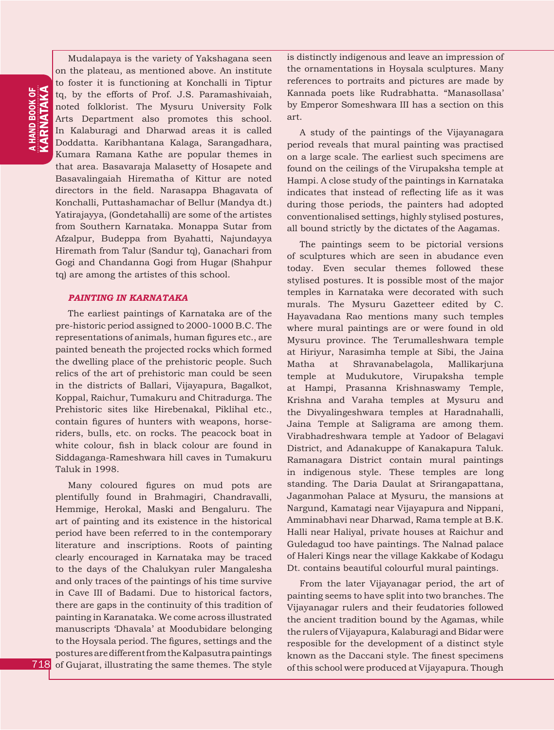# **HAND BOOK OF**<br>**CARNATAKA** KARNATAKA a HAND BOOK OF

Mudalapaya is the variety of Yakshagana seen on the plateau, as mentioned above. An institute to foster it is functioning at Konchalli in Tiptur tq, by the efforts of Prof. J.S. Paramashivaiah, noted folklorist. The Mysuru University Folk Arts Department also promotes this school. In Kalaburagi and Dharwad areas it is called Doddatta. Karibhantana Kalaga, Sarangadhara, Kumara Ramana Kathe are popular themes in that area. Basavaraja Malasetty of Hosapete and Basavalingaiah Hirematha of Kittur are noted directors in the field. Narasappa Bhagavata of Konchalli, Puttashamachar of Bellur (Mandya dt.) Yatirajayya, (Gondetahalli) are some of the artistes from Southern Karnataka. Monappa Sutar from Afzalpur, Budeppa from Byahatti, Najundayya Hiremath from Talur (Sandur tq), Ganachari from Gogi and Chandanna Gogi from Hugar (Shahpur tq) are among the artistes of this school.

# *PAINTING IN KARNATAKA*

The earliest paintings of Karnataka are of the pre-historic period assigned to 2000-1000 B.C. The representations of animals, human figures etc., are painted beneath the projected rocks which formed the dwelling place of the prehistoric people. Such relics of the art of prehistoric man could be seen in the districts of Ballari, Vijayapura, Bagalkot, Koppal, Raichur, Tumakuru and Chitradurga. The Prehistoric sites like Hirebenakal, Piklihal etc., contain figures of hunters with weapons, horseriders, bulls, etc. on rocks. The peacock boat in white colour, fish in black colour are found in Siddaganga-Rameshwara hill caves in Tumakuru Taluk in 1998.

Many coloured figures on mud pots are plentifully found in Brahmagiri, Chandravalli, Hemmige, Herokal, Maski and Bengaluru. The art of painting and its existence in the historical period have been referred to in the contemporary literature and inscriptions. Roots of painting clearly encouraged in Karnataka may be traced to the days of the Chalukyan ruler Mangalesha and only traces of the paintings of his time survive in Cave III of Badami. Due to historical factors, there are gaps in the continuity of this tradition of painting in Karanataka. We come across illustrated manuscripts 'Dhavala' at Moodubidare belonging to the Hoysala period. The figures, settings and the postures are different from the Kalpasutra paintings of Gujarat, illustrating the same themes. The style

is distinctly indigenous and leave an impression of the ornamentations in Hoysala sculptures. Many references to portraits and pictures are made by Kannada poets like Rudrabhatta. "Manasollasa' by Emperor Someshwara III has a section on this art.

A study of the paintings of the Vijayanagara period reveals that mural painting was practised on a large scale. The earliest such specimens are found on the ceilings of the Virupaksha temple at Hampi. A close study of the paintings in Karnataka indicates that instead of reflecting life as it was during those periods, the painters had adopted conventionalised settings, highly stylised postures, all bound strictly by the dictates of the Aagamas.

The paintings seem to be pictorial versions of sculptures which are seen in abudance even today. Even secular themes followed these stylised postures. It is possible most of the major temples in Karnataka were decorated with such murals. The Mysuru Gazetteer edited by C. Hayavadana Rao mentions many such temples where mural paintings are or were found in old Mysuru province. The Terumalleshwara temple at Hiriyur, Narasimha temple at Sibi, the Jaina Matha at Shravanabelagola, Mallikarjuna temple at Mudukutore, Virupaksha temple at Hampi, Prasanna Krishnaswamy Temple, Krishna and Varaha temples at Mysuru and the Divyalingeshwara temples at Haradnahalli, Jaina Temple at Saligrama are among them. Virabhadreshwara temple at Yadoor of Belagavi District, and Adanakuppe of Kanakapura Taluk. Ramanagara District contain mural paintings in indigenous style. These temples are long standing. The Daria Daulat at Srirangapattana, Jaganmohan Palace at Mysuru, the mansions at Nargund, Kamatagi near Vijayapura and Nippani, Amminabhavi near Dharwad, Rama temple at B.K. Halli near Haliyal, private houses at Raichur and Guledagud too have paintings. The Nalnad palace of Haleri Kings near the village Kakkabe of Kodagu Dt. contains beautiful colourful mural paintings.

From the later Vijayanagar period, the art of painting seems to have split into two branches. The Vijayanagar rulers and their feudatories followed the ancient tradition bound by the Agamas, while the rulers of Vijayapura, Kalaburagi and Bidar were resposible for the development of a distinct style known as the Daccani style. The finest specimens of this school were produced at Vijayapura. Though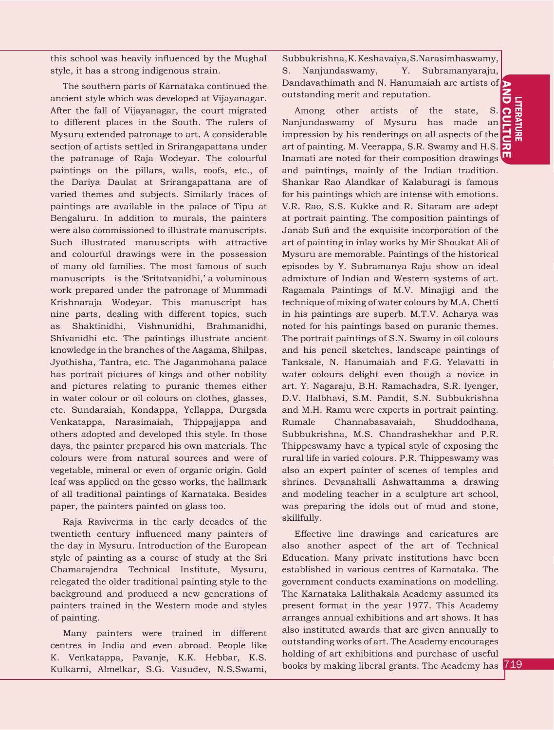this school was heavily influenced by the Mughal style, it has a strong indigenous strain.

The southern parts of Karnataka continued the ancient style which was developed at Vijayanagar. After the fall of Vijayanagar, the court migrated to different places in the South. The rulers of Mysuru extended patronage to art. A considerable section of artists settled in Srirangapattana under the patranage of Raja Wodeyar. The colourful paintings on the pillars, walls, roofs, etc., of the Dariya Daulat at Srirangapattana are of varied themes and subjects. Similarly traces of paintings are available in the palace of Tipu at Bengaluru. In addition to murals, the painters were also commissioned to illustrate manuscripts. Such illustrated manuscripts with attractive and colourful drawings were in the possession of many old families. The most famous of such manuscripts is the 'Sritatvanidhi,' a voluminous work prepared under the patronage of Mummadi Krishnaraja Wodeyar. This manuscript has nine parts, dealing with different topics, such as Shaktinidhi, Vishnunidhi, Brahmanidhi, Shivanidhi etc. The paintings illustrate ancient knowledge in the branches of the Aagama, Shilpas, Jyothisha, Tantra, etc. The Jaganmohana palace has portrait pictures of kings and other nobility and pictures relating to puranic themes either in water colour or oil colours on clothes, glasses, etc. Sundaraiah, Kondappa, Yellappa, Durgada Venkatappa, Narasimaiah, Thippajjappa and others adopted and developed this style. In those days, the painter prepared his own materials. The colours were from natural sources and were of vegetable, mineral or even of organic origin. Gold leaf was applied on the gesso works, the hallmark of all traditional paintings of Karnataka. Besides paper, the painters painted on glass too.

Raja Raviverma in the early decades of the twentieth century influenced many painters of the day in Mysuru. Introduction of the European style of painting as a course of study at the Sri Chamarajendra Technical Institute, Mysuru, relegated the older traditional painting style to the background and produced a new generations of painters trained in the Western mode and styles of painting.

Many painters were trained in different centres in India and even abroad. People like K. Venkatappa, Pavanje, K.K. Hebbar, K.S. Kulkarni, Almelkar, S.G. Vasudev, N.S.Swami,

Dandavathimath and N. Hanumaiah are artists of<br>outstanding merit and reputation.<br>Among other artists of the state, S. Subbukrishna, K. Keshavaiya, S.Narasimhaswamy, S. Nanjundaswamy, Y. Subramanyaraju, outstanding merit and reputation.

 $\frac{1}{2}$  art of painting. M. Veerappa, S.R. Swamy and H.S.  $\frac{1}{2}$  Inamati are noted for their composition drawings Among other artists of the state, S. Nanjundaswamy of Mysuru has made an impression by his renderings on all aspects of the art of painting. M. Veerappa, S.R. Swamy and H.S. and paintings, mainly of the Indian tradition. Shankar Rao Alandkar of Kalaburagi is famous for his paintings which are intense with emotions. V.R. Rao, S.S. Kukke and R. Sitaram are adept at portrait painting. The composition paintings of Janab Sufi and the exquisite incorporation of the art of painting in inlay works by Mir Shoukat Ali of Mysuru are memorable. Paintings of the historical episodes by Y. Subramanya Raju show an ideal admixture of Indian and Western systems of art. Ragamala Paintings of M.V. Minajigi and the technique of mixing of water colours by M.A. Chetti in his paintings are superb. M.T.V. Acharya was noted for his paintings based on puranic themes. The portrait paintings of S.N. Swamy in oil colours and his pencil sketches, landscape paintings of Tanksale, N. Hanumaiah and F.G. Yelavatti in water colours delight even though a novice in art. Y. Nagaraju, B.H. Ramachadra, S.R. lyenger, D.V. Halbhavi, S.M. Pandit, S.N. Subbukrishna and M.H. Ramu were experts in portrait painting. Rumale Channabasavaiah, Shuddodhana, Subbukrishna, M.S. Chandrashekhar and P.R. Thippeswamy have a typical style of exposing the rural life in varied colours. P.R. Thippeswamy was also an expert painter of scenes of temples and shrines. Devanahalli Ashwattamma a drawing and modeling teacher in a sculpture art school, was preparing the idols out of mud and stone, skillfully.

Effective line drawings and caricatures are also another aspect of the art of Technical Education. Many private institutions have been established in various centres of Karnataka. The government conducts examinations on modelling. The Karnataka Lalithakala Academy assumed its present format in the year 1977. This Academy arranges annual exhibitions and art shows. It has also instituted awards that are given annually to outstanding works of art. The Academy encourages holding of art exhibitions and purchase of useful books by making liberal grants. The Academy has 719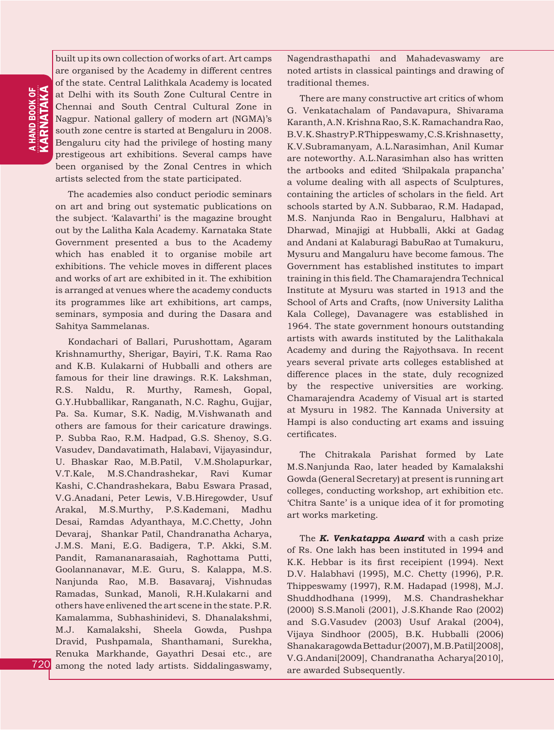built up its own collection of works of art. Art camps are organised by the Academy in different centres of the state. Central Lalithkala Academy is located at Delhi with its South Zone Cultural Centre in Chennai and South Central Cultural Zone in Nagpur. National gallery of modern art (NGMA)'s south zone centre is started at Bengaluru in 2008. Bengaluru city had the privilege of hosting many prestigeous art exhibitions. Several camps have been organised by the Zonal Centres in which artists selected from the state participated.

The academies also conduct periodic seminars on art and bring out systematic publications on the subject. 'Kalavarthi' is the magazine brought out by the Lalitha Kala Academy. Karnataka State Government presented a bus to the Academy which has enabled it to organise mobile art exhibitions. The vehicle moves in different places and works of art are exhibited in it. The exhibition is arranged at venues where the academy conducts its programmes like art exhibitions, art camps, seminars, symposia and during the Dasara and Sahitya Sammelanas.

Kondachari of Ballari, Purushottam, Agaram Krishnamurthy, Sherigar, Bayiri, T.K. Rama Rao and K.B. Kulakarni of Hubballi and others are famous for their line drawings. R.K. Lakshman, R.S. Naldu, R. Murthy, Ramesh, Gopal, G.Y.Hubballikar, Ranganath, N.C. Raghu, Gujjar, Pa. Sa. Kumar, S.K. Nadig, M.Vishwanath and others are famous for their caricature drawings. P. Subba Rao, R.M. Hadpad, G.S. Shenoy, S.G. Vasudev, Dandavatimath, Halabavi, Vijayasindur, U. Bhaskar Rao, M.B.Patil, V.M.Sholapurkar, V.T.Kale, M.S.Chandrashekar, Ravi Kumar Kashi, C.Chandrashekara, Babu Eswara Prasad, V.G.Anadani, Peter Lewis, V.B.Hiregowder, Usuf Arakal, M.S.Murthy, P.S.Kademani, Madhu Desai, Ramdas Adyanthaya, M.C.Chetty, John Devaraj, Shankar Patil, Chandranatha Acharya, J.M.S. Mani, E.G. Badigera, T.P. Akki, S.M. Pandit, Ramananarasaiah, Raghottama Putti, Goolannanavar, M.E. Guru, S. Kalappa, M.S. Nanjunda Rao, M.B. Basavaraj, Vishnudas Ramadas, Sunkad, Manoli, R.H.Kulakarni and others have enlivened the art scene in the state. P.R. Kamalamma, Subhashinidevi, S. Dhanalakshmi, M.J. Kamalakshi, Sheela Gowda, Pushpa Dravid, Pushpamala, Shanthamani, Surekha, Renuka Markhande, Gayathri Desai etc., are among the noted lady artists. Siddalingaswamy,

Nagendrasthapathi and Mahadevaswamy are noted artists in classical paintings and drawing of traditional themes.

There are many constructive art critics of whom G. Venkatachalam of Pandavapura, Shivarama Karanth, A.N. Krishna Rao, S.K. Ramachandra Rao, B.V.K. Shastry P.R Thippeswamy, C.S.Krishnasetty, K.V.Subramanyam, A.L.Narasimhan, Anil Kumar are noteworthy. A.L.Narasimhan also has written the artbooks and edited 'Shilpakala prapancha' a volume dealing with all aspects of Sculptures, containing the articles of scholars in the field. Art schools started by A.N. Subbarao, R.M. Hadapad, M.S. Nanjunda Rao in Bengaluru, Halbhavi at Dharwad, Minajigi at Hubballi, Akki at Gadag and Andani at Kalaburagi BabuRao at Tumakuru, Mysuru and Mangaluru have become famous. The Government has established institutes to impart training in this field. The Chamarajendra Technical Institute at Mysuru was started in 1913 and the School of Arts and Crafts, (now University Lalitha Kala College), Davanagere was established in 1964. The state government honours outstanding artists with awards instituted by the Lalithakala Academy and during the Rajyothsava. In recent years several private arts colleges established at difference places in the state, duly recognized by the respective universities are working. Chamarajendra Academy of Visual art is started at Mysuru in 1982. The Kannada University at Hampi is also conducting art exams and issuing certificates.

The Chitrakala Parishat formed by Late M.S.Nanjunda Rao, later headed by Kamalakshi Gowda (General Secretary) at present is running art colleges, conducting workshop, art exhibition etc. 'Chitra Sante' is a unique idea of it for promoting art works marketing.

The *K. Venkatappa Award* with a cash prize of Rs. One lakh has been instituted in 1994 and K.K. Hebbar is its first receipient (1994). Next D.V. Halabhavi (1995), M.C. Chetty (1996), P.R. Thippeswamy (1997), R.M. Hadapad (1998), M.J. Shuddhodhana (1999), M.S. Chandrashekhar (2000) S.S.Manoli (2001), J.S.Khande Rao (2002) and S.G.Vasudev (2003) Usuf Arakal (2004), Vijaya Sindhoor (2005), B.K. Hubballi (2006) Shanakaragowda Bettadur (2007), M.B.Patil[2008], V.G.Andani[2009], Chandranatha Acharya[2010], are awarded Subsequently.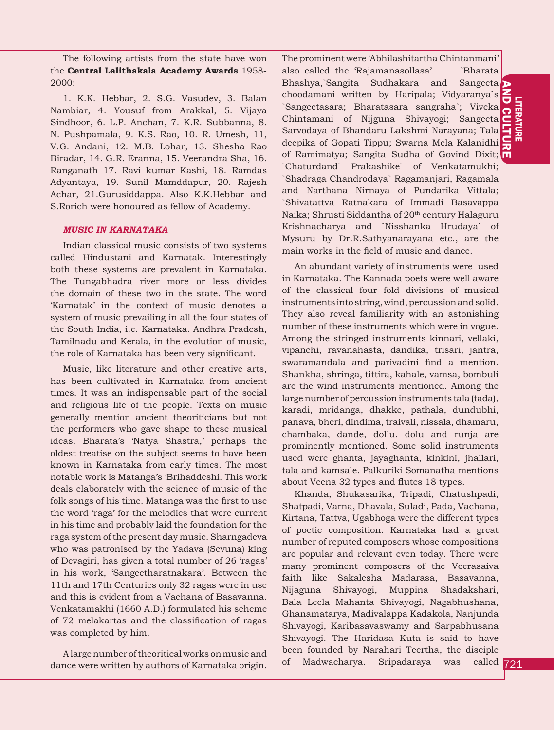**POOLITERING**<br>POOLITER<br>721 LITERATURE AND C  $\Xi$ 

The following artists from the state have won the **Central Lalithakala Academy Awards** 1958- 2000:

1. K.K. Hebbar, 2. S.G. Vasudev, 3. Balan Nambiar, 4. Yousuf from Arakkal, 5. Vijaya Sindhoor, 6. L.P. Anchan, 7. K.R. Subbanna, 8. N. Pushpamala, 9. K.S. Rao, 10. R. Umesh, 11, V.G. Andani, 12. M.B. Lohar, 13. Shesha Rao Biradar, 14. G.R. Eranna, 15. Veerandra Sha, 16. Ranganath 17. Ravi kumar Kashi, 18. Ramdas Adyantaya, 19. Sunil Mamddapur, 20. Rajesh Achar, 21.Gurusiddappa. Also K.K.Hebbar and S.Rorich were honoured as fellow of Academy.

### *MUSIC IN KARNATAKA*

Indian classical music consists of two systems called Hindustani and Karnatak. Interestingly both these systems are prevalent in Karnataka. The Tungabhadra river more or less divides the domain of these two in the state. The word 'Karnatak' in the context of music denotes a system of music prevailing in all the four states of the South India, i.e. Karnataka. Andhra Pradesh, Tamilnadu and Kerala, in the evolution of music, the role of Karnataka has been very significant.

Music, like literature and other creative arts, has been cultivated in Karnataka from ancient times. It was an indispensable part of the social and religious life of the people. Texts on music generally mention ancient theoriticians but not the performers who gave shape to these musical ideas. Bharata's 'Natya Shastra,' perhaps the oldest treatise on the subject seems to have been known in Karnataka from early times. The most notable work is Matanga's 'Brihaddeshi. This work deals elaborately with the science of music of the folk songs of his time. Matanga was the first to use the word 'raga' for the melodies that were current in his time and probably laid the foundation for the raga system of the present day music. Sharngadeva who was patronised by the Yadava (Sevuna) king of Devagiri, has given a total number of 26 'ragas' in his work, 'Sangeetharatnakara'. Between the 11th and 17th Centuries only 32 ragas were in use and this is evident from a Vachana of Basavanna. Venkatamakhi (1660 A.D.) formulated his scheme of 72 melakartas and the classification of ragas was completed by him.

A large number of theoritical works on music and dance were written by authors of Karnataka origin.

deepika of Gopati Tippu; Swarna Mela Kalanidhi D<br>of Ramimatya; Sangita Sudha of Govind Dixit; The prominent were 'Abhilashitartha Chintanmani' also called the 'Rajamanasollasa'. `Bharata Bhashya,`Sangita Sudhakara and Sangeeta choodamani written by Haripala; Vidyaranya`s `Sangeetasara; Bharatasara sangraha`; Viveka Chintamani of Nijguna Shivayogi; Sangeeta Sarvodaya of Bhandaru Lakshmi Narayana; Tala deepika of Gopati Tippu; Swarna Mela Kalanidhi `Chaturdand` Prakashike` of Venkatamukhi; `Shadraga Chandrodaya` Ragamanjari, Ragamala and Narthana Nirnaya of Pundarika Vittala; `Shivatattva Ratnakara of Immadi Basavappa Naika; Shrusti Siddantha of 20<sup>th</sup> century Halaguru Krishnacharya and `Nisshanka Hrudaya` of Mysuru by Dr.R.Sathyanarayana etc., are the main works in the field of music and dance.

An abundant variety of instruments were used in Karnataka. The Kannada poets were well aware of the classical four fold divisions of musical instruments into string, wind, percussion and solid. They also reveal familiarity with an astonishing number of these instruments which were in vogue. Among the stringed instruments kinnari, vellaki, vipanchi, ravanahasta, dandika, trisari, jantra, swaramandala and parivadini find a mention. Shankha, shringa, tittira, kahale, vamsa, bombuli are the wind instruments mentioned. Among the large number of percussion instruments tala (tada), karadi, mridanga, dhakke, pathala, dundubhi, panava, bheri, dindima, traivali, nissala, dhamaru, chambaka, dande, dollu, dolu and runja are prominently mentioned. Some solid instruments used were ghanta, jayaghanta, kinkini, jhallari, tala and kamsale. Palkuriki Somanatha mentions about Veena 32 types and flutes 18 types.

Khanda, Shukasarika, Tripadi, Chatushpadi, Shatpadi, Varna, Dhavala, Suladi, Pada, Vachana, Kirtana, Tattva, Ugabhoga were the different types of poetic composition. Karnataka had a great number of reputed composers whose compositions are popular and relevant even today. There were many prominent composers of the Veerasaiva faith like Sakalesha Madarasa, Basavanna, Nijaguna Shivayogi, Muppina Shadakshari, Bala Leela Mahanta Shivayogi, Nagabhushana, Ghanamatarya, Madivalappa Kadakola, Nanjunda Shivayogi, Karibasavaswamy and Sarpabhusana Shivayogi. The Haridasa Kuta is said to have been founded by Narahari Teertha, the disciple of Madwacharya. Sripadaraya was called 721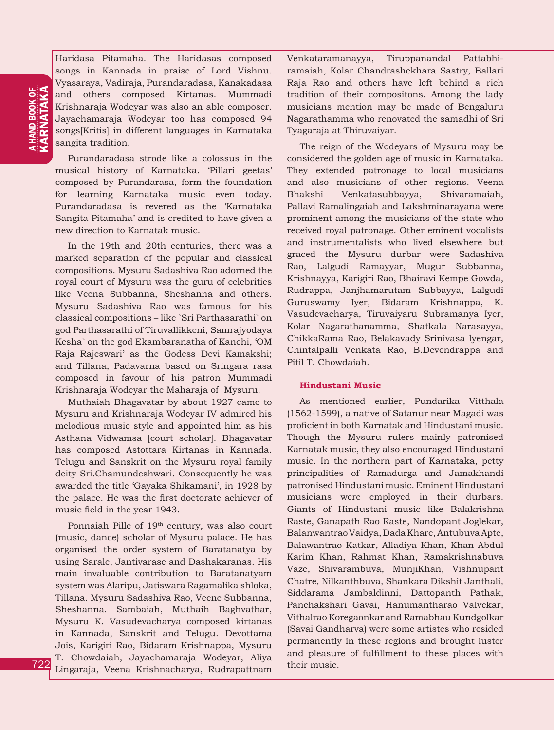# **A HAND BOOK OF**<br>**KARNATAKA** KARNATAKA a HAND BOOK OF

Haridasa Pitamaha. The Haridasas composed songs in Kannada in praise of Lord Vishnu. Vyasaraya, Vadiraja, Purandaradasa, Kanakadasa and others composed Kirtanas. Mummadi Krishnaraja Wodeyar was also an able composer. Jayachamaraja Wodeyar too has composed 94 songs[Kritis] in different languages in Karnataka sangita tradition.

Purandaradasa strode like a colossus in the musical history of Karnataka. 'Pillari geetas' composed by Purandarasa, form the foundation for learning Karnataka music even today. Purandaradasa is revered as the 'Karnataka Sangita Pitamaha' and is credited to have given a new direction to Karnatak music.

In the 19th and 20th centuries, there was a marked separation of the popular and classical compositions. Mysuru Sadashiva Rao adorned the royal court of Mysuru was the guru of celebrities like Veena Subbanna, Sheshanna and others. Mysuru Sadashiva Rao was famous for his classical compositions – like `Sri Parthasarathi` on god Parthasarathi of Tiruvallikkeni, Samrajyodaya Kesha` on the god Ekambaranatha of Kanchi, 'OM Raja Rajeswari' as the Godess Devi Kamakshi; and Tillana, Padavarna based on Sringara rasa composed in favour of his patron Mummadi Krishnaraja Wodeyar the Maharaja of Mysuru.

Muthaiah Bhagavatar by about 1927 came to Mysuru and Krishnaraja Wodeyar IV admired his melodious music style and appointed him as his Asthana Vidwamsa [court scholar]. Bhagavatar has composed Astottara Kirtanas in Kannada. Telugu and Sanskrit on the Mysuru royal family deity Sri.Chamundeshwari. Consequently he was awarded the title 'Gayaka Shikamani', in 1928 by the palace. He was the first doctorate achiever of music field in the year 1943.

Ponnaiah Pille of 19<sup>th</sup> century, was also court (music, dance) scholar of Mysuru palace. He has organised the order system of Baratanatya by using Sarale, Jantivarase and Dashakaranas. His main invaluable contribution to Baratanatyam system was Alaripu, Jatiswara Ragamalika shloka, Tillana. Mysuru Sadashiva Rao, Veene Subbanna, Sheshanna. Sambaiah, Muthaih Baghvathar, Mysuru K. Vasudevacharya composed kirtanas in Kannada, Sanskrit and Telugu. Devottama Jois, Karigiri Rao, Bidaram Krishnappa, Mysuru T. Chowdaiah, Jayachamaraja Wodeyar, Aliya Lingaraja, Veena Krishnacharya, Rudrapattnam

Venkataramanayya, Tiruppanandal Pattabhiramaiah, Kolar Chandrashekhara Sastry, Ballari Raja Rao and others have left behind a rich tradition of their compositons. Among the lady musicians mention may be made of Bengaluru Nagarathamma who renovated the samadhi of Sri Tyagaraja at Thiruvaiyar.

The reign of the Wodeyars of Mysuru may be considered the golden age of music in Karnataka. They extended patronage to local musicians and also musicians of other regions. Veena Bhakshi Venkatasubbayya, Shivaramaiah, Pallavi Ramalingaiah and Lakshminarayana were prominent among the musicians of the state who received royal patronage. Other eminent vocalists and instrumentalists who lived elsewhere but graced the Mysuru durbar were Sadashiva Rao, Lalgudi Ramayyar, Mugur Subbanna, Krishnayya, Karigiri Rao, Bhairavi Kempe Gowda, Rudrappa, Janjhamarutam Subbayya, Lalgudi Guruswamy Iyer, Bidaram Krishnappa, K. Vasudevacharya, Tiruvaiyaru Subramanya Iyer, Kolar Nagarathanamma, Shatkala Narasayya, ChikkaRama Rao, Belakavady Srinivasa lyengar, Chintalpalli Venkata Rao, B.Devendrappa and Pitil T. Chowdaiah.

#### **Hindustani Music**

As mentioned earlier, Pundarika Vitthala (1562-1599), a native of Satanur near Magadi was proficient in both Karnatak and Hindustani music. Though the Mysuru rulers mainly patronised Karnatak music, they also encouraged Hindustani music. In the northern part of Karnataka, petty principalities of Ramadurga and Jamakhandi patronised Hindustani music. Eminent Hindustani musicians were employed in their durbars. Giants of Hindustani music like Balakrishna Raste, Ganapath Rao Raste, Nandopant Joglekar, Balanwantrao Vaidya, Dada Khare, Antubuva Apte, Balawantrao Katkar, Alladiya Khan, Khan Abdul Karim Khan, Rahmat Khan, Ramakrishnabuva Vaze, Shivarambuva, MunjiKhan, Vishnupant Chatre, Nilkanthbuva, Shankara Dikshit Janthali, Siddarama Jambaldinni, Dattopanth Pathak, Panchakshari Gavai, Hanumantharao Valvekar, Vithalrao Koregaonkar and Ramabhau Kundgolkar (Savai Gandharva) were some artistes who resided permanently in these regions and brought luster and pleasure of fulfillment to these places with their music.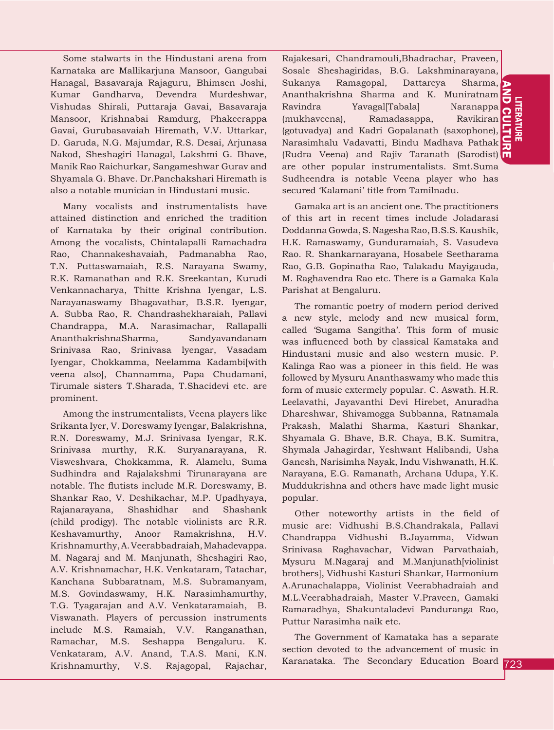**POOLINEXHEERS**<br>DOCOLINE<br>723 LITERATURE  $\Xi$ 

Some stalwarts in the Hindustani arena from Karnataka are Mallikarjuna Mansoor, Gangubai Hanagal, Basavaraja Rajaguru, Bhimsen Joshi, Kumar Gandharva, Devendra Murdeshwar, Vishudas Shirali, Puttaraja Gavai, Basavaraja Mansoor, Krishnabai Ramdurg, Phakeerappa Gavai, Gurubasavaiah Hiremath, V.V. Uttarkar, D. Garuda, N.G. Majumdar, R.S. Desai, Arjunasa Nakod, Sheshagiri Hanagal, Lakshmi G. Bhave, Manik Rao Raichurkar, Sangameshwar Gurav and Shyamala G. Bhave. Dr.Panchakshari Hiremath is also a notable munician in Hindustani music.

Many vocalists and instrumentalists have attained distinction and enriched the tradition of Karnataka by their original contribution. Among the vocalists, Chintalapalli Ramachadra Rao, Channakeshavaiah, Padmanabha Rao, T.N. Puttaswamaiah, R.S. Narayana Swamy, R.K. Ramanathan and R.K. Sreekantan, Kurudi Venkannacharya, Thitte Krishna Iyengar, L.S. Narayanaswamy Bhagavathar, B.S.R. Iyengar, A. Subba Rao, R. Chandrashekharaiah, Pallavi Chandrappa, M.A. Narasimachar, Rallapalli AnanthakrishnaSharma, Sandyavandanam Srinivasa Rao, Srinivasa lyengar, Vasadam Iyengar, Chokkamma, Neelamma Kadambi[with veena also], Channamma, Papa Chudamani, Tirumale sisters T.Sharada, T.Shacidevi etc. are prominent.

Among the instrumentalists, Veena players like Srikanta Iyer, V. Doreswamy Iyengar, Balakrishna, R.N. Doreswamy, M.J. Srinivasa Iyengar, R.K. Srinivasa murthy, R.K. Suryanarayana, R. Visweshvara, Chokkamma, R. Alamelu, Suma Sudhindra and Rajalakshmi Tirunarayana are notable. The flutists include M.R. Doreswamy, B. Shankar Rao, V. Deshikachar, M.P. Upadhyaya, Rajanarayana, Shashidhar and Shashank (child prodigy). The notable violinists are R.R. Keshavamurthy, Anoor Ramakrishna, H.V. Krishnamurthy, A. Veerabbadraiah, Mahadevappa. M. Nagaraj and M. Manjunath, Sheshagiri Rao, A.V. Krishnamachar, H.K. Venkataram, Tatachar, Kanchana Subbaratnam, M.S. Subramanyam, M.S. Govindaswamy, H.K. Narasimhamurthy, T.G. Tyagarajan and A.V. Venkataramaiah, B. Viswanath. Players of percussion instruments include M.S. Ramaiah, V.V. Ranganathan, Ramachar, M.S. Seshappa Bengaluru. K. Venkataram, A.V. Anand, T.A.S. Mani, K.N. Krishnamurthy, V.S. Rajagopal, Rajachar,

Sukanya Ramagopal, Dattareya Sharma,<br>Ananthakrishna Sharma and K. Muniratnam<br>Ravindra Yavagal[Tabala] Naranappa Narasimhalu Vadavatti, Bindu Madhava Pathak D<br>(Rudra Veena) and Rajiv Taranath (Sarodist) Rajakesari, Chandramouli,Bhadrachar, Praveen, Sosale Sheshagiridas, B.G. Lakshminarayana, Ananthakrishna Sharma and K. Muniratnam Ravindra Yavagal[Tabala] Naranappa (mukhaveena), Ramadasappa, Ravikiran (gotuvadya) and Kadri Gopalanath (saxophone), Narasimhalu Vadavatti, Bindu Madhava Pathak are other popular instrumentalists. Smt.Suma Sudheendra is notable Veena player who has secured 'Kalamani' title from Tamilnadu.

Gamaka art is an ancient one. The practitioners of this art in recent times include Joladarasi Doddanna Gowda, S. Nagesha Rao, B.S.S. Kaushik, H.K. Ramaswamy, Gunduramaiah, S. Vasudeva Rao. R. Shankarnarayana, Hosabele Seetharama Rao, G.B. Gopinatha Rao, Talakadu Mayigauda, M. Raghavendra Rao etc. There is a Gamaka Kala Parishat at Bengaluru.

The romantic poetry of modern period derived a new style, melody and new musical form, called 'Sugama Sangitha'. This form of music was influenced both by classical Kamataka and Hindustani music and also western music. P. Kalinga Rao was a pioneer in this field. He was followed by Mysuru Ananthaswamy who made this form of music extermely popular. C. Aswath. H.R. Leelavathi, Jayavanthi Devi Hirebet, Anuradha Dhareshwar, Shivamogga Subbanna, Ratnamala Prakash, Malathi Sharma, Kasturi Shankar, Shyamala G. Bhave, B.R. Chaya, B.K. Sumitra, Shymala Jahagirdar, Yeshwant Halibandi, Usha Ganesh, Narisimha Nayak, Indu Vishwanath, H.K. Narayana, E.G. Ramanath, Archana Udupa, Y.K. Muddukrishna and others have made light music popular.

Other noteworthy artists in the field of music are: Vidhushi B.S.Chandrakala, Pallavi Chandrappa Vidhushi B.Jayamma, Vidwan Srinivasa Raghavachar, Vidwan Parvathaiah, Mysuru M.Nagaraj and M.Manjunath[violinist brothers], Vidhushi Kasturi Shankar, Harmonium A.Arunachalappa, Violinist Veerabhadraiah and M.L.Veerabhadraiah, Master V.Praveen, Gamaki Ramaradhya, Shakuntaladevi Panduranga Rao, Puttur Narasimha naik etc.

The Government of Kamataka has a separate section devoted to the advancement of music in Karanataka. The Secondary Education Board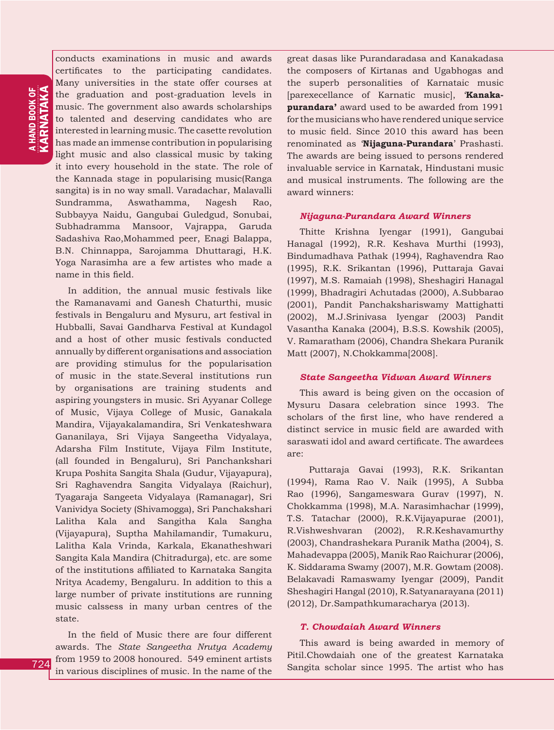conducts examinations in music and awards certificates to the participating candidates. Many universities in the state offer courses at the graduation and post-graduation levels in music. The government also awards scholarships to talented and deserving candidates who are interested in learning music. The casette revolution has made an immense contribution in popularising light music and also classical music by taking it into every household in the state. The role of the Kannada stage in popularising music(Ranga sangita) is in no way small. Varadachar, Malavalli Sundramma, Aswathamma, Nagesh Rao, Subbayya Naidu, Gangubai Guledgud, Sonubai, Subhadramma Mansoor, Vajrappa, Garuda Sadashiva Rao,Mohammed peer, Enagi Balappa, B.N. Chinnappa, Sarojamma Dhuttaragi, H.K. Yoga Narasimha are a few artistes who made a name in this field.

In addition, the annual music festivals like the Ramanavami and Ganesh Chaturthi, music festivals in Bengaluru and Mysuru, art festival in Hubballi, Savai Gandharva Festival at Kundagol and a host of other music festivals conducted annually by different organisations and association are providing stimulus for the popularisation of music in the state.Several institutions run by organisations are training students and aspiring youngsters in music. Sri Ayyanar College of Music, Vijaya College of Music, Ganakala Mandira, Vijayakalamandira, Sri Venkateshwara Gananilaya, Sri Vijaya Sangeetha Vidyalaya, Adarsha Film Institute, Vijaya Film Institute, (all founded in Bengaluru), Sri Panchankshari Krupa Poshita Sangita Shala (Gudur, Vijayapura), Sri Raghavendra Sangita Vidyalaya (Raichur), Tyagaraja Sangeeta Vidyalaya (Ramanagar), Sri Vanividya Society (Shivamogga), Sri Panchakshari Lalitha Kala and Sangitha Kala Sangha (Vijayapura), Suptha Mahilamandir, Tumakuru, Lalitha Kala Vrinda, Karkala, Ekanatheshwari Sangita Kala Mandira (Chitradurga), etc. are some of the institutions affiliated to Karnataka Sangita Nritya Academy, Bengaluru. In addition to this a large number of private institutions are running music calssess in many urban centres of the state.

In the field of Music there are four different awards. The *State Sangeetha Nrutya Academy* from 1959 to 2008 honoured. 549 eminent artists in various disciplines of music. In the name of the

great dasas like Purandaradasa and Kanakadasa the composers of Kirtanas and Ugabhogas and the superb personalities of Karnataic music [parexecellance of Karnatic music], '**Kanakapurandara'** award used to be awarded from 1991 for the musicians who have rendered unique service to music field. Since 2010 this award has been renominated as '**Nijaguna-Purandara**' Prashasti. The awards are being issued to persons rendered invaluable service in Karnatak, Hindustani music and musical instruments. The following are the award winners:

#### *Nijaguna-Purandara Award Winners*

Thitte Krishna Iyengar (1991), Gangubai Hanagal (1992), R.R. Keshava Murthi (1993), Bindumadhava Pathak (1994), Raghavendra Rao (1995), R.K. Srikantan (1996), Puttaraja Gavai (1997), M.S. Ramaiah (1998), Sheshagiri Hanagal (1999), Bhadragiri Achutadas (2000), A.Subbarao (2001), Pandit Panchakshariswamy Mattighatti (2002), M.J.Srinivasa Iyengar (2003) Pandit Vasantha Kanaka (2004), B.S.S. Kowshik (2005), V. Ramaratham (2006), Chandra Shekara Puranik Matt (2007), N.Chokkamma[2008].

#### *State Sangeetha Vidwan Award Winners*

This award is being given on the occasion of Mysuru Dasara celebration since 1993. The scholars of the first line, who have rendered a distinct service in music field are awarded with saraswati idol and award certificate. The awardees are:

 Puttaraja Gavai (1993), R.K. Srikantan (1994), Rama Rao V. Naik (1995), A Subba Rao (1996), Sangameswara Gurav (1997), N. Chokkamma (1998), M.A. Narasimhachar (1999), T.S. Tatachar (2000), R.K.Vijayapurae (2001), R.Vishweshvaran (2002), R.R.Keshavamurthy (2003), Chandrashekara Puranik Matha (2004), S. Mahadevappa (2005), Manik Rao Raichurar (2006), K. Siddarama Swamy (2007), M.R. Gowtam (2008). Belakavadi Ramaswamy Iyengar (2009), Pandit Sheshagiri Hangal (2010), R.Satyanarayana (2011) (2012), Dr.Sampathkumaracharya (2013).

#### *T. Chowdaiah Award Winners*

This award is being awarded in memory of Pitil.Chowdaiah one of the greatest Karnataka Sangita scholar since 1995. The artist who has

724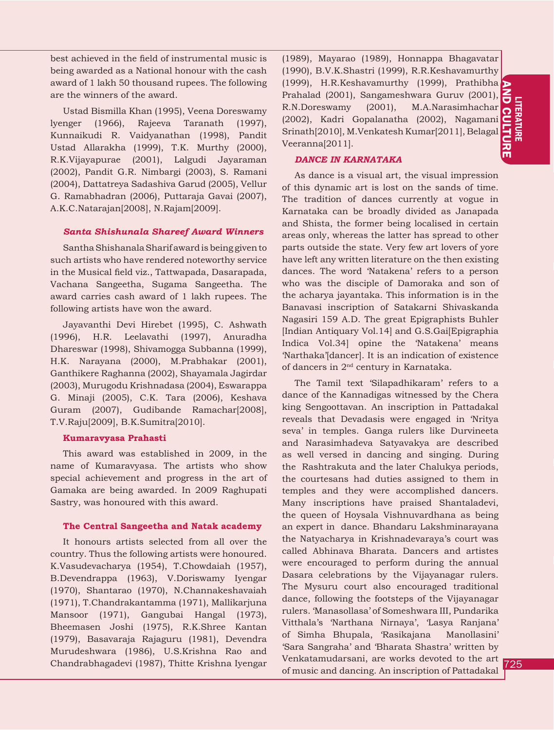THERMONE COLLIDER SERVICE SERVICE SERVICE SERVICE SERVICE SERVICE SERVICE SERVICE SERVICE SERVICE SERVICE SERVICE S LITERATURE AND C  $\Xi$ CR<br>ER<br>ET

best achieved in the field of instrumental music is being awarded as a National honour with the cash award of 1 lakh 50 thousand rupees. The following are the winners of the award.

Ustad Bismilla Khan (1995), Veena Doreswamy lyenger (1966), Rajeeva Taranath (1997), Kunnaikudi R. Vaidyanathan (1998), Pandit Ustad Allarakha (1999), T.K. Murthy (2000), R.K.Vijayapurae (2001), Lalgudi Jayaraman (2002), Pandit G.R. Nimbargi (2003), S. Ramani (2004), Dattatreya Sadashiva Garud (2005), Vellur G. Ramabhadran (2006), Puttaraja Gavai (2007), A.K.C.Natarajan[2008], N.Rajam[2009].

# *Santa Shishunala Shareef Award Winners*

Santha Shishanala Sharif award is being given to such artists who have rendered noteworthy service in the Musical field viz., Tattwapada, Dasarapada, Vachana Sangeetha, Sugama Sangeetha. The award carries cash award of 1 lakh rupees. The following artists have won the award.

Jayavanthi Devi Hirebet (1995), C. Ashwath (1996), H.R. Leelavathi (1997), Anuradha Dhareswar (1998), Shivamogga Subbanna (1999), H.K. Narayana (2000), M.Prabhakar (2001), Ganthikere Raghanna (2002), Shayamala Jagirdar (2003), Murugodu Krishnadasa (2004), Eswarappa G. Minaji (2005), C.K. Tara (2006), Keshava Guram (2007), Gudibande Ramachar[2008], T.V.Raju[2009], B.K.Sumitra[2010].

### **Kumaravyasa Prahasti**

This award was established in 2009, in the name of Kumaravyasa. The artists who show special achievement and progress in the art of Gamaka are being awarded. In 2009 Raghupati Sastry, was honoured with this award.

#### **The Central Sangeetha and Natak academy**

It honours artists selected from all over the country. Thus the following artists were honoured. K.Vasudevacharya (1954), T.Chowdaiah (1957), B.Devendrappa (1963), V.Doriswamy Iyengar (1970), Shantarao (1970), N.Channakeshavaiah (1971), T.Chandrakantamma (1971), Mallikarjuna Mansoor (1971), Gangubai Hangal (1973), Bheemasen Joshi (1975), R.K.Shree Kantan (1979), Basavaraja Rajaguru (1981), Devendra Murudeshwara (1986), U.S.Krishna Rao and Chandrabhagadevi (1987), Thitte Krishna Iyengar (1989), Mayarao (1989), Honnappa Bhagavatar (1990), B.V.K.Shastri (1999), R.R.Keshavamurthy (1999), H.R.Keshavamurthy (1999), Prathibha Prahalad (2001), Sangameshwara Guruv (2001), R.N.Doreswamy (2001), M.A.Narasimhachar (2002), Kadri Gopalanatha (2002), Nagamani Srinath[2010], M.Venkatesh Kumar[2011], Belagal Veeranna[2011].

### *DANCE IN KARNATAKA*

As dance is a visual art, the visual impression of this dynamic art is lost on the sands of time. The tradition of dances currently at vogue in Karnataka can be broadly divided as Janapada and Shista, the former being localised in certain areas only, whereas the latter has spread to other parts outside the state. Very few art lovers of yore have left any written literature on the then existing dances. The word 'Natakena' refers to a person who was the disciple of Damoraka and son of the acharya jayantaka. This information is in the Banavasi inscription of Satakarni Shivaskanda Nagasiri 159 A.D. The great Epigraphists Buhler [Indian Antiquary Vol.14] and G.S.Gai[Epigraphia Indica Vol.34] opine the 'Natakena' means 'Narthaka'[dancer]. It is an indication of existence of dancers in 2nd century in Karnataka.

The Tamil text 'Silapadhikaram' refers to a dance of the Kannadigas witnessed by the Chera king Sengoottavan. An inscription in Pattadakal reveals that Devadasis were engaged in 'Nritya seva' in temples. Ganga rulers like Durvineeta and Narasimhadeva Satyavakya are described as well versed in dancing and singing. During the Rashtrakuta and the later Chalukya periods, the courtesans had duties assigned to them in temples and they were accomplished dancers. Many inscriptions have praised Shantaladevi, the queen of Hoysala Vishnuvardhana as being an expert in dance. Bhandaru Lakshminarayana the Natyacharya in Krishnadevaraya's court was called Abhinava Bharata. Dancers and artistes were encouraged to perform during the annual Dasara celebrations by the Vijayanagar rulers. The Mysuru court also encouraged traditional dance, following the footsteps of the Vijayanagar rulers. 'Manasollasa' of Someshwara III, Pundarika Vitthala's 'Narthana Nirnaya', 'Lasya Ranjana' of Simha Bhupala, 'Rasikajana Manollasini' 'Sara Sangraha' and 'Bharata Shastra' written by Venkatamudarsani, are works devoted to the art of music and dancing. An inscription of Pattadakal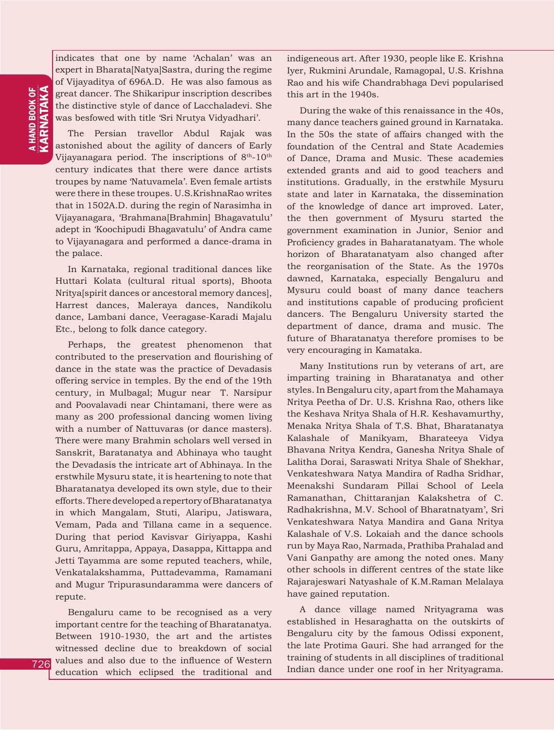indicates that one by name 'Achalan' was an expert in Bharata[Natya]Sastra, during the regime of Vijayaditya of 696A.D. He was also famous as great dancer. The Shikaripur inscription describes the distinctive style of dance of Lacchaladevi. She was besfowed with title 'Sri Nrutya Vidyadhari'.

The Persian travellor Abdul Rajak was astonished about the agility of dancers of Early Vijayanagara period. The inscriptions of  $8<sup>th</sup>$ -10<sup>th</sup> century indicates that there were dance artists troupes by name 'Natuvamela'. Even female artists were there in these troupes. U.S.KrishnaRao writes that in 1502A.D. during the regin of Narasimha in Vijayanagara, 'Brahmana[Brahmin] Bhagavatulu' adept in 'Koochipudi Bhagavatulu' of Andra came to Vijayanagara and performed a dance-drama in the palace.

In Karnataka, regional traditional dances like Huttari Kolata (cultural ritual sports), Bhoota Nritya[spirit dances or ancestoral memory dances], Harrest dances, Maleraya dances, Nandikolu dance, Lambani dance, Veeragase-Karadi Majalu Etc., belong to folk dance category.

Perhaps, the greatest phenomenon that contributed to the preservation and flourishing of dance in the state was the practice of Devadasis offering service in temples. By the end of the 19th century, in Mulbagal; Mugur near T. Narsipur and Poovalavadi near Chintamani, there were as many as 200 professional dancing women living with a number of Nattuvaras (or dance masters). There were many Brahmin scholars well versed in Sanskrit, Baratanatya and Abhinaya who taught the Devadasis the intricate art of Abhinaya. In the erstwhile Mysuru state, it is heartening to note that Bharatanatya developed its own style, due to their efforts. There developed a repertory of Bharatanatya in which Mangalam, Stuti, Alaripu, Jatiswara, Vemam, Pada and Tillana came in a sequence. During that period Kavisvar Giriyappa, Kashi Guru, Amritappa, Appaya, Dasappa, Kittappa and Jetti Tayamma are some reputed teachers, while, Venkatalakshamma, Puttadevamma, Ramamani and Mugur Tripurasundaramma were dancers of repute.

Bengaluru came to be recognised as a very important centre for the teaching of Bharatanatya. Between 1910-1930, the art and the artistes witnessed decline due to breakdown of social values and also due to the influence of Western education which eclipsed the traditional and

indigeneous art. After 1930, people like E. Krishna Iyer, Rukmini Arundale, Ramagopal, U.S. Krishna Rao and his wife Chandrabhaga Devi popularised this art in the 1940s.

During the wake of this renaissance in the 40s, many dance teachers gained ground in Karnataka. In the 50s the state of affairs changed with the foundation of the Central and State Academies of Dance, Drama and Music. These academies extended grants and aid to good teachers and institutions. Gradually, in the erstwhile Mysuru state and later in Karnataka, the dissemination of the knowledge of dance art improved. Later, the then government of Mysuru started the government examination in Junior, Senior and Proficiency grades in Baharatanatyam. The whole horizon of Bharatanatyam also changed after the reorganisation of the State. As the 1970s dawned, Karnataka, especially Bengaluru and Mysuru could boast of many dance teachers and institutions capable of producing proficient dancers. The Bengaluru University started the department of dance, drama and music. The future of Bharatanatya therefore promises to be very encouraging in Kamataka.

Many Institutions run by veterans of art, are imparting training in Bharatanatya and other styles. In Bengaluru city, apart from the Mahamaya Nritya Peetha of Dr. U.S. Krishna Rao, others like the Keshava Nritya Shala of H.R. Keshavamurthy, Menaka Nritya Shala of T.S. Bhat, Bharatanatya Kalashale of Manikyam, Bharateeya Vidya Bhavana Nritya Kendra, Ganesha Nritya Shale of Lalitha Dorai, Saraswati Nritya Shale of Shekhar, Venkateshwara Natya Mandira of Radha Sridhar, Meenakshi Sundaram Pillai School of Leela Ramanathan, Chittaranjan Kalakshetra of C. Radhakrishna, M.V. School of Bharatnatyam', Sri Venkateshwara Natya Mandira and Gana Nritya Kalashale of V.S. Lokaiah and the dance schools run by Maya Rao, Narmada, Prathiba Prahalad and Vani Ganpathy are among the noted ones. Many other schools in different centres of the state like Rajarajeswari Natyashale of K.M.Raman Melalaya have gained reputation.

A dance village named Nrityagrama was established in Hesaraghatta on the outskirts of Bengaluru city by the famous Odissi exponent, the late Protima Gauri. She had arranged for the training of students in all disciplines of traditional Indian dance under one roof in her Nrityagrama.

726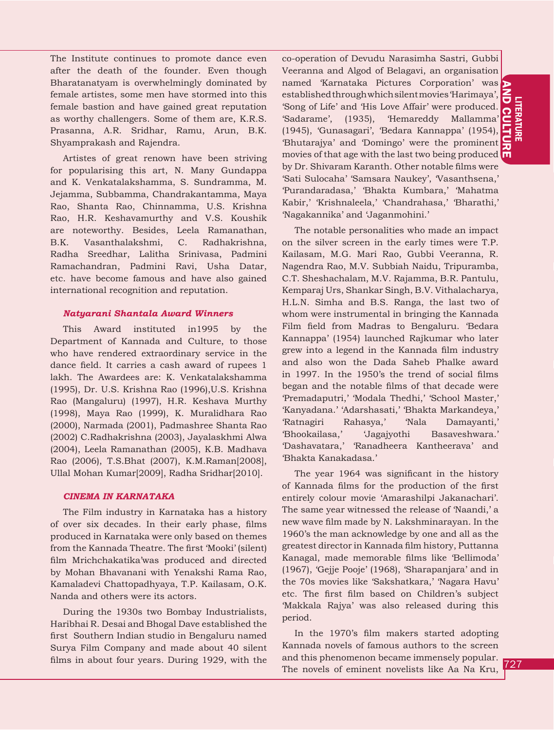The Institute continues to promote dance even after the death of the founder. Even though Bharatanatyam is overwhelmingly dominated by female artistes, some men have stormed into this female bastion and have gained great reputation as worthy challengers. Some of them are, K.R.S. Prasanna, A.R. Sridhar, Ramu, Arun, B.K. Shyamprakash and Rajendra.

Artistes of great renown have been striving for popularising this art, N. Many Gundappa and K. Venkatalakshamma, S. Sundramma, M. Jejamma, Subbamma, Chandrakantamma, Maya Rao, Shanta Rao, Chinnamma, U.S. Krishna Rao, H.R. Keshavamurthy and V.S. Koushik are noteworthy. Besides, Leela Ramanathan, B.K. Vasanthalakshmi, C. Radhakrishna, Radha Sreedhar, Lalitha Srinivasa, Padmini Ramachandran, Padmini Ravi, Usha Datar, etc. have become famous and have also gained international recognition and reputation.

#### *Natyarani Shantala Award Winners*

This Award instituted in1995 by the Department of Kannada and Culture, to those who have rendered extraordinary service in the dance field. It carries a cash award of rupees 1 lakh. The Awardees are: K. Venkatalakshamma (1995), Dr. U.S. Krishna Rao (1996),U.S. Krishna Rao (Mangaluru) (1997), H.R. Keshava Murthy (1998), Maya Rao (1999), K. Muralidhara Rao (2000), Narmada (2001), Padmashree Shanta Rao (2002) C.Radhakrishna (2003), Jayalaskhmi Alwa (2004), Leela Ramanathan (2005), K.B. Madhava Rao (2006), T.S.Bhat (2007), K.M.Raman[2008], Ullal Mohan Kumar[2009], Radha Sridhar[2010].

### *CINEMA IN KARNATAKA*

The Film industry in Karnataka has a history of over six decades. In their early phase, films produced in Karnataka were only based on themes from the Kannada Theatre. The first 'Mooki' (silent) film Mrichchakatika'was produced and directed by Mohan Bhavanani with Yenakshi Rama Rao, Kamaladevi Chattopadhyaya, T.P. Kailasam, O.K. Nanda and others were its actors.

During the 1930s two Bombay Industrialists, Haribhai R. Desai and Bhogal Dave established the first Southern Indian studio in Bengaluru named Surya Film Company and made about 40 silent films in about four years. During 1929, with the

'Bhutarajya' and 'Domingo' were the prominent<br>movies of that age with the last two being produced co-operation of Devudu Narasimha Sastri, Gubbi Veeranna and Algod of Belagavi, an organisation named 'Karnataka Pictures Corporation' was established through which silent movies 'Harimaya', 'Song of Life' and 'His Love Affair' were produced. 'Sadarame', (1935), 'Hemareddy Mallamma' (1945), 'Gunasagari', 'Bedara Kannappa' (1954), 'Bhutarajya' and 'Domingo' were the prominent by Dr. Shivaram Karanth. Other notable films were 'Sati Sulocaha' 'Samsara Naukey', 'Vasanthsena,' 'Purandaradasa,' 'Bhakta Kumbara,' 'Mahatma Kabir,' 'Krishnaleela,' 'Chandrahasa,' 'Bharathi,' 'Nagakannika' and 'Jaganmohini.'

The notable personalities who made an impact on the silver screen in the early times were T.P. Kailasam, M.G. Mari Rao, Gubbi Veeranna, R. Nagendra Rao, M.V. Subbiah Naidu, Tripuramba, C.T. Sheshachalam, M.V. Rajamma, B.R. Pantulu, Kemparaj Urs, Shankar Singh, B.V. Vithalacharya, H.L.N. Simha and B.S. Ranga, the last two of whom were instrumental in bringing the Kannada Film field from Madras to Bengaluru. 'Bedara Kannappa' (1954) launched Rajkumar who later grew into a legend in the Kannada film industry and also won the Dada Saheb Phalke award in 1997. In the 1950's the trend of social films began and the notable films of that decade were 'Premadaputri,' 'Modala Thedhi,' 'School Master,' 'Kanyadana.' 'Adarshasati,' 'Bhakta Markandeya,' 'Ratnagiri Rahasya,' 'Nala Damayanti,' 'Bhookailasa,' 'Jagajyothi Basaveshwara.' 'Dashavatara,' 'Ranadheera Kantheerava' and 'Bhakta Kanakadasa.'

The year 1964 was significant in the history of Kannada films for the production of the first entirely colour movie 'Amarashilpi Jakanachari'. The same year witnessed the release of 'Naandi,' a new wave film made by N. Lakshminarayan. In the 1960's the man acknowledge by one and all as the greatest director in Kannada film history, Puttanna Kanagal, made memorable films like 'Bellimoda' (1967), 'Gejje Pooje' (1968), 'Sharapanjara' and in the 70s movies like 'Sakshatkara,' 'Nagara Havu' etc. The first film based on Children's subject 'Makkala Rajya' was also released during this period.

In the 1970's film makers started adopting Kannada novels of famous authors to the screen and this phenomenon became immensely popular. The novels of eminent novelists like Aa Na Kru,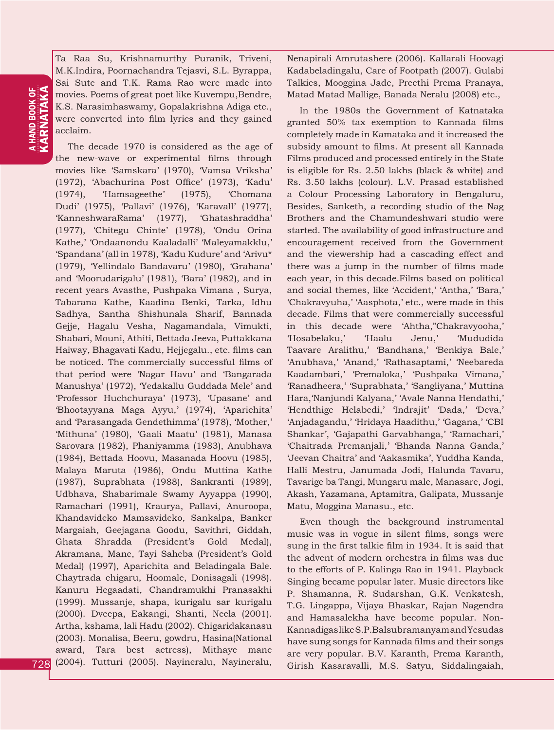Ta Raa Su, Krishnamurthy Puranik, Triveni, M.K.Indira, Poornachandra Tejasvi, S.L. Byrappa, Sai Sute and T.K. Rama Rao were made into movies. Poems of great poet like Kuvempu,Bendre, K.S. Narasimhaswamy, Gopalakrishna Adiga etc., were converted into film lyrics and they gained acclaim.

The decade 1970 is considered as the age of the new-wave or experimental films through movies like 'Samskara' (1970), 'Vamsa Vriksha' (1972), 'Abachurina Post Office' (1973), 'Kadu' (1974), 'Hamsageethe' (1975), 'Chomana Dudi' (1975), 'Pallavi' (1976), 'Karavall' (1977), 'KanneshwaraRama' (1977), 'Ghatashraddha' (1977), 'Chitegu Chinte' (1978), 'Ondu Orina Kathe,' 'Ondaanondu Kaaladalli' 'Maleyamakklu,' 'Spandana' (all in 1978), 'Kadu Kudure' and 'Arivu\* (1979), 'Yellindalo Bandavaru' (1980), 'Grahana' and 'Moorudarigalu' (1981), 'Bara' (1982), and in recent years Avasthe, Pushpaka Vimana , Surya, Tabarana Kathe, Kaadina Benki, Tarka, Idhu Sadhya, Santha Shishunala Sharif, Bannada Gejje, Hagalu Vesha, Nagamandala, Vimukti, Shabari, Mouni, Athiti, Bettada Jeeva, Puttakkana Haiway, Bhagavati Kadu, Hejjegalu., etc. films can be noticed. The commercially successful films of that period were 'Nagar Havu' and 'Bangarada Manushya' (1972), 'Yedakallu Guddada Mele' and 'Professor Huchchuraya' (1973), 'Upasane' and 'Bhootayyana Maga Ayyu,' (1974), 'Aparichita' and 'Parasangada Gendethimma' (1978), 'Mother,' 'Mithuna' (1980), 'Gaali Maatu' (1981), Manasa Sarovara (1982), Phaniyamma (1983), Anubhava (1984), Bettada Hoovu, Masanada Hoovu (1985), Malaya Maruta (1986), Ondu Muttina Kathe (1987), Suprabhata (1988), Sankranti (1989), Udbhava, Shabarimale Swamy Ayyappa (1990), Ramachari (1991), Kraurya, Pallavi, Anuroopa, Khandavideko Mamsavideko, Sankalpa, Banker Margaiah, Geejagana Goodu, Savithri, Giddah, Ghata Shradda (President's Gold Medal), Akramana, Mane, Tayi Saheba (President's Gold Medal) (1997), Aparichita and Beladingala Bale. Chaytrada chigaru, Hoomale, Donisagali (1998). Kanuru Hegaadati, Chandramukhi Pranasakhi (1999). Mussanje, shapa, kurigalu sar kurigalu (2000). Dveepa, Eakangi, Shanti, Neela (2001). Artha, kshama, lali Hadu (2002). Chigaridakanasu (2003). Monalisa, Beeru, gowdru, Hasina(National award, Tara best actress), Mithaye mane (2004). Tutturi (2005). Nayineralu, Nayineralu,

728

Nenapirali Amrutashere (2006). Kallarali Hoovagi Kadabeladingalu, Care of Footpath (2007). Gulabi Talkies, Mooggina Jade, Preethi Prema Pranaya, Matad Matad Mallige, Banada Neralu (2008) etc.,

In the 1980s the Government of Katnataka granted 50% tax exemption to Kannada films completely made in Kamataka and it increased the subsidy amount to films. At present all Kannada Films produced and processed entirely in the State is eligible for Rs. 2.50 lakhs (black & white) and Rs. 3.50 lakhs (colour). L.V. Prasad established a Colour Processing Laboratory in Bengaluru, Besides, Sanketh, a recording studio of the Nag Brothers and the Chamundeshwari studio were started. The availability of good infrastructure and encouragement received from the Government and the viewership had a cascading effect and there was a jump in the number of films made each year, in this decade.Films based on political and social themes, like 'Accident,' 'Antha,' 'Bara,' 'Chakravyuha,' 'Aasphota,' etc., were made in this decade. Films that were commercially successful in this decade were 'Ahtha,"Chakravyooha,' 'Hosabelaku,' 'Haalu Jenu,' 'Mududida Taavare Aralithu,' 'Bandhana,' 'Benkiya Bale,' 'Anubhava,' 'Anand,' 'Rathasaptami,' 'Neebareda Kaadambari,' 'Premaloka,' 'Pushpaka Vimana,' 'Ranadheera,' 'Suprabhata,' 'Sangliyana,' Muttina Hara,'Nanjundi Kalyana,' 'Avale Nanna Hendathi,' 'Hendthige Helabedi,' 'Indrajit' 'Dada,' 'Deva,' 'Anjadagandu,' 'Hridaya Haadithu,' 'Gagana,' 'CBI Shankar', 'Gajapathi Garvabhanga,' 'Ramachari,' 'Chaitrada Premanjali,' 'Bhanda Nanna Ganda,' 'Jeevan Chaitra' and 'Aakasmika', Yuddha Kanda, Halli Mestru, Janumada Jodi, Halunda Tavaru, Tavarige ba Tangi, Mungaru male, Manasare, Jogi, Akash, Yazamana, Aptamitra, Galipata, Mussanje Matu, Moggina Manasu., etc.

Even though the background instrumental music was in vogue in silent films, songs were sung in the first talkie film in 1934. It is said that the advent of modern orchestra in films was due to the efforts of P. Kalinga Rao in 1941. Playback Singing became popular later. Music directors like P. Shamanna, R. Sudarshan, G.K. Venkatesh, T.G. Lingappa, Vijaya Bhaskar, Rajan Nagendra and Hamasalekha have become popular. Non-Kannadigas like S.P.Balsubramanyam and Yesudas have sung songs for Kannada films and their songs are very popular. B.V. Karanth, Prema Karanth, Girish Kasaravalli, M.S. Satyu, Siddalingaiah,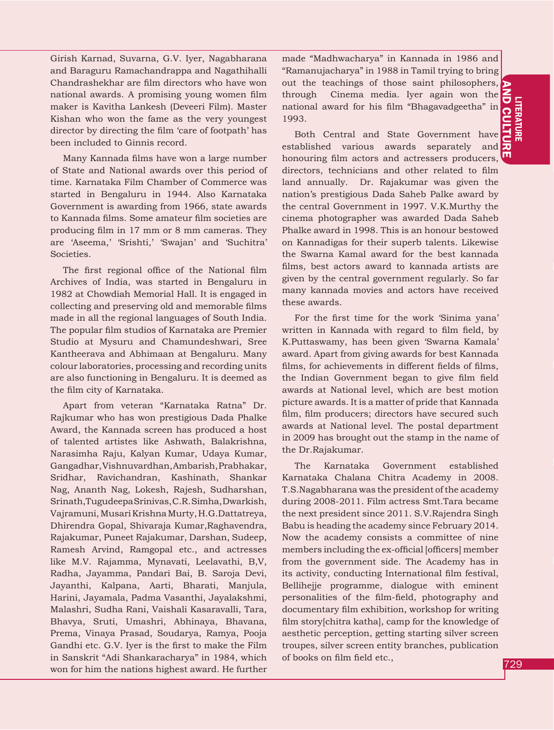Girish Karnad, Suvarna, G.V. Iyer, Nagabharana and Baraguru Ramachandrappa and Nagathihalli Chandrashekhar are film directors who have won national awards. A promising young women film maker is Kavitha Lankesh (Deveeri Film). Master Kishan who won the fame as the very youngest director by directing the film 'care of footpath' has been included to Ginnis record.

Many Kannada films have won a large number of State and National awards over this period of time. Karnataka Film Chamber of Commerce was started in Bengaluru in 1944. Also Karnataka Government is awarding from 1966, state awards to Kannada films. Some amateur film societies are producing film in 17 mm or 8 mm cameras. They are 'Aseema,' 'Srishti,' 'Swajan' and 'Suchitra' Societies.

The first regional office of the National film Archives of India, was started in Bengaluru in 1982 at Chowdiah Memorial Hall. It is engaged in collecting and preserving old and memorable films made in all the regional languages of South India. The popular film studios of Karnataka are Premier Studio at Mysuru and Chamundeshwari, Sree Kantheerava and Abhimaan at Bengaluru. Many colour laboratories, processing and recording units are also functioning in Bengaluru. It is deemed as the film city of Karnataka.

Apart from veteran "Karnataka Ratna" Dr. Rajkumar who has won prestigious Dada Phalke Award, the Kannada screen has produced a host of talented artistes like Ashwath, Balakrishna, Narasimha Raju, Kalyan Kumar, Udaya Kumar, Gangadhar, Vishnuvardhan, Ambarish, Prabhakar, Sridhar, Ravichandran, Kashinath, Shankar Nag, Ananth Nag, Lokesh, Rajesh, Sudharshan, Srinath,Tugudeepa Srinivas, C.R. Simha, Dwarkish, Vajramuni, Musari Krishna Murty, H.G.Dattatreya, Dhirendra Gopal, Shivaraja Kumar,Raghavendra, Rajakumar, Puneet Rajakumar, Darshan, Sudeep, Ramesh Arvind, Ramgopal etc., and actresses like M.V. Rajamma, Mynavati, Leelavathi, B,V, Radha, Jayamma, Pandari Bai, B. Saroja Devi, Jayanthi, Kalpana, Aarti, Bharati, Manjula, Harini, Jayamala, Padma Vasanthi, Jayalakshmi, Malashri, Sudha Rani, Vaishali Kasaravalli, Tara, Bhavya, Sruti, Umashri, Abhinaya, Bhavana, Prema, Vinaya Prasad, Soudarya, Ramya, Pooja Gandhi etc. G.V. Iyer is the first to make the Film in Sanskrit "Adi Shankaracharya" in 1984, which won for him the nations highest award. He further made "Madhwacharya" in Kannada in 1986 and "Ramanujacharya" in 1988 in Tamil trying to bring out the teachings of those saint philosophers, through Cinema media. Iyer again won the national award for his film "Bhagavadgeetha" in 1993.

Both Central and State Government have established various awards separately and honouring film actors and actressers producers, directors, technicians and other related to film land annually. Dr. Rajakumar was given the nation's prestigious Dada Saheb Palke award by the central Government in 1997. V.K.Murthy the cinema photographer was awarded Dada Saheb Phalke award in 1998. This is an honour bestowed on Kannadigas for their superb talents. Likewise the Swarna Kamal award for the best kannada films, best actors award to kannada artists are given by the central government regularly. So far many kannada movies and actors have received these awards.

For the first time for the work 'Sinima yana' written in Kannada with regard to film field, by K.Puttaswamy, has been given 'Swarna Kamala' award. Apart from giving awards for best Kannada films, for achievements in different fields of films, the Indian Government began to give film field awards at National level, which are best motion picture awards. It is a matter of pride that Kannada film, film producers; directors have secured such awards at National level. The postal department in 2009 has brought out the stamp in the name of the Dr.Rajakumar.

The Karnataka Government established Karnataka Chalana Chitra Academy in 2008. T.S.Nagabharana was the president of the academy during 2008-2011. Film actress Smt.Tara became the next president since 2011. S.V.Rajendra Singh Babu is heading the academy since February 2014. Now the academy consists a committee of nine members including the ex-official [officers] member from the government side. The Academy has in its activity, conducting International film festival, Bellihejje programme, dialogue with eminent personalities of the film-field, photography and documentary film exhibition, workshop for writing film story[chitra katha], camp for the knowledge of aesthetic perception, getting starting silver screen troupes, silver screen entity branches, publication of books on film field etc.,